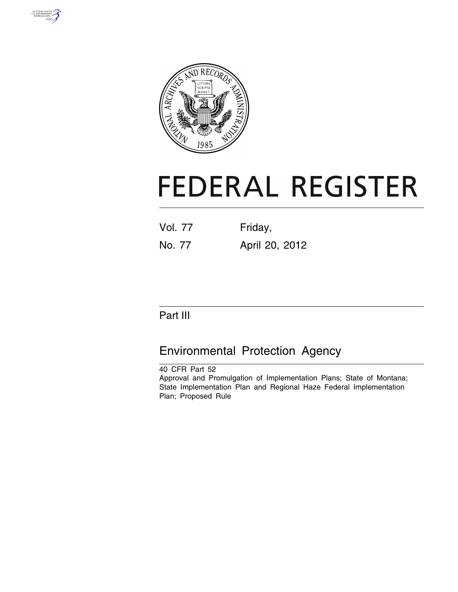



# **FEDERAL REGISTER**

| <b>Vol. 77</b> | Friday, |
|----------------|---------|
|                |         |

No. 77 April 20, 2012

# Part III

# Environmental Protection Agency

40 CFR Part 52 Approval and Promulgation of Implementation Plans; State of Montana; State Implementation Plan and Regional Haze Federal Implementation Plan; Proposed Rule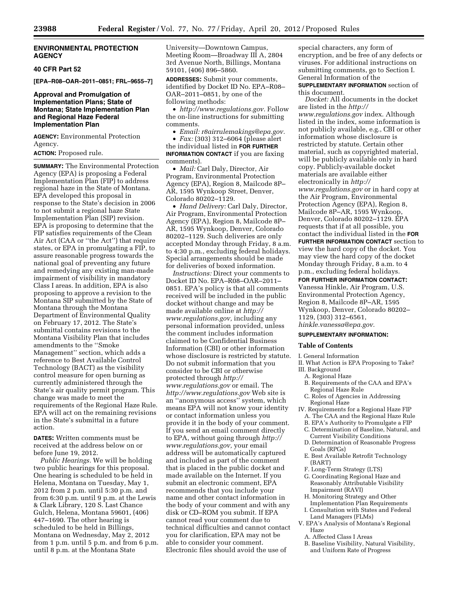#### **ENVIRONMENTAL PROTECTION AGENCY**

#### **40 CFR Part 52**

**[EPA–R08–OAR–2011–0851; FRL–9655–7]** 

#### **Approval and Promulgation of Implementation Plans; State of Montana; State Implementation Plan and Regional Haze Federal Implementation Plan**

**AGENCY:** Environmental Protection Agency.

**ACTION:** Proposed rule.

**SUMMARY:** The Environmental Protection Agency (EPA) is proposing a Federal Implementation Plan (FIP) to address regional haze in the State of Montana. EPA developed this proposal in response to the State's decision in 2006 to not submit a regional haze State Implementation Plan (SIP) revision. EPA is proposing to determine that the FIP satisfies requirements of the Clean Air Act (CAA or ''the Act'') that require states, or EPA in promulgating a FIP, to assure reasonable progress towards the national goal of preventing any future and remedying any existing man-made impairment of visibility in mandatory Class I areas. In addition, EPA is also proposing to approve a revision to the Montana SIP submitted by the State of Montana through the Montana Department of Environmental Quality on February 17, 2012. The State's submittal contains revisions to the Montana Visibility Plan that includes amendments to the ''Smoke Management'' section, which adds a reference to Best Available Control Technology (BACT) as the visibility control measure for open burning as currently administered through the State's air quality permit program. This change was made to meet the requirements of the Regional Haze Rule. EPA will act on the remaining revisions in the State's submittal in a future action.

**DATES:** Written comments must be received at the address below on or before June 19, 2012.

*Public Hearings.* We will be holding two public hearings for this proposal. One hearing is scheduled to be held in Helena, Montana on Tuesday, May 1, 2012 from 2 p.m. until 5:30 p.m. and from 6:30 p.m. until 9 p.m. at the Lewis & Clark Library, 120 S. Last Chance Gulch, Helena, Montana 59601, (406) 447–1690. The other hearing is scheduled to be held in Billings, Montana on Wednesday, May 2, 2012 from 1 p.m. until 5 p.m. and from 6 p.m. until 8 p.m. at the Montana State

University—Downtown Campus, Meeting Room—Broadway III A, 2804 3rd Avenue North, Billings, Montana 59101, (406) 896–5860.

**ADDRESSES:** Submit your comments, identified by Docket ID No. EPA–R08– OAR–2011–0851, by one of the following methods:

• *[http://www.regulations.gov.](http://www.regulations.gov)* Follow the on-line instructions for submitting comments.

• *Email: [r8airrulemakings@epa.gov.](mailto:r8airrulemakings@epa.gov)* 

• *Fax:* (303) 312–6064 (please alert the individual listed in **FOR FURTHER INFORMATION CONTACT** if you are faxing comments).

• *Mail:* Carl Daly, Director, Air Program, Environmental Protection Agency (EPA), Region 8, Mailcode 8P– AR, 1595 Wynkoop Street, Denver, Colorado 80202–1129.

• *Hand Delivery:* Carl Daly, Director, Air Program, Environmental Protection Agency (EPA), Region 8, Mailcode 8P– AR, 1595 Wynkoop, Denver, Colorado 80202–1129. Such deliveries are only accepted Monday through Friday, 8 a.m. to 4:30 p.m., excluding federal holidays. Special arrangements should be made for deliveries of boxed information.

*Instructions:* Direct your comments to Docket ID No. EPA–R08–OAR–2011– 0851. EPA's policy is that all comments received will be included in the public docket without change and may be made available online at *[http://](http://www.regulations.gov)  [www.regulations.gov,](http://www.regulations.gov)* including any personal information provided, unless the comment includes information claimed to be Confidential Business Information (CBI) or other information whose disclosure is restricted by statute. Do not submit information that you consider to be CBI or otherwise protected through *[http://](http://www.regulations.gov)  [www.regulations.gov](http://www.regulations.gov)* or email. The *<http://www.regulations.gov>* Web site is an ''anonymous access'' system, which means EPA will not know your identity or contact information unless you provide it in the body of your comment. If you send an email comment directly to EPA, without going through *[http://](http://www.regulations.gov)  [www.regulations.gov,](http://www.regulations.gov)* your email address will be automatically captured and included as part of the comment that is placed in the public docket and made available on the Internet. If you submit an electronic comment, EPA recommends that you include your name and other contact information in the body of your comment and with any disk or CD–ROM you submit. If EPA cannot read your comment due to technical difficulties and cannot contact you for clarification, EPA may not be able to consider your comment. Electronic files should avoid the use of

special characters, any form of encryption, and be free of any defects or viruses. For additional instructions on submitting comments, go to Section I. General Information of the **SUPPLEMENTARY INFORMATION** section of

this document.

*Docket:* All documents in the docket are listed in the *[http://](http://www.regulations.gov) [www.regulations.gov](http://www.regulations.gov)* index. Although listed in the index, some information is not publicly available, e.g., CBI or other information whose disclosure is restricted by statute. Certain other material, such as copyrighted material, will be publicly available only in hard copy. Publicly-available docket materials are available either electronically in *[http://](http://www.regulations.gov) [www.regulations.gov](http://www.regulations.gov)* or in hard copy at the Air Program, Environmental Protection Agency (EPA), Region 8, Mailcode 8P–AR, 1595 Wynkoop, Denver, Colorado 80202–1129. EPA requests that if at all possible, you contact the individual listed in the **FOR FURTHER INFORMATION CONTACT** section to view the hard copy of the docket. You may view the hard copy of the docket Monday through Friday, 8 a.m. to 4 p.m., excluding federal holidays.

#### **FOR FURTHER INFORMATION CONTACT:**

Vanessa Hinkle, Air Program, U.S. Environmental Protection Agency, Region 8, Mailcode 8P–AR, 1595 Wynkoop, Denver, Colorado 80202– 1129, (303) 312–6561, *[hinkle.vanessa@epa.gov.](mailto:hinkle.vanessa@epa.gov)* 

#### **SUPPLEMENTARY INFORMATION:**

#### **Table of Contents**

I. General Information

- II. What Action is EPA Proposing to Take?
- III. Background
	- A. Regional Haze B. Requirements of the CAA and EPA's
	- Regional Haze Rule C. Roles of Agencies in Addressing Regional Haze
- IV. Requirements for a Regional Haze FIP
	- A. The CAA and the Regional Haze Rule
	- B. EPA's Authority to Promulgate a FIP
	- C. Determination of Baseline, Natural, and Current Visibility Conditions
	- D. Determination of Reasonable Progress Goals (RPGs)
	- E. Best Available Retrofit Technology (BART)
	- F. Long-Term Strategy (LTS)
	- G. Coordinating Regional Haze and Reasonably Attributable Visibility Impairment (RAVI)
	- H. Monitoring Strategy and Other Implementation Plan Requirements
	- I. Consultation with States and Federal Land Managers (FLMs)
- V. EPA's Analysis of Montana's Regional Haze
- A. Affected Class I Areas
- B. Baseline Visibility, Natural Visibility, and Uniform Rate of Progress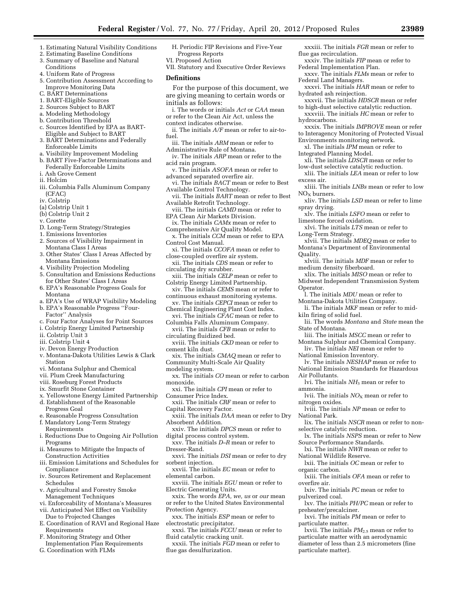- 1. Estimating Natural Visibility Conditions
- 2. Estimating Baseline Conditions
- 3. Summary of Baseline and Natural
- Conditions
- 4. Uniform Rate of Progress
- 5. Contribution Assessment According to Improve Monitoring Data
- C. BART Determinations
- 1. BART-Eligible Sources
- 2. Sources Subject to BART
- a. Modeling Methodology
- b. Contribution Threshold
- c. Sources Identified by EPA as BART-Eligible and Subject to BART
- 3. BART Determinations and Federally Enforceable Limits
- a. Visibility Improvement Modeling
- b. BART Five-Factor Determinations and Federally Enforceable Limits
- i. Ash Grove Cement
- ii. Holcim
- iii. Columbia Falls Aluminum Company (CFAC)
- iv. Colstrip
- (a) Colstrip Unit 1
- (b) Colstrip Unit 2
- v. Corette
- D. Long-Term Strategy/Strategies
- 1. Emissions Inventories
- 2. Sources of Visibility Impairment in Montana Class I Areas
- 3. Other States' Class I Areas Affected by Montana Emissions
- 4. Visibility Projection Modeling
- 5. Consultation and Emissions Reductions for Other States' Class I Areas
- 6. EPA's Reasonable Progress Goals for Montana
- a. EPA's Use of WRAP Visibility Modeling b. EPA's Reasonable Progress ''Four-
- Factor'' Analysis c. Four Factor Analyses for Point Sources
- i. Colstrip Energy Limited Partnership
- ii. Colstrip Unit 3
- iii. Colstrip Unit 4
- iv. Devon Energy Production
- v. Montana-Dakota Utilities Lewis & Clark Station
- vi. Montana Sulphur and Chemical
- vii. Plum Creek Manufacturing
- viii. Roseburg Forest Products
- ix. Smurfit Stone Container
- x. Yellowstone Energy Limited Partnership d. Establishment of the Reasonable
- Progress Goal
- e. Reasonable Progress Consultation
- f. Mandatory Long-Term Strategy Requirements
- i. Reductions Due to Ongoing Air Pollution Programs
- ii. Measures to Mitigate the Impacts of Construction Activities
- iii. Emission Limitations and Schedules for Compliance
- iv. Sources Retirement and Replacement Schedules
- v. Agricultural and Forestry Smoke Management Techniques
- vi. Enforceability of Montana's Measures vii. Anticipated Net Effect on Visibility
- Due to Projected Changes E. Coordination of RAVI and Regional Haze
- Requirements F. Monitoring Strategy and Other
- Implementation Plan Requirements
- G. Coordination with FLMs
- H. Periodic FIP Revisions and Five-Year Progress Reports
- VI. Proposed Action
- VII. Statutory and Executive Order Reviews

#### **Definitions**

- For the purpose of this document, we are giving meaning to certain words or initials as follows:
- i. The words or initials *Act* or *CAA* mean or refer to the Clean Air Act, unless the context indicates otherwise.
- ii. The initials *A/F* mean or refer to air-tofuel.
- iii. The initials *ARM* mean or refer to
- Administrative Rule of Montana. iv. The initials *ARP* mean or refer to the acid rain program.
- v. The initials *ASOFA* mean or refer to advanced separated overfire air.
- vi. The initials *BACT* mean or refer to Best Available Control Technology.
- vii. The initials *BART* mean or refer to Best Available Retrofit Technology.
- viii. The initials *CAMD* mean or refer to EPA Clean Air Markets Division.
- ix. The initials *CAMx* mean or refer to Comprehensive Air Quality Model.
- x. The initials *CCM* mean or refer to EPA Control Cost Manual.
- xi. The initials *CCOFA* mean or refer to close-coupled overfire air system.
- xii. The initials *CDS* mean or refer to circulating dry scrubber.
- xiii. The initials *CELP* mean or refer to Colstrip Energy Limited Partnership.
- xiv. The initials *CEMS* mean or refer to continuous exhaust monitoring systems.
- xv. The initials *CEPCI* mean or refer to Chemical Engineering Plant Cost Index.
- xvi. The initials *CFAC* mean or refer to Columbia Falls Aluminum Company.
- xvii. The initials *CFB* mean or refer to circulating fluidized bed.
- xviii. The initials *CKD* mean or refer to cement kiln dust.
- xix. The initials *CMAQ* mean or refer to
- Community Multi-Scale Air Quality
- modeling system.
- xx. The initials *CO* mean or refer to carbon monoxide.
- xxi. The initials *CPI* mean or refer to
- Consumer Price Index.
- xxii. The initials *CRF* mean or refer to Capital Recovery Factor.
- xxiii. The initials *DAA* mean or refer to Dry Absorbent Addition.
- xxiv. The initials *DPCS* mean or refer to digital process control system.
- xxv. The initials *D–R* mean or refer to Dresser-Rand.
- xxvi. The initials *DSI* mean or refer to dry sorbent injection.
- xxvii. The initials *EC* mean or refer to elemental carbon.
- xxviii. The initials *EGU* mean or refer to Electric Generating Units.
- xxix. The words *EPA, we, us* or *our* mean or refer to the United States Environmental Protection Agency.
- xxx. The initials *ESP* mean or refer to electrostatic precipitator.
- xxxi. The initials *FCCU* mean or refer to fluid catalytic cracking unit.
- xxxii. The initials *FGD* mean or refer to flue gas desulfurization.

xxxiii. The initials *FGR* mean or refer to flue gas recirculation.

- xxxiv. The initials *FIP* mean or refer to Federal Implementation Plan.
- xxxv. The initials *FLMs* mean or refer to Federal Land Managers.
- xxxvi. The initials *HAR* mean or refer to hydrated ash reinjection.
- xxxvii. The initials *HDSCR* mean or refer to high-dust selective catalytic reduction. xxxviii. The initials *HC* mean or refer to

Environments monitoring network. xl. The initials *IPM* mean or refer to

Integrated Planning Model.

limestone forced oxidation.

medium density fiberboard.

kiln firing of solid fuel.

National Emission Inventory.

selective catalytic reduction.

National Wildlife Reserve.

Source Performance Standards.

State of Montana.

Air Pollutants.

nitrogen oxides.

National Park.

organic carbon.

pulverized coal.

preheater/precalciner.

particulate matter.

particulate matter).

overfire air.

ammonia.

Long-Term Strategy.

xxxix. The initials *IMPROVE* mean or refer to Interagency Monitoring of Protected Visual

xli. The initials *LDSCR* mean or refer to low-dust selective catalytic reduction. xlii. The initials *LEA* mean or refer to low

xliii. The initials *LNBs* mean or refer to low

xliv. The initials *LSD* mean or refer to lime

xlv. The initials *LSFO* mean or refer to

xlvi. The initials *LTS* mean or refer to

xlvii. The initials *MDEQ* mean or refer to Montana's Department of Environmental

xlviii. The initials *MDF* mean or refer to

xlix. The initials *MISO* mean or refer to Midwest Independent Transmission System

lii. The words *Montana* and *State* mean the

liii. The initials *MSCC* mean or refer to Montana Sulphur and Chemical Company. liv. The initials *NEI* mean or refer to

lv. The initials *NESHAP* mean or refer to National Emission Standards for Hazardous

lvi. The initials *NH*3 mean or refer to

lvii. The initials *NO*X mean or refer to

lviii. The initials *NP* mean or refer to

lxi. The initials *NWR* mean or refer to

lxii. The initials *OC* mean or refer to

lxiv. The initials *PC* mean or refer to

lxvi. The initials *PM* mean or refer to

lxiii. The initials *OFA* mean or refer to

lxv. The initials *PH/PC* mean or refer to

lxvii. The initials *PM*2.5 mean or refer to particulate matter with an aerodynamic diameter of less than 2.5 micrometers (fine

lix. The initials *NSCR* mean or refer to non-

lx. The initials *NSPS* mean or refer to New

l. The initials *MDU* mean or refer to Montana-Dakota Utilities Company. li. The initials *MKF* mean or refer to mid-

hydrocarbons.

excess air.

 $NO<sub>x</sub>$  burners.

spray drying.

Quality.

Operator.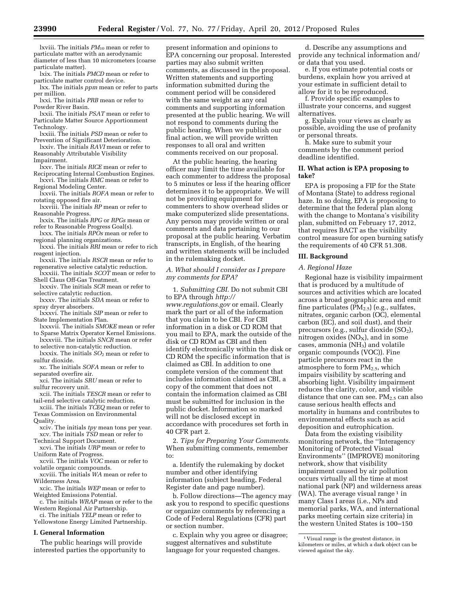lxviii. The initials *PM*10 mean or refer to particulate matter with an aerodynamic diameter of less than 10 micrometers (coarse particulate matter).

lxix. The initials *PMCD* mean or refer to particulate matter control device.

lxx. The initials *ppm* mean or refer to parts per million.

lxxi. The initials *PRB* mean or refer to Powder River Basin.

lxxii. The initials *PSAT* mean or refer to Particulate Matter Source Apportionment Technology.

lxxiii. The initials *PSD* mean or refer to Prevention of Significant Deterioration.

lxxiv. The initials *RAVI* mean or refer to Reasonably Attributable Visibility

Impairment.

lxxv. The initials *RICE* mean or refer to Reciprocating Internal Combustion Engines. lxxvi. The initials *RMC* mean or refer to

Regional Modeling Center. lxxvii. The initials *ROFA* mean or refer to

rotating opposed fire air.

lxxviii. The initials *RP* mean or refer to Reasonable Progress.

lxxix. The initials *RPG* or *RPGs* mean or refer to Reasonable Progress Goal(s).

- lxxx. The initials *RPOs* mean or refer to regional planning organizations.
- lxxxi. The initials *RRI* mean or refer to rich reagent injection.

lxxxii. The initials *RSCR* mean or refer to regenerative selective catalytic reduction.

- lxxxiii. The initials *SCOT* mean or refer to Shell Claus Off-Gas Treatment.
- lxxxiv. The initials *SCR* mean or refer to selective catalytic reduction.

lxxxv. The initials *SDA* mean or refer to spray dryer absorbers.

lxxxvi. The initials *SIP* mean or refer to State Implementation Plan.

lxxxvii. The initials *SMOKE* mean or refer to Sparse Matrix Operator Kernel Emissions. lxxxviii. The initials *SNCR* mean or refer

to selective non-catalytic reduction. lxxxix. The initials *SO*2 mean or refer to sulfur dioxide.

xc. The initials *SOFA* mean or refer to separated overfire air.

xci. The initials *SRU* mean or refer to sulfur recovery unit.

xcii. The initials *TESCR* mean or refer to tail-end selective catalytic reduction.

xciii. The initials *TCEQ* mean or refer to Texas Commission on Environmental Quality.

xciv. The initials *tpy* mean tons per year. xcv. The initials *TSD* mean or refer to

Technical Support Document.

xcvi. The initials *URP* mean or refer to Uniform Rate of Progress.

xcvii. The initials *VOC* mean or refer to volatile organic compounds.

xcviii. The initials *WA* mean or refer to Wilderness Area.

xcic. The initials *WEP* mean or refer to Weighted Emissions Potential.

c. The initials *WRAP* mean or refer to the Western Regional Air Partnership.

ci. The initials *YELP* mean or refer to Yellowstone Energy Limited Partnership.

#### **I. General Information**

The public hearings will provide interested parties the opportunity to

present information and opinions to EPA concerning our proposal. Interested parties may also submit written comments, as discussed in the proposal. Written statements and supporting information submitted during the comment period will be considered with the same weight as any oral comments and supporting information presented at the public hearing. We will not respond to comments during the public hearing. When we publish our final action, we will provide written responses to all oral and written comments received on our proposal.

At the public hearing, the hearing officer may limit the time available for each commenter to address the proposal to 5 minutes or less if the hearing officer determines it to be appropriate. We will not be providing equipment for commenters to show overhead slides or make computerized slide presentations. Any person may provide written or oral comments and data pertaining to our proposal at the public hearing. Verbatim transcripts, in English, of the hearing and written statements will be included in the rulemaking docket.

#### *A. What should I consider as I prepare my comments for EPA?*

1. *Submitting CBI.* Do not submit CBI to EPA through *[http://](http://www.regulations.gov) [www.regulations.gov](http://www.regulations.gov)* or email. Clearly mark the part or all of the information that you claim to be CBI. For CBI information in a disk or CD ROM that you mail to EPA, mark the outside of the disk or CD ROM as CBI and then identify electronically within the disk or CD ROM the specific information that is claimed as CBI. In addition to one complete version of the comment that includes information claimed as CBI, a copy of the comment that does not contain the information claimed as CBI must be submitted for inclusion in the public docket. Information so marked will not be disclosed except in accordance with procedures set forth in 40 CFR part 2.

2. *Tips for Preparing Your Comments.*  When submitting comments, remember to:

a. Identify the rulemaking by docket number and other identifying information (subject heading, Federal Register date and page number).

b. Follow directions—The agency may ask you to respond to specific questions or organize comments by referencing a Code of Federal Regulations (CFR) part or section number.

c. Explain why you agree or disagree; suggest alternatives and substitute language for your requested changes.

d. Describe any assumptions and provide any technical information and/ or data that you used.

e. If you estimate potential costs or burdens, explain how you arrived at your estimate in sufficient detail to allow for it to be reproduced.

f. Provide specific examples to illustrate your concerns, and suggest alternatives.

g. Explain your views as clearly as possible, avoiding the use of profanity or personal threats.

h. Make sure to submit your comments by the comment period deadline identified.

#### **II. What action is EPA proposing to take?**

EPA is proposing a FIP for the State of Montana (State) to address regional haze. In so doing, EPA is proposing to determine that the federal plan along with the change to Montana's visibility plan, submitted on February 17, 2012, that requires BACT as the visibility control measure for open burning satisfy the requirements of 40 CFR 51.308.

#### **III. Background**

#### *A. Regional Haze*

Regional haze is visibility impairment that is produced by a multitude of sources and activities which are located across a broad geographic area and emit fine particulates  $(PM_{2.5})$  (e.g., sulfates, nitrates, organic carbon (OC), elemental carbon (EC), and soil dust), and their precursors (e.g., sulfur dioxide (SO<sub>2</sub>), nitrogen oxides  $(NO<sub>X</sub>)$ , and in some cases, ammonia  $(NH<sub>3</sub>)$  and volatile organic compounds (VOC)). Fine particle precursors react in the atmosphere to form  $PM_{2.5}$ , which impairs visibility by scattering and absorbing light. Visibility impairment reduces the clarity, color, and visible distance that one can see.  $PM_{2.5}$  can also cause serious health effects and mortality in humans and contributes to environmental effects such as acid deposition and eutrophication.

Data from the existing visibility monitoring network, the ''Interagency Monitoring of Protected Visual Environments'' (IMPROVE) monitoring network, show that visibility impairment caused by air pollution occurs virtually all the time at most national park (NP) and wilderness areas (WA). The average visual range  $1$  in many Class I areas (i.e., NPs and memorial parks, WA, and international parks meeting certain size criteria) in the western United States is 100–150

<sup>1</sup> Visual range is the greatest distance, in kilometers or miles, at which a dark object can be viewed against the sky.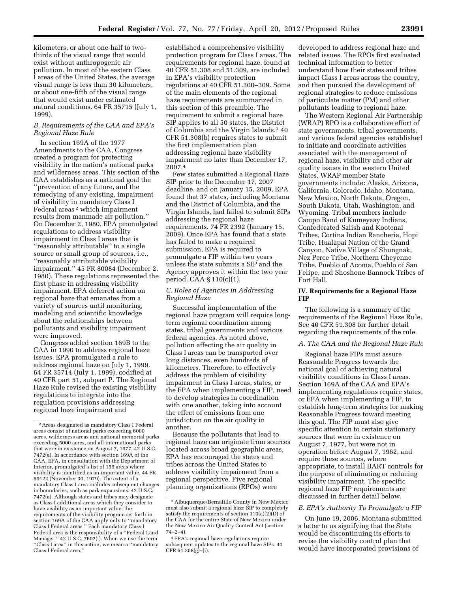kilometers, or about one-half to twothirds of the visual range that would exist without anthropogenic air pollution. In most of the eastern Class I areas of the United States, the average visual range is less than 30 kilometers, or about one-fifth of the visual range that would exist under estimated natural conditions. 64 FR 35715 (July 1, 1999).

#### *B. Requirements of the CAA and EPA's Regional Haze Rule*

In section 169A of the 1977 Amendments to the CAA, Congress created a program for protecting visibility in the nation's national parks and wilderness areas. This section of the CAA establishes as a national goal the ''prevention of any future, and the remedying of any existing, impairment of visibility in mandatory Class I Federal areas<sup>2</sup> which impairment results from manmade air pollution.'' On December 2, 1980, EPA promulgated regulations to address visibility impairment in Class I areas that is ''reasonably attributable'' to a single source or small group of sources, i.e., ''reasonably attributable visibility impairment.'' 45 FR 80084 (December 2, 1980). These regulations represented the first phase in addressing visibility impairment. EPA deferred action on regional haze that emanates from a variety of sources until monitoring, modeling and scientific knowledge about the relationships between pollutants and visibility impairment were improved.

Congress added section 169B to the CAA in 1990 to address regional haze issues. EPA promulgated a rule to address regional haze on July 1, 1999. 64 FR 35714 (July 1, 1999), codified at 40 CFR part 51, subpart P. The Regional Haze Rule revised the existing visibility regulations to integrate into the regulation provisions addressing regional haze impairment and

established a comprehensive visibility protection program for Class I areas. The requirements for regional haze, found at 40 CFR 51.308 and 51.309, are included in EPA's visibility protection regulations at 40 CFR 51.300–309. Some of the main elements of the regional haze requirements are summarized in this section of this preamble. The requirement to submit a regional haze SIP applies to all 50 states, the District of Columbia and the Virgin Islands.3 40 CFR 51.308(b) requires states to submit the first implementation plan addressing regional haze visibility impairment no later than December 17, 2007.4

Few states submitted a Regional Haze SIP prior to the December 17, 2007 deadline, and on January 15, 2009, EPA found that 37 states, including Montana and the District of Columbia, and the Virgin Islands, had failed to submit SIPs addressing the regional haze requirements. 74 FR 2392 (January 15, 2009). Once EPA has found that a state has failed to make a required submission, EPA is required to promulgate a FIP within two years unless the state submits a SIP and the Agency approves it within the two year period. CAA § 110(c)(1).

#### *C. Roles of Agencies in Addressing Regional Haze*

Successful implementation of the regional haze program will require longterm regional coordination among states, tribal governments and various federal agencies. As noted above, pollution affecting the air quality in Class I areas can be transported over long distances, even hundreds of kilometers. Therefore, to effectively address the problem of visibility impairment in Class I areas, states, or the EPA when implementing a FIP, need to develop strategies in coordination with one another, taking into account the effect of emissions from one jurisdiction on the air quality in another.

Because the pollutants that lead to regional haze can originate from sources located across broad geographic areas, EPA has encouraged the states and tribes across the United States to address visibility impairment from a regional perspective. Five regional planning organizations (RPOs) were

developed to address regional haze and related issues. The RPOs first evaluated technical information to better understand how their states and tribes impact Class I areas across the country, and then pursued the development of regional strategies to reduce emissions of particulate matter (PM) and other pollutants leading to regional haze.

The Western Regional Air Partnership (WRAP) RPO is a collaborative effort of state governments, tribal governments, and various federal agencies established to initiate and coordinate activities associated with the management of regional haze, visibility and other air quality issues in the western United States. WRAP member State governments include: Alaska, Arizona, California, Colorado, Idaho, Montana, New Mexico, North Dakota, Oregon, South Dakota, Utah, Washington, and Wyoming. Tribal members include Campo Band of Kumeyaay Indians, Confederated Salish and Kootenai Tribes, Cortina Indian Rancheria, Hopi Tribe, Hualapai Nation of the Grand Canyon, Native Village of Shungnak, Nez Perce Tribe, Northern Cheyenne Tribe, Pueblo of Acoma, Pueblo of San Felipe, and Shoshone-Bannock Tribes of Fort Hall.

#### **IV. Requirements for a Regional Haze FIP**

The following is a summary of the requirements of the Regional Haze Rule. See 40 CFR 51.308 for further detail regarding the requirements of the rule.

# *A. The CAA and the Regional Haze Rule*

Regional haze FIPs must assure Reasonable Progress towards the national goal of achieving natural visibility conditions in Class I areas. Section 169A of the CAA and EPA's implementing regulations require states, or EPA when implementing a FIP, to establish long-term strategies for making Reasonable Progress toward meeting this goal. The FIP must also give specific attention to certain stationary sources that were in existence on August 7, 1977, but were not in operation before August 7, 1962, and require these sources, where appropriate, to install BART controls for the purpose of eliminating or reducing visibility impairment. The specific regional haze FIP requirements are discussed in further detail below.

#### *B. EPA's Authority To Promulgate a FIP*

On June 19, 2006, Montana submitted a letter to us signifying that the State would be discontinuing its efforts to revise the visibility control plan that would have incorporated provisions of

<sup>2</sup>Areas designated as mandatory Class I Federal areas consist of national parks exceeding 6000 acres, wilderness areas and national memorial parks exceeding 5000 acres, and all international parks that were in existence on August 7, 1977. 42 U.S.C. 7472(a). In accordance with section 169A of the CAA, EPA, in consultation with the Department of Interior, promulgated a list of 156 areas where visibility is identified as an important value. 44 FR 69122 (November 30, 1979). The extent of a mandatory Class I area includes subsequent changes in boundaries, such as park expansions. 42 U.S.C. 7472(a). Although states and tribes may designate as Class I additional areas which they consider to have visibility as an important value, the requirements of the visibility program set forth in section 169A of the CAA apply only to ''mandatory Class I Federal areas.'' Each mandatory Class I Federal area is the responsibility of a ''Federal Land Manager.'' 42 U.S.C. 7602(i). When we use the term ''Class I area'' in this action, we mean a ''mandatory Class I Federal area.''

<sup>3</sup>Albuquerque/Bernalillo County in New Mexico must also submit a regional haze SIP to completely satisfy the requirements of section  $110(a)(2)(D)$  of the CAA for the entire State of New Mexico under the New Mexico Air Quality Control Act (section  $74 - 2 - 4$ .

<sup>4</sup>EPA's regional haze regulations require subsequent updates to the regional haze SIPs. 40  $CFR 51.308(g)–(i)$ .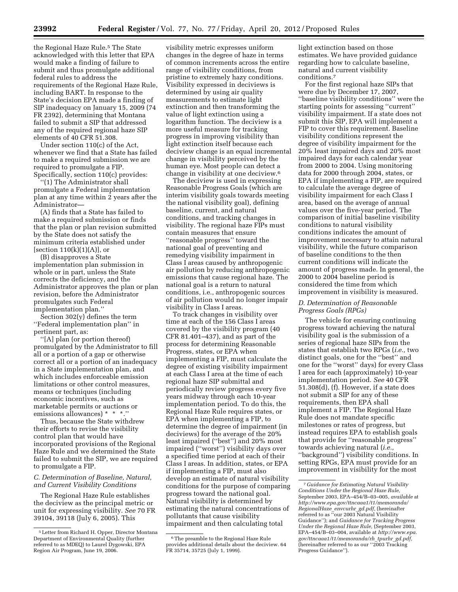the Regional Haze Rule.<sup>5</sup> The State acknowledged with this letter that EPA would make a finding of failure to submit and thus promulgate additional federal rules to address the requirements of the Regional Haze Rule, including BART. In response to the State's decision EPA made a finding of SIP inadequacy on January 15, 2009 (74 FR 2392), determining that Montana failed to submit a SIP that addressed any of the required regional haze SIP elements of 40 CFR 51.308.

Under section 110(c) of the Act, whenever we find that a State has failed to make a required submission we are required to promulgate a FIP. Specifically, section 110(c) provides:

''(1) The Administrator shall promulgate a Federal implementation plan at any time within 2 years after the Administrator—

(A) finds that a State has failed to make a required submission or finds that the plan or plan revision submitted by the State does not satisfy the minimum criteria established under [section  $110(k)(1)(A)$ ], or

(B) disapproves a State implementation plan submission in whole or in part, unless the State corrects the deficiency, and the Administrator approves the plan or plan revision, before the Administrator promulgates such Federal implementation plan.''

Section 302(y) defines the term ''Federal implementation plan'' in pertinent part, as:

''[A] plan (or portion thereof) promulgated by the Administrator to fill all or a portion of a gap or otherwise correct all or a portion of an inadequacy in a State implementation plan, and which includes enforceable emission limitations or other control measures, means or techniques (including economic incentives, such as marketable permits or auctions or emissions allowances) \* \* \*.''

Thus, because the State withdrew their efforts to revise the visibility control plan that would have incorporated provisions of the Regional Haze Rule and we determined the State failed to submit the SIP, we are required to promulgate a FIP.

#### *C. Determination of Baseline, Natural, and Current Visibility Conditions*

The Regional Haze Rule establishes the deciview as the principal metric or unit for expressing visibility. *See* 70 FR 39104, 39118 (July 6, 2005). This

visibility metric expresses uniform changes in the degree of haze in terms of common increments across the entire range of visibility conditions, from pristine to extremely hazy conditions. Visibility expressed in deciviews is determined by using air quality measurements to estimate light extinction and then transforming the value of light extinction using a logarithm function. The deciview is a more useful measure for tracking progress in improving visibility than light extinction itself because each deciview change is an equal incremental change in visibility perceived by the human eye. Most people can detect a change in visibility at one deciview.6

The deciview is used in expressing Reasonable Progress Goals (which are interim visibility goals towards meeting the national visibility goal), defining baseline, current, and natural conditions, and tracking changes in visibility. The regional haze FIPs must contain measures that ensure ''reasonable progress'' toward the national goal of preventing and remedying visibility impairment in Class I areas caused by anthropogenic air pollution by reducing anthropogenic emissions that cause regional haze. The national goal is a return to natural conditions, i.e., anthropogenic sources of air pollution would no longer impair visibility in Class I areas.

To track changes in visibility over time at each of the 156 Class I areas covered by the visibility program (40 CFR 81.401–437), and as part of the process for determining Reasonable Progress, states, or EPA when implementing a FIP, must calculate the degree of existing visibility impairment at each Class I area at the time of each regional haze SIP submittal and periodically review progress every five years midway through each 10-year implementation period. To do this, the Regional Haze Rule requires states, or EPA when implementing a FIP, to determine the degree of impairment (in deciviews) for the average of the 20% least impaired (''best'') and 20% most impaired (''worst'') visibility days over a specified time period at each of their Class I areas. In addition, states, or EPA if implementing a FIP, must also develop an estimate of natural visibility conditions for the purpose of comparing progress toward the national goal. Natural visibility is determined by estimating the natural concentrations of pollutants that cause visibility impairment and then calculating total

light extinction based on those estimates. We have provided guidance regarding how to calculate baseline, natural and current visibility conditions.7

For the first regional haze SIPs that were due by December 17, 2007, ''baseline visibility conditions'' were the starting points for assessing ''current'' visibility impairment. If a state does not submit this SIP, EPA will implement a FIP to cover this requirement. Baseline visibility conditions represent the degree of visibility impairment for the 20% least impaired days and 20% most impaired days for each calendar year from 2000 to 2004. Using monitoring data for 2000 through 2004, states, or EPA if implementing a FIP, are required to calculate the average degree of visibility impairment for each Class I area, based on the average of annual values over the five-year period. The comparison of initial baseline visibility conditions to natural visibility conditions indicates the amount of improvement necessary to attain natural visibility, while the future comparison of baseline conditions to the then current conditions will indicate the amount of progress made. In general, the 2000 to 2004 baseline period is considered the time from which improvement in visibility is measured.

### *D. Determination of Reasonable Progress Goals (RPGs)*

The vehicle for ensuring continuing progress toward achieving the natural visibility goal is the submission of a series of regional haze SIPs from the states that establish two RPGs (*i.e.,* two distinct goals, one for the ''best'' and one for the ''worst'' days) for every Class I area for each (approximately) 10-year implementation period. *See* 40 CFR 51.308(d), (f). However, if a state does not submit a SIP for any of these requirements, then EPA shall implement a FIP. The Regional Haze Rule does not mandate specific milestones or rates of progress, but instead requires EPA to establish goals that provide for ''reasonable progress'' towards achieving natural (*i.e.,*  ''background'') visibility conditions. In setting RPGs, EPA must provide for an improvement in visibility for the most

<sup>5</sup>Letter from Richard H. Opper, Director Montana Department of Environmental Quality (further referred to as MDEQ) to Laurel Dygowski, EPA Region Air Program, June 19, 2006.

<sup>6</sup>The preamble to the Regional Haze Rule provides additional details about the deciview. 64 FR 35714, 35725 (July 1, 1999).

<sup>7</sup> *Guidance for Estimating Natural Visibility Conditions Under the Regional Haze Rule,*  September 2003, EPA–454/B–03–005, *available* at *[http://www.epa.gov/ttncaaa1/t1/memoranda/](http://www.epa.gov/ttncaaa1/t1/memoranda/RegionalHaze_envcurhr_gd.pdf) [RegionalHaze](http://www.epa.gov/ttncaaa1/t1/memoranda/RegionalHaze_envcurhr_gd.pdf)*\_*envcurhr*\_*gd.pdf,* (hereinafter referred to as "our 2003 Natural Visibility Guidance''); and *Guidance for Tracking Progress Under the Regional Haze Rule,* (September 2003, EPA–454/B–03–004, available at *[http://www.epa.](http://www.epa.gov/ttncaaa1/t1/memoranda/rh_tpurhr_gd.pdf) [gov/ttncaaa1/t1/memoranda/rh](http://www.epa.gov/ttncaaa1/t1/memoranda/rh_tpurhr_gd.pdf)*\_*tpurhr*\_*gd.pdf,*  (hereinafter referred to as our ''2003 Tracking Progress Guidance'').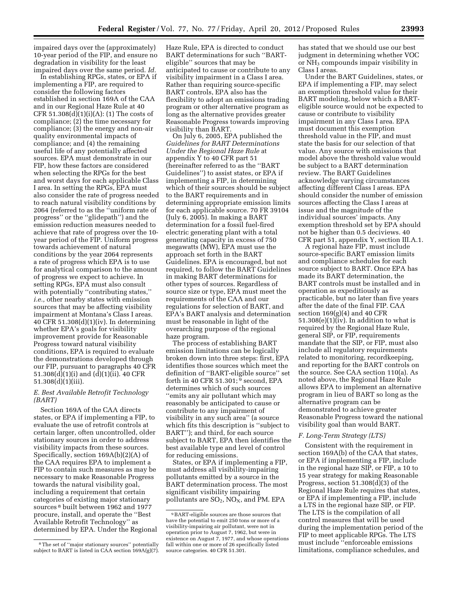impaired days over the (approximately) 10-year period of the FIP, and ensure no degradation in visibility for the least impaired days over the same period. *Id.* 

In establishing RPGs, states, or EPA if implementing a FIP, are required to consider the following factors established in section 169A of the CAA and in our Regional Haze Rule at 40 CFR  $51.308(d)(1)(i)(A)$ : (1) The costs of compliance; (2) the time necessary for compliance; (3) the energy and non-air quality environmental impacts of compliance; and (4) the remaining useful life of any potentially affected sources. EPA must demonstrate in our FIP, how these factors are considered when selecting the RPGs for the best and worst days for each applicable Class I area. In setting the RPGs, EPA must also consider the rate of progress needed to reach natural visibility conditions by 2064 (referred to as the ''uniform rate of progress'' or the ''glidepath'') and the emission reduction measures needed to achieve that rate of progress over the 10 year period of the FIP. Uniform progress towards achievement of natural conditions by the year 2064 represents a rate of progress which EPA is to use for analytical comparison to the amount of progress we expect to achieve. In setting RPGs, EPA must also consult with potentially "contributing states," *i.e.,* other nearby states with emission sources that may be affecting visibility impairment at Montana's Class I areas. 40 CFR 51.308(d)(1)(iv). In determining whether EPA's goals for visibility improvement provide for Reasonable Progress toward natural visibility conditions, EPA is required to evaluate the demonstrations developed through our FIP, pursuant to paragraphs 40 CFR 51.308(d)(1)(i) and (d)(1)(ii). 40 CFR 51.308(d)(1)(iii).

#### *E. Best Available Retrofit Technology (BART)*

Section 169A of the CAA directs states, or EPA if implementing a FIP, to evaluate the use of retrofit controls at certain larger, often uncontrolled, older stationary sources in order to address visibility impacts from these sources. Specifically, section 169A(b)(2)(A) of the CAA requires EPA to implement a FIP to contain such measures as may be necessary to make Reasonable Progress towards the natural visibility goal, including a requirement that certain categories of existing major stationary sources 8 built between 1962 and 1977 procure, install, and operate the ''Best Available Retrofit Technology'' as determined by EPA. Under the Regional Haze Rule, EPA is directed to conduct BART determinations for such ''BARTeligible'' sources that may be anticipated to cause or contribute to any visibility impairment in a Class I area. Rather than requiring source-specific BART controls, EPA also has the flexibility to adopt an emissions trading program or other alternative program as long as the alternative provides greater Reasonable Progress towards improving visibility than BART.

On July 6, 2005, EPA published the *Guidelines for BART Determinations Under the Regional Haze Rule* at appendix Y to 40 CFR part 51 (hereinafter referred to as the ''BART Guidelines'') to assist states, or EPA if implementing a FIP, in determining which of their sources should be subject to the BART requirements and in determining appropriate emission limits for each applicable source. 70 FR 39104 (July 6, 2005). In making a BART determination for a fossil fuel-fired electric generating plant with a total generating capacity in excess of 750 megawatts (MW), EPA must use the approach set forth in the BART Guidelines. EPA is encouraged, but not required, to follow the BART Guidelines in making BART determinations for other types of sources. Regardless of source size or type, EPA must meet the requirements of the CAA and our regulations for selection of BART, and EPA's BART analysis and determination must be reasonable in light of the overarching purpose of the regional haze program.

The process of establishing BART emission limitations can be logically broken down into three steps: first, EPA identifies those sources which meet the definition of ''BART-eligible source'' set forth in 40 CFR 51.301; 9 second, EPA determines which of such sources ''emits any air pollutant which may reasonably be anticipated to cause or contribute to any impairment of visibility in any such area'' (a source which fits this description is ''subject to BART''); and third, for each source subject to BART, EPA then identifies the best available type and level of control for reducing emissions.

States, or EPA if implementing a FIP, must address all visibility-impairing pollutants emitted by a source in the BART determination process. The most significant visibility impairing pollutants are  $SO_2$ ,  $NO<sub>X</sub>$ , and PM. EPA

has stated that we should use our best judgment in determining whether VOC or NH<sub>3</sub> compounds impair visibility in Class I areas.

Under the BART Guidelines, states, or EPA if implementing a FIP, may select an exemption threshold value for their BART modeling, below which a BARTeligible source would not be expected to cause or contribute to visibility impairment in any Class I area. EPA must document this exemption threshold value in the FIP, and must state the basis for our selection of that value. Any source with emissions that model above the threshold value would be subject to a BART determination review. The BART Guidelines acknowledge varying circumstances affecting different Class I areas. EPA should consider the number of emission sources affecting the Class I areas at issue and the magnitude of the individual sources' impacts. Any exemption threshold set by EPA should not be higher than 0.5 deciviews. 40 CFR part 51, appendix Y, section III.A.1.

A regional haze FIP, must include source-specific BART emission limits and compliance schedules for each source subject to BART. Once EPA has made its BART determination, the BART controls must be installed and in operation as expeditiously as practicable, but no later than five years after the date of the final FIP. CAA section  $169(g)(4)$  and  $40$  CFR  $51.308(e)(1)(iv)$ . In addition to what is required by the Regional Haze Rule, general SIP, or FIP, requirements mandate that the SIP, or FIP, must also include all regulatory requirements related to monitoring, recordkeeping, and reporting for the BART controls on the source. See CAA section 110(a). As noted above, the Regional Haze Rule allows EPA to implement an alternative program in lieu of BART so long as the alternative program can be demonstrated to achieve greater Reasonable Progress toward the national visibility goal than would BART.

#### *F. Long-Term Strategy (LTS)*

Consistent with the requirement in section 169A(b) of the CAA that states, or EPA if implementing a FIP, include in the regional haze SIP, or FIP, a 10 to 15 year strategy for making Reasonable Progress, section 51.308(d)(3) of the Regional Haze Rule requires that states, or EPA if implementing a FIP, include a LTS in the regional haze SIP, or FIP. The LTS is the compilation of all control measures that will be used during the implementation period of the FIP to meet applicable RPGs. The LTS must include ''enforceable emissions limitations, compliance schedules, and

<sup>8</sup>The set of ''major stationary sources'' potentially subject to BART is listed in  $CAA$  section 169A(g)(7).

<sup>9</sup>BART-eligible sources are those sources that have the potential to emit 250 tons or more of a visibility-impairing air pollutant, were not in operation prior to August 7, 1962, but were in existence on August 7, 1977, and whose operations fall within one or more of 26 specifically listed source categories. 40 CFR 51.301.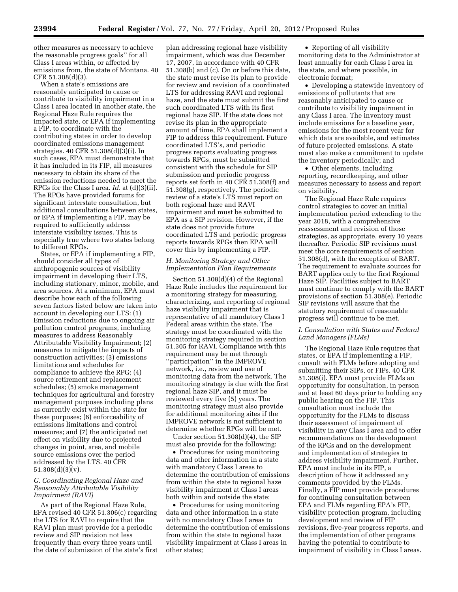other measures as necessary to achieve the reasonable progress goals'' for all Class I areas within, or affected by emissions from, the state of Montana. 40 CFR 51.308(d)(3).

When a state's emissions are reasonably anticipated to cause or contribute to visibility impairment in a Class I area located in another state, the Regional Haze Rule requires the impacted state, or EPA if implementing a FIP, to coordinate with the contributing states in order to develop coordinated emissions management strategies. 40 CFR 51.308(d)(3)(i). In such cases, EPA must demonstrate that it has included in its FIP, all measures necessary to obtain its share of the emission reductions needed to meet the RPGs for the Class I area. *Id.* at (d)(3)(ii). The RPOs have provided forums for significant interstate consultation, but additional consultations between states, or EPA if implementing a FIP, may be required to sufficiently address interstate visibility issues. This is especially true where two states belong to different RPOs.

States, or EPA if implementing a FIP, should consider all types of anthropogenic sources of visibility impairment in developing their LTS, including stationary, minor, mobile, and area sources. At a minimum, EPA must describe how each of the following seven factors listed below are taken into account in developing our LTS: (1) Emission reductions due to ongoing air pollution control programs, including measures to address Reasonably Attributable Visibility Impairment; (2) measures to mitigate the impacts of construction activities; (3) emissions limitations and schedules for compliance to achieve the RPG; (4) source retirement and replacement schedules; (5) smoke management techniques for agricultural and forestry management purposes including plans as currently exist within the state for these purposes; (6) enforceability of emissions limitations and control measures; and (7) the anticipated net effect on visibility due to projected changes in point, area, and mobile source emissions over the period addressed by the LTS. 40 CFR 51.308(d)(3)(v).

#### *G. Coordinating Regional Haze and Reasonably Attributable Visibility Impairment (RAVI)*

As part of the Regional Haze Rule, EPA revised 40 CFR 51.306(c) regarding the LTS for RAVI to require that the RAVI plan must provide for a periodic review and SIP revision not less frequently than every three years until the date of submission of the state's first

plan addressing regional haze visibility impairment, which was due December 17, 2007, in accordance with 40 CFR 51.308(b) and (c). On or before this date, the state must revise its plan to provide for review and revision of a coordinated LTS for addressing RAVI and regional haze, and the state must submit the first such coordinated LTS with its first regional haze SIP. If the state does not revise its plan in the appropriate amount of time, EPA shall implement a FIP to address this requirement. Future coordinated LTS's, and periodic progress reports evaluating progress towards RPGs, must be submitted consistent with the schedule for SIP submission and periodic progress reports set forth in 40 CFR 51.308(f) and 51.308(g), respectively. The periodic review of a state's LTS must report on both regional haze and RAVI impairment and must be submitted to EPA as a SIP revision. However, if the state does not provide future coordinated LTS and periodic progress reports towards RPGs then EPA will cover this by implementing a FIP.

#### *H. Monitoring Strategy and Other Implementation Plan Requirements*

Section 51.308(d)(4) of the Regional Haze Rule includes the requirement for a monitoring strategy for measuring, characterizing, and reporting of regional haze visibility impairment that is representative of all mandatory Class I Federal areas within the state. The strategy must be coordinated with the monitoring strategy required in section 51.305 for RAVI. Compliance with this requirement may be met through ''participation'' in the IMPROVE network, i.e., review and use of monitoring data from the network. The monitoring strategy is due with the first regional haze SIP, and it must be reviewed every five (5) years. The monitoring strategy must also provide for additional monitoring sites if the IMPROVE network is not sufficient to determine whether RPGs will be met.

Under section 51.308(d)(4), the SIP must also provide for the following:

• Procedures for using monitoring data and other information in a state with mandatory Class I areas to determine the contribution of emissions from within the state to regional haze visibility impairment at Class I areas both within and outside the state;

• Procedures for using monitoring data and other information in a state with no mandatory Class I areas to determine the contribution of emissions from within the state to regional haze visibility impairment at Class I areas in other states;

• Reporting of all visibility monitoring data to the Administrator at least annually for each Class I area in the state, and where possible, in electronic format;

• Developing a statewide inventory of emissions of pollutants that are reasonably anticipated to cause or contribute to visibility impairment in any Class I area. The inventory must include emissions for a baseline year, emissions for the most recent year for which data are available, and estimates of future projected emissions. A state must also make a commitment to update the inventory periodically; and

• Other elements, including reporting, recordkeeping, and other measures necessary to assess and report on visibility.

The Regional Haze Rule requires control strategies to cover an initial implementation period extending to the year 2018, with a comprehensive reassessment and revision of those strategies, as appropriate, every 10 years thereafter. Periodic SIP revisions must meet the core requirements of section 51.308(d), with the exception of BART. The requirement to evaluate sources for BART applies only to the first Regional Haze SIP. Facilities subject to BART must continue to comply with the BART provisions of section 51.308(e). Periodic SIP revisions will assure that the statutory requirement of reasonable progress will continue to be met.

#### *I. Consultation with States and Federal Land Managers (FLMs)*

The Regional Haze Rule requires that states, or EPA if implementing a FIP, consult with FLMs before adopting and submitting their SIPs, or FIPs. 40 CFR 51.308(i). EPA must provide FLMs an opportunity for consultation, in person and at least 60 days prior to holding any public hearing on the FIP. This consultation must include the opportunity for the FLMs to discuss their assessment of impairment of visibility in any Class I area and to offer recommendations on the development of the RPGs and on the development and implementation of strategies to address visibility impairment. Further, EPA must include in its FIP, a description of how it addressed any comments provided by the FLMs. Finally, a FIP must provide procedures for continuing consultation between EPA and FLMs regarding EPA's FIP, visibility protection program, including development and review of FIP revisions, five-year progress reports, and the implementation of other programs having the potential to contribute to impairment of visibility in Class I areas.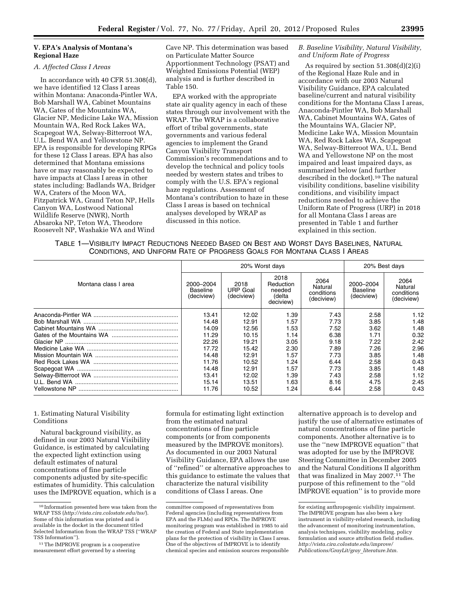#### **V. EPA's Analysis of Montana's Regional Haze**

#### *A. Affected Class I Areas*

In accordance with 40 CFR 51.308(d), we have identified 12 Class I areas within Montana: Anaconda-Pintler WA, Bob Marshall WA, Cabinet Mountains WA, Gates of the Mountains WA, Glacier NP, Medicine Lake WA, Mission Mountain WA, Red Rock Lakes WA, Scapegoat WA, Selway-Bitterroot WA, U.L. Bend WA and Yellowstone NP. EPA is responsible for developing RPGs for these 12 Class I areas. EPA has also determined that Montana emissions have or may reasonably be expected to have impacts at Class I areas in other states including: Badlands WA, Bridger WA, Craters of the Moon WA, Fitzpatrick WA, Grand Teton NP, Hells Canyon WA, Lostwood National Wildlife Reserve (NWR), North Absaroka NP, Teton WA, Theodore Roosevelt NP, Washakie WA and Wind

Cave NP. This determination was based on Particulate Matter Source Apportionment Technology (PSAT) and Weighted Emissions Potential (WEP) analysis and is further described in Table 150.

EPA worked with the appropriate state air quality agency in each of these states through our involvement with the WRAP. The WRAP is a collaborative effort of tribal governments, state governments and various federal agencies to implement the Grand Canyon Visibility Transport Commission's recommendations and to develop the technical and policy tools needed by western states and tribes to comply with the U.S. EPA's regional haze regulations. Assessment of Montana's contribution to haze in these Class I areas is based on technical analyses developed by WRAP as discussed in this notice.

#### *B. Baseline Visibility, Natural Visibility, and Uniform Rate of Progress*

As required by section 51.308(d)(2)(i) of the Regional Haze Rule and in accordance with our 2003 Natural Visibility Guidance, EPA calculated baseline/current and natural visibility conditions for the Montana Class I areas, Anaconda-Pintler WA, Bob Marshall WA, Cabinet Mountains WA, Gates of the Mountains WA, Glacier NP, Medicine Lake WA, Mission Mountain WA, Red Rock Lakes WA, Scapegoat WA, Selway-Bitterroot WA, U.L. Bend WA and Yellowstone NP on the most impaired and least impaired days, as summarized below (and further described in the docket).10 The natural visibility conditions, baseline visibility conditions, and visibility impact reductions needed to achieve the Uniform Rate of Progress (URP) in 2018 for all Montana Class I areas are presented in Table 1 and further explained in this section.

| TABLE 1- VISIBILITY IMPACT REDUCTIONS NEEDED BASED ON BEST AND WORST DAYS BASELINES, NATURAL |  |
|----------------------------------------------------------------------------------------------|--|
| CONDITIONS, AND UNIFORM RATE OF PROGRESS GOALS FOR MONTANA CLASS I AREAS                     |  |

|                      |                                     | 20% Worst days                        | 20% Best days                                      |                                             |                                            |                                             |
|----------------------|-------------------------------------|---------------------------------------|----------------------------------------------------|---------------------------------------------|--------------------------------------------|---------------------------------------------|
| Montana class I area | 2000-2004<br>Baseline<br>(deciview) | 2018<br><b>URP Goal</b><br>(deciview) | 2018<br>Reduction<br>needed<br>(delta<br>deciview) | 2064<br>Natural<br>conditions<br>(deciview) | 2000-2004<br><b>Baseline</b><br>(deciview) | 2064<br>Natural<br>conditions<br>(deciview) |
|                      | 13.41                               | 12.02                                 | 1.39                                               | 7.43                                        | 2.58                                       | 1.12                                        |
|                      | 14.48                               | 12.91                                 | 1.57                                               | 7.73                                        | 3.85                                       | 1.48                                        |
|                      | 14.09                               | 12.56                                 | 1.53                                               | 7.52                                        | 3.62                                       | 1.48                                        |
|                      | 11.29                               | 10.15                                 | 1.14                                               | 6.38                                        | 1.71                                       | 0.32                                        |
|                      | 22.26                               | 19.21                                 | 3.05                                               | 9.18                                        | 7.22                                       | 2.42                                        |
|                      | 17.72                               | 15.42                                 | 2.30                                               | 7.89                                        | 7.26                                       | 2.96                                        |
|                      | 14.48                               | 12.91                                 | 1.57                                               | 7.73                                        | 3.85                                       | 1.48                                        |
|                      | 11.76                               | 10.52                                 | 1.24                                               | 6.44                                        | 2.58                                       | 0.43                                        |
|                      | 14.48                               | 12.91                                 | 1.57                                               | 7.73                                        | 3.85                                       | 1.48                                        |
|                      | 13.41                               | 12.02                                 | 1.39                                               | 7.43                                        | 2.58                                       | 1.12                                        |
|                      | 15.14                               | 13.51                                 | 1.63                                               | 8.16                                        | 4.75                                       | 2.45                                        |
|                      | 11.76                               | 10.52                                 | 1.24                                               | 6.44                                        | 2.58                                       | 0.43                                        |

#### 1. Estimating Natural Visibility Conditions

Natural background visibility, as defined in our 2003 Natural Visibility Guidance, is estimated by calculating the expected light extinction using default estimates of natural concentrations of fine particle components adjusted by site-specific estimates of humidity. This calculation uses the IMPROVE equation, which is a formula for estimating light extinction from the estimated natural concentrations of fine particle components (or from components measured by the IMPROVE monitors). As documented in our 2003 Natural Visibility Guidance, EPA allows the use of ''refined'' or alternative approaches to this guidance to estimate the values that characterize the natural visibility conditions of Class I areas. One

alternative approach is to develop and justify the use of alternative estimates of natural concentrations of fine particle components. Another alternative is to use the ''new IMPROVE equation'' that was adopted for use by the IMPROVE Steering Committee in December 2005 and the Natural Conditions II algorithm that was finalized in May 2007.11 The purpose of this refinement to the ''old IMPROVE equation'' is to provide more

<sup>10</sup> Information presented here was taken from the WRAP TSS (*<http://vista.cira.colostate.edu/tss/>*). Some of this information was printed and is available in the docket in the document titled Selected Information from the WRAP TSS (''WRAP TSS Information'').

<sup>11</sup>The IMPROVE program is a cooperative measurement effort governed by a steering

committee composed of representatives from Federal agencies (including representatives from EPA and the FLMs) and RPOs. The IMPROVE monitoring program was established in 1985 to aid the creation of Federal and State implementation plans for the protection of visibility in Class I areas. One of the objectives of IMPROVE is to identify chemical species and emission sources responsible

for existing anthropogenic visibility impairment. The IMPROVE program has also been a key instrument in visibility-related research, including the advancement of monitoring instrumentation, analysis techniques, visibility modeling, policy formulation and source attribution field studies. *[http://vista.cira.colostate.edu/improve/](http://vista.cira.colostate.edu/improve/Publications/GrayLit/gray_literature.htm) [Publications/GrayLit/gray](http://vista.cira.colostate.edu/improve/Publications/GrayLit/gray_literature.htm)*\_*literature.htm.*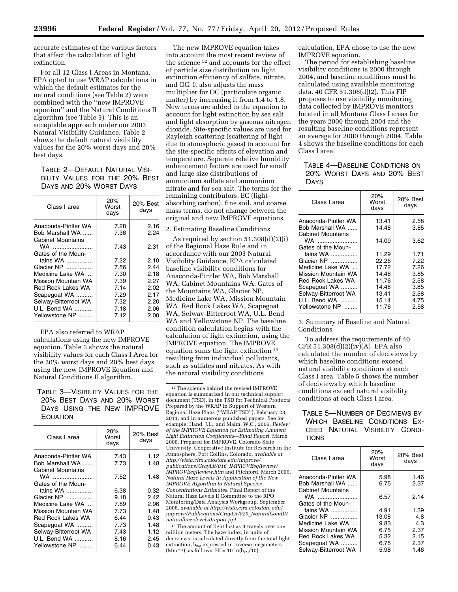accurate estimates of the various factors that affect the calculation of light extinction.

For all 12 Class I Areas in Montana, EPA opted to use WRAP calculations in which the default estimates for the natural conditions (see Table 2) were combined with the ''new IMPROVE equation'' and the Natural Conditions II algorithm (see Table 3). This is an acceptable approach under our 2003 Natural Visibility Guidance. Table 2 shows the default natural visibility values for the 20% worst days and 20% best days.

TABLE 2—DEFAULT NATURAL VISI-BILITY VALUES FOR THE 20% BEST DAYS AND 20% WORST DAYS

| Class I area             | 20%<br>Worst<br>days | 20% Best<br>days |
|--------------------------|----------------------|------------------|
| Anaconda-Pintler WA      | 7.28                 | 2.16             |
| Bob Marshall WA          | 7.36                 | 2.24             |
| <b>Cabinet Mountains</b> |                      |                  |
| WA                       | 7.43                 | 2.31             |
| Gates of the Moun-       |                      |                  |
| tains WA                 | 7.22                 | 2.10             |
| Glacier NP               | 7.56                 | 2.44             |
| Medicine Lake WA         | 7.30                 | 2.18             |
| Mission Mountain WA      | 7.39                 | 2.27             |
| Red Rock Lakes WA        | 7.14                 | 2.02             |
| Scapegoat WA             | 7.29                 | 2.17             |
| Selway-Bitterroot WA     | 7.32                 | 2.20             |
| U.L. Bend WA             | 7.18                 | 2.06             |
| Yellowstone NP           | 7.12                 | 2.00             |

EPA also referred to WRAP calculations using the new IMPROVE equation. Table 3 shows the natural visibility values for each Class I Area for the 20% worst days and 20% best days using the new IMPROVE Equation and Natural Conditions II algorithm.

TABLE 3—VISIBILITY VALUES FOR THE 20% BEST DAYS AND 20% WORST DAYS USING THE NEW IMPROVE **EQUATION** 

| Class I area         | 20%<br>Worst<br>days | 20% Best<br>days |
|----------------------|----------------------|------------------|
| Anaconda-Pintler WA  | 7.43                 | 1.12             |
| Bob Marshall WA      | 7.73                 | 1.48             |
| Cabinet Mountains    |                      |                  |
| WA ……………………          | 7.52                 | 1.48             |
| Gates of the Moun-   |                      |                  |
| tains WA             | 6.38                 | 0.32             |
| Glacier NP           | 9.18                 | 2.42             |
| Medicine Lake WA     | 7.89                 | 2.96             |
| Mission Mountain WA  | 7.73                 | 1.48             |
| Red Rock Lakes WA    | 6.44                 | 0.43             |
| Scapegoat WA         | 7.73                 | 1.48             |
| Selway-Bitterroot WA | 7.43                 | 1.12             |
| U.L. Bend WA         | 8.16                 | 2.45             |
| Yellowstone NP       | 6.44                 | 0.43             |

The new IMPROVE equation takes into account the most recent review of the science 12 and accounts for the effect of particle size distribution on light extinction efficiency of sulfate, nitrate, and OC. It also adjusts the mass multiplier for OC (particulate organic matter) by increasing it from 1.4 to 1.8. New terms are added to the equation to account for light extinction by sea salt and light absorption by gaseous nitrogen dioxide. Site-specific values are used for Rayleigh scattering (scattering of light due to atmospheric gases) to account for the site-specific effects of elevation and temperature. Separate relative humidity enhancement factors are used for small and large size distributions of ammonium sulfate and ammonium nitrate and for sea salt. The terms for the remaining contributors, EC (lightabsorbing carbon), fine soil, and coarse mass terms, do not change between the original and new IMPROVE equations.

2. Estimating Baseline Conditions

As required by section 51.308(d)(2)(i) of the Regional Haze Rule and in accordance with our 2003 Natural Visibility Guidance, EPA calculated baseline visibility conditions for Anaconda-Pintler WA, Bob Marshall WA, Cabinet Mountains WA, Gates of the Mountains WA, Glacier NP, Medicine Lake WA, Mission Mountain WA, Red Rock Lakes WA, Scapegoat WA, Selway-Bitterroot WA, U.L. Bend WA and Yellowstone NP. The baseline condition calculation begins with the calculation of light extinction, using the IMPROVE equation. The IMPROVE equation sums the light extinction 13 resulting from individual pollutants, such as sulfates and nitrates. As with the natural visibility conditions

12The science behind the revised IMPROVE equation is summarized in our technical support document (TSD), in the TSD for Technical Products Prepared by the WRAP in Support of Western Regional Haze Plans (''WRAP TSD''), February 28, 2011, and in numerous published papers. See for example: Hand, J.L., and Malm, W.C., 2006, *Review of the IMPROVE Equation for Estimating Ambient Light Extinction Coefficients—Final Report.* March 2006. Prepared for IMPROVE, Colorado State University, Cooperative Institute for Research in the Atmosphere, Fort Collins, Colorado, *available at [http://vista.cira.colostate.edu/improve/](http://vista.cira.colostate.edu/improve/publications/GrayLit/016_IMPROVEeqReview/IMPROVEeqReview.htm) [publications/GrayLit/016](http://vista.cira.colostate.edu/improve/publications/GrayLit/016_IMPROVEeqReview/IMPROVEeqReview.htm)*\_*IMPROVEeqReview/ [IMPROVEeqReview.htm](http://vista.cira.colostate.edu/improve/publications/GrayLit/016_IMPROVEeqReview/IMPROVEeqReview.htm)* and Pitchford, March 2006, *Natural Haze Levels II: Application of the New IMPROVE Algorithm to Natural Species Concentrations Estimates.* Final Report of the Natural Haze Levels II Committee to the RPO Monitoring/Data Analysis Workgroup. September 2006, *available at [http://vista.cira.colostate.edu/](http://vista.cira.colostate.edu/improve/Publications/GrayLit/029_NaturalCondII/naturalhazelevelsIIreport.ppt) [improve/Publications/GrayLit/029](http://vista.cira.colostate.edu/improve/Publications/GrayLit/029_NaturalCondII/naturalhazelevelsIIreport.ppt)*\_*NaturalCondII/ [naturalhazelevelsIIreport.ppt](http://vista.cira.colostate.edu/improve/Publications/GrayLit/029_NaturalCondII/naturalhazelevelsIIreport.ppt)*. <sup>13</sup> The amount of light lost as it travels over one

million meters. The haze index, in units of deciviews, is calculated directly from the total light extinction, bext expressed in inverse megameters  $(Mm^{-1})$ , as follows: HI = 10  $ln(b_{ext}/10)$ .

calculation, EPA chose to use the new IMPROVE equation.

The period for establishing baseline visibility conditions is 2000 through 2004, and baseline conditions must be calculated using available monitoring data. 40 CFR 51.308(d)(2). This FIP proposes to use visibility monitoring data collected by IMPROVE monitors located in all Montana Class I areas for the years 2000 through 2004 and the resulting baseline conditions represent an average for 2000 through 2004. Table 4 shows the baseline conditions for each Class I area.

TABLE 4—BASELINE CONDITIONS ON 20% WORST DAYS AND 20% BEST DAYS

| Class I area                                         | 20%<br>Worst<br>days | 20% Best<br>days |
|------------------------------------------------------|----------------------|------------------|
| Anaconda-Pintler WA                                  | 13.41                | 2.58             |
| Bob Marshall WA                                      | 14.48                | 3.85             |
| <b>Cabinet Mountains</b><br>WA<br>Gates of the Moun- | 14.09                | 3.62             |
| tains WA                                             | 11.29                | 1.71             |
| Glacier NP                                           | 22.26                | 7.22             |
| Medicine Lake WA                                     | 17.72                | 7.26             |
| Mission Mountain WA                                  | 14.48                | 3.85             |
| Red Rock Lakes WA                                    | 11.76                | 2.58             |
| Scapegoat WA                                         | 14.48                | 3.85             |
| Selway-Bitterroot WA                                 | 13.41                | 2.58             |
| U.L. Bend WA                                         | 15.14                | 4.75             |
| Yellowstone NP                                       | 11.76                | 2.58             |

3. Summary of Baseline and Natural Conditions

To address the requirements of 40 CFR 51.308(d)(2)(iv)(A), EPA also calculated the number of deciviews by which baseline conditions exceed natural visibility conditions at each Class I area. Table 5 shows the number of deciviews by which baseline conditions exceed natural visibility conditions at each Class I area.

# TABLE 5—NUMBER OF DECIVIEWS BY WHICH BASELINE CONDITIONS EX-CEED NATURAL VISIBILITY CONDI-**TIONS**

| 20%<br>Worst<br>days | 20% Best<br>days |
|----------------------|------------------|
| 5.98                 | 1.46             |
| 6.75                 | 2.37             |
| 6.57                 | 2.14             |
|                      |                  |
| 4.91                 | 1.39             |
| 13.08                | 4.8              |
| 9.83                 | 4.3              |
| 6.75                 | 2.37             |
| 5.32                 | 2.15             |
| 6.75                 | 2.37             |
| 5.98                 | 1.46             |
|                      |                  |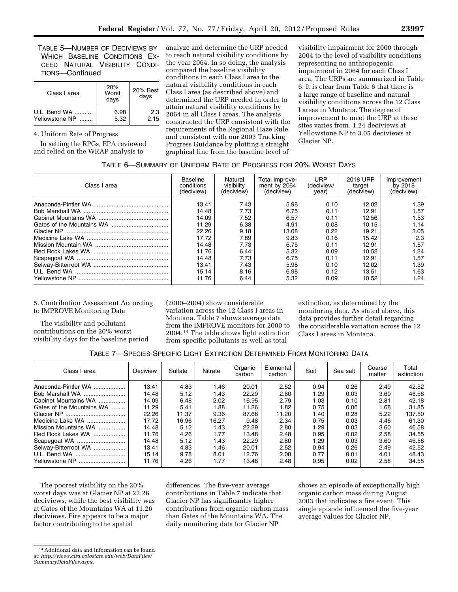TABLE 5—NUMBER OF DECIVIEWS BY WHICH BASELINE CONDITIONS EX-CEED NATURAL VISIBILITY CONDI-TIONS—Continued

| Class I area   | 20%<br>Worst<br>days | 20% Best<br>days |
|----------------|----------------------|------------------|
| U.L. Bend WA   | 6.98                 | 2.3              |
| Yellowstone NP | 5.32                 | 2.15             |

4. Uniform Rate of Progress

In setting the RPGs, EPA reviewed and relied on the WRAP analysis to

analyze and determine the URP needed to reach natural visibility conditions by the year 2064. In so doing, the analysis compared the baseline visibility conditions in each Class I area to the natural visibility conditions in each Class I area (as described above) and determined the URP needed in order to attain natural visibility conditions by 2064 in all Class I areas. The analysis constructed the URP consistent with the requirements of the Regional Haze Rule and consistent with our 2003 Tracking Progress Guidance by plotting a straight graphical line from the baseline level of

visibility impairment for 2000 through 2004 to the level of visibility conditions representing no anthropogenic impairment in 2064 for each Class I area. The URPs are summarized in Table 6. It is clear from Table 6 that there is a large range of baseline and natural visibility conditions across the 12 Class I areas in Montana. The degree of improvement to meet the URP at these sites varies from, 1.24 deciviews at Yellowstone NP to 3.05 deciviews at Glacier NP.

# TABLE 6—SUMMARY OF UNIFORM RATE OF PROGRESS FOR 20% WORST DAYS

| Class I area | Baseline<br>conditions<br>(deciview) | Natural<br>visibility<br>(deciview) | Total improve-<br>ment by 2064<br>(deciview) | URP<br>(deciview/<br>vear) | 2018 URP<br>target<br>(deciview) | Improvement<br>by 2018<br>(deciview) |
|--------------|--------------------------------------|-------------------------------------|----------------------------------------------|----------------------------|----------------------------------|--------------------------------------|
|              | 13.41                                | 7.43                                | 5.98                                         | 0.10                       | 12.02                            | 1.39                                 |
|              | 14.48                                | 7.73                                | 6.75                                         | 0.11                       | 12.91                            | 1.57                                 |
|              | 14.09                                | 7.52                                | 6.57                                         | 0.11                       | 12.56                            | 1.53                                 |
|              | 11.29                                | 6.38                                | 4.91                                         | 0.08                       | 10.15                            | 1.14                                 |
|              | 22.26                                | 9.18                                | 13.08                                        | 0.22                       | 19.21                            | 3.05                                 |
|              | 17.72                                | 7.89                                | 9.83                                         | 0.16                       | 15.42                            | 2.3                                  |
|              | 14.48                                | 7.73                                | 6.75                                         | 0.11                       | 12.91                            | 1.57                                 |
|              | 11.76                                | 6.44                                | 5.32                                         | 0.09                       | 10.52                            | 1.24                                 |
|              | 14.48                                | 7.73                                | 6.75                                         | 0.11                       | 12.91                            | 1.57                                 |
|              | 13.41                                | 7.43                                | 5.98                                         | 0.10                       | 12.02                            | 1.39                                 |
|              | 15.14                                | 8.16                                | 6.98                                         | 0.12                       | 13.51                            | 1.63                                 |
|              | 11.76                                | 6.44                                | 5.32                                         | 0.09                       | 10.52                            | 1.24                                 |

#### 5. Contribution Assessment According to IMPROVE Monitoring Data

The visibility and pollutant contributions on the 20% worst visibility days for the baseline period (2000–2004) show considerable variation across the 12 Class I areas in Montana. Table 7 shows average data from the IMPROVE monitors for 2000 to 2004.14 The table shows light extinction from specific pollutants as well as total

extinction, as determined by the monitoring data. As stated above, this data provides further detail regarding the considerable variation across the 12 Class I areas in Montana.

|  |  |  |  | TABLE 7—SPECIES-SPECIFIC LIGHT EXTINCTION DETERMINED FROM MONITORING DATA |
|--|--|--|--|---------------------------------------------------------------------------|
|--|--|--|--|---------------------------------------------------------------------------|

| Class I area              | Deciview | Sulfate | Nitrate | Organic<br>carbon | Elemental<br>carbon | Soil | Sea salt | Coarse<br>matter | Total<br>extinction |
|---------------------------|----------|---------|---------|-------------------|---------------------|------|----------|------------------|---------------------|
| Anaconda-Pintler WA       | 13.41    | 4.83    | 1.46    | 20.01             | 2.52                | 0.94 | 0.26     | 2.49             | 42.52               |
| Bob Marshall WA           | 14.48    | 5.12    | 1.43    | 22.29             | 2.80                | 1.29 | 0.03     | 3.60             | 46.58               |
| Cabinet Mountains WA      | 14.09    | 6.48    | 2.02    | 16.95             | 2.79                | 1.03 | 0.10     | 2.81             | 42.18               |
| Gates of the Mountains WA | 11.29    | 5.41    | 1.88    | 11.26             | 1.82                | 0.75 | 0.06     | 1.68             | 31.85               |
|                           | 22.26    | 11.37   | 9.36    | 87.68             | 11.20               | 1.40 | 0.28     | 5.22             | 137.50              |
| Medicine Lake WA          | 17.72    | 16.96   | 16.27   | 9.48              | 2.34                | 0.75 | 0.03     | 4.46             | 61.30               |
| Mission Mountains WA      | 14.48    | 5.12    | 1.43    | 22.29             | 2.80                | 1.29 | 0.03     | 3.60             | 46.58               |
| Red Rock Lakes WA         | 11.76    | 4.26    | 1.77    | 13.48             | 2.48                | 0.95 | 0.02     | 2.58             | 34.55               |
|                           | 14.48    | 5.12    | 1.43    | 22.29             | 2.80                | 1.29 | 0.03     | 3.60             | 46.58               |
| Selway-Bitterroot WA      | 13.41    | 4.83    | 1.46    | 20.01             | 2.52                | 0.94 | 0.26     | 2.49             | 42.52               |
|                           | 15.14    | 9.78    | 8.01    | 12.76             | 2.08                | 0.77 | 0.01     | 4.01             | 48.43               |
| Yellowstone NP            | 11.76    | 4.26    | 1.77    | 13.48             | 2.48                | 0.95 | 0.02     | 2.58             | 34.55               |

The poorest visibility on the 20% worst days was at Glacier NP at 22.26 deciviews, while the best visibility was at Gates of the Mountains WA at 11.26 deciviews. Fire appears to be a major factor contributing to the spatial

differences. The five-year average contributions in Table 7 indicate that Glacier NP has significantly higher contributions from organic carbon mass than Gates of the Mountains WA. The daily monitoring data for Glacier NP

shows an episode of exceptionally high organic carbon mass during August 2003 that indicates a fire event. This single episode influenced the five-year average values for Glacier NP.

<sup>14</sup>Additional data and information can be found at: *[http://views.cira.colostate.edu/web/DataFiles/](http://views.cira.colostate.edu/web/DataFiles/SummaryDataFiles.aspx) [SummaryDataFiles.aspx.](http://views.cira.colostate.edu/web/DataFiles/SummaryDataFiles.aspx)*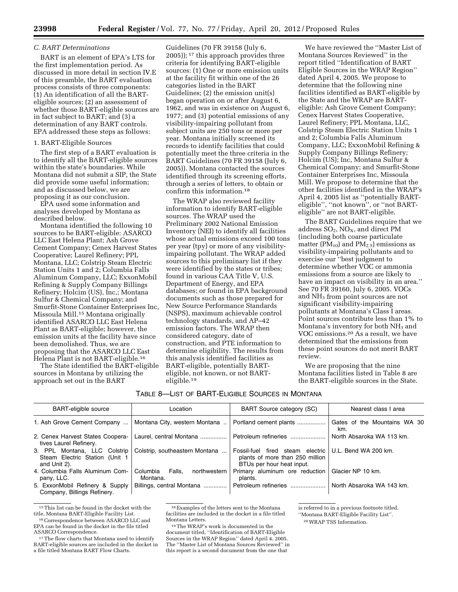#### *C. BART Determinations*

BART is an element of EPA's LTS for the first implementation period. As discussed in more detail in section IV.E of this preamble, the BART evaluation process consists of three components: (1) An identification of all the BARTeligible sources; (2) an assessment of whether those BART-eligible sources are in fact subject to BART; and (3) a determination of any BART controls. EPA addressed these steps as follows:

#### 1. BART-Eligible Sources

The first step of a BART evaluation is to identify all the BART-eligible sources within the state's boundaries. While Montana did not submit a SIP, the State did provide some useful information; and as discussed below, we are proposing it as our conclusion.

EPA used some information and analyses developed by Montana as described below.

Montana identified the following 10 sources to be BART-eligible: ASARCO LLC East Helena Plant; Ash Grove Cement Company; Cenex Harvest States Cooperative; Laurel Refinery; PPL Montana, LLC; Colstrip Steam Electric Station Units 1 and 2; Columbia Falls Aluminum Company, LLC; ExxonMobil Refining & Supply Company Billings Refinery; Holcim (US), Inc,; Montana Sulfur & Chemical Company; and Smurfit-Stone Container Enterprises Inc, Missoula Mill.15 Montana originally identified ASARCO LLC East Helena Plant as BART-eligible; however, the emission units at the facility have since been demolished. Thus, we are proposing that the ASARCO LLC East Helena Plant is not BART-eligible.16

The State identified the BART-eligible sources in Montana by utilizing the approach set out in the BART

Guidelines (70 FR 39158 (July 6, 2005)); 17 this approach provides three criteria for identifying BART-eligible sources: (1) One or more emission units at the facility fit within one of the 26 categories listed in the BART Guidelines; (2) the emission unit(s) began operation on or after August 6, 1962, and was in existence on August 6, 1977; and (3) potential emissions of any visibility-impairing pollutant from subject units are 250 tons or more per year. Montana initially screened its records to identify facilities that could potentially meet the three criteria in the BART Guidelines (70 FR 39158 (July 6, 2005)). Montana contacted the sources identified through its screening efforts, through a series of letters, to obtain or confirm this information.18

The WRAP also reviewed facility information to identify BART-eligible sources. The WRAP used the Preliminary 2002 National Emission Inventory (NEI) to identify all facilities whose actual emissions exceed 100 tons per year (tpy) or more of any visibilityimpairing pollutant. The WRAP added sources to this preliminary list if they were identified by the states or tribes; found in various CAA Title V, U.S. Department of Energy, and EPA databases; or found in EPA background documents such as those prepared for New Source Performance Standards (NSPS), maximum achievable control technology standards, and AP–42 emission factors. The WRAP then considered category, date of construction, and PTE information to determine eligibility. The results from this analysis identified facilities as BART-eligible, potentially BARTeligible, not known, or not BARTeligible.19

We have reviewed the ''Master List of Montana Sources Reviewed'' in the report titled ''Identification of BART Eligible Sources in the WRAP Region'' dated April 4, 2005. We propose to determine that the following nine facilities identified as BART-eligible by the State and the WRAP are BARTeligible: Ash Grove Cement Company; Cenex Harvest States Cooperative, Laurel Refinery; PPL Montana, LLC, Colstrip Steam Electric Station Units 1 and 2; Columbia Falls Aluminum Company, LLC; ExxonMobil Refining & Supply Company Billings Refinery; Holcim (US); Inc, Montana Sulfur & Chemical Company; and Smurfit-Stone Container Enterprises Inc, Missoula Mill. We propose to determine that the other facilities identified in the WRAP's April 4, 2005 list as ''potentially BARTeligible'', ''not known'', or ''not BARTeligible'' are not BART-eligible.

The BART Guidelines require that we address  $SO_2$ ,  $NO_X$ , and direct PM (including both coarse particulate matter ( $PM_{10}$ ) and  $PM_{2.5}$ ) emissions as visibility-impairing pollutants and to exercise our ''best judgment to determine whether VOC or ammonia emissions from a source are likely to have an impact on visibility in an area.'' See 70 FR 39160, July 6, 2005. VOCs and NH3 from point sources are not significant visibility-impairing pollutants at Montana's Class I areas. Point sources contribute less than 1% to Montana's inventory for both NH<sub>3</sub> and VOC emissions.20 As a result, we have determined that the emissions from these point sources do not merit BART review.

We are proposing that the nine Montana facilities listed in Table 8 are the BART-eligible sources in the State.

| TABLE 8—LIST OF BART-ELIGIBLE SOURCES IN MONTANA |  |
|--------------------------------------------------|--|
|--------------------------------------------------|--|

| <b>BART-eligible source</b>                                                    | Location                                       | <b>BART Source category (SC)</b>                                                                 | Nearest class I area                |
|--------------------------------------------------------------------------------|------------------------------------------------|--------------------------------------------------------------------------------------------------|-------------------------------------|
| 1. Ash Grove Cement Company                                                    | Montana City, western Montana                  | Portland cement plants                                                                           | Gates of the Mountains WA 30<br>km. |
| 2. Cenex Harvest States Coopera-<br>tives Laurel Refinery.                     | Laurel, central Montana                        | Petroleum refineries                                                                             | North Absaroka WA 113 km.           |
| 3. PPL Montana, LLC Colstrip<br>Steam Electric Station (Unit 1<br>and Unit 2). | Colstrip, southeastern Montana                 | Fossil-fuel fired steam electric<br>plants of more than 250 million<br>BTUs per hour heat input. | U.L. Bend WA 200 km.                |
| 4. Columbia Falls Aluminum Com-<br>pany, LLC.                                  | Falls.<br>Columbia<br>northwestern<br>Montana. | Primary aluminum ore reduction<br>plants.                                                        | Glacier NP 10 km.                   |
| 5. ExxonMobil Refinery & Supply<br>Company, Billings Refinery.                 | Billings, central Montana                      | Petroleum refineries                                                                             | North Absaroka WA 143 km.           |

 $^{\rm 15}$  This list can be found in the docket with the title, Montana BART-Eligible Facility List.

is referred to in a previous footnote titled,

''Montana BART-Eligible Facility List''.

20WRAP TSS Information.

<sup>&</sup>lt;sup>16</sup> Correspondence between ASARCO LLC and EPA can be found in the docket in the file titled<br>ASARCO Correspondence.

 $17$  The flow charts that Montana used to identify BART-eligible sources are included in the docket in a file titled Montana BART Flow Charts.

<sup>18</sup>Examples of the letters sent to the Montana facilities are included in the docket in a file titled Montana Letters.

<sup>19</sup>The WRAP's work is documented in the document titled, ''Identification of BART-Eligible Sources in the WRAP Region'' dated April 4, 2005. The ''Master List of Montana Sources Reviewed'' in this report is a second document from the one that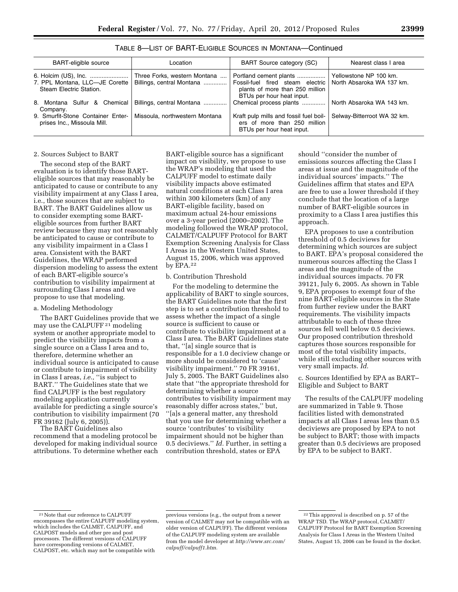| <b>BART-eligible source</b>                                      | Location                                                  | <b>BART Source category (SC)</b>                                                                                           | Nearest class I area                                |
|------------------------------------------------------------------|-----------------------------------------------------------|----------------------------------------------------------------------------------------------------------------------------|-----------------------------------------------------|
| 7. PPL Montana, LLC-JE Corette<br>Steam Electric Station.        | Three Forks, western Montana<br>Billings, central Montana | Portland cement plants<br>Fossil-fuel fired steam electric<br>plants of more than 250 million<br>BTUs per hour heat input. | Yellowstone NP 100 km.<br>North Absaroka WA 137 km. |
| 8. Montana Sulfur & Chemical<br>Company.                         | Billings, central Montana                                 | Chemical process plants                                                                                                    | North Absaroka WA 143 km.                           |
| 9. Smurfit-Stone Container Enter-<br>prises Inc., Missoula Mill. | Missoula, northwestern Montana                            | Kraft pulp mills and fossil fuel boil-<br>ers of more than 250 million<br>BTUs per hour heat input.                        | Selway-Bitterroot WA 32 km.                         |

TABLE 8—LIST OF BART-ELIGIBLE SOURCES IN MONTANA—Continued

#### 2. Sources Subject to BART

The second step of the BART evaluation is to identify those BARTeligible sources that may reasonably be anticipated to cause or contribute to any visibility impairment at any Class I area, i.e., those sources that are subject to BART. The BART Guidelines allow us to consider exempting some BARTeligible sources from further BART review because they may not reasonably be anticipated to cause or contribute to any visibility impairment in a Class I area. Consistent with the BART Guidelines, the WRAP performed dispersion modeling to assess the extent of each BART-eligible source's contribution to visibility impairment at surrounding Class I areas and we propose to use that modeling.

#### a. Modeling Methodology

The BART Guidelines provide that we may use the CALPUFF 21 modeling system or another appropriate model to predict the visibility impacts from a single source on a Class I area and to, therefore, determine whether an individual source is anticipated to cause or contribute to impairment of visibility in Class I areas, *i.e.,* ''is subject to BART.'' The Guidelines state that we find CALPUFF is the best regulatory modeling application currently available for predicting a single source's contribution to visibility impairment (70 FR 39162 (July 6, 2005)).

The BART Guidelines also recommend that a modeling protocol be developed for making individual source attributions. To determine whether each

BART-eligible source has a significant impact on visibility, we propose to use the WRAP's modeling that used the CALPUFF model to estimate daily visibility impacts above estimated natural conditions at each Class I area within 300 kilometers (km) of any BART-eligible facility, based on maximum actual 24-hour emissions over a 3-year period (2000–2002). The modeling followed the WRAP protocol, CALMET/CALPUFF Protocol for BART Exemption Screening Analysis for Class I Areas in the Western United States, August 15, 2006, which was approved by EPA.22

#### b. Contribution Threshold

For the modeling to determine the applicability of BART to single sources, the BART Guidelines note that the first step is to set a contribution threshold to assess whether the impact of a single source is sufficient to cause or contribute to visibility impairment at a Class I area. The BART Guidelines state that, ''[a] single source that is responsible for a 1.0 deciview change or more should be considered to 'cause' visibility impairment.'' 70 FR 39161, July 5, 2005. The BART Guidelines also state that ''the appropriate threshold for determining whether a source contributes to visibility impairment may reasonably differ across states,'' but, ''[a]s a general matter, any threshold that you use for determining whether a source 'contributes' to visibility impairment should not be higher than 0.5 deciviews.'' *Id.* Further, in setting a contribution threshold, states or EPA

should ''consider the number of emissions sources affecting the Class I areas at issue and the magnitude of the individual sources' impacts.'' The Guidelines affirm that states and EPA are free to use a lower threshold if they conclude that the location of a large number of BART-eligible sources in proximity to a Class I area justifies this approach.

EPA proposes to use a contribution threshold of 0.5 deciviews for determining which sources are subject to BART. EPA's proposal considered the numerous sources affecting the Class I areas and the magnitude of the individual sources impacts. 70 FR 39121, July 6, 2005. As shown in Table 9, EPA proposes to exempt four of the nine BART-eligible sources in the State from further review under the BART requirements. The visibility impacts attributable to each of these three sources fell well below 0.5 deciviews. Our proposed contribution threshold captures those sources responsible for most of the total visibility impacts, while still excluding other sources with very small impacts. *Id.* 

c. Sources Identified by EPA as BART– Eligible and Subject to BART

The results of the CALPUFF modeling are summarized in Table 9. Those facilities listed with demonstrated impacts at all Class I areas less than 0.5 deciviews are proposed by EPA to not be subject to BART; those with impacts greater than 0.5 deciviews are proposed by EPA to be subject to BART.

<sup>21</sup>Note that our reference to CALPUFF encompasses the entire CALPUFF modeling system, which includes the CALMET, CALPUFF, and CALPOST models and other pre and post processors. The different versions of CALPUFF have corresponding versions of CALMET, CALPOST, etc. which may not be compatible with

previous versions (e.g., the output from a newer version of CALMET may not be compatible with an older version of CALPUFF). The different versions of the CALPUFF modeling system are available from the model developer at *[http://www.src.com/](http://www.src.com/calpuff/calpuff1.htm) [calpuff/calpuff1.htm.](http://www.src.com/calpuff/calpuff1.htm)* 

<sup>22</sup>This approval is described on p. 57 of the WRAP TSD. The WRAP protocol, CALMET/ CALPUFF Protocol for BART Exemption Screening Analysis for Class I Areas in the Western United States, August 15, 2006 can be found in the docket.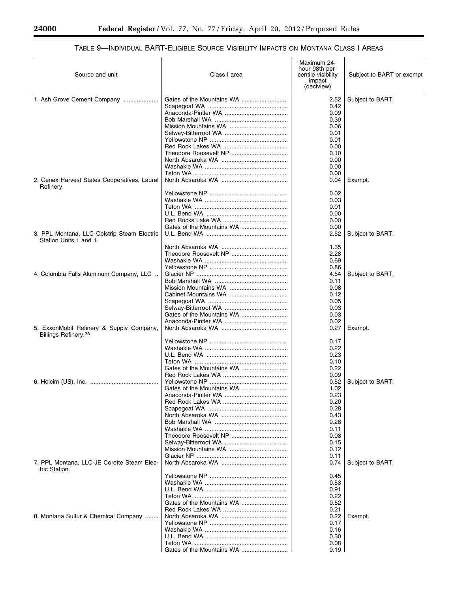E

٠

# TABLE 9—INDIVIDUAL BART-ELIGIBLE SOURCE VISIBILITY IMPACTS ON MONTANA CLASS I AREAS

| Source and unit                                                              | Class I area              | Maximum 24-<br>hour 98th per-<br>centile visibility<br>impact<br>(deciview) | Subject to BART or exempt |
|------------------------------------------------------------------------------|---------------------------|-----------------------------------------------------------------------------|---------------------------|
| 1. Ash Grove Cement Company                                                  |                           | 2.52                                                                        | Subject to BART.          |
|                                                                              |                           | 0.42                                                                        |                           |
|                                                                              |                           | 0.09                                                                        |                           |
|                                                                              |                           | 0.39                                                                        |                           |
|                                                                              |                           | 0.06                                                                        |                           |
|                                                                              |                           | 0.01                                                                        |                           |
|                                                                              |                           | 0.01                                                                        |                           |
|                                                                              |                           | 0.00                                                                        |                           |
|                                                                              |                           | 0.10                                                                        |                           |
|                                                                              |                           | 0.00<br>0.00                                                                |                           |
|                                                                              |                           | 0.00                                                                        |                           |
| 2. Cenex Harvest States Cooperatives, Laurel<br>Refinery.                    |                           | 0.04                                                                        | Exempt.                   |
|                                                                              |                           | 0.02                                                                        |                           |
|                                                                              |                           | 0.03                                                                        |                           |
|                                                                              |                           | 0.01                                                                        |                           |
|                                                                              |                           | 0.00                                                                        |                           |
|                                                                              |                           | 0.00                                                                        |                           |
| 3. PPL Montana, LLC Colstrip Steam Electric                                  |                           | 0.00<br>2.52                                                                | Subject to BART.          |
| Station Units 1 and 1.                                                       |                           | 1.35                                                                        |                           |
|                                                                              |                           | 2.28                                                                        |                           |
|                                                                              |                           | 0.69                                                                        |                           |
|                                                                              |                           | 0.86                                                                        |                           |
| 4. Columbia Falls Aluminum Company, LLC                                      |                           | 4.54                                                                        | Subject to BART.          |
|                                                                              |                           | 0.11                                                                        |                           |
|                                                                              |                           | 0.08                                                                        |                           |
|                                                                              |                           | 0.12                                                                        |                           |
|                                                                              |                           | 0.05                                                                        |                           |
|                                                                              |                           | 0.03                                                                        |                           |
|                                                                              |                           | 0.03<br>0.02                                                                |                           |
| 5. ExxonMobil Refinery & Supply Company,<br>Billings Refinery. <sup>23</sup> |                           | 0.27                                                                        | Exempt.                   |
|                                                                              |                           | 0.17                                                                        |                           |
|                                                                              |                           | 0.22                                                                        |                           |
|                                                                              |                           | 0.23                                                                        |                           |
|                                                                              |                           | 0.10                                                                        |                           |
|                                                                              | Gates of the Mountains WA | 0.22                                                                        |                           |
|                                                                              |                           | 0.09                                                                        |                           |
|                                                                              |                           | 0.52                                                                        | Subject to BART.          |
|                                                                              |                           | 1.02<br>0.23                                                                |                           |
|                                                                              |                           | 0.20                                                                        |                           |
|                                                                              |                           | 0.28                                                                        |                           |
|                                                                              |                           | 0.43                                                                        |                           |
|                                                                              |                           | 0.28                                                                        |                           |
|                                                                              |                           | 0.11                                                                        |                           |
|                                                                              |                           | 0.08                                                                        |                           |
|                                                                              |                           | 0.15                                                                        |                           |
|                                                                              |                           | 0.12                                                                        |                           |
| 7. PPL Montana, LLC-JE Corette Steam Elec-                                   |                           | 0.11<br>0.74                                                                | Subject to BART.          |
| tric Station.                                                                |                           | 0.45                                                                        |                           |
|                                                                              |                           | 0.53                                                                        |                           |
|                                                                              |                           | 0.91                                                                        |                           |
|                                                                              |                           | 0.22                                                                        |                           |
|                                                                              |                           | 0.52                                                                        |                           |
|                                                                              |                           | 0.21                                                                        |                           |
| 8. Montana Sulfur & Chemical Company                                         |                           | 0.22                                                                        | Exempt.                   |
|                                                                              |                           | 0.17<br>0.16                                                                |                           |
|                                                                              |                           | 0.30                                                                        |                           |
|                                                                              |                           | 0.08                                                                        |                           |
|                                                                              | Gates of the Mountains WA | 0.19                                                                        |                           |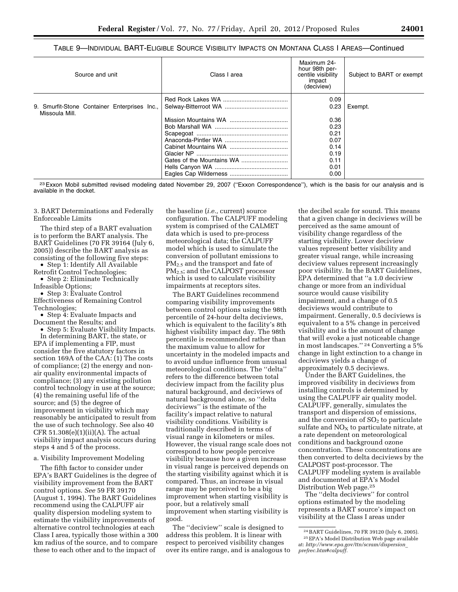TABLE 9—INDIVIDUAL BART-ELIGIBLE SOURCE VISIBILITY IMPACTS ON MONTANA CLASS I AREAS—Continued

| Source and unit                              | Class I area | Maximum 24-<br>hour 98th per-<br>centile visibility<br>impact<br>(deciview) | Subject to BART or exempt |
|----------------------------------------------|--------------|-----------------------------------------------------------------------------|---------------------------|
| 9. Smurfit-Stone Container Enterprises Inc., |              | 0.09<br>0.23                                                                |                           |
| Missoula Mill.                               |              |                                                                             | Exempt.                   |
|                                              |              | 0.36                                                                        |                           |
|                                              |              | 0.23                                                                        |                           |
|                                              |              | 0.21                                                                        |                           |
|                                              |              | 0.07                                                                        |                           |
|                                              |              | 0.14                                                                        |                           |
|                                              |              | 0.19                                                                        |                           |
|                                              |              | 0.11                                                                        |                           |
|                                              |              | 0.01                                                                        |                           |
|                                              |              | 0.00                                                                        |                           |

<sup>23</sup> Exxon Mobil submitted revised modeling dated November 29, 2007 ("Exxon Correspondence"), which is the basis for our analysis and is available in the docket.

3. BART Determinations and Federally Enforceable Limits

The third step of a BART evaluation is to perform the BART analysis. The BART Guidelines (70 FR 39164 (July 6, 2005)) describe the BART analysis as consisting of the following five steps:

• Step 1: Identify All Available Retrofit Control Technologies;

• Step 2: Eliminate Technically Infeasible Options;

• Step 3: Evaluate Control Effectiveness of Remaining Control Technologies;

• Step 4: Evaluate Impacts and Document the Results; and

• Step 5: Evaluate Visibility Impacts. In determining BART, the state, or EPA if implementing a FIP, must consider the five statutory factors in section 169A of the CAA: (1) The costs of compliance; (2) the energy and nonair quality environmental impacts of compliance; (3) any existing pollution control technology in use at the source; (4) the remaining useful life of the source; and (5) the degree of improvement in visibility which may reasonably be anticipated to result from the use of such technology. See also 40 CFR 51.308(e)(1)(ii)(A). The actual visibility impact analysis occurs during steps 4 and 5 of the process.

a. Visibility Improvement Modeling

The fifth factor to consider under EPA's BART Guidelines is the degree of visibility improvement from the BART control options. *See* 59 FR 39170 (August 1, 1994). The BART Guidelines recommend using the CALPUFF air quality dispersion modeling system to estimate the visibility improvements of alternative control technologies at each Class I area, typically those within a 300 km radius of the source, and to compare these to each other and to the impact of

the baseline (*i.e.,* current) source configuration. The CALPUFF modeling system is comprised of the CALMET data which is used to pre-process meteorological data; the CALPUFF model which is used to simulate the conversion of pollutant emissions to PM<sub>2.5</sub> and the transport and fate of PM<sub>2.5</sub>; and the CALPOST processor which is used to calculate visibility impairments at receptors sites.

The BART Guidelines recommend comparing visibility improvements between control options using the 98th percentile of 24-hour delta deciviews, which is equivalent to the facility's 8th highest visibility impact day. The 98th percentile is recommended rather than the maximum value to allow for uncertainty in the modeled impacts and to avoid undue influence from unusual meteorological conditions. The ''delta'' refers to the difference between total deciview impact from the facility plus natural background, and deciviews of natural background alone, so ''delta deciviews'' is the estimate of the facility's impact relative to natural visibility conditions. Visibility is traditionally described in terms of visual range in kilometers or miles. However, the visual range scale does not correspond to how people perceive visibility because how a given increase in visual range is perceived depends on the starting visibility against which it is compared. Thus, an increase in visual range may be perceived to be a big improvement when starting visibility is poor, but a relatively small improvement when starting visibility is good.

The ''deciview'' scale is designed to address this problem. It is linear with respect to perceived visibility changes over its entire range, and is analogous to the decibel scale for sound. This means that a given change in deciviews will be perceived as the same amount of visibility change regardless of the starting visibility. Lower deciview values represent better visibility and greater visual range, while increasing deciview values represent increasingly poor visibility. In the BART Guidelines, EPA determined that ''a 1.0 deciview change or more from an individual source would cause visibility impairment, and a change of 0.5 deciviews would contribute to impairment. Generally, 0.5 deciviews is equivalent to a 5% change in perceived visibility and is the amount of change that will evoke a just noticeable change in most landscapes.'' 24 Converting a 5% change in light extinction to a change in deciviews yields a change of approximately 0.5 deciviews.

Under the BART Guidelines, the improved visibility in deciviews from installing controls is determined by using the CALPUFF air quality model. CALPUFF, generally, simulates the transport and dispersion of emissions, and the conversion of  $SO<sub>2</sub>$  to particulate sulfate and  $NO<sub>x</sub>$  to particulate nitrate, at a rate dependent on meteorological conditions and background ozone concentration. These concentrations are then converted to delta deciviews by the CALPOST post-processor. The CALPUFF modeling system is available and documented at EPA's Model Distribution Web page.25

The ''delta deciviews'' for control options estimated by the modeling represents a BART source's impact on visibility at the Class I areas under

<sup>24</sup>BART Guidelines, 70 FR 39120 (July 6, 2005). 25EPA's Model Distribution Web page available at: *[http://www.epa.gov/ttn/scram/dispersion](http://www.epa.gov/ttn/scram/dispersion_prefrec.htm#calpuff)*\_ *[prefrec.htm#calpuff.](http://www.epa.gov/ttn/scram/dispersion_prefrec.htm#calpuff)*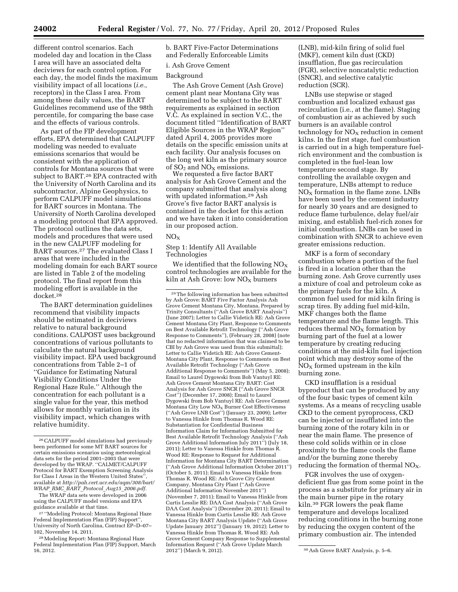different control scenarios. Each modeled day and location in the Class I area will have an associated delta deciviews for each control option. For each day, the model finds the maximum visibility impact of all locations (*i.e.,*  receptors) in the Class I area. From among these daily values, the BART Guidelines recommend use of the 98th percentile, for comparing the base case and the effects of various controls.

As part of the FIP development efforts, EPA determined that CALPUFF modeling was needed to evaluate emissions scenarios that would be consistent with the application of controls for Montana sources that were subject to BART.26 EPA contracted with the University of North Carolina and its subcontractor, Alpine Geophysics, to perform CALPUFF model simulations for BART sources in Montana. The University of North Carolina developed a modeling protocol that EPA approved. The protocol outlines the data sets, models and procedures that were used in the new CALPUFF modeling for BART sources.27 The evaluated Class I areas that were included in the modeling domain for each BART source are listed in Table 2 of the modeling protocol. The final report from this modeling effort is available in the docket.28

The BART determination guidelines recommend that visibility impacts should be estimated in deciviews relative to natural background conditions. CALPOST uses background concentrations of various pollutants to calculate the natural background visibility impact. EPA used background concentrations from Table 2–1 of ''Guidance for Estimating Natural Visibility Conditions Under the Regional Haze Rule.'' Although the concentration for each pollutant is a single value for the year, this method allows for monthly variation in its visibility impact, which changes with relative humidity.

The WRAP data sets were developed in 2006 using the CALPUFF model versions and EPA guidance available at that time.

27 ''Modeling Protocol: Montana Regional Haze Federal Implementation Plan (FIP) Support'', University of North Carolina, Contract EP–D–07– 102, November 14, 2011.

28Modeling Report: Montana Regional Haze Federal Implementation Plan (FIP) Support, March 16, 2012.

b. BART Five-Factor Determinations and Federally Enforceable Limits

#### i. Ash Grove Cement

#### Background

The Ash Grove Cement (Ash Grove) cement plant near Montana City was determined to be subject to the BART requirements as explained in section V.C. As explained in section V.C., the document titled ''Identification of BART Eligible Sources in the WRAP Region'' dated April 4, 2005 provides more details on the specific emission units at each facility. Our analysis focuses on the long wet kiln as the primary source of  $SO_2$  and  $NO<sub>X</sub>$  emissions.

We requested a five factor BART analysis for Ash Grove Cement and the company submitted that analysis along with updated information.29 Ash Grove's five factor BART analysis is contained in the docket for this action and we have taken it into consideration in our proposed action.

#### $NO_{Y}$

#### Step 1: Identify All Available Technologies

We identified that the following NO $_\mathrm{X}$ control technologies are available for the kiln at Ash Grove: low  $NO<sub>x</sub>$  burners

(LNB), mid-kiln firing of solid fuel (MKF), cement kiln dust (CKD) insufflation, flue gas recirculation (FGR), selective noncatalytic reduction (SNCR), and selective catalytic reduction (SCR).

LNBs use stepwise or staged combustion and localized exhaust gas recirculation (i.e., at the flame). Staging of combustion air as achieved by such burners is an available control technology for  $NO<sub>X</sub>$  reduction in cement kilns. In the first stage, fuel combustion is carried out in a high temperature fuelrich environment and the combustion is completed in the fuel-lean low temperature second stage. By controlling the available oxygen and temperature, LNBs attempt to reduce  $NO<sub>X</sub>$  formation in the flame zone. LNBs have been used by the cement industry for nearly 30 years and are designed to reduce flame turbulence, delay fuel/air mixing, and establish fuel-rich zones for initial combustion. LNBs can be used in combination with SNCR to achieve even greater emissions reduction.

MKF is a form of secondary combustion where a portion of the fuel is fired in a location other than the burning zone. Ash Grove currently uses a mixture of coal and petroleum coke as the primary fuels for the kiln. A common fuel used for mid kiln firing is scrap tires. By adding fuel mid-kiln, MKF changes both the flame temperature and the flame length. This reduces thermal  $NO<sub>x</sub>$  formation by burning part of the fuel at a lower temperature by creating reducing conditions at the mid-kiln fuel injection point which may destroy some of the  $NO<sub>X</sub>$  formed upstream in the kiln burning zone.

CKD insufflation is a residual byproduct that can be produced by any of the four basic types of cement kiln systems. As a means of recycling usable CKD to the cement pyroprocess, CKD can be injected or insufflated into the burning zone of the rotary kiln in or near the main flame. The presence of these cold solids within or in close proximity to the flame cools the flame and/or the burning zone thereby reducing the formation of thermal  $NO<sub>X</sub>$ .

FGR involves the use of oxygendeficient flue gas from some point in the process as a substitute for primary air in the main burner pipe in the rotary kiln.30 FGR lowers the peak flame temperature and develops localized reducing conditions in the burning zone by reducing the oxygen content of the primary combustion air. The intended

<sup>26</sup>CALPUFF model simulations had previously been performed for some MT BART sources for certain emissions scenarios using meteorological data sets for the period 2001–2003 that were developed by the WRAP. ''CALMET/CALPUFF Protocol for BART Exemption Screening Analysis for Class I Areas in the Western United States' available at *[http://pah.cert.ucr.edu/aqm/308/bart/](http://pah.cert.ucr.edu/aqm/308/bart/WRAP_RMC_BART_Protocol_Aug15_2006.pdf) WRAP*\_*RMC*\_*BART*\_*Protocol*\_*Aug15*\_*[2006.pdf.](http://pah.cert.ucr.edu/aqm/308/bart/WRAP_RMC_BART_Protocol_Aug15_2006.pdf)* 

<sup>29</sup>The following information has been submitted by Ash Grove: BART Five Factor Analysis Ash Grove Cement Montana City, Montana, Prepared by Trinity Consultants (''Ash Grove BART Analysis'') (June 2007); Letter to Callie Videtich RE: Ash Grove Cement Montana City Plant, Response to Comments on Best Available Retrofit Technology (''Ash Grove Response to Comments''), (February 28, 2008) (note that no redacted information that was claimed to be CBI by Ash Grove was used from this submittal); Letter to Callie Videtich RE: Ash Grove Cement-Montana City Plant, Response to Comments on Best Available Retrofit Technology (''Ash Grove Additional Response to Comments'') (May 5, 2008); Email to Laurel Dygowski from Bob Vantuyl RE: Ash Grove Cement Montana City BART: Cost Analysis for Ash Grove SNCR (''Ash Grove SNCR Cost'') (December 17, 2008); Email to Laurel Dygowski from Bob Vantuyl RE: Ash Grove Cement Montana City Low  $NO<sub>x</sub>$  Burner Cost Effectiveness (''Ash Grove LNB Cost'') (January 23, 2009); Letter to Vanessa Hinkle from Thomas R. Wood RE: Substantiation for Confidential Business Information Claim for Information Submitted for Best Available Retrofit Technology Analysis (''Ash Grove Additional Information July 2011'') (July 18, 2011); Letter to Vanessa Hinkle from Thomas R. Wood RE: Response to Request for Additional Information for Montana City BART Determination (''Ash Grove Additional Information October 2011'') (October 5, 2011); Email to Vanessa Hinkle from Thomas R. Wood RE: Ash Grove City Cement Company, Montana City Plant (''Ash Grove Additional Information November 2011'') (November 7, 2011); Email to Vanessa Hinkle from Curtis Lesslie RE: DAA Cost Analysis (''Ash Grove DAA Cost Analysis'') (December 20, 2011); Email to Vanessa Hinkle from Curtis Lesslie RE: Ash Grove Montana City BART Analysis Update (''Ash Grove Update January 2012'') (January 19, 2012); Letter to Vanessa Hinkle from Thomas R. Wood RE: Ash Grove Cement Company Response to Supplemental Information Request (''Ash Grove Update March

<sup>&</sup>lt;sup>30</sup> Ash Grove BART Analysis, p. 5–6.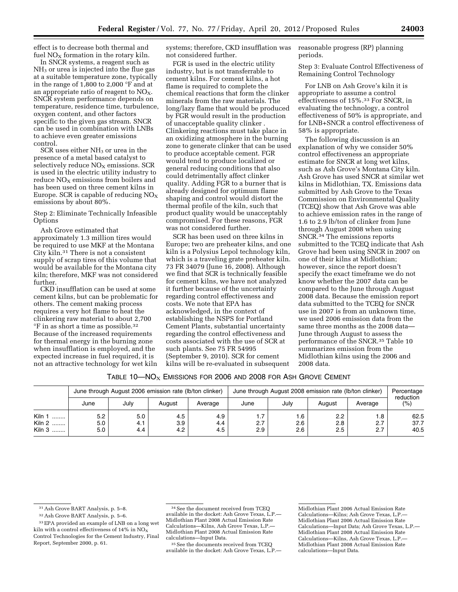effect is to decrease both thermal and fuel  $NO<sub>x</sub>$  formation in the rotary kiln.

In SNCR systems, a reagent such as  $NH<sub>3</sub>$  or urea is injected into the flue gas at a suitable temperature zone, typically in the range of 1,800 to 2,000 °F and at an appropriate ratio of reagent to  $NO<sub>X</sub>$ . SNCR system performance depends on temperature, residence time, turbulence, oxygen content, and other factors specific to the given gas stream. SNCR can be used in combination with LNBs to achieve even greater emissions control.

SCR uses either NH<sub>3</sub> or urea in the presence of a metal based catalyst to selectively reduce  $NO<sub>X</sub>$  emissions. SCR is used in the electric utility industry to  $reduce NO<sub>x</sub> emissions from boilers and$ has been used on three cement kilns in Europe. SCR is capable of reducing  $NO<sub>x</sub>$ emissions by about 80%.

Step 2: Eliminate Technically Infeasible **Options** 

Ash Grove estimated that approximately 1.3 million tires would be required to use MKF at the Montana City kiln.31 There is not a consistent supply of scrap tires of this volume that would be available for the Montana city kiln; therefore, MKF was not considered further.

CKD insufflation can be used at some cement kilns, but can be problematic for others. The cement making process requires a very hot flame to heat the clinkering raw material to about 2,700 °F in as short a time as possible.32 Because of the increased requirements for thermal energy in the burning zone when insufflation is employed, and the expected increase in fuel required, it is not an attractive technology for wet kiln

systems; therefore, CKD insufflation was not considered further.

FGR is used in the electric utility industry, but is not transferrable to cement kilns. For cement kilns, a hot flame is required to complete the chemical reactions that form the clinker minerals from the raw materials. The long/lazy flame that would be produced by FGR would result in the production of unacceptable quality clinker . Clinkering reactions must take place in an oxidizing atmosphere in the burning zone to generate clinker that can be used to produce acceptable cement. FGR would tend to produce localized or general reducing conditions that also could detrimentally affect clinker quality. Adding FGR to a burner that is already designed for optimum flame shaping and control would distort the thermal profile of the kiln, such that product quality would be unacceptably compromised. For these reasons, FGR was not considered further.

SCR has been used on three kilns in Europe; two are preheater kilns, and one kiln is a Polysius Lepol technology kiln, which is a traveling grate preheater kiln. 73 FR 34079 (June 16, 2008). Although we find that SCR is technically feasible for cement kilns, we have not analyzed it further because of the uncertainty regarding control effectiveness and costs. We note that EPA has acknowledged, in the context of establishing the NSPS for Portland Cement Plants, substantial uncertainty regarding the control effectiveness and costs associated with the use of SCR at such plants. See 75 FR 54995 (September 9, 2010). SCR for cement kilns will be re-evaluated in subsequent

reasonable progress (RP) planning periods.

Step 3: Evaluate Control Effectiveness of Remaining Control Technology

For LNB on Ash Grove's kiln it is appropriate to assume a control effectiveness of 15%.33 For SNCR, in evaluating the technology, a control effectiveness of 50% is appropriate, and for LNB+SNCR a control effectiveness of 58% is appropriate.

The following discussion is an explanation of why we consider 50% control effectiveness an appropriate estimate for SNCR at long wet kilns, such as Ash Grove's Montana City kiln. Ash Grove has used SNCR at similar wet kilns in Midlothian, TX. Emissions data submitted by Ash Grove to the Texas Commission on Environmental Quality (TCEQ) show that Ash Grove was able to achieve emission rates in the range of 1.6 to 2.9 lb/ton of clinker from June through August 2008 when using SNCR.34 The emissions reports submitted to the TCEQ indicate that Ash Grove had been using SNCR in 2007 on one of their kilns at Midlothian; however, since the report doesn't specify the exact timeframe we do not know whether the 2007 data can be compared to the June through August 2008 data. Because the emission report data submitted to the TCEQ for SNCR use in 2007 is from an unknown time, we used 2006 emission data from the same three months as the 2008 data— June through August to assess the performance of the SNCR.35 Table 10 summarizes emission from the Midlothian kilns using the 2006 and 2008 data.

TABLE  $10$ —NO<sub>X</sub> EMISSIONS FOR 2006 AND 2008 FOR ASH GROVE CEMENT

|                                |                   | June through August 2006 emission rate (Ib/ton clinker) |                   |                   | June through August 2008 emission rate (Ib/ton clinker) |                   |                   | Percentage<br>reduction |                      |
|--------------------------------|-------------------|---------------------------------------------------------|-------------------|-------------------|---------------------------------------------------------|-------------------|-------------------|-------------------------|----------------------|
|                                | June              | July                                                    | August            | Average           | June                                                    | July              | August            | Average                 | $(\% )$              |
| Kiln 1<br><br>Kiln 2<br>Kiln 3 | 5.2<br>5.0<br>5.0 | 5.0<br>4.1<br>4.4                                       | 4.5<br>3.9<br>4.2 | 4.9<br>4.4<br>4.5 | 1.7<br>2.7<br>2.9                                       | 6.،<br>2.6<br>2.6 | 2.2<br>2.8<br>2.5 | 8. ا<br>2.7<br>2.7      | 62.5<br>37.7<br>40.5 |

<sup>35</sup> See the documents received from TCEQ available in the docket: Ash Grove Texas, L.P.

<sup>31</sup>Ash Grove BART Analysis, p. 5–8.

<sup>32</sup>Ash Grove BART Analysis, p. 5–6.

<sup>33</sup>EPA provided an example of LNB on a long wet kiln with a control effectiveness of  $14\%$  in NO<sub>x</sub> Control Technologies for the Cement Industry, Final Report, September 2000, p. 61.

<sup>34</sup>See the document received from TCEQ available in the docket: Ash Grove Texas, L.P.— Midlothian Plant 2008 Actual Emission Rate Calculations—Kilns, Ash Grove Texas, L.P.— Midlothian Plant 2008 Actual Emission Rate calculations—Input Data.

Midlothian Plant 2006 Actual Emission Rate Calculations—Kilns; Ash Grove Texas, L.P.— Midlothian Plant 2006 Actual Emission Rate Calculations—Input Data; Ash Grove Texas, L.P.— Midlothian Plant 2008 Actual Emission Rate Calculations—Kilns, Ash Grove Texas, L.P.— Midlothian Plant 2008 Actual Emission Rate calculations—Input Data.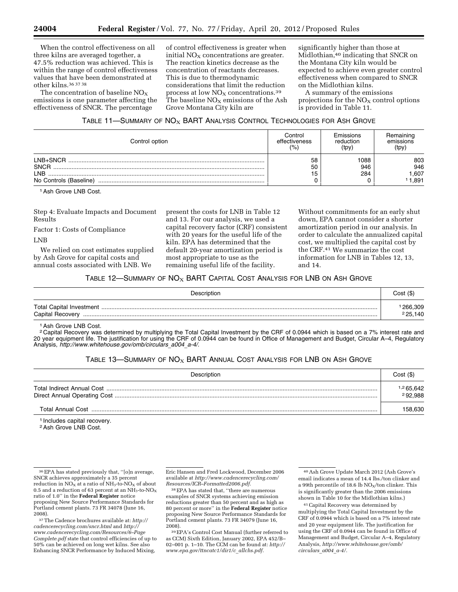When the control effectiveness on all three kilns are averaged together, a 47.5% reduction was achieved. This is within the range of control effectiveness values that have been demonstrated at other kilns.36 37 38

The concentration of baseline  $NO<sub>x</sub>$ emissions is one parameter affecting the effectiveness of SNCR. The percentage

of control effectiveness is greater when initial  $NO<sub>x</sub>$  concentrations are greater. The reaction kinetics decrease as the concentration of reactants decreases. This is due to thermodynamic considerations that limit the reduction process at low  $NO<sub>X</sub>$  concentrations.<sup>39</sup> The baseline  $NO<sub>X</sub>$  emissions of the Ash Grove Montana City kiln are

significantly higher than those at Midlothian,40 indicating that SNCR on the Montana City kiln would be expected to achieve even greater control effectiveness when compared to SNCR on the Midlothian kilns.

A summary of the emissions projections for the  $NO<sub>X</sub>$  control options is provided in Table 11.

#### TABLE 11-SUMMARY OF  $NO<sub>X</sub>$  BART ANALYSIS CONTROL TECHNOLOGIES FOR ASH GROVE

| Control option         | Control<br>effectiveness<br>(% | Emissions<br>reduction<br>(tpy) | Hemaining<br>emissions<br>(tpy) |
|------------------------|--------------------------------|---------------------------------|---------------------------------|
| LNB+SNCR               | 58                             | 1088                            | 803                             |
| <b>SNCR</b>            | 50                             | 946                             | 946                             |
| I NB                   | 15                             | 284                             | 1,607                           |
| No Controls (Baseline) |                                |                                 | 1.891                           |

1Ash Grove LNB Cost.

Step 4: Evaluate Impacts and Document Results

Factor 1: Costs of Compliance

LNB

We relied on cost estimates supplied by Ash Grove for capital costs and annual costs associated with LNB. We

present the costs for LNB in Table 12 and 13. For our analysis, we used a capital recovery factor (CRF) consistent with 20 years for the useful life of the kiln. EPA has determined that the default 20-year amortization period is most appropriate to use as the remaining useful life of the facility.

Without commitments for an early shut down, EPA cannot consider a shorter amortization period in our analysis. In order to calculate the annualized capital cost, we multiplied the capital cost by the CRF.41 We summarize the cost information for LNB in Tables 12, 13, and 14.

#### TABLE 12-SUMMARY OF  $NO<sub>X</sub>$  BART CAPITAL COST ANALYSIS FOR LNB ON ASH GROVE

| Description      | Cost (\$)          |
|------------------|--------------------|
| Capital Recovery | 266,309<br>225,140 |

1Ash Grove LNB Cost.

2 Capital Recovery was determined by multiplying the Total Capital Investment by the CRF of 0.0944 which is based on a 7% interest rate and 20 year equipment life. The justification for using the CRF of 0.0944 can be found in Office of Management and Budget, Circular A–4, Regulatory Analysis, *[http://www.whitehouse.gov/omb/circulars](http://www.whitehouse.gov/omb/circulars_a004_a-4/)*\_*a004*\_*a-4/.* 

# TABLE 13-SUMMARY OF  $NO<sub>X</sub>$  BART ANNUAL COST ANALYSIS FOR LNB ON ASH GROVE

| Description | Cost(S)                          |
|-------------|----------------------------------|
|             | <sup>1,2</sup> 65,642<br>292,988 |
|             | 158.630                          |

1 Includes capital recovery.

2Ash Grove LNB Cost.

Eric Hansen and Fred Lockwood, December 2006 available at *[http://www.cadencerecycling.com/](http://www.cadencerecycling.com/Resources/ICR-Formatted2006.pdf) [Resources/ICR–Formatted2006.pdf.](http://www.cadencerecycling.com/Resources/ICR-Formatted2006.pdf)* 

38EPA has stated that, ''there are numerous examples of SNCR systems achieving emission reductions greater than 50 percent and as high as 80 percent or more'' in the **Federal Register** notice proposing New Source Performance Standards for Portland cement plants. 73 FR 34079 (June 16, 2008).

39EPA's Control Cost Manual (further referred to as CCM) Sixth Edition, January 2002, EPA 452/B– 02–001 p. 1–10. The CCM can be found at: *[http://](http://www.epa.gov/ttncatc1/dir1/c_allchs.pdf)  [www.epa.gov/ttncatc1/dir1/c](http://www.epa.gov/ttncatc1/dir1/c_allchs.pdf)*\_*allchs.pdf.* 

<sup>36</sup>EPA has stated previously that, ''[o]n average, SNCR achieves approximately a 35 percent reduction in  $NO_X$  at a ratio of  $NH_3$ -to- $NO_X$  of about 0.5 and a reduction of 63 percent at an  $\mathrm{NH}_3$  to- $\mathrm{NO_X}$ ratio of 1.0'' in the **Federal Register** notice proposing New Source Performance Standards for Portland cement plants. 73 FR 34078 (June 16, 2008).

<sup>37</sup>The Cadence brochures available at: *[http://](http://cadencerecycling.com/sncr.html)  [cadencerecycling.com/sncr.html](http://cadencerecycling.com/sncr.html)* and *[http://](http://www.cadencerecycling.com/Resources/6-PageComplete.pdf) [www.cadencerecycling.com/Resources/6–Page](http://www.cadencerecycling.com/Resources/6-PageComplete.pdf) [Complete.pdf](http://www.cadencerecycling.com/Resources/6-PageComplete.pdf)* state that control efficiencies of up to 50% can be achieved on long wet kilns. See also Enhancing SNCR Performance by Induced Mixing,

<sup>40</sup>Ash Grove Update March 2012 (Ash Grove's email indicates a mean of 14.4 lbs./ton clinker and a 99th percentile of 18.6 lb  $NO<sub>x</sub>/ton$  clinker. This is significantly greater than the 2006 emissions shown in Table 10 for the Midlothian kilns.)

<sup>41</sup>Capital Recovery was determined by multiplying the Total Capital Investment by the CRF of 0.0944 which is based on a 7% interest rate and 20 year equipment life. The justification for using the CRF of 0.0944 can be found in Office of Management and Budget, Circular A–4, Regulatory Analysis, *[http://www.whitehouse.gov/omb/](http://www.whitehouse.gov/omb/circulars_a004_a-4/) [circulars](http://www.whitehouse.gov/omb/circulars_a004_a-4/)*\_*a004*\_*a-4/.*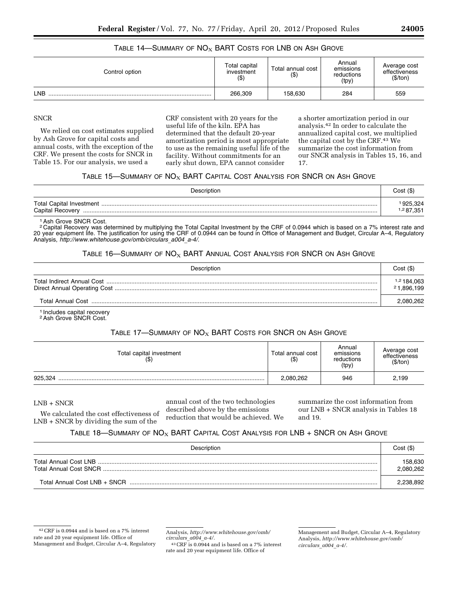| TABLE 14—SUMMARY OF $NO_x$ BART COSTS FOR LNB ON ASH GROVE |  |
|------------------------------------------------------------|--|
|------------------------------------------------------------|--|

| Control option | Total capital<br>investment<br>$($ \$) | Total annual cost<br>$($ \$) | Annual<br>emissions<br>reductions<br>(tpy) | Average cost<br>effectiveness<br>(\$/ton) |
|----------------|----------------------------------------|------------------------------|--------------------------------------------|-------------------------------------------|
| LNB            | 266,309                                | 158,630                      | 284                                        | 559                                       |

# **SNCR**

We relied on cost estimates supplied by Ash Grove for capital costs and annual costs, with the exception of the CRF. We present the costs for SNCR in Table 15. For our analysis, we used a

CRF consistent with 20 years for the useful life of the kiln. EPA has determined that the default 20-year amortization period is most appropriate to use as the remaining useful life of the facility. Without commitments for an early shut down, EPA cannot consider

a shorter amortization period in our analysis.42 In order to calculate the annualized capital cost, we multiplied the capital cost by the CRF.43 We summarize the cost information from our SNCR analysis in Tables 15, 16, and 17.

#### TABLE 15—SUMMARY OF  $NO<sub>X</sub>$  BART CAPITAL COST ANALYSIS FOR SNCR ON ASH GROVE

| Description      | Cost (\$)                        |
|------------------|----------------------------------|
| Capital Recovery | 925,324<br><sup>1,2</sup> 87,351 |

#### 1Ash Grove SNCR Cost.

2 Capital Recovery was determined by multiplying the Total Capital Investment by the CRF of 0.0944 which is based on a 7% interest rate and 20 year equipment life. The justification for using the CRF of 0.0944 can be found in Office of Management and Budget, Circular A–4, Regulatory Analysis, *[http://www.whitehouse.gov/omb/circulars](http://www.whitehouse.gov/omb/circulars_a004_a-4/)*\_*a004*\_*a-4/.* 

#### TABLE 16—SUMMARY OF  $\mathsf{NO}_{\mathsf{X}}$  BART Annual Cost Analysis for SNCR on Ash Grove

| Description | Cost (\$)                            |
|-------------|--------------------------------------|
|             | <sup>1,2</sup> 184,063<br>21,896,199 |
|             | 2,080,262                            |

1 Includes capital recovery 2Ash Grove SNCR Cost.

# TABLE 17-SUMMARY OF  $NO<sub>X</sub>$  BART COSTS FOR SNCR ON ASH GROVE

| Total capital investment<br>$($ \$) | Total annual cost<br>(\$) | Annual<br>emissions<br>reductions<br>(tpy) | Average cost<br>effectiveness<br>(\$/ton) |
|-------------------------------------|---------------------------|--------------------------------------------|-------------------------------------------|
| 925.324                             | 2,080,262                 | 946                                        | 2,199                                     |

#### LNB + SNCR

annual cost of the two technologies described above by the emissions reduction that would be achieved. We summarize the cost information from our LNB + SNCR analysis in Tables 18 and 19.

### TABLE 18—SUMMARY OF  $\mathsf{NO}_{\mathsf{X}}$  BART Capital Cost Analysis for LNB + SNCR on Ash Grove

| Description | Cost (\$)            |
|-------------|----------------------|
|             | 158.630<br>2,080,262 |
|             | 2.238.892            |

We calculated the cost effectiveness of LNB + SNCR by dividing the sum of the

> Analysis, *[http://www.whitehouse.gov/omb/](http://www.whitehouse.gov/omb/circulars_a004_a-4/) [circulars](http://www.whitehouse.gov/omb/circulars_a004_a-4/)*\_*a004*\_*a-4/.*

43CRF is 0.0944 and is based on a 7% interest rate and 20 year equipment life. Office of

 $^{42}\mathrm{CRF}$  is 0.0944 and is based on a 7% interest rate and 20 year equipment life. Office of Management and Budget, Circular A–4, Regulatory

Management and Budget, Circular A–4, Regulatory Analysis, *[http://www.whitehouse.gov/omb/](http://www.whitehouse.gov/omb/circulars_a004_a-4/) [circulars](http://www.whitehouse.gov/omb/circulars_a004_a-4/)*\_*a004*\_*a-4/.*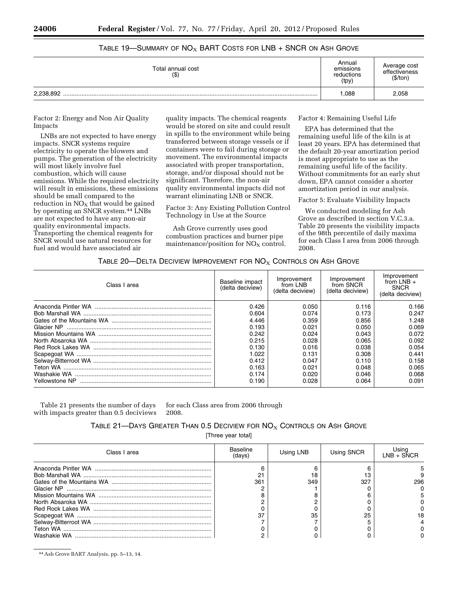| Total annual cost<br>$($ \$) | Annual<br>emissions<br>reductions<br>(tpy) | Average cost<br>effectiveness<br>(\$/ton) |
|------------------------------|--------------------------------------------|-------------------------------------------|
| 2,238,892                    | 1,088                                      | 2,058                                     |

# TABLE 19-SUMMARY OF  $NO<sub>X</sub>$  BART COSTS FOR LNB + SNCR ON ASH GROVE

Factor 2: Energy and Non Air Quality Impacts

LNBs are not expected to have energy impacts. SNCR systems require electricity to operate the blowers and pumps. The generation of the electricity will most likely involve fuel combustion, which will cause emissions. While the required electricity will result in emissions, these emissions should be small compared to the reduction in  $NO<sub>x</sub>$  that would be gained by operating an SNCR system.44 LNBs are not expected to have any non-air quality environmental impacts. Transporting the chemical reagents for SNCR would use natural resources for fuel and would have associated air

quality impacts. The chemical reagents would be stored on site and could result in spills to the environment while being transferred between storage vessels or if containers were to fail during storage or movement. The environmental impacts associated with proper transportation, storage, and/or disposal should not be significant. Therefore, the non-air quality environmental impacts did not warrant eliminating LNB or SNCR.

Factor 3: Any Existing Pollution Control Technology in Use at the Source

Ash Grove currently uses good combustion practices and burner pipe maintenance/position for  $NO<sub>x</sub>$  control. Factor 4: Remaining Useful Life

EPA has determined that the remaining useful life of the kiln is at least 20 years. EPA has determined that the default 20-year amortization period is most appropriate to use as the remaining useful life of the facility. Without commitments for an early shut down, EPA cannot consider a shorter amortization period in our analysis.

Factor 5: Evaluate Visibility Impacts

We conducted modeling for Ash Grove as described in section V.C.3.a. Table 20 presents the visibility impacts of the 98th percentile of daily maxima for each Class I area from 2006 through 2008.

# TABLE 20—DELTA DECIVIEW IMPROVEMENT FOR  $NOS$  Controls on Ash Grove

| Class I area | Baseline impact<br>(delta deciview) | Improvement<br>from LNB<br>(delta deciview) | Improvement<br>from SNCR<br>(delta deciview) | Improvement<br>from LNB $+$<br><b>SNCR</b><br>(delta deciview) |
|--------------|-------------------------------------|---------------------------------------------|----------------------------------------------|----------------------------------------------------------------|
|              | 0.426                               | 0.050                                       | 0.116                                        | 0.166                                                          |
|              | 0.604                               | 0.074                                       | 0.173                                        | 0.247                                                          |
|              | 4.446                               | 0.359                                       | 0.856                                        | 1.248                                                          |
| Glacier NP   | 0.193                               | 0.021                                       | 0.050                                        | 0.069                                                          |
|              | 0.242                               | 0.024                                       | 0.043                                        | 0.072                                                          |
|              | 0.215                               | 0.028                                       | 0.065                                        | 0.092                                                          |
|              | 0.130                               | 0.016                                       | 0.038                                        | 0.054                                                          |
|              | 1.022                               | 0.131                                       | 0.308                                        | 0.441                                                          |
|              | 0.412                               | 0.047                                       | 0.110                                        | 0.158                                                          |
|              | 0.163                               | 0.021                                       | 0.048                                        | 0.065                                                          |
|              | 0.174                               | 0.020                                       | 0.046                                        | 0.068                                                          |
|              | 0.190                               | 0.028                                       | 0.064                                        | 0.091                                                          |

Table 21 presents the number of days with impacts greater than 0.5 deciviews for each Class area from 2006 through 2008.

# TABLE 21-DAYS GREATER THAN 0.5 DECIVIEW FOR  $NO<sub>X</sub>$  CONTROLS ON ASH GROVE

[Three year total]

| Class I area | Baseline<br>ˈdavs) | Using LNB | Using SNCR | Using<br>I NR + SÑCR |
|--------------|--------------------|-----------|------------|----------------------|
|              |                    |           |            |                      |
|              |                    |           |            |                      |
|              | 361                | 349       | 327        | 296                  |
|              |                    |           |            |                      |
|              |                    |           |            |                      |
|              |                    |           |            |                      |
|              |                    |           |            |                      |
|              |                    | 35        | 25         |                      |
|              |                    |           |            |                      |
| Teton WA     |                    |           |            |                      |
|              |                    |           |            |                      |

44Ash Grove BART Analysis, pp. 5–13, 14.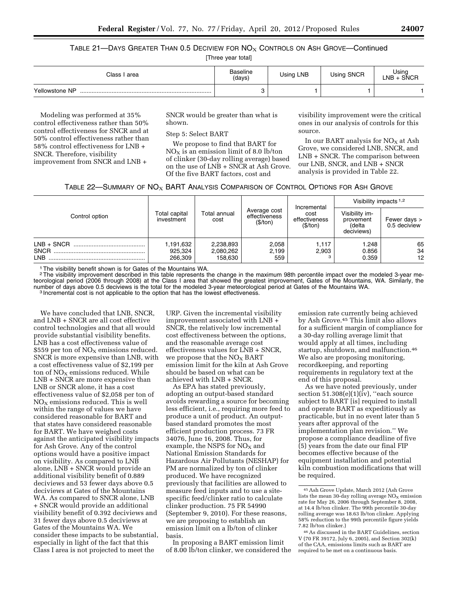Table 21—Days Greater Than 0.5 Deciview for  $\mathsf{NO}_\mathrm{X}$  Controls on Ash Grove—Continued

[Three year total]

| Class I area   | <b>Baseline</b><br>(days) | Using LNB | Using SNCR | Using<br>$LNB + SNCR$ |
|----------------|---------------------------|-----------|------------|-----------------------|
| Yellowstone NP |                           |           |            |                       |

Modeling was performed at 35% control effectiveness rather than 50% control effectiveness for SNCR and at 50% control effectiveness rather than 58% control effectiveness for LNB + SNCR. Therefore, visibility improvement from SNCR and LNB +

SNCR would be greater than what is shown.

Step 5: Select BART

We propose to find that BART for  $NO<sub>X</sub>$  is an emission limit of 8.0 lb/ton of clinker (30-day rolling average) based on the use of LNB + SNCR at Ash Grove. Of the five BART factors, cost and

visibility improvement were the critical ones in our analysis of controls for this source.

In our BART analysis for  $NO<sub>X</sub>$  at Ash Grove, we considered LNB, SNCR, and LNB + SNCR. The comparison between our LNB, SNCR, and LNB + SNCR analysis is provided in Table 22.

| TABLE 22—SUMMARY OF $\mathsf{NO}_{\mathsf{X}}$ BART ANALYSIS COMPARISON OF CONTROL OPTIONS FOR ASH GROVE |  |  |  |
|----------------------------------------------------------------------------------------------------------|--|--|--|
|----------------------------------------------------------------------------------------------------------|--|--|--|

|                                    | Total capital<br>investment     | Total annual<br>cost              | Average cost<br>effectiveness<br>(\$/ton) |                                                  | Visibility impacts $1,2$                            |                               |
|------------------------------------|---------------------------------|-----------------------------------|-------------------------------------------|--------------------------------------------------|-----------------------------------------------------|-------------------------------|
| Control option                     |                                 |                                   |                                           | Incremental<br>cost<br>effectiveness<br>(\$/ton) | Visibility im-<br>provement<br>(delta<br>deciviews) | Fewer days ><br>0.5 deciview  |
| $LNB + SNCR$<br>SNCR<br><b>LNB</b> | 1,191,632<br>925,324<br>266.309 | 2,238,893<br>2,080,262<br>158.630 | 2,058<br>2,199<br>559                     | 1,117<br>2,903                                   | 1.248<br>0.856<br>0.359                             | 65<br>34<br>$12 \overline{ }$ |

<sup>1</sup> The visibility benefit shown is for Gates of the Mountains WA.

<sup>2</sup>The visibility improvement described in this table represents the change in the maximum 98th percentile impact over the modeled 3-year meteorological period (2006 through 2008) at the Class I area that showed the greatest improvement, Gates of the Mountains, WA. Similarly, the number of days above 0.5 deciviews is the total for the modeled 3-year meteorological period at Gates of the Mountains WA.<br><sup>3</sup> Incremental cost is not applicable to the option that has the lowest effectiveness.

We have concluded that LNB, SNCR, and LNB + SNCR are all cost effective control technologies and that all would provide substantial visibility benefits. LNB has a cost effectiveness value of \$559 per ton of  $NO<sub>X</sub>$  emissions reduced. SNCR is more expensive than LNB, with a cost effectiveness value of \$2,199 per ton of  $NO<sub>x</sub>$  emissions reduced. While LNB + SNCR are more expensive than LNB or SNCR alone, it has a cost effectiveness value of \$2,058 per ton of  $NO<sub>x</sub>$  emissions reduced. This is well within the range of values we have considered reasonable for BART and that states have considered reasonable for BART. We have weighed costs against the anticipated visibility impacts for Ash Grove. Any of the control options would have a positive impact on visibility. As compared to LNB alone, LNB + SNCR would provide an additional visibility benefit of 0.889 deciviews and 53 fewer days above 0.5 deciviews at Gates of the Mountains WA. As compared to SNCR alone, LNB + SNCR would provide an additional visibility benefit of 0.392 deciviews and 31 fewer days above 0.5 deciviews at Gates of the Mountains WA. We consider these impacts to be substantial, especially in light of the fact that this Class I area is not projected to meet the

URP. Given the incremental visibility improvement associated with LNB + SNCR, the relatively low incremental cost effectiveness between the options, and the reasonable average cost effectiveness values for LNB + SNCR, we propose that the  $NO<sub>X</sub>$  BART emission limit for the kiln at Ash Grove should be based on what can be achieved with LNB + SNCR.

As EPA has stated previously, adopting an output-based standard avoids rewarding a source for becoming less efficient, i.e., requiring more feed to produce a unit of product. An outputbased standard promotes the most efficient production process. 73 FR 34076, June 16, 2008. Thus, for example, the NSPS for  $NO<sub>X</sub>$  and National Emission Standards for Hazardous Air Pollutants (NESHAP) for PM are normalized by ton of clinker produced. We have recognized previously that facilities are allowed to measure feed inputs and to use a sitespecific feed/clinker ratio to calculate clinker production. 75 FR 54990 (September 9, 2010). For these reasons, we are proposing to establish an emission limit on a lb/ton of clinker basis.

In proposing a BART emission limit of 8.00 lb/ton clinker, we considered the

emission rate currently being achieved by Ash Grove.45 This limit also allows for a sufficient margin of compliance for a 30-day rolling average limit that would apply at all times, including startup, shutdown, and malfunction.46 We also are proposing monitoring, recordkeeping, and reporting requirements in regulatory text at the end of this proposal.

As we have noted previously, under section  $51.308(e)(1)(iv)$ , "each source subject to BART [is] required to install and operate BART as expeditiously as practicable, but in no event later than 5 years after approval of the implementation plan revision.'' We propose a compliance deadline of five (5) years from the date our final FIP becomes effective because of the equipment installation and potential kiln combustion modifications that will be required.

<sup>45</sup>Ash Grove Update, March 2012 (Ash Grove lists the mean 30-day rolling average  $NO<sub>x</sub>$  emission rate for May 26, 2006 through September 8, 2008, at 14.4 lb/ton clinker. The 99th percentile 30-day rolling average was 18.63 lb/ton clinker. Applying 58% reduction to the 99th percentile figure yields 7.82 lb/ton clinker.)

<sup>46</sup>As discussed in the BART Guidelines, section V (70 FR 39172, July 6, 2005), and Section 302(k) of the CAA, emissions limits such as BART are required to be met on a continuous basis.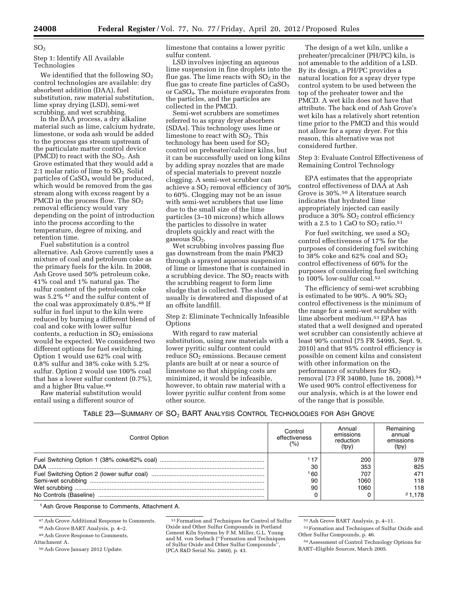#### $SO<sub>2</sub>$

Step 1: Identify All Available Technologies

We identified that the following  $\mathrm{SO}_2$ control technologies are available: dry absorbent addition (DAA), fuel substitution, raw material substitution, lime spray drying (LSD), semi-wet scrubbing, and wet scrubbing.

In the DAA process, a dry alkaline material such as lime, calcium hydrate, limestone, or soda ash would be added to the process gas stream upstream of the particulate matter control device (PMCD) to react with the  $SO<sub>2</sub>$ . Ash Grove estimated that they would add a 2:1 molar ratio of lime to  $SO<sub>2</sub>$ . Solid particles of CaSO4 would be produced, which would be removed from the gas stream along with excess reagent by a PMCD in the process flow. The  $SO<sub>2</sub>$ removal efficiency would vary depending on the point of introduction into the process according to the temperature, degree of mixing, and retention time.

Fuel substitution is a control alternative. Ash Grove currently uses a mixture of coal and petroleum coke as the primary fuels for the kiln. In 2008, Ash Grove used 50% petroleum coke, 41% coal and 1% natural gas. The sulfur content of the petroleum coke was 5.2% <sup>47</sup> and the sulfur content of the coal was approximately 0.8%.48 If sulfur in fuel input to the kiln were reduced by burning a different blend of coal and coke with lower sulfur contents, a reduction in  $SO<sub>2</sub>$  emissions would be expected. We considered two different options for fuel switching. Option 1 would use 62% coal with 0.8% sulfur and 38% coke with 5.2% sulfur. Option 2 would use 100% coal that has a lower sulfur content (0.7%), and a higher Btu value.49

Raw material substitution would entail using a different source of

limestone that contains a lower pyritic sulfur content.

LSD involves injecting an aqueous lime suspension in fine droplets into the flue gas. The lime reacts with  $SO<sub>2</sub>$  in the flue gas to create fine particles of  $CaSO<sub>3</sub>$ or CaSO4. The moisture evaporates from the particles, and the particles are collected in the PMCD.

Semi-wet scrubbers are sometimes referred to as spray dryer absorbers (SDAs). This technology uses lime or limestone to react with  $SO<sub>2</sub>$ . This technology has been used for  $SO<sub>2</sub>$ control on preheater/calciner kilns, but it can be successfully used on long kilns by adding spray nozzles that are made of special materials to prevent nozzle clogging. A semi-wet scrubber can achieve a  $SO<sub>2</sub>$  removal efficiency of 30% to 60%. Clogging may not be an issue with semi-wet scrubbers that use lime due to the small size of the lime particles (3–10 microns) which allows the particles to dissolve in water droplets quickly and react with the gaseous  $SO<sub>2</sub>$ .

Wet scrubbing involves passing flue gas downstream from the main PMCD through a sprayed aqueous suspension of lime or limestone that is contained in a scrubbing device. The  $SO<sub>2</sub>$  reacts with the scrubbing reagent to form lime sludge that is collected. The sludge usually is dewatered and disposed of at an offsite landfill.

Step 2: Eliminate Technically Infeasible Options

With regard to raw material substitution, using raw materials with a lower pyritic sulfur content could reduce  $SO<sub>2</sub>$  emissions. Because cement plants are built at or near a source of limestone so that shipping costs are minimized, it would be infeasible, however, to obtain raw material with a lower pyritic sulfur content from some other source.

The design of a wet kiln, unlike a preheater/precalciner (PH/PC) kiln, is not amenable to the addition of a LSD. By its design, a PH/PC provides a natural location for a spray dryer type control system to be used between the top of the preheater tower and the PMCD. A wet kiln does not have that attribute. The back end of Ash Grove's wet kiln has a relatively short retention time prior to the PMCD and this would not allow for a spray dryer. For this reason, this alternative was not considered further.

Step 3: Evaluate Control Effectiveness of Remaining Control Technology

EPA estimates that the appropriate control effectiveness of DAA at Ash Grove is 30%.50 A literature search indicates that hydrated lime appropriately injected can easily produce a  $30\%$  SO<sub>2</sub> control efficiency with a 2.5 to 1 GaO to  $\mathrm{SO}_2$  ratio.  $^{51}$ 

For fuel switching, we used a  $SO<sub>2</sub>$ control effectiveness of 17% for the purposes of considering fuel switching to 38% coke and 62% coal and  $SO_2$ control effectiveness of 60% for the purposes of considering fuel switching to 100% low-sulfur coal.52

The efficiency of semi-wet scrubbing is estimated to be  $90\%$ . A  $90\%$  SO<sub>2</sub> control effectiveness is the minimum of the range for a semi-wet scrubber with lime absorbent medium.53 EPA has stated that a well designed and operated wet scrubber can consistently achieve at least 90% control (75 FR 54995, Sept. 9, 2010) and that 95% control efficiency is possible on cement kilns and consistent with other information on the performance of scrubbers for SO2 removal (73 FR 34080, June 16, 2008).54 We used 90% control effectiveness for our analysis, which is at the lower end of the range that is possible.

TABLE 23—SUMMARY OF SO<sub>2</sub> BART ANALYSIS CONTROL TECHNOLOGIES FOR ASH GROVE

| Control Option | Control<br>effectiveness<br>(%) | Annual<br>emissions<br>reduction<br>(tpy) | Remaining<br>annual<br>emissions<br>(tpy) |
|----------------|---------------------------------|-------------------------------------------|-------------------------------------------|
|                | 30                              | 200<br>353                                | 978<br>825                                |
|                | 60<br>90                        | 707<br>1060                               | 471<br>118                                |
|                | 90                              | 1060                                      | 118<br>21.178                             |
|                |                                 |                                           |                                           |

1Ash Grove Response to Comments, Attachment A.

<sup>47</sup>Ash Grove Additional Response to Comments.

<sup>48</sup>Ash Grove BART Analysis, p. 4–2.

<sup>49</sup>Ash Grove Response to Comments,

Attachment A.

<sup>50</sup>Ash Grove January 2012 Update.

<sup>51</sup>Formation and Techniques for Control of Sulfur Oxide and Other Sulfur Compounds in Portland Cement Kiln Systems by F.M. Miller, G.L. Young and M. von Seebach (''Formation and Techniques of Sulfur Oxide and Other Sulfur Compounds'', (PCA R&D Serial No. 2460), p. 43.

<sup>52</sup>Ash Grove BART Analysis, p. 4–11.

<sup>53</sup>Formation and Techniques of Sulfur Oxide and Other Sulfur Compounds, p. 46.

<sup>54</sup>Assessment of Control Technology Options for BART–Eligible Sources, March 2005.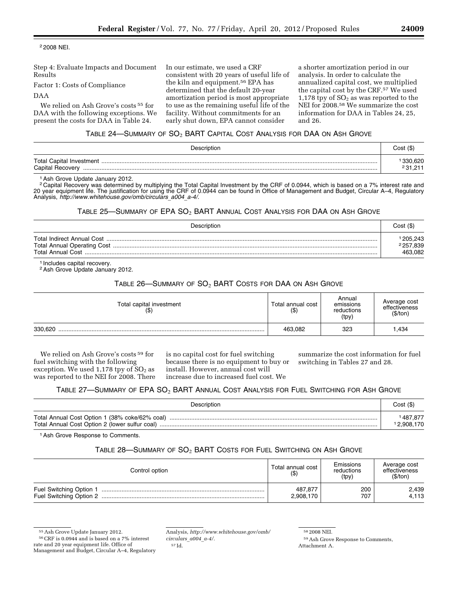2 2008 NEI.

Step 4: Evaluate Impacts and Document Results

Factor 1: Costs of Compliance

#### DAA

We relied on Ash Grove's costs 55 for DAA with the following exceptions. We present the costs for DAA in Table 24.

In our estimate, we used a CRF consistent with 20 years of useful life of the kiln and equipment.56 EPA has determined that the default 20-year amortization period is most appropriate to use as the remaining useful life of the facility. Without commitments for an early shut down, EPA cannot consider

a shorter amortization period in our analysis. In order to calculate the annualized capital cost, we multiplied the capital cost by the CRF.57 We used 1,178 tpy of  $SO<sub>2</sub>$  as was reported to the NEI for 2008.58 We summarize the cost information for DAA in Tables 24, 25, and 26.

# Table 24—Summary of  $\mathsf{SO}_2$   $\mathsf{BART}$  Capital Cost Analysis for DAA on Ash Grove

| Description      | Cost (\$) |
|------------------|-----------|
| Capital Recovery |           |

1Ash Grove Update January 2012.

2 Capital Recovery was determined by multiplying the Total Capital Investment by the CRF of 0.0944, which is based on a 7% interest rate and 20 year equipment life. The justification for using the CRF of 0.0944 can be found in Office of Management and Budget, Circular A–4, Regulatory Analysis, *[http://www.whitehouse.gov/omb/circulars](http://www.whitehouse.gov/omb/circulars_a004_a-4/)*\_*a004*\_*a-4/.* 

#### Table 25—Summary of EPA  $\mathrm{SO}_2$  BART Annual Cost Analysis for DAA on Ash Grove

| Description | Cost(S)   |
|-------------|-----------|
|             | ' 205,243 |
|             | 2257,839  |
|             | 463.082   |

1 Includes capital recovery.

<sup>2</sup> Ash Grove Update January 2012.

# TABLE  $26$ —SUMMARY OF  $SO_2$  BART COSTS FOR DAA ON ASH GROVE

| Total capital investment<br>(\$) | Total annual cost<br>( \$ ) | Annual<br>emissions<br>reductions<br>(tpy) | Average cost<br>effectiveness<br>(\$/ton) |
|----------------------------------|-----------------------------|--------------------------------------------|-------------------------------------------|
| 330.620                          | 463.082                     | 323                                        | 434. ا                                    |

We relied on Ash Grove's costs 59 for fuel switching with the following exception. We used 1,178 tpy of  $SO<sub>2</sub>$  as was reported to the NEI for 2008. There is no capital cost for fuel switching because there is no equipment to buy or install. However, annual cost will increase due to increased fuel cost. We

summarize the cost information for fuel switching in Tables 27 and 28.

# TABLE 27-SUMMARY OF EPA SO<sub>2</sub> BART ANNUAL COST ANALYSIS FOR FUEL SWITCHING FOR ASH GROVE

| Description                                    | Cost (\$)             |
|------------------------------------------------|-----------------------|
| Total Annual Cost Option 1 (38% coke/62% coal) | 987.877<br>12.908.170 |

1Ash Grove Response to Comments.

# TABLE 28-SUMMARY OF SO<sub>2</sub> BART COSTS FOR FUEL SWITCHING ON ASH GROVE

| Control option          | Total annual cost<br>$($ \$) | Emissions<br>reductions<br>(tpy) | Average cost<br>effectiveness<br>(S/ton) |
|-------------------------|------------------------------|----------------------------------|------------------------------------------|
| Fuel Switching Option 1 | 487.877<br>2,908,170         | 200<br>707                       | 2,439<br>4,113                           |

<sup>55</sup>Ash Grove Update January 2012.

58 2008 NEI.

<sup>56</sup>CRF is 0.0944 and is based on a 7% interest rate and 20 year equipment life. Office of Management and Budget, Circular A–4, Regulatory

Analysis, *[http://www.whitehouse.gov/omb/](http://www.whitehouse.gov/omb/circulars_a004_a-4/) [circulars](http://www.whitehouse.gov/omb/circulars_a004_a-4/)*\_*a004*\_*a-4/.*  57 Id.

<sup>59</sup>Ash Grove Response to Comments, Attachment A.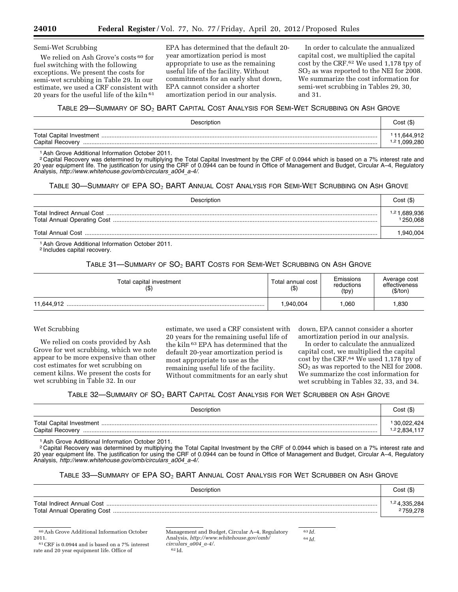#### Semi-Wet Scrubbing

We relied on Ash Grove's costs <sup>60</sup> for fuel switching with the following exceptions. We present the costs for semi-wet scrubbing in Table 29. In our estimate, we used a CRF consistent with 20 years for the useful life of the kiln<sup>61</sup>

EPA has determined that the default 20 year amortization period is most appropriate to use as the remaining useful life of the facility. Without commitments for an early shut down, EPA cannot consider a shorter amortization period in our analysis.

In order to calculate the annualized capital cost, we multiplied the capital cost by the CRF.62 We used 1,178 tpy of SO<sub>2</sub> as was reported to the NEI for 2008. We summarize the cost information for semi-wet scrubbing in Tables 29, 30, and 31.

### TABLE 29—SUMMARY OF SO2 BART CAPITAL COST ANALYSIS FOR SEMI-WET SCRUBBING ON ASH GROVE

| Description                                         |                                |  |  |
|-----------------------------------------------------|--------------------------------|--|--|
| <b>Total Capital Investment</b><br>Capital Recovery | 11,644,912<br>.099.280<br>1.21 |  |  |

1Ash Grove Additional Information October 2011.

<sup>2</sup> Capital Recovery was determined by multiplying the Total Capital Investment by the CRF of 0.0944 which is based on a 7% interest rate and 20 year equipment life. The justification for using the CRF of 0.0944 can be found in Office of Management and Budget, Circular A–4, Regulatory Analysis, *[http://www.whitehouse.gov/omb/circulars](http://www.whitehouse.gov/omb/circulars_a004_a-4/)*\_*a004*\_*a-4/.* 

#### TABLE 30—SUMMARY OF EPA SO2 BART ANNUAL COST ANALYSIS FOR SEMI-WET SCRUBBING ON ASH GROVE

| Description | Cost(S)                              |
|-------------|--------------------------------------|
|             | <sup>1,2</sup> 1,689,936<br>1250.068 |
|             | .940,004                             |

1Ash Grove Additional Information October 2011.

2 Includes capital recovery.

TABLE 31—SUMMARY OF SO2 BART COSTS FOR SEMI-WET SCRUBBING ON ASH GROVE

| Total capital investment<br>(\$) | Total annual cost<br>$($ \$) | Emissions<br>reductions<br>(tpy) | Average cost<br>effectiveness<br>(\$/ton) |
|----------------------------------|------------------------------|----------------------------------|-------------------------------------------|
| 11.644.912                       | 940,004. ا                   | .060                             | .830                                      |

#### Wet Scrubbing

We relied on costs provided by Ash Grove for wet scrubbing, which we note appear to be more expensive than other cost estimates for wet scrubbing on cement kilns. We present the costs for wet scrubbing in Table 32. In our

estimate, we used a CRF consistent with 20 years for the remaining useful life of the kiln 63 EPA has determined that the default 20-year amortization period is most appropriate to use as the remaining useful life of the facility. Without commitments for an early shut

down, EPA cannot consider a shorter amortization period in our analysis.

In order to calculate the annualized capital cost, we multiplied the capital cost by the CRF.64 We used 1,178 tpy of  $SO<sub>2</sub>$  as was reported to the NEI for 2008. We summarize the cost information for wet scrubbing in Tables 32, 33, and 34.

TABLE 32—SUMMARY OF  $SO_2$  BART CAPITAL COST ANALYSIS FOR WET SCRUBBER ON ASH GROVE

| Description      |                           |  |  |
|------------------|---------------------------|--|--|
| Capital Recovery | 130,022,424<br>117,22,834 |  |  |

1Ash Grove Additional Information October 2011.

2 Capital Recovery was determined by multiplying the Total Capital Investment by the CRF of 0.0944 which is based on a 7% interest rate and 20 year equipment life. The justification for using the CRF of 0.0944 can be found in Office of Management and Budget, Circular A–4, Regulatory Analysis, *[http://www.whitehouse.gov/omb/circulars](http://www.whitehouse.gov/omb/circulars_a004_a-4/)*\_*a004*\_*a-4/.* 

#### TABLE 33—SUMMARY OF EPA SO2 BART ANNUAL COST ANALYSIS FOR WET SCRUBBER ON ASH GROVE

| Description | Cost(S)      |
|-------------|--------------|
|             | 1,24,335,284 |
|             | 2759,278     |

60Ash Grove Additional Information October 2011.

61CRF is 0.0944 and is based on a 7% interest rate and 20 year equipment life. Office of

Management and Budget, Circular A–4, Regulatory Analysis, *[http://www.whitehouse.gov/omb/](http://www.whitehouse.gov/omb/circulars_a004_a-4/) [circulars](http://www.whitehouse.gov/omb/circulars_a004_a-4/)*\_*a004*\_*a-4/.*  62 Id.

63 *Id.*  64 *Id.*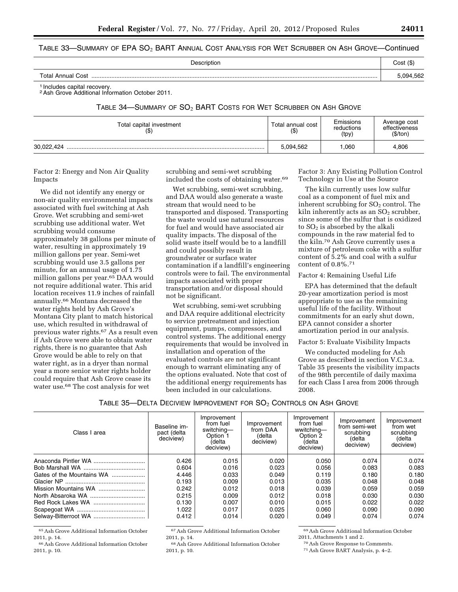### TABLE 33—SUMMARY OF  $\mathsf{EPA}$   $\mathsf{SO}_2$   $\mathsf{BART}$  Annual  $\mathsf{Cost}$  Analysis for Wet  $\mathsf{SCR}$ ubber on  $\mathsf{ASH}$  Grove—Continued

| Description       | Cost      |
|-------------------|-----------|
| Total Annual Cost | ነ በ94 562 |

1 Includes capital recovery.

2Ash Grove Additional Information October 2011.

TABLE 34—SUMMARY OF SO2 BART COSTS FOR WET SCRUBBER ON ASH GROVE

| Total capital investment<br>$($ \$) | Total annual cost<br>(\$) | Emissions<br>reductions<br>(tpy) | Average cost<br>effectiveness<br>(\$/ton) |
|-------------------------------------|---------------------------|----------------------------------|-------------------------------------------|
| 30.022.424                          | 5,094,562                 | .060                             | 4.806                                     |

Factor 2: Energy and Non Air Quality Impacts

We did not identify any energy or non-air quality environmental impacts associated with fuel switching at Ash Grove. Wet scrubbing and semi-wet scrubbing use additional water. Wet scrubbing would consume approximately 38 gallons per minute of water, resulting in approximately 19 million gallons per year. Semi-wet scrubbing would use 3.5 gallons per minute, for an annual usage of 1.75 million gallons per year.65 DAA would not require additional water. This arid location receives 11.9 inches of rainfall annually.66 Montana decreased the water rights held by Ash Grove's Montana City plant to match historical use, which resulted in withdrawal of previous water rights.67 As a result even if Ash Grove were able to obtain water rights, there is no guarantee that Ash Grove would be able to rely on that water right, as in a dryer than normal year a more senior water rights holder could require that Ash Grove cease its water use.68 The cost analysis for wet

scrubbing and semi-wet scrubbing included the costs of obtaining water.69

Wet scrubbing, semi-wet scrubbing, and DAA would also generate a waste stream that would need to be transported and disposed. Transporting the waste would use natural resources for fuel and would have associated air quality impacts. The disposal of the solid waste itself would be to a landfill and could possibly result in groundwater or surface water contamination if a landfill's engineering controls were to fail. The environmental impacts associated with proper transportation and/or disposal should not be significant.

Wet scrubbing, semi-wet scrubbing and DAA require additional electricity to service pretreatment and injection equipment, pumps, compressors, and control systems. The additional energy requirements that would be involved in installation and operation of the evaluated controls are not significant enough to warrant eliminating any of the options evaluated. Note that cost of the additional energy requirements has been included in our calculations.

Factor 3: Any Existing Pollution Control Technology in Use at the Source

The kiln currently uses low sulfur coal as a component of fuel mix and inherent scrubbing for  $SO<sub>2</sub>$  control. The kiln inherently acts as an  $SO<sub>2</sub>$  scrubber, since some of the sulfur that is oxidized to  $SO<sub>2</sub>$  is absorbed by the alkali compounds in the raw material fed to the kiln.70 Ash Grove currently uses a mixture of petroleum coke with a sulfur content of 5.2% and coal with a sulfur content of 0.8%.71

#### Factor 4: Remaining Useful Life

EPA has determined that the default 20-year amortization period is most appropriate to use as the remaining useful life of the facility. Without commitments for an early shut down, EPA cannot consider a shorter amortization period in our analysis.

#### Factor 5: Evaluate Visibility Impacts

We conducted modeling for Ash Grove as described in section V.C.3.a. Table 35 presents the visibility impacts of the 98th percentile of daily maxima for each Class I area from 2006 through 2008.

# TABLE 35-DELTA DECIVIEW IMPROVEMENT FOR SO<sub>2</sub> CONTROLS ON ASH GROVE

| Class I area              | Baseline im-<br>pact (delta<br>deciview) | Improvement<br>from fuel<br>switching-<br>Option 1<br>(delta<br>deciview) | Improvement<br>from DAA<br>(delta<br>deciview) | Improvement<br>from fuel<br>wwitching-<br>Option 2<br>(delta<br>deciview) | Improvement<br>from semi-wet<br>scrubbing<br>(delta<br>deciview) | Improvement<br>from wet<br>scrubbing<br>(delta<br>deciview) |
|---------------------------|------------------------------------------|---------------------------------------------------------------------------|------------------------------------------------|---------------------------------------------------------------------------|------------------------------------------------------------------|-------------------------------------------------------------|
|                           | 0.426                                    | 0.015                                                                     | 0.020                                          | 0.050                                                                     | 0.074                                                            | 0.074                                                       |
|                           | 0.604                                    | 0.016                                                                     | 0.023                                          | 0.056                                                                     | 0.083                                                            | 0.083                                                       |
| Gates of the Mountains WA | 4.446                                    | 0.033                                                                     | 0.049                                          | 0.119                                                                     | 0.180                                                            | 0.180                                                       |
|                           | 0.193                                    | 0.009                                                                     | 0.013                                          | 0.035                                                                     | 0.048                                                            | 0.048                                                       |
|                           | 0.242                                    | 0.012                                                                     | 0.018                                          | 0.039                                                                     | 0.059                                                            | 0.059                                                       |
|                           | 0.215                                    | 0.009                                                                     | 0.012                                          | 0.018                                                                     | 0.030                                                            | 0.030                                                       |
|                           | 0.130                                    | 0.007                                                                     | 0.010                                          | 0.015                                                                     | 0.022                                                            | 0.022                                                       |
|                           | 1.022                                    | 0.017                                                                     | 0.025                                          | 0.060                                                                     | 0.090                                                            | 0.090                                                       |
|                           | 0.412                                    | 0.014                                                                     | 0.020                                          | 0.049                                                                     | 0.074                                                            | 0.074                                                       |

65Ash Grove Additional Information October 2011, p. 14.

66Ash Grove Additional Information October 2011, p. 10.

67Ash Grove Additional Information October 2011, p. 14.

68Ash Grove Additional Information October 2011, p. 10.

69Ash Grove Additional Information October

2011, Attachments 1 and 2.

70Ash Grove Response to Comments.

71Ash Grove BART Analysis, p. 4–2.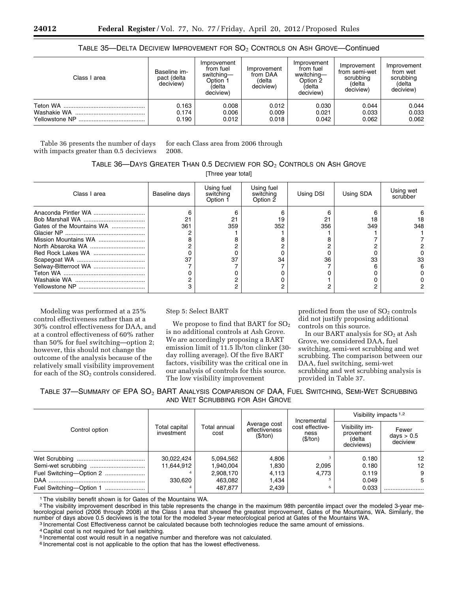#### TABLE 35—DELTA DECIVIEW IMPROVEMENT FOR  $SO_2$  Controls on Ash Grove—Continued

| Class I area   | Baseline im-<br>pact (delta<br>deciview) | Improvement<br>from fuel<br>switching-<br>Option <sub>1</sub><br>(delta<br>deciview) | Improvement<br>from DAA<br>(delta<br>deciview) | Improvement<br>from fuel<br>wwitching-<br>Option <sub>2</sub><br>(delta<br>deciview) | Improvement<br>from semi-wet<br>scrubbing<br>(delta<br>deciview) | Improvement<br>from wet<br>scrubbing<br>(delta<br>deciview) |
|----------------|------------------------------------------|--------------------------------------------------------------------------------------|------------------------------------------------|--------------------------------------------------------------------------------------|------------------------------------------------------------------|-------------------------------------------------------------|
|                | 0.163                                    | 0.008                                                                                | 0.012                                          | 0.030                                                                                | 0.044                                                            | 0.044                                                       |
|                | 0.174                                    | 0.006                                                                                | 0.009                                          | 0.021                                                                                | 0.033                                                            | 0.033                                                       |
| Yellowstone NP | 0.190                                    | 0.012                                                                                | 0.018                                          | 0.042                                                                                | 0.062                                                            | 0.062                                                       |

Table 36 presents the number of days with impacts greater than 0.5 deciviews

for each Class area from 2006 through 2008.

TABLE 36—DAYS GREATER THAN 0.5 DECIVIEW FOR  $SO_2$  Controls on Ash Grove

[Three year total]

| Class I area                                                              | Baseline days | Using fuel<br>switching<br>Option 1 | Using fuel<br>switching<br>Option 2 | Using DSI       | Using SDA       | Using wet<br>scrubber |
|---------------------------------------------------------------------------|---------------|-------------------------------------|-------------------------------------|-----------------|-----------------|-----------------------|
| Gates of the Mountains WA<br>Mission Mountains WA<br>Selway-Bitterroot WA | 361<br>37     | 21<br>359<br>37                     | 19<br>352<br>34                     | 21<br>356<br>36 | 18<br>349<br>33 | 18<br>348<br>33       |

Modeling was performed at a 25% control effectiveness rather than at a 30% control effectiveness for DAA, and at a control effectiveness of 60% rather than 50% for fuel switching—option 2; however, this should not change the outcome of the analysis because of the relatively small visibility improvement for each of the  $SO<sub>2</sub>$  controls considered.

Step 5: Select BART

We propose to find that BART for  $SO_2$ is no additional controls at Ash Grove. We are accordingly proposing a BART emission limit of 11.5 lb/ton clinker (30 day rolling average). Of the five BART factors, visibility was the critical one in our analysis of controls for this source. The low visibility improvement

predicted from the use of  $SO<sub>2</sub>$  controls did not justify proposing additional controls on this source.

In our BART analysis for  $SO<sub>2</sub>$  at Ash Grove, we considered DAA, fuel switching, semi-wet scrubbing and wet scrubbing. The comparison between our DAA, fuel switching, semi-wet scrubbing and wet scrubbing analysis is provided in Table 37.

TABLE 37—SUMMARY OF EPA SO2 BART ANALYSIS COMPARISON OF DAA, FUEL SWITCHING, SEMI-WET SCRUBBING AND WET SCRUBBING FOR ASH GROVE

|                         |                             |                             | Incremental<br>Average cost<br>effectiveness<br>ness<br>(\$/ton)<br>(\$/ton) |                 | Visibility impacts $1,2$                            |                                   |
|-------------------------|-----------------------------|-----------------------------|------------------------------------------------------------------------------|-----------------|-----------------------------------------------------|-----------------------------------|
| Control option          | Total capital<br>investment | <b>Total annual</b><br>cost |                                                                              | cost effective- | Visibility im-<br>provement<br>(delta<br>deciviews) | Fewer<br>days $> 0.5$<br>deciview |
|                         | 30,022,424                  | 5,094,562                   | 4,806                                                                        |                 | 0.180                                               | 12                                |
|                         | 11,644,912                  | 1,940,004                   | 1,830                                                                        | 2.095           | 0.180                                               | 12                                |
| Fuel Switching-Option 2 |                             | 2,908,170                   | 4,113                                                                        | 4.773           | 0.119                                               | 9                                 |
|                         | 330.620                     | 463,082                     | 1,434                                                                        |                 | 0.049                                               | 5                                 |
|                         |                             | 487,877                     | 2,439                                                                        | 6               | 0.033                                               |                                   |

1The visibility benefit shown is for Gates of the Mountains WA.

<sup>2</sup>The visibility improvement described in this table represents the change in the maximum 98th percentile impact over the modeled 3-year meteorological period (2006 through 2008) at the Class I area that showed the greatest improvement, Gates of the Mountains, WA. Similarly, the number of days above 0.5 deciviews is the total for the modeled 3-year meteorological period at Gates of the Mountains WA.<br>10 Incremental Cost Effectiveness cannot be calculated because both technologies reduce the same am

4 Capital cost is not required for fuel switching.

5 Incremental cost would result in a negative number and therefore was not calculated.

6 Incremental cost is not applicable to the option that has the lowest effectiveness.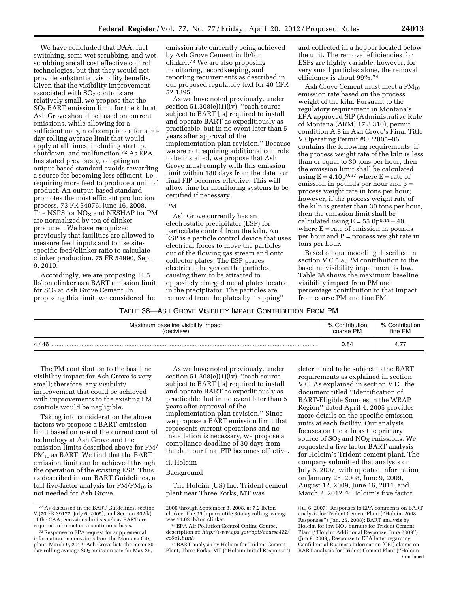We have concluded that DAA, fuel switching, semi-wet scrubbing, and wet scrubbing are all cost effective control technologies, but that they would not provide substantial visibility benefits. Given that the visibility improvement associated with SO<sub>2</sub> controls are relatively small, we propose that the SO2 BART emission limit for the kiln at Ash Grove should be based on current emissions, while allowing for a sufficient margin of compliance for a 30 day rolling average limit that would apply at all times, including startup, shutdown, and malfunction.72 As EPA has stated previously, adopting an output-based standard avoids rewarding a source for becoming less efficient, i.e., requiring more feed to produce a unit of product. An output-based standard promotes the most efficient production process. 73 FR 34076, June 16, 2008. The NSPS for  $NO<sub>X</sub>$  and NESHAP for PM are normalized by ton of clinker produced. We have recognized previously that facilities are allowed to measure feed inputs and to use sitespecific feed/clinker ratio to calculate clinker production. 75 FR 54990, Sept. 9, 2010.

Accordingly, we are proposing 11.5 lb/ton clinker as a BART emission limit for SO<sub>2</sub> at Ash Grove Cement. In proposing this limit, we considered the

emission rate currently being achieved by Ash Grove Cement in lb/ton clinker.73 We are also proposing monitoring, recordkeeping, and reporting requirements as described in our proposed regulatory text for 40 CFR 52.1395.

As we have noted previously, under section  $51.308(e)(1)(iv)$ , "each source subject to BART [is] required to install and operate BART as expeditiously as practicable, but in no event later than 5 years after approval of the implementation plan revision.'' Because we are not requiring additional controls to be installed, we propose that Ash Grove must comply with this emission limit within 180 days from the date our final FIP becomes effective. This will allow time for monitoring systems to be certified if necessary.

#### PM

Ash Grove currently has an electrostatic precipitator (ESP) for particulate control from the kiln. An ESP is a particle control device that uses electrical forces to move the particles out of the flowing gas stream and onto collector plates. The ESP places electrical charges on the particles, causing them to be attracted to oppositely charged metal plates located in the precipitator. The particles are removed from the plates by ''rapping''

and collected in a hopper located below the unit. The removal efficiencies for ESPs are highly variable; however, for very small particles alone, the removal efficiency is about 99%.74

Ash Grove Cement must meet a PM<sub>10</sub> emission rate based on the process weight of the kiln. Pursuant to the regulatory requirement in Montana's EPA approved SIP (Administrative Rule of Montana (ARM) 17.8.310), permit condition A.8 in Ash Grove's Final Title V Operating Permit #OP2005–06 contains the following requirements: if the process weight rate of the kiln is less than or equal to 30 tons per hour, then the emission limit shall be calculated using  $E = 4.10p^{0.67}$  where  $E =$  rate of emission in pounds per hour and p = process weight rate in tons per hour; however, if the process weight rate of the kiln is greater than 30 tons per hour, then the emission limit shall be calculated using  $E = 55.0p^{0.11} - 40$ , where  $E =$  rate of emission in pounds per hour and  $P =$  process weight rate in tons per hour.

Based on our modeling described in section V.C.3.a, PM contribution to the baseline visibility impairment is low. Table 38 shows the maximum baseline visibility impact from PM and percentage contribution to that impact from coarse PM and fine PM.

#### TABLE 38—ASH GROVE VISIBILITY IMPACT CONTRIBUTION FROM PM

| Maximum baseline visibility impact | % Contribution | % Contribution |
|------------------------------------|----------------|----------------|
| (deciview)                         | coarse PM      | fine PM        |
| 4.446                              | 0.84           | 4.1            |

The PM contribution to the baseline visibility impact for Ash Grove is very small; therefore, any visibility improvement that could be achieved with improvements to the existing PM controls would be negligible.

Taking into consideration the above factors we propose a BART emission limit based on use of the current control technology at Ash Grove and the emission limits described above for PM/  $PM_{10}$  as BART. We find that the BART emission limit can be achieved through the operation of the existing ESP. Thus, as described in our BART Guidelines, a full five-factor analysis for  $PM/PM_{10}$  is not needed for Ash Grove.

As we have noted previously, under section  $51.308(e)(1)(iv)$ , "each source subject to BART [is] required to install and operate BART as expeditiously as practicable, but in no event later than 5 years after approval of the implementation plan revision.'' Since we propose a BART emission limit that represents current operations and no installation is necessary, we propose a compliance deadline of 30 days from the date our final FIP becomes effective.

#### ii. Holcim

#### Background

The Holcim (US) Inc. Trident cement plant near Three Forks, MT was

determined to be subject to the BART requirements as explained in section V.C. As explained in section V.C., the document titled ''Identification of BART-Eligible Sources in the WRAP Region'' dated April 4, 2005 provides more details on the specific emission units at each facility. Our analysis focuses on the kiln as the primary source of  $SO<sub>2</sub>$  and  $NO<sub>X</sub>$  emissions. We requested a five factor BART analysis for Holcim's Trident cement plant. The company submitted that analysis on July 6, 2007, with updated information on January 25, 2008, June 9, 2009, August 12, 2009, June 16, 2011, and March 2, 2012.75 Holcim's five factor

<sup>72</sup>As discussed in the BART Guidelines, section V (70 FR 39172, July 6, 2005), and Section 302(k) of the CAA, emissions limits such as BART are required to be met on a continuous basis.

<sup>73</sup>Response to EPA request for supplemental information on emissions from the Montana City plant, March 9, 2012. Ash Grove lists the mean 30-<br>day rolling average SO<sub>2</sub> emission rate for May 26,

<sup>2006</sup> through September 8, 2008, at 7.2 lb/ton clinker. The 99th percentile 30-day rolling average was 11.02 lb/ton clinker.

<sup>74</sup>EPA Air Pollution Control Online Course, description at: *[http://www.epa.gov/apti/course422/](http://www.epa.gov/apti/course422/ce6a1.html)  [ce6a1.html.](http://www.epa.gov/apti/course422/ce6a1.html)* 

<sup>75</sup>BART analysis by Holcim for Trident Cement Plant, Three Forks, MT (''Holcim Initial Response'')

<sup>(</sup>Jul 6, 2007); Responses to EPA comments on BART analysis for Trident Cement Plant (''Holcim 2008 Responses'') (Jan. 25, 2008); BART analysis by Holcim for low  $NO<sub>X</sub>$  burners for Trident Cement Plant (''Holcim Additional Response, June 2009'') (Jun 9, 2009); Response to EPA letter regarding Confidential Business Information (CBI) claims on BART analysis for Trident Cement Plant (''Holcim Continued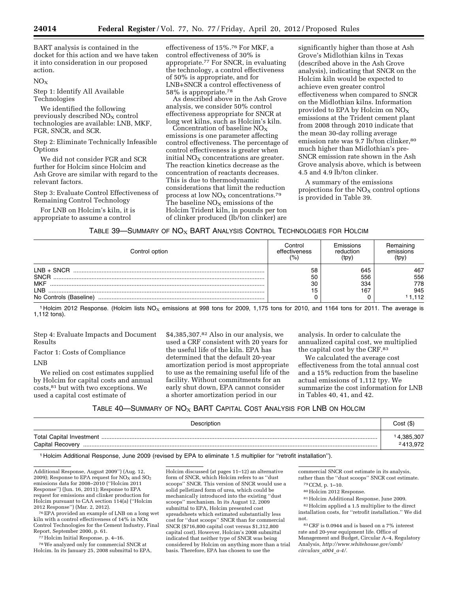BART analysis is contained in the docket for this action and we have taken it into consideration in our proposed action.

#### $NO<sub>X</sub>$

Step 1: Identify All Available Technologies

We identified the following previously described  $NO<sub>x</sub>$  control technologies are available: LNB, MKF, FGR, SNCR, and SCR.

Step 2: Eliminate Technically Infeasible **Options** 

We did not consider FGR and SCR further for Holcim since Holcim and Ash Grove are similar with regard to the relevant factors.

Step 3: Evaluate Control Effectiveness of Remaining Control Technology

For LNB on Holcim's kiln, it is appropriate to assume a control

effectiveness of 15%.76 For MKF, a control effectiveness of 30% is appropriate.77 For SNCR, in evaluating the technology, a control effectiveness of 50% is appropriate, and for LNB+SNCR a control effectiveness of 58% is appropriate.78

As described above in the Ash Grove analysis, we consider 50% control effectiveness appropriate for SNCR at long wet kilns, such as Holcim's kiln.

Concentration of baseline  $NO<sub>X</sub>$ emissions is one parameter affecting control effectiveness. The percentage of control effectiveness is greater when initial  $NO<sub>x</sub>$  concentrations are greater. The reaction kinetics decrease as the concentration of reactants decreases. This is due to thermodynamic considerations that limit the reduction process at low  $NO<sub>x</sub>$  concentrations.<sup>79</sup> The baseline  $NO<sub>X</sub>$  emissions of the Holcim Trident kiln, in pounds per ton of clinker produced (lb/ton clinker) are

significantly higher than those at Ash Grove's Midlothian kilns in Texas (described above in the Ash Grove analysis), indicating that SNCR on the Holcim kiln would be expected to achieve even greater control effectiveness when compared to SNCR on the Midlothian kilns. Information provided to EPA by Holcim on NOX emissions at the Trident cement plant from 2008 through 2010 indicate that the mean 30-day rolling average emission rate was 9.7 lb/ton clinker,<sup>80</sup> much higher than Midlothian's pre-SNCR emission rate shown in the Ash Grove analysis above, which is between 4.5 and 4.9 lb/ton clinker.

A summary of the emissions projections for the  $NO<sub>X</sub>$  control options is provided in Table 39.

#### TABLE 39-SUMMARY OF NO<sub>X</sub> BART ANALYSIS CONTROL TECHNOLOGIES FOR HOLCIM

| Control option                                                              | Control         | Emissions                | Hemaining                        |
|-----------------------------------------------------------------------------|-----------------|--------------------------|----------------------------------|
|                                                                             | effectiveness   | reduction                | emissions                        |
|                                                                             | $\frac{(9)}{0}$ | (tpy)                    | (tpy)                            |
| $LNB + SNCR$<br><b>SNCR</b><br><b>MKF</b><br>I NB<br>No Controls (Baseline) | 58<br>50<br>30  | 645<br>556<br>334<br>167 | 467<br>556<br>778<br>945<br>.112 |

1 Holcim 2012 Response. (Holcim lists  $NO_X$  emissions at 998 tons for 2009, 1,175 tons for 2010, and 1164 tons for 2011. The average is 1,112 tons).

Step 4: Evaluate Impacts and Document Results

Factor 1: Costs of Compliance

LNB

We relied on cost estimates supplied by Holcim for capital costs and annual costs,81 but with two exceptions. We used a capital cost estimate of

\$4,385,307.82 Also in our analysis, we used a CRF consistent with 20 years for the useful life of the kiln. EPA has determined that the default 20-year amortization period is most appropriate to use as the remaining useful life of the facility. Without commitments for an early shut down, EPA cannot consider a shorter amortization period in our

analysis. In order to calculate the annualized capital cost, we multiplied the capital cost by the CRF.83

We calculated the average cost effectiveness from the total annual cost and a 15% reduction from the baseline actual emissions of 1,112 tpy. We summarize the cost information for LNB in Tables 40, 41, and 42.

# TABLE 40—SUMMARY OF  $NO<sub>x</sub>$  BART CAPITAL COST ANALYSIS FOR LNB ON HOLCIM

| Description      | Cost(S)                           |
|------------------|-----------------------------------|
| Capital Recovery | 4,385,307<br><sup>2</sup> 413,972 |

1 Holcim Additional Response, June 2009 (revised by EPA to eliminate 1.5 multiplier for ''retrofit installation'').

Additional Response, August 2009'') (Aug. 12, 2009); Response to EPA request for  $NO<sub>x</sub>$  and  $SO<sub>2</sub>$ emissions data for 2008–2010 (''Holcim 2011 Response'') (Jun. 16, 2011); Response to EPA request for emissions and clinker production for Holcim pursuant to CAA section 114(a) (''Holcim 2012 Response'') (Mar. 2, 2012).

76EPA provided an example of LNB on a long wet kiln with a control effectiveness of 14% in NOx Control Technologies for the Cement Industry, Final Report, September 2000, p. 61.

77Holcim Initial Response, p. 4–16.

78We analyzed only for commercial SNCR at Holcim. In its January 25, 2008 submittal to EPA, Holcim discussed (at pages 11–12) an alternative form of SNCR, which Holcim refers to as ''dust scoops'' SNCR. This version of SNCR would use a solid pelletized form of urea, which could be mechanically introduced into the existing ''dust scoops'' mechanism. In its August 12, 2009 submittal to EPA, Holcim presented cost spreadsheets which estimated substantially less cost for ''dust scoops'' SNCR than for commercial SNCR (\$716,800 capital cost versus \$1,312,800 capital cost). However, Holcim's 2008 submittal indicated that neither type of SNCR was being considered by Holcim on anything more than a trial basis. Therefore, EPA has chosen to use the

commercial SNCR cost estimate in its analysis, rather than the ''dust scoops'' SNCR cost estimate.

79CCM, p. 1–10.

80Holcim 2012 Response.

81Holcim Additional Response, June 2009.

82Holcim applied a 1.5 multiplier to the direct installation costs, for ''retrofit installation.'' We did not.

 $^{83}\mathrm{CRF}$  is 0.0944 and is based on a 7% interest rate and 20-year equipment life. Office of Management and Budget, Circular A–4, Regulatory Analysis, *[http://www.whitehouse.gov/omb/](http://www.whitehouse.gov/omb/circulars_a004_a-4/) [circulars](http://www.whitehouse.gov/omb/circulars_a004_a-4/)*\_*a004*\_*a-4/.*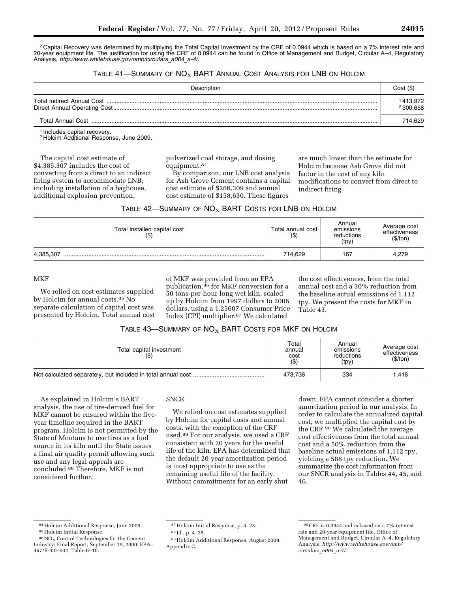2 Capital Recovery was determined by multiplying the Total Capital Investment by the CRF of 0.0944 which is based on a 7% interest rate and 20-year equipment life. The justification for using the CRF of 0.0944 can be found in Office of Management and Budget, Circular A–4, Regulatory Analysis, *[http://www.whitehouse.gov/omb/circulars](http://www.whitehouse.gov/omb/circulars_a004_a-4/)*\_*a004*\_*a-4/.* 

# TABLE 41-SUMMARY OF  $NO<sub>X</sub>$  BART ANNUAL COST ANALYSIS FOR LNB ON HOLCIM

| Description | Cost(S)              |
|-------------|----------------------|
|             | 1413,972<br>2300,658 |
|             | 714.629              |

1 Includes capital recovery.

2 Holcim Additional Response, June 2009.

The capital cost estimate of \$4,385,307 includes the cost of converting from a direct to an indirect firing system to accommodate LNB, including installation of a baghouse, additional explosion prevention,

pulverized coal storage, and dosing equipment.84

By comparison, our LNB cost analysis for Ash Grove Cement contains a capital cost estimate of \$266,309 and annual cost estimate of \$158,630. These figures

are much lower than the estimate for Holcim because Ash Grove did not factor in the cost of any kiln modifications to convert from direct to indirect firing.

| TABLE 42—SUMMARY OF $\mathsf{NO}_{\mathsf{X}}$ BART COSTS FOR LNB ON HOLCIM |
|-----------------------------------------------------------------------------|
|-----------------------------------------------------------------------------|

| Total installed capital cost<br>(\$) | Total annual cost<br>( \$ ) | Annual<br>emissions<br>reductions<br>(tpy) | Average cost<br>effectiveness<br>(\$/ton) |
|--------------------------------------|-----------------------------|--------------------------------------------|-------------------------------------------|
| 4,385,307                            | 714,629                     | 167                                        | 4,279                                     |

#### **MKF**

We relied on cost estimates supplied by Holcim for annual costs.85 No separate calculation of capital cost was presented by Holcim. Total annual cost of MKF was provided from an EPA publication,86 for MKF conversion for a 50 tons-per-hour long wet kiln, scaled up by Holcim from 1997 dollars to 2006 dollars, using a 1.25607 Consumer Price Index (CPI) multiplier.87 We calculated

the cost effectiveness, from the total annual cost and a 30% reduction from the baseline actual emissions of 1,112 tpy. We present the costs for MKF in Table 43.

#### TABLE 43-SUMMARY OF  $NO<sub>X</sub>$  BART COSTS FOR MKF ON HOLCIM

| Total capital investment | Total<br>annual<br>cost<br>(3) | Annual<br>emissions<br>reductions<br>(tpy) | Average cost<br>effectiveness<br>(\$/ton) |
|--------------------------|--------------------------------|--------------------------------------------|-------------------------------------------|
|                          | 473.738                        | 334                                        | 1.418                                     |

As explained in Holcim's BART analysis, the use of tire-derived fuel for MKF cannot be ensured within the fiveyear timeline required in the BART program. Holcim is not permitted by the State of Montana to use tires as a fuel source in its kiln until the State issues a final air quality permit allowing such use and any legal appeals are concluded.88 Therefore, MKF is not considered further.

# **SNCR**

We relied on cost estimates supplied by Holcim for capital costs and annual costs, with the exception of the CRF used.89 For our analysis, we used a CRF consistent with 20 years for the useful life of the kiln. EPA has determined that the default 20-year amortization period is most appropriate to use as the remaining useful life of the facility. Without commitments for an early shut

down, EPA cannot consider a shorter amortization period in our analysis. In order to calculate the annualized capital cost, we multiplied the capital cost by the CRF.90 We calculated the average cost effectiveness from the total annual cost and a 50% reduction from the baseline actual emissions of 1,112 tpy, yielding a 588 tpy reduction. We summarize the cost information from our SNCR analysis in Tables 44, 45, and 46.

<sup>&</sup>lt;sup>84</sup> Holcim Additional Response, June 2009.<br><sup>85</sup> Holcim Initial Response.<br><sup>86</sup> NO<sub>X</sub> Control Technologies for the Cement

Industry: Final Report, September 19, 2000, EPA– 457/R–00–002, Table 6–10.

<sup>87</sup>Holcim Initial Response, p. 4–23.

<sup>88</sup> Id., p. 4–25.

<sup>89</sup>Holcim Additional Response, August 2009, Appendix C.

 $^{90}\mathrm{CRF}$  is 0.0944 and is based on a 7% interest rate and 20-year equipment life. Office of Management and Budget, Circular A–4, Regulatory Analysis, *[http://www.whitehouse.gov/omb/](http://www.whitehouse.gov/omb/circulars_a004_a-4/) [circulars](http://www.whitehouse.gov/omb/circulars_a004_a-4/)*\_*a004*\_*a-4/.*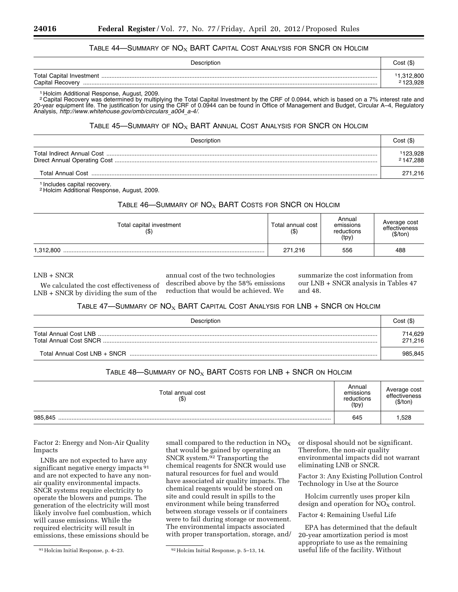#### TABLE 44—SUMMARY OF  $NO<sub>X</sub>$  BART CAPITAL COST ANALYSIS FOR SNCR ON HOLCIM

| Description      | Cost (\$)            |
|------------------|----------------------|
| Capital Recovery | 1,312,800<br>123.928 |

1 Holcim Additional Response, August, 2009.

2 Capital Recovery was determined by multiplying the Total Capital Investment by the CRF of 0.0944, which is based on a 7% interest rate and 20-year equipment life. The justification for using the CRF of 0.0944 can be found in Office of Management and Budget, Circular A–4, Regulatory Analysis, *[http://www.whitehouse.gov/omb/circulars](http://www.whitehouse.gov/omb/circulars_a004_a-4/)*\_*a004*\_*a-4/.* 

#### TABLE 45—SUMMARY OF  $NO_X$  BART ANNUAL COST ANALYSIS FOR SNCR ON HOLCIM

| Description | Cost(S)             |
|-------------|---------------------|
|             | 123,928<br>2147.288 |
|             | 271.216             |

1 Includes capital recovery.

<sup>2</sup> Holcim Additional Response, August, 2009.

# TABLE 46-SUMMARY OF  $NO<sub>X</sub>$  BART COSTS FOR SNCR ON HOLCIM

| Total capital investment<br>(\$) | Total annual cost<br>$($ \$) | Annual<br>emissions<br>reductions<br>(tpy) | Average cost<br>effectiveness<br>(\$/ton) |
|----------------------------------|------------------------------|--------------------------------------------|-------------------------------------------|
| 1,312,800                        | 271.216                      | 556                                        | 488                                       |

LNB + SNCR

We calculated the cost effectiveness of LNB + SNCR by dividing the sum of the

annual cost of the two technologies described above by the 58% emissions reduction that would be achieved. We

summarize the cost information from our LNB + SNCR analysis in Tables 47 and 48.

# TABLE 47-SUMMARY OF  $NO_X$  BART CAPITAL COST ANALYSIS FOR LNB + SNCR ON HOLCIM

| Description                   | Cost(S)            |
|-------------------------------|--------------------|
| Total Annual Cost LNB         | 714,629<br>271.216 |
| Total Annual Cost I NB + SNCR | 985.845            |

# TABLE 48—SUMMARY OF  $NO<sub>X</sub>$  BART COSTS FOR LNB + SNCR ON HOLCIM

| Total annual cost<br>$($ \$ | Annual<br>emissions<br>reductions<br>(tpy) | Average cost<br>effectiveness<br>(\$/ton) |
|-----------------------------|--------------------------------------------|-------------------------------------------|
| 985,845                     | 645                                        | .528                                      |

Factor 2: Energy and Non-Air Quality Impacts

LNBs are not expected to have any significant negative energy impacts<sup>91</sup> and are not expected to have any nonair quality environmental impacts. SNCR systems require electricity to operate the blowers and pumps. The generation of the electricity will most likely involve fuel combustion, which will cause emissions. While the required electricity will result in emissions, these emissions should be

small compared to the reduction in  $NO<sub>x</sub>$ that would be gained by operating an SNCR system.92 Transporting the chemical reagents for SNCR would use natural resources for fuel and would have associated air quality impacts. The chemical reagents would be stored on site and could result in spills to the environment while being transferred between storage vessels or if containers were to fail during storage or movement. The environmental impacts associated with proper transportation, storage, and/ or disposal should not be significant. Therefore, the non-air quality environmental impacts did not warrant eliminating LNB or SNCR.

Factor 3: Any Existing Pollution Control Technology in Use at the Source

Holcim currently uses proper kiln design and operation for  $NO<sub>X</sub>$  control.

Factor 4: Remaining Useful Life

EPA has determined that the default 20-year amortization period is most appropriate to use as the remaining useful life of the facility. Without

<sup>91</sup>Holcim Initial Response, p. 4–23. 92Holcim Initial Response, p. 5–13, 14.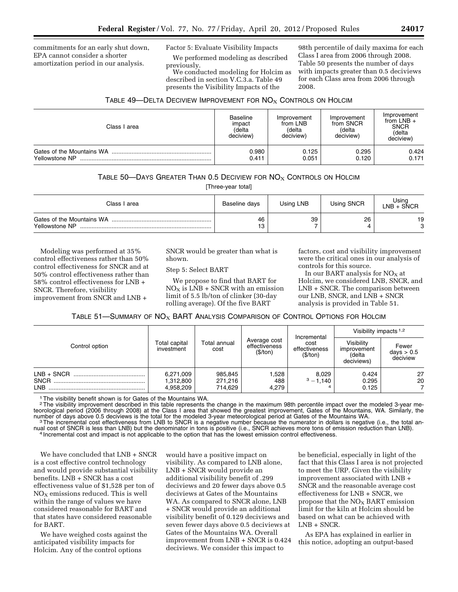commitments for an early shut down, EPA cannot consider a shorter amortization period in our analysis.

Factor 5: Evaluate Visibility Impacts

We performed modeling as described previously.

We conducted modeling for Holcim as described in section V.C.3.a. Table 49 presents the Visibility Impacts of the

98th percentile of daily maxima for each Class I area from 2006 through 2008. Table 50 presents the number of days with impacts greater than 0.5 deciviews for each Class area from 2006 through 2008.

# TABLE 49—DELTA DECIVIEW IMPROVEMENT FOR  $NO<sub>X</sub>$  Controls on Holcim

| Class I area              | <b>Baseline</b><br>impact<br>(delta<br>deciview) | Improvement<br>from LNB<br>(delta<br>deciview) | Improvement<br>from SNCR<br>(delta<br>deciview) | Improvement<br>from $LNB +$<br><b>SNCR</b><br>(delta<br>deciview) |
|---------------------------|--------------------------------------------------|------------------------------------------------|-------------------------------------------------|-------------------------------------------------------------------|
| Gates of the Mountains WA | 0.980                                            | 0.125                                          | 0.295                                           | 0.424                                                             |
| Yellowstone NP            | 0.411                                            | 0.051                                          | 0.120                                           | 0.171                                                             |

# TABLE 50—DAYS GREATER THAN 0.5 DECIVIEW FOR  $NO<sub>X</sub>$  Controls on Holcim

[Three-year total]

| Class I area                                | Baseline days | Using LNB | Using SNCR | Using<br>LNB + SÑCR |
|---------------------------------------------|---------------|-----------|------------|---------------------|
| Gates of the Mountains WA<br>Yellowstone NP | 46<br>I O     | 39        | 26         | 19<br>c             |

Modeling was performed at 35% control effectiveness rather than 50% control effectiveness for SNCR and at 50% control effectiveness rather than 58% control effectiveness for LNB + SNCR. Therefore, visibility improvement from SNCR and LNB +

SNCR would be greater than what is shown.

#### Step 5: Select BART

We propose to find that BART for  $NO<sub>X</sub>$  is LNB + SNCR with an emission limit of 5.5 lb/ton of clinker (30-day rolling average). Of the five BART

factors, cost and visibility improvement were the critical ones in our analysis of controls for this source.

In our BART analysis for  $NO<sub>x</sub>$  at Holcim, we considered LNB, SNCR, and LNB + SNCR. The comparison between our LNB, SNCR, and LNB + SNCR analysis is provided in Table 51.

# TABLE 51—SUMMARY OF  $NO<sub>X</sub>$  BART ANALYSIS COMPARISON OF CONTROL OPTIONS FOR HOLCIM

|                    |                                     |                               |                                           |                                                  | Visibility impacts $1,2$                          |                                   |
|--------------------|-------------------------------------|-------------------------------|-------------------------------------------|--------------------------------------------------|---------------------------------------------------|-----------------------------------|
| Control option     | Total capital<br>investment         | Total annual<br>cost          | Average cost<br>effectiveness<br>(\$/ton) | Incremental<br>cost<br>effectiveness<br>(\$/ton) | Visibilitv<br>improvement<br>(delta<br>deciviews) | Fewer<br>days $> 0.5$<br>deciview |
| SNCR<br><b>LNB</b> | 6,271,009<br>1,312,800<br>4,958,209 | 985,845<br>271,216<br>714.629 | 1,528<br>488<br>4,279                     | 8.029<br>$3 - 1.140$                             | 0.424<br>0.295<br>0.125                           | 27<br>20                          |

The visibility benefit shown is for Gates of the Mountains WA.

<sup>2</sup>The visibility improvement described in this table represents the change in the maximum 98th percentile impact over the modeled 3-year meteorological period (2006 through 2008) at the Class I area that showed the greatest improvement, Gates of the Mountains, WA. Similarly, the a mumber of days above 0.5 deciviews is the total for the modeled 3-year meteorological period at Gates of the Mountains WA.<br><sup>3</sup>The incremental cost effectiveness from LNB to SNCR is a negative number because the numerator

nual cost of SNCR is less than LNB) but the denominator in tons is positive (i.e., SNCR achieves more tons of emission reduction than LNB).<br><sup>4</sup> Incremental cost and impact is not applicable to the option that has the lowes

We have concluded that LNB + SNCR is a cost effective control technology and would provide substantial visibility benefits. LNB + SNCR has a cost effectiveness value of \$1,528 per ton of  $NO<sub>X</sub>$  emissions reduced. This is well within the range of values we have considered reasonable for BART and that states have considered reasonable for BART.

We have weighed costs against the anticipated visibility impacts for Holcim. Any of the control options

would have a positive impact on visibility. As compared to LNB alone, LNB + SNCR would provide an additional visibility benefit of .299 deciviews and 20 fewer days above 0.5 deciviews at Gates of the Mountains WA. As compared to SNCR alone, LNB + SNCR would provide an additional visibility benefit of 0.129 deciviews and seven fewer days above 0.5 deciviews at Gates of the Mountains WA. Overall improvement from LNB + SNCR is 0.424 deciviews. We consider this impact to

be beneficial, especially in light of the fact that this Class I area is not projected to meet the URP. Given the visibility improvement associated with LNB + SNCR and the reasonable average cost effectiveness for LNB + SNCR, we propose that the  $NO<sub>X</sub>$  BART emission limit for the kiln at Holcim should be based on what can be achieved with LNB + SNCR.

As EPA has explained in earlier in this notice, adopting an output-based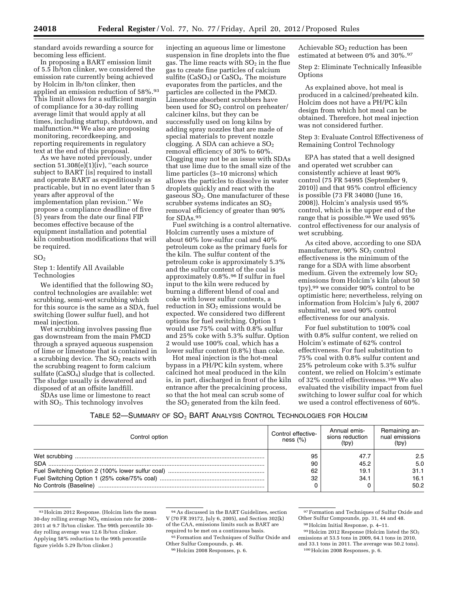standard avoids rewarding a source for becoming less efficient.

In proposing a BART emission limit of 5.5 lb/ton clinker, we considered the emission rate currently being achieved by Holcim in lb/ton clinker, then applied an emission reduction of 58%.93 This limit allows for a sufficient margin of compliance for a 30-day rolling average limit that would apply at all times, including startup, shutdown, and malfunction.94 We also are proposing monitoring, recordkeeping, and reporting requirements in regulatory text at the end of this proposal.

As we have noted previously, under section 51.308(e)(1)(iv), ''each source subject to BART [is] required to install and operate BART as expeditiously as practicable, but in no event later than 5 years after approval of the implementation plan revision.'' We propose a compliance deadline of five (5) years from the date our final FIP becomes effective because of the equipment installation and potential kiln combustion modifications that will be required.

### $SO<sub>2</sub>$

Step 1: Identify All Available Technologies

We identified that the following  $SO<sub>2</sub>$ control technologies are available: wet scrubbing, semi-wet scrubbing which for this source is the same as a SDA, fuel switching (lower sulfur fuel), and hot meal injection.

Wet scrubbing involves passing flue gas downstream from the main PMCD through a sprayed aqueous suspension of lime or limestone that is contained in a scrubbing device. The  $SO<sub>2</sub>$  reacts with the scrubbing reagent to form calcium sulfate  $(CaSO<sub>4</sub>)$  sludge that is collected. The sludge usually is dewatered and disposed of at an offsite landfill.

SDAs use lime or limestone to react with  $SO<sub>2</sub>$ . This technology involves

injecting an aqueous lime or limestone suspension in fine droplets into the flue gas. The lime reacts with  $SO<sub>2</sub>$  in the flue gas to create fine particles of calcium sulfite  $(CaSO<sub>3</sub>)$  or  $CaSO<sub>4</sub>$ . The moisture evaporates from the particles, and the particles are collected in the PMCD. Limestone absorbent scrubbers have been used for SO<sub>2</sub> control on preheater/ calciner kilns, but they can be successfully used on long kilns by adding spray nozzles that are made of special materials to prevent nozzle clogging. A SDA can achieve a  $SO<sub>2</sub>$ removal efficiency of 30% to 60%. Clogging may not be an issue with SDAs that use lime due to the small size of the lime particles (3–10 microns) which allows the particles to dissolve in water droplets quickly and react with the gaseous SO2. One manufacturer of these scrubber systems indicates an  $SO<sub>2</sub>$ removal efficiency of greater than 90% for SDAs.95

Fuel switching is a control alternative. Holcim currently uses a mixture of about 60% low-sulfur coal and 40% petroleum coke as the primary fuels for the kiln. The sulfur content of the petroleum coke is approximately 5.3% and the sulfur content of the coal is approximately 0.8%.96 If sulfur in fuel input to the kiln were reduced by burning a different blend of coal and coke with lower sulfur contents, a reduction in  $SO<sub>2</sub>$  emissions would be expected. We considered two different options for fuel switching. Option 1 would use 75% coal with 0.8% sulfur and 25% coke with 5.3% sulfur. Option 2 would use 100% coal, which has a lower sulfur content (0.8%) than coke.

Hot meal injection is the hot-meal bypass in a PH/PC kiln system, where calcined hot meal produced in the kiln is, in part, discharged in front of the kiln entrance after the precalcining process, so that the hot meal can scrub some of the  $SO<sub>2</sub>$  generated from the kiln feed.

Achievable  $SO<sub>2</sub>$  reduction has been estimated at between 0% and 30%.97

Step 2: Eliminate Technically Infeasible Options

As explained above, hot meal is produced in a calcined/preheated kiln. Holcim does not have a PH/PC kiln design from which hot meal can be obtained. Therefore, hot meal injection was not considered further.

Step 3: Evaluate Control Effectiveness of Remaining Control Technology

EPA has stated that a well designed and operated wet scrubber can consistently achieve at least 90% control (75 FR 54995 (September 9, 2010)) and that 95% control efficiency is possible (73 FR 34080 (June 16, 2008)). Holcim's analysis used 95% control, which is the upper end of the range that is possible.<sup>98</sup> We used  $95\%$ control effectiveness for our analysis of wet scrubbing.

As cited above, according to one SDA manufacturer, 90% SO<sub>2</sub> control effectiveness is the minimum of the range for a SDA with lime absorbent medium. Given the extremely low  $SO<sub>2</sub>$ emissions from Holcim's kiln (about 50 tpy),99 we consider 90% control to be optimistic here; nevertheless, relying on information from Holcim's July 6, 2007 submittal, we used 90% control effectiveness for our analysis.

For fuel substitution to 100% coal with 0.8% sulfur content, we relied on Holcim's estimate of 62% control effectiveness. For fuel substitution to 75% coal with 0.8% sulfur content and 25% petroleum coke with 5.3% sulfur content, we relied on Holcim's estimate of 32% control effectiveness.100 We also evaluated the visibility impact from fuel switching to lower sulfur coal for which we used a control effectiveness of 60%.

#### TABLE 52—SUMMARY OF SO2 BART ANALYSIS CONTROL TECHNOLOGIES FOR HOLCIM

| Control option         | Control effective-<br>ness $(\%)$ | Annual emis-<br>sions reduction<br>(tpy) | Remaining an-<br>nual emissions<br>(tpy) |
|------------------------|-----------------------------------|------------------------------------------|------------------------------------------|
|                        | 95                                | 47.7                                     | 2.5                                      |
| SDA                    | 90                                | 45.2                                     | 5.0                                      |
|                        | 62                                | 19.1                                     | 31.1                                     |
|                        | 32                                | 34.7                                     | 16.1                                     |
| No Controls (Baseline) |                                   |                                          | 50.2                                     |

<sup>93</sup>Holcim 2012 Response. (Holcim lists the mean 30-day rolling average  $NO<sub>x</sub>$  emission rate for 2008– 2011 at 9.7 lb/ton clinker. The 99th percentile 30 day rolling average was 12.6 lb/ton clinker. Applying 58% reduction to the 99th percentile figure yields 5.29 lb/ton clinker.)

96Holcim 2008 Responses, p. 6.

<sup>94</sup>As discussed in the BART Guidelines, section V (70 FR 39172, July 6, 2005), and Section 302(k) of the CAA, emissions limits such as BART are required to be met on a continuous basis.

<sup>95</sup> Formation and Techniques of Sulfur Oxide and Other Sulfur Compounds, p. 46.

<sup>97</sup>Formation and Techniques of Sulfur Oxide and Other Sulfur Compounds, pp. 31, 44 and 48.

<sup>98</sup>Holcim Initial Response, p. 4–11.

<sup>99</sup>Holcim 2012 Response (Holcim listed the SO<sup>2</sup> emissions at 53.5 tons in 2009, 64.1 tons in 2010, and 33.1 tons in 2011. The average was 50.2 tons). 100Holcim 2008 Responses, p. 6.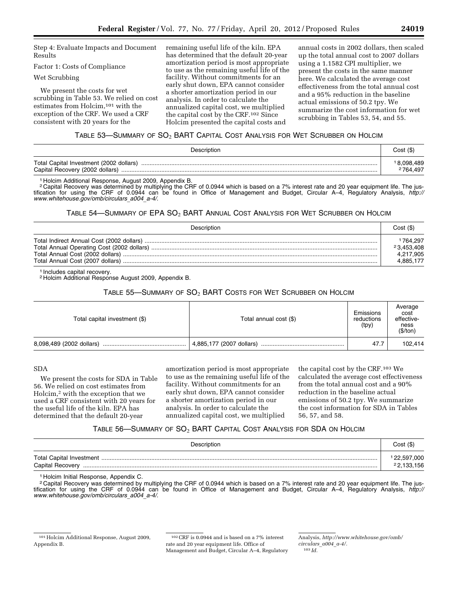Step 4: Evaluate Impacts and Document Results

# Factor 1: Costs of Compliance

#### Wet Scrubbing

We present the costs for wet scrubbing in Table 53. We relied on cost estimates from Holcim,<sup>101</sup> with the exception of the CRF. We used a CRF consistent with 20 years for the

remaining useful life of the kiln. EPA has determined that the default 20-year amortization period is most appropriate to use as the remaining useful life of the facility. Without commitments for an early shut down, EPA cannot consider a shorter amortization period in our analysis. In order to calculate the annualized capital cost, we multiplied the capital cost by the CRF.102 Since Holcim presented the capital costs and

annual costs in 2002 dollars, then scaled up the total annual cost to 2007 dollars using a 1.1582 CPI multiplier, we present the costs in the same manner here. We calculated the average cost effectiveness from the total annual cost and a 95% reduction in the baseline actual emissions of 50.2 tpy. We summarize the cost information for wet scrubbing in Tables 53, 54, and 55.

# TABLE 53—SUMMARY OF SO2 BART CAPITAL COST ANALYSIS FOR WET SCRUBBER ON HOLCIM

| Description                                                                | Cost (\$)                          |
|----------------------------------------------------------------------------|------------------------------------|
| Total Capital Investment (2002 dollars)<br>Capital Recovery (2002 dollars) | 18,098,489<br><sup>2</sup> 764.497 |

1 Holcim Additional Response, August 2009, Appendix B.

2 Capital Recovery was determined by multiplying the CRF of 0.0944 which is based on a 7% interest rate and 20 year equipment life. The justification for using the CRF of 0.0944 can be found in Office of Management and Budget, Circular A–4, Regulatory Analysis, *[http://](http://www.whitehouse.gov/omb/circulars_a004_a-4/) [www.whitehouse.gov/omb/circulars](http://www.whitehouse.gov/omb/circulars_a004_a-4/)*\_*a004*\_*a-4/*.

#### TABLE 54—SUMMARY OF EPA SO2 BART ANNUAL COST ANALYSIS FOR WET SCRUBBER ON HOLCIM

| Description                      | Cost(S)                                         |
|----------------------------------|-------------------------------------------------|
| Total Annual Cost (2007 dollars) | 764.297<br>23.453.408<br>4,217,905<br>4.885.177 |

1 Includes capital recovery.

2 Holcim Additional Response August 2009, Appendix B.

# TABLE 55-SUMMARY OF SO<sub>2</sub> BART COSTS FOR WET SCRUBBER ON HOLCIM

| Total capital investment (\$) | Total annual cost (\$)   | Emissions<br>reductions<br>(tpy) | Average<br>cost<br>effective-<br>ness<br>(\$/ton) |
|-------------------------------|--------------------------|----------------------------------|---------------------------------------------------|
| 8,098,489 (2002 dollars)      | 4,885,177 (2007 dollars) | 47.7                             | 102,414                                           |

# SDA

We present the costs for SDA in Table 56. We relied on cost estimates from Holcim,2 with the exception that we used a CRF consistent with 20 years for the useful life of the kiln. EPA has determined that the default 20-year

amortization period is most appropriate to use as the remaining useful life of the facility. Without commitments for an early shut down, EPA cannot consider a shorter amortization period in our analysis. In order to calculate the annualized capital cost, we multiplied

the capital cost by the CRF.103 We calculated the average cost effectiveness from the total annual cost and a 90% reduction in the baseline actual emissions of 50.2 tpy. We summarize the cost information for SDA in Tables 56, 57, and 58.

# TABLE 56-SUMMARY OF SO<sub>2</sub> BART CAPITAL COST ANALYSIS FOR SDA ON HOLCIM

| Description      | Cost (\$)                |
|------------------|--------------------------|
| Capital Recovery | 22,597,000<br>22,133,156 |

1 Holcim Initial Response, Appendix C.

2 Capital Recovery was determined by multiplying the CRF of 0.0944 which is based on a 7% interest rate and 20 year equipment life. The justification for using the CRF of 0.0944 can be found in Office of Management and Budget, Circular A–4, Regulatory Analysis, *[http://](http://www.whitehouse.gov/omb/circulars_a004_a-4/)  [www.whitehouse.gov/omb/circulars](http://www.whitehouse.gov/omb/circulars_a004_a-4/)*\_*a004*\_*a-4/.* 

102CRF is 0.0944 and is based on a 7% interest rate and 20 year equipment life. Office of Management and Budget, Circular A–4, Regulatory Analysis, *[http://www.whitehouse.gov/omb/](http://www.whitehouse.gov/omb/circulars_a004_a-4/) [circulars](http://www.whitehouse.gov/omb/circulars_a004_a-4/)*\_*a004*\_*a-4/.*  103 *Id.* 

<sup>101</sup>Holcim Additional Response, August 2009, Appendix B.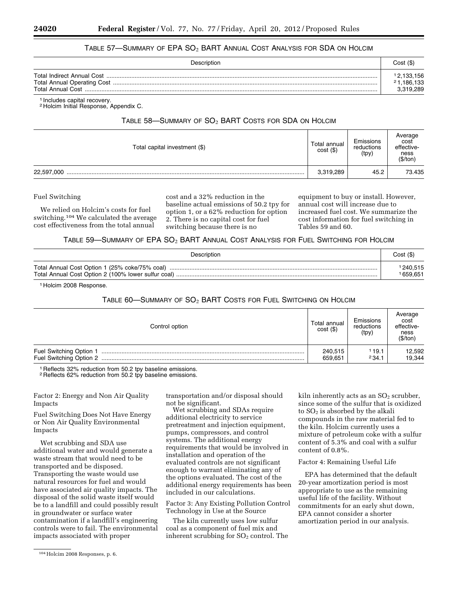## TABLE 57—SUMMARY OF EPA SO2 BART ANNUAL COST ANALYSIS FOR SDA ON HOLCIM

| Description              | Cost (\$)                             |
|--------------------------|---------------------------------------|
| <b>Total Annual Cost</b> | 12,133,156<br>21,186,133<br>3,319,289 |

1 Includes capital recovery.

2 Holcim Initial Response, Appendix C.

# TABLE 58-SUMMARY OF SO<sub>2</sub> BART COSTS FOR SDA ON HOLCIM

| Total capital investment (\$) | Total annual<br>$cost($ \$) | Emissions<br>reductions<br>(tpy) | Average<br>cost<br>effective-<br>ness<br>(\$/ton) |
|-------------------------------|-----------------------------|----------------------------------|---------------------------------------------------|
| 22,597,000                    | 3,319,289                   | 45.2                             | 73.435                                            |

Fuel Switching

We relied on Holcim's costs for fuel switching.104 We calculated the average cost effectiveness from the total annual

cost and a 32% reduction in the baseline actual emissions of 50.2 tpy for option 1, or a 62% reduction for option 2. There is no capital cost for fuel switching because there is no

equipment to buy or install. However, annual cost will increase due to increased fuel cost. We summarize the cost information for fuel switching in Tables 59 and 60.

TABLE 59—SUMMARY OF EPA SO2 BART ANNUAL COST ANALYSIS FOR FUEL SWITCHING FOR HOLCIM

| Description                                    | Cost(S)  |
|------------------------------------------------|----------|
| Total Annual Cost Option 1 (25% coke/75% coal) | 1240,515 |
|                                                | 1659.651 |

1 Holcim 2008 Response.

#### TABLE 60-SUMMARY OF SO<sub>2</sub> BART COSTS FOR FUEL SWITCHING ON HOLCIM

| Control option          |                    | Emissions<br>reductions<br>(tpy) | Average<br>cost<br>effective-<br>ness<br>(\$/ton) |  |
|-------------------------|--------------------|----------------------------------|---------------------------------------------------|--|
| Fuel Switching Option 1 | 240,515<br>659,651 | 19.1<br>234.1                    | 12,592<br>19,344                                  |  |

1 Reflects 32% reduction from 50.2 tpy baseline emissions.

<sup>2</sup> Reflects 62% reduction from 50.2 tpy baseline emissions.

Factor 2: Energy and Non Air Quality Impacts

Fuel Switching Does Not Have Energy or Non Air Quality Environmental Impacts

Wet scrubbing and SDA use additional water and would generate a waste stream that would need to be transported and be disposed. Transporting the waste would use natural resources for fuel and would have associated air quality impacts. The disposal of the solid waste itself would be to a landfill and could possibly result in groundwater or surface water contamination if a landfill's engineering controls were to fail. The environmental impacts associated with proper

104Holcim 2008 Responses, p. 6.

transportation and/or disposal should not be significant.

Wet scrubbing and SDAs require additional electricity to service pretreatment and injection equipment, pumps, compressors, and control systems. The additional energy requirements that would be involved in installation and operation of the evaluated controls are not significant enough to warrant eliminating any of the options evaluated. The cost of the additional energy requirements has been included in our calculations.

Factor 3: Any Existing Pollution Control Technology in Use at the Source

The kiln currently uses low sulfur coal as a component of fuel mix and inherent scrubbing for  $SO<sub>2</sub>$  control. The kiln inherently acts as an  $SO<sub>2</sub>$  scrubber, since some of the sulfur that is oxidized to  $SO<sub>2</sub>$  is absorbed by the alkali compounds in the raw material fed to the kiln. Holcim currently uses a mixture of petroleum coke with a sulfur content of 5.3% and coal with a sulfur content of 0.8%.

Factor 4: Remaining Useful Life

EPA has determined that the default 20-year amortization period is most appropriate to use as the remaining useful life of the facility. Without commitments for an early shut down, EPA cannot consider a shorter amortization period in our analysis.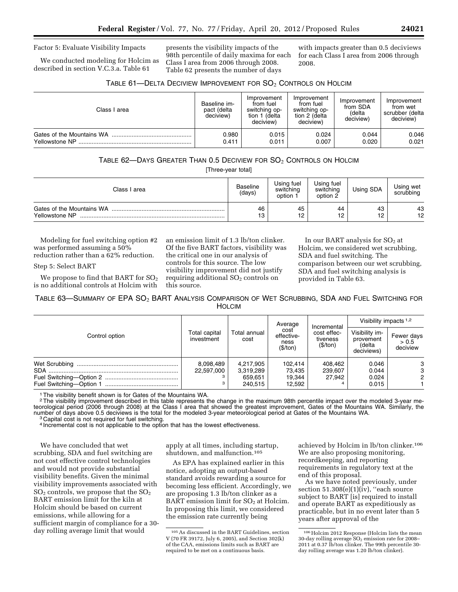#### Factor 5: Evaluate Visibility Impacts

We conducted modeling for Holcim as described in section V.C.3.a. Table 61

presents the visibility impacts of the 98th percentile of daily maxima for each Class I area from 2006 through 2008. Table 62 presents the number of days

with impacts greater than 0.5 deciviews for each Class I area from 2006 through 2008.

| TABLE 61—DELTA DECIVIEW IMPROVEMENT FOR $SO_2$ CONTROLS ON HOLCIM |
|-------------------------------------------------------------------|
|-------------------------------------------------------------------|

| Class I area   | Baseline im-<br>pact (delta<br>deciview) | Improvement<br>from fuel<br>switching op-<br>tion 1 (delta<br>deciview) | Improvement<br>from fuel<br>switching op-<br>tion 2 (delta<br>deciview) | Improvement<br>from SDA<br>(delta<br>deciview) | Improvement<br>from wet<br>scrubber (delta<br>deciview) |
|----------------|------------------------------------------|-------------------------------------------------------------------------|-------------------------------------------------------------------------|------------------------------------------------|---------------------------------------------------------|
|                | 0.980                                    | 0.015                                                                   | 0.024                                                                   | 0.044                                          | 0.046                                                   |
| Yellowstone NP | 0.411                                    | 0.011                                                                   | 0.007                                                                   | 0.020                                          | 0.021                                                   |

# TABLE 62—DAYS GREATER THAN 0.5 DECIVIEW FOR SO2 CONTROLS ON HOLCIM

[Three-year total]

| Class I area                                | <b>Baseline</b><br>(days) | Usina fuel<br>switching<br>option | Using fuel<br>switching<br>option 2 | Using SDA | Using wet<br>scrubbing |
|---------------------------------------------|---------------------------|-----------------------------------|-------------------------------------|-----------|------------------------|
| Gates of the Mountains WA<br>Yellowstone NP | 46<br>13                  | 45<br>12<br>╺                     | 44<br>12                            | 43<br>12  | 43<br>12               |

Modeling for fuel switching option #2 was performed assuming a 50% reduction rather than a 62% reduction.

#### Step 5: Select BART

We propose to find that BART for  $SO_2$ is no additional controls at Holcim with

an emission limit of 1.3 lb/ton clinker. Of the five BART factors, visibility was the critical one in our analysis of controls for this source. The low visibility improvement did not justify requiring additional  $SO<sub>2</sub>$  controls on this source.

In our BART analysis for  $SO<sub>2</sub>$  at Holcim, we considered wet scrubbing, SDA and fuel switching. The comparison between our wet scrubbing, SDA and fuel switching analysis is provided in Table 63.

TABLE 63—SUMMARY OF EPA  $\mathrm{SO}_2$  BART ANALYSIS COMPARISON OF WET SCRUBBING, SDA AND FUEL SWITCHING FOR HOLCIM

| Control option |                             | Average<br>cost<br>Total annual<br>effective-<br>cost<br>ness<br>(\$/ton) |         | Visibility impacts $1,2$                           |                                                     |                                 |
|----------------|-----------------------------|---------------------------------------------------------------------------|---------|----------------------------------------------------|-----------------------------------------------------|---------------------------------|
|                | Total capital<br>investment |                                                                           |         | Incremental<br>cost effec-<br>tiveness<br>(\$/ton) | Visibility im-<br>provement<br>(delta<br>deciviews) | Fewer days<br>> 0.5<br>deciview |
|                | 8,098,489                   | 4,217,905                                                                 | 102,414 | 408.462                                            | 0.046                                               | 3                               |
|                | 22,597,000                  | 3,319,289                                                                 | 73,435  | 239,607                                            | 0.044                                               | 3                               |
|                |                             | 659.651                                                                   | 19.344  | 27.942                                             | 0.024                                               | 2                               |
|                | з                           | 240,515                                                                   | 12,592  |                                                    | 0.015                                               |                                 |

<sup>1</sup> The visibility benefit shown is for Gates of the Mountains WA.

2The visibility improvement described in this table represents the change in the maximum 98th percentile impact over the modeled 3-year meteorological period (2006 through 2008) at the Class I area that showed the greatest improvement, Gates of the Mountains WA. Similarly, the number of days above 0.5 deciviews is the total for the modeled 3-year meteorological period at Gates of the Mountains WA.<br><sup>3</sup> Capital cost is not required for fuel switching.

4 Incremental cost is not applicable to the option that has the lowest effectiveness.

We have concluded that wet scrubbing, SDA and fuel switching are not cost effective control technologies and would not provide substantial visibility benefits. Given the minimal visibility improvements associated with  $SO<sub>2</sub>$  controls, we propose that the  $SO<sub>2</sub>$ BART emission limit for the kiln at Holcim should be based on current emissions, while allowing for a sufficient margin of compliance for a 30 day rolling average limit that would

apply at all times, including startup, shutdown, and malfunction.105

As EPA has explained earlier in this notice, adopting an output-based standard avoids rewarding a source for becoming less efficient. Accordingly, we are proposing 1.3 lb/ton clinker as a BART emission limit for  $SO<sub>2</sub>$  at Holcim. In proposing this limit, we considered the emission rate currently being

achieved by Holcim in lb/ton clinker.106 We are also proposing monitoring, recordkeeping, and reporting requirements in regulatory text at the end of this proposal.

As we have noted previously, under section 51.308(e)(1)(iv), ''each source subject to BART [is] required to install and operate BART as expeditiously as practicable, but in no event later than 5 years after approval of the

<sup>105</sup>As discussed in the BART Guidelines, section V (70 FR 39172, July 6, 2005), and Section 302(k) of the CAA, emissions limits such as BART are required to be met on a continuous basis.

<sup>106</sup>Holcim 2012 Response (Holcim lists the mean 30-day rolling average  $SO<sub>2</sub>$  emission rate for 2008– 2011 at 0.37 lb/ton clinker. The 99th percentile 30 day rolling average was 1.20 lb/ton clinker).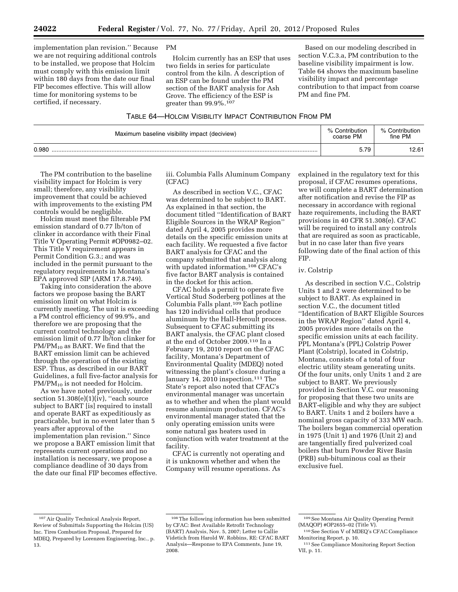implementation plan revision.'' Because we are not requiring additional controls to be installed, we propose that Holcim must comply with this emission limit within 180 days from the date our final FIP becomes effective. This will allow time for monitoring systems to be certified, if necessary.

PM

Holcim currently has an ESP that uses two fields in series for particulate control from the kiln. A description of an ESP can be found under the PM section of the BART analysis for Ash Grove. The efficiency of the ESP is greater than 99.9%.107

Based on our modeling described in section V.C.3.a, PM contribution to the baseline visibility impairment is low. Table 64 shows the maximum baseline visibility impact and percentage contribution to that impact from coarse PM and fine PM.

#### TABLE 64—HOLCIM VISIBILITY IMPACT CONTRIBUTION FROM PM

| Maximum baseline visibility impact (deciview) | % Contribution<br>coarse PM | % Contribution<br>fine PM |
|-----------------------------------------------|-----------------------------|---------------------------|
| 0.980                                         | 5.79                        | 12.61                     |

The PM contribution to the baseline visibility impact for Holcim is very small; therefore, any visibility improvement that could be achieved with improvements to the existing PM controls would be negligible.

Holcim must meet the filterable PM emission standard of 0.77 lb/ton of clinker in accordance with their Final Title V Operating Permit #OP0982–02. This Title V requirement appears in Permit Condition G.3.; and was included in the permit pursuant to the regulatory requirements in Montana's EPA approved SIP (ARM 17.8.749).

Taking into consideration the above factors we propose basing the BART emission limit on what Holcim is currently meeting. The unit is exceeding a PM control efficiency of 99.9%, and therefore we are proposing that the current control technology and the emission limit of 0.77 lb/ton clinker for  $PM/PM_{10}$  as BART. We find that the BART emission limit can be achieved through the operation of the existing ESP. Thus, as described in our BART Guidelines, a full five-factor analysis for PM/PM10 is not needed for Holcim.

As we have noted previously, under section 51.308(e)(1)(iv), "each source subject to BART [is] required to install and operate BART as expeditiously as practicable, but in no event later than 5 years after approval of the implementation plan revision.'' Since we propose a BART emission limit that represents current operations and no installation is necessary, we propose a compliance deadline of 30 days from the date our final FIP becomes effective. iii. Columbia Falls Aluminum Company (CFAC)

As described in section V.C., CFAC was determined to be subject to BART. As explained in that section, the document titled ''Identification of BART Eligible Sources in the WRAP Region'' dated April 4, 2005 provides more details on the specific emission units at each facility. We requested a five factor BART analysis for CFAC and the company submitted that analysis along with updated information.108 CFAC's five factor BART analysis is contained in the docket for this action.

CFAC holds a permit to operate five Vertical Stud Soderberg potlines at the Columbia Falls plant.109 Each potline has 120 individual cells that produce aluminum by the Hall-Heroult process. Subsequent to CFAC submitting its BART analysis, the CFAC plant closed at the end of October 2009.110 In a February 19, 2010 report on the CFAC facility, Montana's Department of Environmental Quality (MDEQ) noted witnessing the plant's closure during a January 14, 2010 inspection.<sup>111</sup> The State's report also noted that CFAC's environmental manager was uncertain as to whether and when the plant would resume aluminum production. CFAC's environmental manager stated that the only operating emission units were some natural gas heaters used in conjunction with water treatment at the facility.

CFAC is currently not operating and it is unknown whether and when the Company will resume operations. As

explained in the regulatory text for this proposal, if CFAC resumes operations, we will complete a BART determination after notification and revise the FIP as necessary in accordance with regional haze requirements, including the BART provisions in 40 CFR 51.308(e). CFAC will be required to install any controls that are required as soon as practicable, but in no case later than five years following date of the final action of this FIP.

#### iv. Colstrip

As described in section V.C., Colstrip Units 1 and 2 were determined to be subject to BART. As explained in section V.C., the document titled ''Identification of BART Eligible Sources in the WRAP Region'' dated April 4, 2005 provides more details on the specific emission units at each facility. PPL Montana's (PPL) Colstrip Power Plant (Colstrip), located in Colstrip, Montana, consists of a total of four electric utility steam generating units. Of the four units, only Units 1 and 2 are subject to BART. We previously provided in Section V.C. our reasoning for proposing that these two units are BART-eligible and why they are subject to BART. Units 1 and 2 boilers have a nominal gross capacity of 333 MW each. The boilers began commercial operation in 1975 (Unit 1) and 1976 (Unit 2) and are tangentially fired pulverized coal boilers that burn Powder River Basin (PRB) sub-bituminous coal as their exclusive fuel.

<sup>107</sup>Air Quality Technical Analysis Report, Review of Submittals Supporting the Holcim (US) Inc. Tires Combustion Proposal, Prepared for MDEQ, Prepared by Lorenzen Engineering, Inc., p. 13.

<sup>108</sup>The following information has been submitted by CFAC: Best Available Retrofit Technology (BART) Analysis, Nov. 5, 2007; Letter to Callie Videtich from Harold W. Robbins, RE: CFAC BART Analysis—Response to EPA Comments, June 19, 2008.

<sup>109</sup>See Montana Air Quality Operating Permit (MAQOP) #OP2655–02 (Title V).

<sup>110</sup>See Section V of MDEQ's CFAC Compliance Monitoring Report, p. 10.

<sup>111</sup>See Compliance Monitoring Report Section VII, p. 11.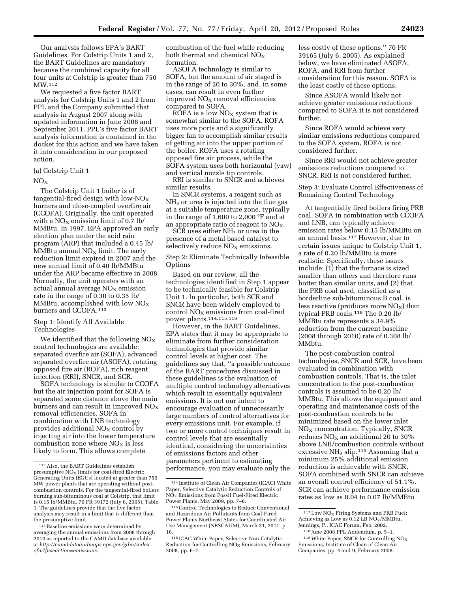Our analysis follows EPA's BART Guidelines. For Colstrip Units 1 and 2, the BART Guidelines are mandatory because the combined capacity for all four units at Colstrip is greater than 750 MW.112

We requested a five factor BART analysis for Colstrip Units 1 and 2 from PPL and the Company submitted that analysis in August 2007 along with updated information in June 2008 and September 2011. PPL's five factor BART analysis information is contained in the docket for this action and we have taken it into consideration in our proposed action.

#### (a) Colstrip Unit 1

#### $NO<sub>x</sub>$

The Colstrip Unit 1 boiler is of tangential-fired design with low- $NO_X$ burners and close-coupled overfire air (CCOFA). Originally, the unit operated with a  $NO<sub>X</sub>$  emission limit of 0.7 lb/ MMBtu. In 1997, EPA approved an early election plan under the acid rain program (ARP) that included a 0.45 lb/ MMBtu annual  $NO<sub>x</sub>$  limit. The early reduction limit expired in 2007 and the new annual limit of 0.40 lb/MMBtu under the ARP became effective in 2008. Normally, the unit operates with an actual annual average  $NO<sub>x</sub>$  emission rate in the range of 0.30 to 0.35 lb/ MMBtu, accomplished with low  $NO<sub>x</sub>$ burners and CCOFA.113

#### Step 1: Identify All Available Technologies

We identified that the following  $NO<sub>x</sub>$ control technologies are available: separated overfire air (SOFA), advanced separated overfire air (ASOFA), rotating opposed fire air (ROFA), rich reagent injection (RRI), SNCR, and SCR.

SOFA technology is similar to CCOFA but the air injection point for SOFA is separated some distance above the main burners and can result in improved  $NO_X$ removal efficiencies. SOFA in combination with LNB technology provides additional  $NO<sub>X</sub>$  control by injecting air into the lower temperature combustion zone where  $NO<sub>x</sub>$  is less likely to form. This allows complete

combustion of the fuel while reducing both thermal and chemical  $NO_X$ formation.

ASOFA technology is similar to SOFA, but the amount of air staged is in the range of 20 to 30%, and, in some cases, can result in even further  $improved NO<sub>X</sub>$  removal efficiencies compared to SOFA.

 $R\tilde{\text{O}}FA$  is a low  $N\text{O}_X$  system that is somewhat similar to the SOFA. ROFA uses more ports and a significantly bigger fan to accomplish similar results of getting air into the upper portion of the boiler. ROFA uses a rotating opposed fire air process, while the SOFA system uses both horizontal (yaw) and vertical nozzle tip controls.

RRI is similar to SNCR and achieves similar results.

In SNCR systems, a reagent such as NH3 or urea is injected into the flue gas at a suitable temperature zone, typically in the range of 1,600 to 2,000 °F and at an appropriate ratio of reagent to  $NO<sub>x</sub>$ .

 $S\tilde{C}\tilde{R}$  uses either NH<sub>3</sub> or urea in the presence of a metal based catalyst to selectively reduce  $NO<sub>x</sub>$  emissions.

Step 2: Eliminate Technically Infeasible **Options** 

Based on our review, all the technologies identified in Step 1 appear to be technically feasible for Colstrip Unit 1. In particular, both SCR and SNCR have been widely employed to control  $NO<sub>X</sub>$  emissions from coal-fired power plants.114,115,116

However, in the BART Guidelines, EPA states that it may be appropriate to eliminate from further consideration technologies that provide similar control levels at higher cost. The guidelines say that, ''a possible outcome of the BART procedures discussed in these guidelines is the evaluation of multiple control technology alternatives which result in essentially equivalent emissions. It is not our intent to encourage evaluation of unnecessarily large numbers of control alternatives for every emissions unit. For example, if two or more control techniques result in control levels that are essentially identical, considering the uncertainties of emissions factors and other parameters pertinent to estimating performance, you may evaluate only the

less costly of these options.'' 70 FR 39165 (July 6, 2005). As explained below, we have eliminated ASOFA, ROFA, and RRI from further consideration for this reason. SOFA is the least costly of these options.

Since ASOFA would likely not achieve greater emissions reductions compared to SOFA it is not considered further.

Since ROFA would achieve very similar emissions reductions compared to the SOFA system, ROFA is not considered further.

Since RRI would not achieve greater emissions reductions compared to SNCR, RRI is not considered further.

Step 3: Evaluate Control Effectiveness of Remaining Control Technology

At tangentially fired boilers firing PRB coal, SOFA in combination with CCOFA and LNB, can typically achieve emission rates below 0.15 lb/MMBtu on an annual basis.117 However, due to certain issues unique to Colstrip Unit 1, a rate of 0.20 lb/MMBtu is more realistic. Specifically, these issues include: (1) that the furnace is sized smaller than others and therefore runs hotter than similar units, and (2) that the PRB coal used, classified as a borderline sub-bituminous B coal, is less reactive (produces more  $NO<sub>x</sub>$ ) than typical PRB coals.118 The 0.20 lb/ MMBtu rate represents a 34.9% reduction from the current baseline (2008 through 2010) rate of 0.308 lb/ MMbtu.

The post-combustion control technologies, SNCR and SCR, have been evaluated in combination with combustion controls. That is, the inlet concentration to the post-combustion controls is assumed to be 0.20 lb/ MMBtu. This allows the equipment and operating and maintenance costs of the post-combustion controls to be minimized based on the lower inlet  $NO<sub>X</sub>$  concentration. Typically, SNCR reduces  $NO<sub>x</sub>$  an additional 20 to 30% above LNB/combustion controls without excessive NH<sup>3</sup> slip.119 Assuming that a minimum 25% additional emission reduction is achievable with SNCR, SOFA combined with SNCR can achieve an overall control efficiency of 51.1%. SCR can achieve performance emission rates as low as 0.04 to 0.07 lb/MMBtu

<sup>112</sup>Also, the BART Guidelines establish presumptive  $NO<sub>x</sub>$  limits for coal-fired Electric Generating Units (EGUs) located at greater than 750 MW power plants that are operating without postcombustion controls. For the tangential-fired boilers burning sub-bituminous coal at Colstrip, that limit is 0.15 lb/MMBtu. 70 FR 39172 (July 6, 2005), Table 1. The guidelines provide that the five factor analysis may result in a limit that is different than the presumptive limit.

<sup>113</sup>Baseline emissions were determined by averaging the annual emissions from 2008 through 2010 as reported to the CAMD database available at *[http://camddataandmaps.epa.gov/gdm/index.](http://camddataandmaps.epa.gov/gdm/index.cfm?fuseaction=emissions) [cfm?fuseaction=emissions](http://camddataandmaps.epa.gov/gdm/index.cfm?fuseaction=emissions)*.

<sup>114</sup> Institute of Clean Air Companies (ICAC) White Paper, Selective Catalytic Reduction Controls of  $N\overline{O}_X$  Emissions from Fossil Fuel-Fired Electric Power Plants, May 2009, pp. 7–8.

<sup>115</sup>Control Technologies to Reduce Conventional and Hazardous Air Pollutants from Coal-Fired Power Plants Northeast States for Coordinated Air Use Management (NESCAUM), March 31, 2011, p. 16.

<sup>116</sup> ICAC White Paper, Selective Non-Catalytic Reduction for Controlling  $NO<sub>x</sub>$  Emissions, February 2008, pp. 6–7.

 $^{117}\mathrm{Low}$  NO<sub>X</sub> Firing Systems and PRB Fuel; Achieving as Low as  $0.12$  LB NO<sub>x</sub>/MMBtu, Jennings, P., ICAC Forum, Feb. 2002.

<sup>118</sup> June 2008 PPL Addendum, p. 5–1. <sup>119</sup> White Paper, SNCR for Controlling NO<sub>X</sub> Emissions, Institute of Clean of Clean Air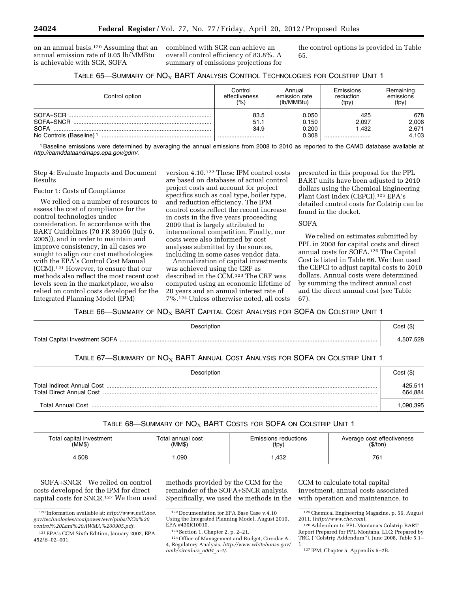on an annual basis.120 Assuming that an annual emission rate of 0.05 lb/MMBtu is achievable with SCR, SOFA

combined with SCR can achieve an overall control efficiency of 83.8%. A summary of emissions projections for the control options is provided in Table 65.

|  |  | TABLE 65-SUMMARY OF NO <sub>X</sub> BART ANALYSIS CONTROL TECHNOLOGIES FOR COLSTRIP UNIT 1 |
|--|--|--------------------------------------------------------------------------------------------|
|--|--|--------------------------------------------------------------------------------------------|

| Control option                      | Control<br>effectiveness<br>(%) | Annual<br>emission rate<br>(lb/MMBtu) | Emissions<br>reduction<br>(tpy) | Remaining<br>emissions<br>(tpy) |
|-------------------------------------|---------------------------------|---------------------------------------|---------------------------------|---------------------------------|
| SOFA+SCR                            | 83.5                            | 0.050                                 | 425                             | 678                             |
| SOFA+SNCR                           | 51.1                            | 0.150                                 | 2.097                           | 2,006                           |
| <b>SOFA</b>                         | 34.9                            | 0.200                                 | .432                            | 2,671                           |
| No Controls (Baseline) <sup>1</sup> |                                 | 0.308                                 |                                 | 4,103                           |

1Baseline emissions were determined by averaging the annual emissions from 2008 to 2010 as reported to the CAMD database available at *<http://camddataandmaps.epa.gov/gdm/>*.

Step 4: Evaluate Impacts and Document Results

#### Factor 1: Costs of Compliance

We relied on a number of resources to assess the cost of compliance for the control technologies under consideration. In accordance with the BART Guidelines (70 FR 39166 (July 6, 2005)), and in order to maintain and improve consistency, in all cases we sought to align our cost methodologies with the EPA's Control Cost Manual (CCM).121 However, to ensure that our methods also reflect the most recent cost levels seen in the marketplace, we also relied on control costs developed for the Integrated Planning Model (IPM)

version 4.10.122 These IPM control costs are based on databases of actual control project costs and account for project specifics such as coal type, boiler type, and reduction efficiency. The IPM control costs reflect the recent increase in costs in the five years proceeding 2009 that is largely attributed to international competition. Finally, our costs were also informed by cost analyses submitted by the sources, including in some cases vendor data.

Annualization of capital investments was achieved using the CRF as described in the CCM.123 The CRF was computed using an economic lifetime of 20 years and an annual interest rate of 7%.124 Unless otherwise noted, all costs

presented in this proposal for the PPL BART units have been adjusted to 2010 dollars using the Chemical Engineering Plant Cost Index (CEPCI).125 EPA's detailed control costs for Colstrip can be found in the docket.

#### SOFA

We relied on estimates submitted by PPL in 2008 for capital costs and direct annual costs for SOFA.126 The Capital Cost is listed in Table 66. We then used the CEPCI to adjust capital costs to 2010 dollars. Annual costs were determined by summing the indirect annual cost and the direct annual cost (see Table 67).

TABLE 66—SUMMARY OF  $NO_X$  BART CAPITAL COST ANALYSIS FOR SOFA ON COLSTRIP UNIT 1

| Description | Cost (\$) |
|-------------|-----------|
|             | 4,507,528 |

## TABLE 67-SUMMARY OF  $NO<sub>X</sub>$  BART ANNUAL COST ANALYSIS FOR SOFA ON COLSTRIP UNIT 1

| Description | Cost (\$)          |
|-------------|--------------------|
|             | 425,511<br>664.884 |
|             | .090.395           |

## TABLE  $68$ —SUMMARY OF  $NO_X$  BART COSTS FOR SOFA ON COLSTRIP UNIT 1

| Total capital investment | Total annual cost | Emissions reductions | Average cost effectiveness<br>(\$/ton) |
|--------------------------|-------------------|----------------------|----------------------------------------|
| (MM\$)                   | (MM\$)            | (tpy)                |                                        |
| 4.508                    | .090              | .432                 | 761                                    |

SOFA+SNCR We relied on control costs developed for the IPM for direct capital costs for SNCR.127 We then used

methods provided by the CCM for the remainder of the SOFA+SNCR analysis. Specifically, we used the methods in the CCM to calculate total capital investment, annual costs associated with operation and maintenance, to

<sup>120</sup> Information available at: *[http://www.netl.doe.](http://www.netl.doe.gov/technologies/coalpower/ewr/pubs/NOx%20control%20Lani%20AWMA%200905.pdf) [gov/technologies/coalpower/ewr/pubs/NOx%20](http://www.netl.doe.gov/technologies/coalpower/ewr/pubs/NOx%20control%20Lani%20AWMA%200905.pdf) [control%20Lani%20AWMA%200905.pdf](http://www.netl.doe.gov/technologies/coalpower/ewr/pubs/NOx%20control%20Lani%20AWMA%200905.pdf)*.

<sup>121</sup>EPA's CCM Sixth Edition, January 2002, EPA 452/B–02–001.

<sup>122</sup> Documentation for EPA Base Case v.4.10 Using the Integrated Planning Model, August 2010, EPA #430R10010.

<sup>123</sup>Section 1, Chapter 2, p. 2–21.

<sup>124</sup>Office of Management and Budget, Circular A– 4, Regulatory Analysis, *[http://www.whitehouse.gov/](http://www.whitehouse.gov/omb/circulars_a004_a-4/) [omb/circulars](http://www.whitehouse.gov/omb/circulars_a004_a-4/)*\_*a004*\_*a-4/*.

<sup>125</sup>Chemical Engineering Magazine, p. 56, August 2011. (*<http://www.che.com>*).

<sup>126</sup>Addendum to PPL Montana's Colstrip BART Report Prepared for PPL Montana, LLC; Prepared by TRC, (''Colstrip Addendum''), June 2008, Table 5.1– 1.

<sup>127</sup> IPM, Chapter 5, Appendix 5–2B.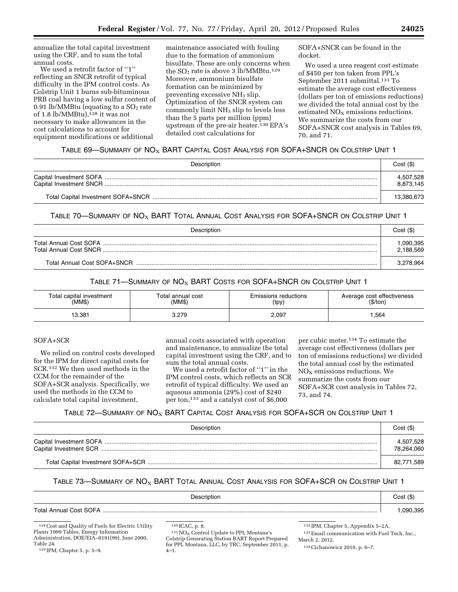annualize the total capital investment using the CRF, and to sum the total annual costs.

We used a retrofit factor of ''1'' reflecting an SNCR retrofit of typical difficulty in the IPM control costs. As Colstrip Unit 1 burns sub-bituminous PRB coal having a low sulfur content of 0.91 lb/MMBtu (equating to a  $SO<sub>2</sub>$  rate of 1.8 lb/MMBtu), $128$  it was not necessary to make allowances in the cost calculations to account for equipment modifications or additional

maintenance associated with fouling due to the formation of ammonium bisulfate. These are only concerns when the  $SO<sub>2</sub>$  rate is above 3 lb/MMBtu.<sup>129</sup> Moreover, ammonium bisulfate formation can be minimized by preventing excessive  $NH<sub>3</sub>$  slip. Optimization of the SNCR system can commonly limit NH3 slip to levels less than the 5 parts per million (ppm) upstream of the pre-air heater.130 EPA's detailed cost calculations for

SOFA+SNCR can be found in the docket.

We used a urea reagent cost estimate of \$450 per ton taken from PPL's September 2011 submittal.131 To estimate the average cost effectiveness (dollars per ton of emissions reductions) we divided the total annual cost by the estimated  $NO<sub>x</sub>$  emissions reductions. We summarize the costs from our SOFA+SNCR cost analysis in Tables 69, 70, and 71.

## TABLE 69—SUMMARY OF  $N\text{O}_X$  BART CAPITAL COST ANALYSIS FOR SOFA+SNCR ON COLSTRIP UNIT 1

| Description | Cost(S)                |
|-------------|------------------------|
|             | 4,507,528<br>8.873.145 |
|             | 13,380,673             |

TABLE 70—SUMMARY OF  $N O_X$  BART TOTAL ANNUAL COST ANALYSIS FOR SOFA+SNCR ON COLSTRIP UNIT 1

| Description                 | Cost(S)               |
|-----------------------------|-----------------------|
|                             | .090.395<br>2,188,569 |
| Total Annual Cost SOFA+SNCR | 3,278,964             |

TABLE 71—SUMMARY OF  $NO<sub>X</sub>$  BART COSTS for SOFA+SNCR on Colstrip Unit 1

| Total capital investment | Total annual cost | Emissions reductions | Average cost effectiveness |
|--------------------------|-------------------|----------------------|----------------------------|
| (MM\$)                   | (MM\$)            | (tpy)                | (\$/ton)                   |
| 13.381                   | 3.279             | 2,097                | ,564                       |

## SOFA+SCR

We relied on control costs developed for the IPM for direct capital costs for SCR.132 We then used methods in the CCM for the remainder of the SOFA+SCR analysis. Specifically, we used the methods in the CCM to calculate total capital investment,

annual costs associated with operation and maintenance, to annualize the total capital investment using the CRF, and to sum the total annual costs.

We used a retrofit factor of ''1'' in the IPM control costs, which reflects an SCR retrofit of typical difficulty. We used an aqueous ammonia (29%) cost of \$240 per ton,133 and a catalyst cost of \$6,000

per cubic meter.134 To estimate the average cost effectiveness (dollars per ton of emissions reductions) we divided the total annual cost by the estimated  $NO<sub>x</sub>$  emissions reductions. We summarize the costs from our SOFA+SCR cost analysis in Tables 72, 73, and 74.

## TABLE 72—SUMMARY OF  $\mathsf{NO}_{\mathsf{X}}$  BART CAPITAL COST ANALYSIS FOR SOFA+SCR ON COLSTRIP UNIT 1

| Description | Cost(S)                 |
|-------------|-------------------------|
|             | 4,507,528<br>78,264,060 |
|             | 82,771,589              |

# TABLE 73—SUMMARY OF  $NO_X$  BART TOTAL ANNUAL COST ANALYSIS FOR SOFA+SCR ON COLSTRIP UNIT 1

| Description                        | Cost (\$) |
|------------------------------------|-----------|
| <b>Total Annual Cost SOFA</b><br>. | 090.395   |

<sup>128</sup>Cost and Quality of Fuels for Electric Utility Plants 1999 Tables, Energy Information Administration, DOE/EIA–0191(99), June 2000, Table 24.

131 NO<sub>X</sub> Control Update to PPL Montana's Colstrip Generating Station BART Report Prepared for PPL Montana, LLC, by TRC, September 2011, p. 4–1.

132 IPM, Chapter 5, Appendix 5–2A.

<sup>129</sup> IPM, Chapter 5, p. 5–9.

<sup>130</sup> ICAC, p. 8.

<sup>133</sup>Email communication with Fuel Tech, Inc., March 2, 2012.

<sup>134</sup>Cichanowicz 2010, p. 6–7.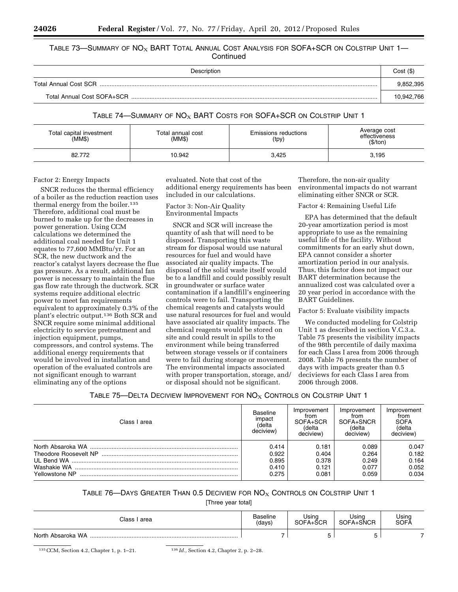#### Table 73—Summary of  $\mathsf{NO}_{\mathsf{X}}$  BART Total Annual Cost Analysis for SOFA+SCR on Colstrip Unit 1— **Continued**

| Description                  | Cost (\$)  |
|------------------------------|------------|
| <b>Total Annual Cost SCR</b> |            |
| Total Annual Cost SOFA+SCR   | 10.942.766 |

## TABLE 74—SUMMARY OF  $NO<sub>X</sub>$  BART COSTS FOR SOFA+SCR ON COLSTRIP UNIT 1

| Total capital investment<br>(MM\$) | Total annual cost<br>(MM\$) | <b>Emissions reductions</b><br>(tpy) | Average cost<br>effectiveness<br>(\$/ton) |
|------------------------------------|-----------------------------|--------------------------------------|-------------------------------------------|
| 82.772                             | 10.942                      | 3,425                                | 3,195                                     |

#### Factor 2: Energy Impacts

SNCR reduces the thermal efficiency of a boiler as the reduction reaction uses thermal energy from the boiler.135 Therefore, additional coal must be burned to make up for the decreases in power generation. Using CCM calculations we determined the additional coal needed for Unit 1 equates to 77,600 MMBtu/yr. For an SCR, the new ductwork and the reactor's catalyst layers decrease the flue gas pressure. As a result, additional fan power is necessary to maintain the flue gas flow rate through the ductwork. SCR systems require additional electric power to meet fan requirements equivalent to approximately 0.3% of the plant's electric output.136 Both SCR and SNCR require some minimal additional electricity to service pretreatment and injection equipment, pumps, compressors, and control systems. The additional energy requirements that would be involved in installation and operation of the evaluated controls are not significant enough to warrant eliminating any of the options

evaluated. Note that cost of the additional energy requirements has been included in our calculations.

Factor 3: Non-Air Quality Environmental Impacts

SNCR and SCR will increase the quantity of ash that will need to be disposed. Transporting this waste stream for disposal would use natural resources for fuel and would have associated air quality impacts. The disposal of the solid waste itself would be to a landfill and could possibly result in groundwater or surface water contamination if a landfill's engineering controls were to fail. Transporting the chemical reagents and catalysts would use natural resources for fuel and would have associated air quality impacts. The chemical reagents would be stored on site and could result in spills to the environment while being transferred between storage vessels or if containers were to fail during storage or movement. The environmental impacts associated with proper transportation, storage, and/ or disposal should not be significant.

Therefore, the non-air quality environmental impacts do not warrant eliminating either SNCR or SCR.

#### Factor 4: Remaining Useful Life

EPA has determined that the default 20-year amortization period is most appropriate to use as the remaining useful life of the facility. Without commitments for an early shut down, EPA cannot consider a shorter amortization period in our analysis. Thus, this factor does not impact our BART determination because the annualized cost was calculated over a 20 year period in accordance with the BART Guidelines.

Factor 5: Evaluate visibility impacts

We conducted modeling for Colstrip Unit 1 as described in section V.C.3.a. Table 75 presents the visibility impacts of the 98th percentile of daily maxima for each Class I area from 2006 through 2008. Table 76 presents the number of days with impacts greater than 0.5 deciviews for each Class I area from 2006 through 2008.

## Table 75—Delta Deciview Improvement for  $\mathsf{NO}_\mathsf{X}$  Controls on Colstrip Unit 1

| Class I area   | <b>Baseline</b><br>impact<br>(delta<br>deciview) | Improvement<br>from<br>SOFA+SCR<br>(delta<br>deciview) | Improvement<br>from<br>SOFA+SNCR<br>(delta<br>deciview) | Improvement<br>from<br><b>SOFA</b><br>(delta<br>deciview) |
|----------------|--------------------------------------------------|--------------------------------------------------------|---------------------------------------------------------|-----------------------------------------------------------|
|                | 0.414                                            | 0.181                                                  | 0.089                                                   | 0.047                                                     |
|                | 0.922                                            | 0.404                                                  | 0.264                                                   | 0.182                                                     |
|                | 0.895                                            | 0.378                                                  | 0.249                                                   | 0.164                                                     |
|                | 0.410                                            | 0.121                                                  | 0.077                                                   | 0.052                                                     |
| Yellowstone NP | 0.275                                            | 0.081                                                  | 0.059                                                   | 0.034                                                     |

## Table 76—Days Greater Than 0.5 Deciview for  $\mathsf{NO}_{\mathsf{X}}$  Controls on Colstrip Unit 1

[Three year total]

| Class I area      | Baseline<br>(days) | Jsina<br>SOFA+ŠCR | Usina<br>SOFA+SNCR | Using<br>SOFA |
|-------------------|--------------------|-------------------|--------------------|---------------|
| North Absaroka WA |                    |                   | -<br>ັ             |               |

135CCM, Section 4.2, Chapter 1, p. 1–21. 136 *Id.,* Section 4.2, Chapter 2, p. 2–28.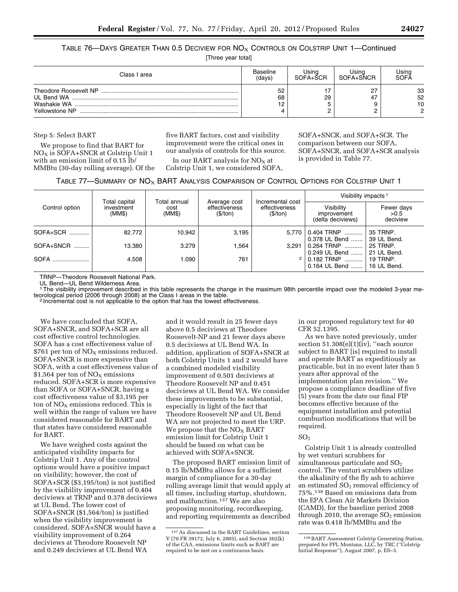TABLE 76—DAYS GREATER THAN 0.5 DECIVIEW FOR  $NOS$  CONTROLS ON COLSTRIP UNIT 1—Continued

[Three year total]

| Class I area                            | <b>Baseline</b> | Jsino         | Usina     | Using               |
|-----------------------------------------|-----------------|---------------|-----------|---------------------|
|                                         | (davs)          | SOFA+SCR      | SOFA+SNCR | <b>SOFA</b>         |
| Theodore Roosevelt NP<br>Yellowstone NP | 52<br>68<br>າດ  | 17<br>29<br>▃ | 47        | 33<br>52<br>10<br>C |

Step 5: Select BART

We propose to find that BART for NO<sub>X</sub> is SOFA+SNCR at Colstrip Unit 1 with an emission limit of 0.15 lb/ MMBtu (30-day rolling average). Of the five BART factors, cost and visibility improvement were the critical ones in our analysis of controls for this source.

In our BART analysis for  $NO<sub>x</sub>$  at Colstrip Unit 1, we considered SOFA,

SOFA+SNCR, and SOFA+SCR. The comparison between our SOFA, SOFA+SNCR, and SOFA+SCR analysis is provided in Table 77.

| TABLE 77—SUMMARY OF $NOx$ BART ANALYSIS COMPARISON OF CONTROL OPTIONS FOR COLSTRIP UNIT 1 |  |  |  |
|-------------------------------------------------------------------------------------------|--|--|--|
|-------------------------------------------------------------------------------------------|--|--|--|

|                |                                       |                                |                                           |                                               | Visibility impacts <sup>1</sup>                |                                |  |
|----------------|---------------------------------------|--------------------------------|-------------------------------------------|-----------------------------------------------|------------------------------------------------|--------------------------------|--|
| Control option | Total capital<br>investment<br>(MM\$) | Total annual<br>cost<br>(MM\$) | Average cost<br>effectiveness<br>(\$/ton) | Incremental cost<br>effectiveness<br>(\$/ton) | Visibility<br>improvement<br>(delta deciviews) | Fewer days<br>>0.5<br>deciview |  |
| SOFA+SCR       | 82.772                                | 10.942                         | 3,195                                     | 5.770                                         | 0.404 TRNP<br>0.378 UL Bend                    | 35 TRNP.<br>39 UL Bend.        |  |
| SOFA+SNCR      | 13.380                                | 3.279                          | 564. ا                                    | 3.291                                         | 0.264 TRNP<br>0.249 UL Bend                    | <b>25 TRNP.</b><br>21 UL Bend. |  |
| SOFA           | 4.508                                 | 1.090                          | 761                                       | $\overline{2}$                                | 0.182 TRNP<br>0.164 UL Bend                    | <b>19 TRNP.</b><br>16 UL Bend. |  |

TRNP—Theodore Roosevelt National Park.

UL Bend—UL Bend Wilderness Area.

<sup>1</sup>The visibility improvement described in this table represents the change in the maximum 98th percentile impact over the modeled 3-year me-<br>teorological period (2006 through 2008) at the Class I areas in the table.

<sup>2</sup> Incremental cost is not applicable to the option that has the lowest effectiveness.

We have concluded that SOFA, SOFA+SNCR, and SOFA+SCR are all cost effective control technologies. SOFA has a cost effectiveness value of \$761 per ton of  $NO<sub>X</sub>$  emissions reduced. SOFA+SNCR is more expensive than SOFA, with a cost effectiveness value of \$1,564 per ton of  $NO<sub>x</sub>$  emissions reduced. SOFA+SCR is more expensive than SOFA or SOFA+SNCR, having a cost effectiveness value of \$3,195 per ton of  $NO<sub>x</sub>$  emissions reduced. This is well within the range of values we have considered reasonable for BART and that states have considered reasonable for BART.

We have weighed costs against the anticipated visibility impacts for Colstrip Unit 1. Any of the control options would have a positive impact on visibility; however, the cost of SOFA+SCR (\$3,195/ton) is not justified by the visibility improvement of 0.404 deciviews at TRNP and 0.378 deciviews at UL Bend. The lower cost of SOFA+SNCR (\$1,564/ton) is justified when the visibility improvement is considered. SOFA+SNCR would have a visibility improvement of 0.264 deciviews at Theodore Roosevelt NP and 0.249 deciviews at UL Bend WA

and it would result in 25 fewer days above 0.5 deciviews at Theodore Roosevelt-NP and 21 fewer days above 0.5 deciviews at UL Bend WA. In addition, application of SOFA+SNCR at both Colstrip Units 1 and 2 would have a combined modeled visibility improvement of 0.501 deciviews at Theodore Roosevelt NP and 0.451 deciviews at UL Bend WA. We consider these improvements to be substantial, especially in light of the fact that Theodore Roosevelt NP and UL Bend WA are not projected to meet the URP. We propose that the  $NO<sub>X</sub>$  BART emission limit for Colstrip Unit 1 should be based on what can be achieved with SOFA+SNCR.

The proposed BART emission limit of 0.15 lb/MMBtu allows for a sufficient margin of compliance for a 30-day rolling average limit that would apply at all times, including startup, shutdown, and malfunction.137 We are also proposing monitoring, recordkeeping, and reporting requirements as described in our proposed regulatory text for 40 CFR 52.1395.

As we have noted previously, under section  $51.308(e)(1)(iv)$ , "each source subject to BART [is] required to install and operate BART as expeditiously as practicable, but in no event later than 5 years after approval of the implementation plan revision.'' We propose a compliance deadline of five (5) years from the date our final FIP becomes effective because of the equipment installation and potential combustion modifications that will be required.

#### $SO<sub>2</sub>$

Colstrip Unit 1 is already controlled by wet venturi scrubbers for simultaneous particulate and  $SO<sub>2</sub>$ control. The venturi scrubbers utilize the alkalinity of the fly ash to achieve an estimated  $SO<sub>2</sub>$  removal efficiency of 75%.138 Based on emissions data from the EPA Clean Air Markets Division (CAMD), for the baseline period 2008 through 2010, the average  $SO<sub>2</sub>$  emission rate was 0.418 lb/MMBtu and the

<sup>137</sup>As discussed in the BART Guidelines, section V (70 FR 39172, July 6, 2005), and Section 302(k) of the CAA, emissions limits such as BART are required to be met on a continuous basis.

<sup>138</sup>BART Assessment Colstrip Generating Station, prepared for PPL Montana, LLC, by TRC (''Colstrip Initial Response''), August 2007, p. ES–3.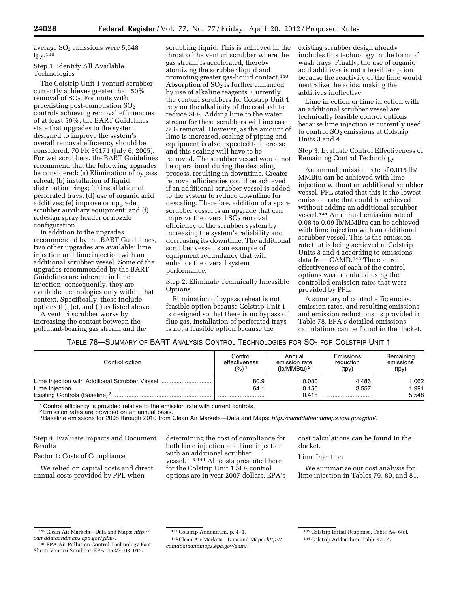average  $SO<sub>2</sub>$  emissions were 5,548  $typ.139$ 

#### Step 1: Identify All Available Technologies

The Colstrip Unit 1 venturi scrubber currently achieves greater than 50% removal of  $SO<sub>2</sub>$ . For units with preexisting post-combustion SO2 controls achieving removal efficiencies of at least 50%, the BART Guidelines state that upgrades to the system designed to improve the system's overall removal efficiency should be considered. 70 FR 39171 (July 6, 2005). For wet scrubbers, the BART Guidelines recommend that the following upgrades be considered: (a) Elimination of bypass reheat; (b) installation of liquid distribution rings; (c) installation of perforated trays; (d) use of organic acid additives; (e) improve or upgrade scrubber auxiliary equipment; and (f) redesign spray header or nozzle configuration.

In addition to the upgrades recommended by the BART Guidelines, two other upgrades are available: lime injection and lime injection with an additional scrubber vessel. Some of the upgrades recommended by the BART Guidelines are inherent in lime injection; consequently, they are available technologies only within that context. Specifically, these include options (b), (e), and (f) as listed above.

A venturi scrubber works by increasing the contact between the pollutant-bearing gas stream and the

scrubbing liquid. This is achieved in the throat of the venturi scrubber where the gas stream is accelerated, thereby atomizing the scrubber liquid and promoting greater gas-liquid contact.140 Absorption of  $SO<sub>2</sub>$  is further enhanced by use of alkaline reagents. Currently, the venturi scrubbers for Colstrip Unit 1 rely on the alkalinity of the coal ash to reduce SO2. Adding lime to the water stream for these scrubbers will increase  $SO<sub>2</sub>$  removal. However, as the amount of lime is increased, scaling of piping and equipment is also expected to increase and this scaling will have to be removed. The scrubber vessel would not be operational during the descaling process, resulting in downtime. Greater removal efficiencies could be achieved if an additional scrubber vessel is added to the system to reduce downtime for descaling. Therefore, addition of a spare scrubber vessel is an upgrade that can improve the overall  $SO<sub>2</sub>$  removal efficiency of the scrubber system by increasing the system's reliability and decreasing its downtime. The additional scrubber vessel is an example of equipment redundancy that will enhance the overall system performance.

Step 2: Eliminate Technically Infeasible **Options** 

Elimination of bypass reheat is not feasible option because Colstrip Unit 1 is designed so that there is no bypass of flue gas. Installation of perforated trays is not a feasible option because the

existing scrubber design already includes this technology in the form of wash trays. Finally, the use of organic acid additives is not a feasible option because the reactivity of the lime would neutralize the acids, making the additives ineffective.

Lime injection or lime injection with an additional scrubber vessel are technically feasible control options because lime injection is currently used to control  $SO<sub>2</sub>$  emissions at Colstrip Units 3 and 4.

Step 3: Evaluate Control Effectiveness of Remaining Control Technology

An annual emission rate of 0.015 lb/ MMBtu can be achieved with lime injection without an additional scrubber vessel. PPL stated that this is the lowest emission rate that could be achieved without adding an additional scrubber vessel.141 An annual emission rate of 0.08 to 0.09 lb/MMBtu can be achieved with lime injection with an additional scrubber vessel. This is the emission rate that is being achieved at Colstrip Units 3 and 4 according to emissions data from CAMD.142 The control effectiveness of each of the control options was calculated using the controlled emission rates that were provided by PPL.

A summary of control efficiencies, emission rates, and resulting emissions and emission reductions, is provided in Table 78. EPA's detailed emissions calculations can be found in the docket.

TABLE 78—SUMMARY OF BART ANALYSIS CONTROL TECHNOLOGIES FOR SO2 FOR COLSTRIP UNIT 1

| Control option                            | Control          | Annual                  | Emissions      | Remaining              |
|-------------------------------------------|------------------|-------------------------|----------------|------------------------|
|                                           | effectiveness    | emission rate           | reduction      | emissions              |
|                                           | (%) 1            | $(lb/MM)$ <sup>2</sup>  | (tpy)          | (tpy)                  |
| Existing Controls (Baseline) <sup>3</sup> | 80.9<br>64.1<br> | 0.080<br>0.150<br>0.418 | 4.486<br>3.557 | .062<br>1,991<br>5.548 |

<sup>1</sup> Control efficiency is provided relative to the emission rate with current controls.

2Emission rates are provided on an annual basis.

3Baseline emissions for 2008 through 2010 from Clean Air Markets—Data and Maps: *[http://camddataandmaps.epa.gov/gdm/.](http://camddataandmaps.epa.gov/gdm/)* 

Step 4: Evaluate Impacts and Document Results

Factor 1: Costs of Compliance

We relied on capital costs and direct annual costs provided by PPL when

determining the cost of compliance for both lime injection and lime injection with an additional scrubber vessel.143,144 All costs presented here for the Colstrip Unit  $1 \overline{S}O_2$  control options are in year 2007 dollars. EPA's

cost calculations can be found in the docket.

Lime Injection

We summarize our cost analysis for lime injection in Tables 79, 80, and 81.

142Clean Air Markets—Data and Maps: *[http://](http://camddataandmaps.epa.gov/gdm/) [camddataandmaps.epa.gov/gdm/.](http://camddataandmaps.epa.gov/gdm/)* 

<sup>139</sup>Clean Air Markets—Data and Maps: *[http://](http://camddataandmaps.epa.gov/gdm/) [camddataandmaps.epa.gov/gdm/.](http://camddataandmaps.epa.gov/gdm/)* 

<sup>140</sup>EPA Air Pollution Control Technology Fact Sheet: Venturi Scrubber, EPA–452/F–03–017.

<sup>141</sup>Colstrip Addendum, p. 4–1.

<sup>143</sup>Colstrip Initial Response, Table A4–6(c).

<sup>144</sup>Colstrip Addendum, Table 4.1–4.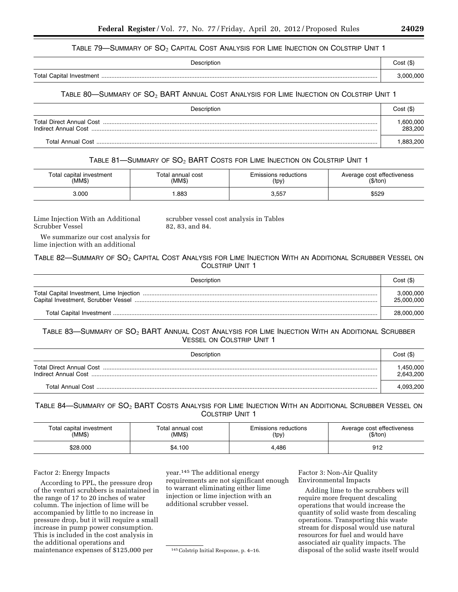#### TABLE 79—SUMMARY OF  $SO_2$  Capital Cost Analysis for Lime Injection on Colstrip Unit 1

|                          | Cost (\$) |
|--------------------------|-----------|
| Total Capital Investment | nnn nnn   |

## TABLE 80-SUMMARY OF SO<sub>2</sub> BART ANNUAL COST ANALYSIS FOR LIME INJECTION ON COLSTRIP UNIT 1

| Description          | Cost(S)             |
|----------------------|---------------------|
| Indirect Annual Cost | .600,000<br>283.200 |
| Total Annual Cost    | .883.200            |

## TABLE 81-SUMMARY OF SO<sub>2</sub> BART COSTS FOR LIME INJECTION ON COLSTRIP UNIT 1

| Total capital investment | Total annual cost | Emissions reductions | Average cost effectiveness |
|--------------------------|-------------------|----------------------|----------------------------|
| (MM\$)                   | (MM\$)            | (tpy)                | (S/ton)                    |
| 3.000                    | .883              | 3,557                | \$529                      |

Lime Injection With an Additional Scrubber Vessel

scrubber vessel cost analysis in Tables 82, 83, and 84.

We summarize our cost analysis for lime injection with an additional

TABLE 82—SUMMARY OF SO<sub>2</sub> CAPITAL COST ANALYSIS FOR LIME INJECTION WITH AN ADDITIONAL SCRUBBER VESSEL ON COLSTRIP UNIT 1

| Description | Cost(S)                 |
|-------------|-------------------------|
|             | 3,000,000<br>25,000,000 |
|             | 28,000,000              |

TABLE 83—SUMMARY OF SO2 BART ANNUAL COST ANALYSIS FOR LIME INJECTION WITH AN ADDITIONAL SCRUBBER VESSEL ON COLSTRIP UNIT 1

| Description | Cost(S)               |
|-------------|-----------------------|
|             | .450.000<br>2,643,200 |
|             | 4.093.200             |

TABLE 84—SUMMARY OF SO<sub>2</sub> BART COSTS ANALYSIS FOR LIME INJECTION WITH AN ADDITIONAL SCRUBBER VESSEL ON COLSTRIP UNIT 1

| Total capital investment | Total annual cost | Emissions reductions | Average cost effectiveness |
|--------------------------|-------------------|----------------------|----------------------------|
| (MM\$)                   | (MM\$)            | (tpy)                | \$/ton,                    |
| \$28.000                 | \$4.100           | 4.486                | 912                        |

#### Factor 2: Energy Impacts

According to PPL, the pressure drop of the venturi scrubbers is maintained in the range of 17 to 20 inches of water column. The injection of lime will be accompanied by little to no increase in pressure drop, but it will require a small increase in pump power consumption. This is included in the cost analysis in the additional operations and maintenance expenses of \$125,000 per

year.145 The additional energy requirements are not significant enough to warrant eliminating either lime injection or lime injection with an additional scrubber vessel.

145Colstrip Initial Response, p. 4–16.

Factor 3: Non-Air Quality Environmental Impacts

Adding lime to the scrubbers will require more frequent descaling operations that would increase the quantity of solid waste from descaling operations. Transporting this waste stream for disposal would use natural resources for fuel and would have associated air quality impacts. The disposal of the solid waste itself would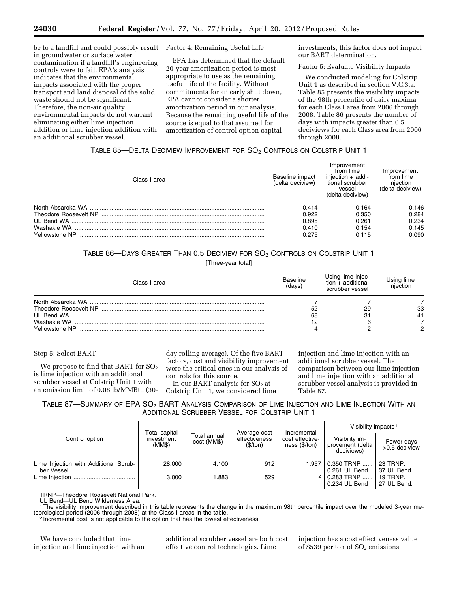be to a landfill and could possibly result in groundwater or surface water contamination if a landfill's engineering controls were to fail. EPA's analysis indicates that the environmental impacts associated with the proper transport and land disposal of the solid waste should not be significant. Therefore, the non-air quality environmental impacts do not warrant eliminating either lime injection addition or lime injection addition with an additional scrubber vessel.

Factor 4: Remaining Useful Life

EPA has determined that the default 20-year amortization period is most appropriate to use as the remaining useful life of the facility. Without commitments for an early shut down, EPA cannot consider a shorter amortization period in our analysis. Because the remaining useful life of the source is equal to that assumed for amortization of control option capital

investments, this factor does not impact our BART determination.

Factor 5: Evaluate Visibility Impacts

We conducted modeling for Colstrip Unit 1 as described in section V.C.3.a. Table 85 presents the visibility impacts of the 98th percentile of daily maxima for each Class I area from 2006 through 2008. Table 86 presents the number of days with impacts greater than 0.5 deciviews for each Class area from 2006 through 2008.

## TABLE 85-DELTA DECIVIEW IMPROVEMENT FOR SO<sub>2</sub> CONTROLS ON COLSTRIP UNIT 1

| Class I area                                           | Baseline impact<br>(delta deciview)       | Improvement<br>from lime<br>injection $+$ addi-<br>tional scrubber<br>vessel<br>(delta deciview) | Improvement<br>from lime<br>injection<br>(delta deciview) |
|--------------------------------------------------------|-------------------------------------------|--------------------------------------------------------------------------------------------------|-----------------------------------------------------------|
| Theodore Roosevelt NP<br>Washakie WA<br>Yellowstone NP | 0.414<br>0.922<br>0.895<br>0.410<br>0.275 | 0.164<br>0.350<br>0.261<br>0.154<br>0.115                                                        | 0.146<br>0.284<br>0.234<br>0.145<br>0.090                 |

## TABLE 86—DAYS GREATER THAN 0.5 DECIVIEW FOR SO2 CONTROLS ON COLSTRIP UNIT 1

[Three-year total]

| Class I area   | 3aseline<br>(days) | Using lime injec-<br>$tion + additional$<br>scrubber vessel | iniection |
|----------------|--------------------|-------------------------------------------------------------|-----------|
| Yellowstone NP | 52<br>68           | 29<br>31                                                    | 33        |

#### Step 5: Select BART

We propose to find that BART for  $\mathrm{SO}_2$ is lime injection with an additional scrubber vessel at Colstrip Unit 1 with an emission limit of 0.08 lb/MMBtu (30day rolling average). Of the five BART factors, cost and visibility improvement were the critical ones in our analysis of controls for this source.

In our BART analysis for  $SO<sub>2</sub>$  at Colstrip Unit 1, we considered lime injection and lime injection with an additional scrubber vessel. The comparison between our lime injection and lime injection with an additional scrubber vessel analysis is provided in Table 87.

TABLE 87-SUMMARY OF EPA SO<sub>2</sub> BART ANALYSIS COMPARISON OF LIME INJECTION AND LIME INJECTION WITH AN ADDITIONAL SCRUBBER VESSEL FOR COLSTRIP UNIT 1

| Total capital                                        | Incremental          | Visibility impacts <sup>1</sup> |                                          |                                    |                                                  |                                |
|------------------------------------------------------|----------------------|---------------------------------|------------------------------------------|------------------------------------|--------------------------------------------------|--------------------------------|
| Control option                                       | investment<br>(MM\$) | Total annual<br>cost (MM\$)     | Average cost<br>effectiveness<br>(S/ton) | cost effective-<br>$ness$ (\$/ton) | Visibility im-<br>provement (delta<br>deciviews) | Fewer days<br>>0.5 deciview    |
| Lime Injection with Additional Scrub-<br>ber Vessel. | 28.000               | 4.100                           | 912                                      | 1.957                              | $0.350$ TRNP<br>0.261 UL Bend                    | 23 TRNP.<br>37 UL Bend.        |
|                                                      | 3.000                | 1.883                           | 529                                      |                                    | $0.283$ TRNP<br>0.234 UL Bend                    | <b>19 TRNP.</b><br>27 UL Bend. |

TRNP—Theodore Roosevelt National Park.

UL Bend—UL Bend Wilderness Area.

1The visibility improvement described in this table represents the change in the maximum 98th percentile impact over the modeled 3-year meteorological period (2006 through 2008) at the Class I areas in the table.<br><sup>2</sup> Incremental cost is not applicable to the option that has the lowest effectiveness.

We have concluded that lime injection and lime injection with an additional scrubber vessel are both cost effective control technologies. Lime

injection has a cost effectiveness value of \$539 per ton of  $SO<sub>2</sub>$  emissions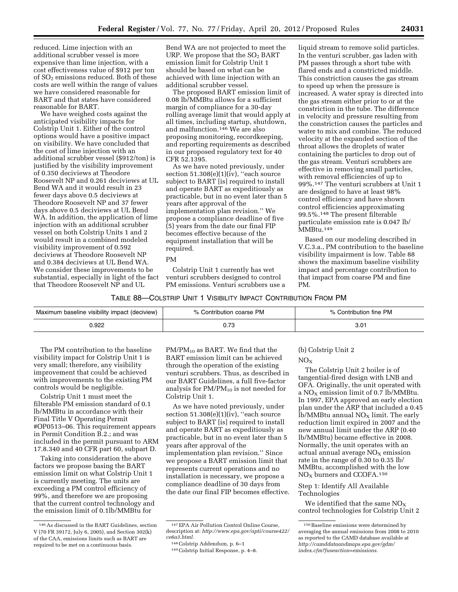reduced. Lime injection with an additional scrubber vessel is more expensive than lime injection, with a cost effectiveness value of \$912 per ton of SO2 emissions reduced. Both of these costs are well within the range of values we have considered reasonable for BART and that states have considered reasonable for BART.

We have weighed costs against the anticipated visibility impacts for Colstrip Unit 1. Either of the control options would have a positive impact on visibility. We have concluded that the cost of lime injection with an additional scrubber vessel (\$912/ton) is justified by the visibility improvement of 0.350 deciviews at Theodore Roosevelt NP and 0.261 deciviews at UL Bend WA and it would result in 23 fewer days above 0.5 deciviews at Theodore Roosevelt NP and 37 fewer days above 0.5 deciviews at UL Bend WA. In addition, the application of lime injection with an additional scrubber vessel on both Colstrip Units 1 and 2 would result in a combined modeled visibility improvement of 0.592 deciviews at Theodore Roosevelt NP and 0.384 deciviews at UL Bend WA. We consider these improvements to be substantial, especially in light of the fact that Theodore Roosevelt NP and UL

Bend WA are not projected to meet the URP. We propose that the  $SO<sub>2</sub>$  BART emission limit for Colstrip Unit 1 should be based on what can be achieved with lime injection with an additional scrubber vessel.

The proposed BART emission limit of 0.08 lb/MMBtu allows for a sufficient margin of compliance for a 30-day rolling average limit that would apply at all times, including startup, shutdown, and malfunction.146 We are also proposing monitoring, recordkeeping, and reporting requirements as described in our proposed regulatory text for 40 CFR 52.1395.

As we have noted previously, under section 51.308(e)(1)(iv), "each source subject to BART [is] required to install and operate BART as expeditiously as practicable, but in no event later than 5 years after approval of the implementation plan revision.'' We propose a compliance deadline of five (5) years from the date our final FIP becomes effective because of the equipment installation that will be required.

#### PM

Colstrip Unit 1 currently has wet venturi scrubbers designed to control PM emissions. Venturi scrubbers use a

liquid stream to remove solid particles. In the venturi scrubber, gas laden with PM passes through a short tube with flared ends and a constricted middle. This constriction causes the gas stream to speed up when the pressure is increased. A water spray is directed into the gas stream either prior to or at the constriction in the tube. The difference in velocity and pressure resulting from the constriction causes the particles and water to mix and combine. The reduced velocity at the expanded section of the throat allows the droplets of water containing the particles to drop out of the gas stream. Venturi scrubbers are effective in removing small particles, with removal efficiencies of up to 99%.147 The venturi scrubbers at Unit 1 are designed to have at least 98% control efficiency and have shown control efficiencies approximating 99.5%.148 The present filterable particulate emission rate is 0.047 lb/ MMBtu.149

Based on our modeling described in V.C.3.a., PM contribution to the baseline visibility impairment is low. Table 88 shows the maximum baseline visibility impact and percentage contribution to that impact from coarse PM and fine PM.

| Table 88—Colstrip Unit 1 Visibility Impact Contribution From PM. |  |
|------------------------------------------------------------------|--|
|------------------------------------------------------------------|--|

| n baseline visibility impact (deciview)<br>Maximum | Contribution coarse PM | Contribution fine PM |  |
|----------------------------------------------------|------------------------|----------------------|--|
| 922.(                                              |                        | $\sim$ 0.1<br>J.U    |  |

The PM contribution to the baseline visibility impact for Colstrip Unit 1 is very small; therefore, any visibility improvement that could be achieved with improvements to the existing PM controls would be negligible.

Colstrip Unit 1 must meet the filterable PM emission standard of 0.1 lb/MMBtu in accordance with their Final Title V Operating Permit #OP0513–06. This requirement appears in Permit Condition B.2.; and was included in the permit pursuant to ARM 17.8.340 and 40 CFR part 60, subpart D.

Taking into consideration the above factors we propose basing the BART emission limit on what Colstrip Unit 1 is currently meeting. The units are exceeding a PM control efficiency of 99%, and therefore we are proposing that the current control technology and the emission limit of 0.1lb/MMBtu for

 $PM/PM_{10}$  as BART. We find that the BART emission limit can be achieved through the operation of the existing venturi scrubbers. Thus, as described in our BART Guidelines, a full five-factor analysis for  $PM/PM_{10}$  is not needed for Colstrip Unit 1.

As we have noted previously, under section 51.308(e)(1)(iv), ''each source subject to BART [is] required to install and operate BART as expeditiously as practicable, but in no event later than 5 years after approval of the implementation plan revision.'' Since we propose a BART emission limit that represents current operations and no installation is necessary, we propose a compliance deadline of 30 days from the date our final FIP becomes effective.

#### (b) Colstrip Unit 2

 $NO<sub>X</sub>$ 

The Colstrip Unit 2 boiler is of tangential-fired design with LNB and OFA. Originally, the unit operated with a  $NO<sub>x</sub>$  emission limit of 0.7 lb/MMBtu. In 1997, EPA approved an early election plan under the ARP that included a 0.45  $lb/MM$ Btu annual  $NO<sub>X</sub>$  limit. The early reduction limit expired in 2007 and the new annual limit under the ARP (0.40 lb/MMBtu) became effective in 2008. Normally, the unit operates with an actual annual average  $NO<sub>x</sub>$  emission rate in the range of 0.30 to 0.35 lb/ MMBtu, accomplished with the low  $NO<sub>x</sub>$  burners and CCOFA.<sup>150</sup>

#### Step 1: Identify All Available Technologies

We identified that the same  $NO_x$ control technologies for Colstrip Unit 2

<sup>146</sup>As discussed in the BART Guidelines, section V (70 FR 39172, July 6, 2005), and Section 302(k) of the CAA, emissions limits such as BART are required to be met on a continuous basis.

<sup>147</sup>EPA Air Pollution Control Online Course, description at: *[http://www.epa.gov/apti/course422/](http://www.epa.gov/apti/course422/ce6a3.html)  [ce6a3.html.](http://www.epa.gov/apti/course422/ce6a3.html)* 

<sup>148</sup>Colstrip Addendum, p. 6–1

<sup>149</sup>Colstrip Initial Response, p. 4–8.

<sup>150</sup>Baseline emissions were determined by averaging the annual emissions from 2008 to 2010 as reported to the CAMD database available at *[http://camddataandmaps.epa.gov/gdm/](http://camddataandmaps.epa.gov/gdm/index.cfm?fuseaction=emissions)  [index.cfm?fuseaction=emissions.](http://camddataandmaps.epa.gov/gdm/index.cfm?fuseaction=emissions)*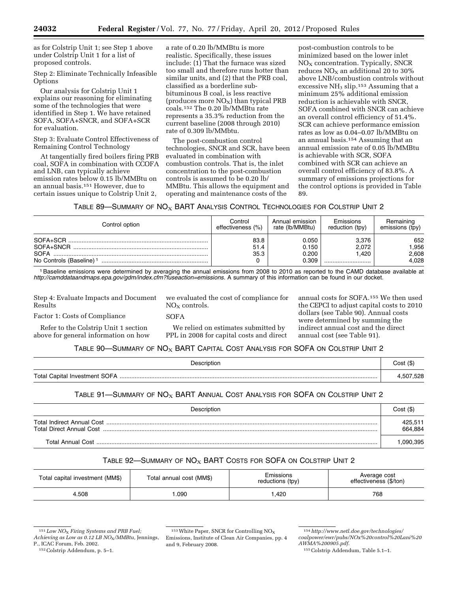as for Colstrip Unit 1; see Step 1 above under Colstrip Unit 1 for a list of proposed controls.

Step 2: Eliminate Technically Infeasible **Options** 

Our analysis for Colstrip Unit 1 explains our reasoning for eliminating some of the technologies that were identified in Step 1. We have retained SOFA, SOFA+SNCR, and SOFA+SCR for evaluation.

Step 3: Evaluate Control Effectiveness of Remaining Control Technology

At tangentially fired boilers firing PRB coal, SOFA in combination with CCOFA and LNB, can typically achieve emission rates below 0.15 lb/MMBtu on an annual basis.151 However, due to certain issues unique to Colstrip Unit 2,

a rate of 0.20 lb/MMBtu is more realistic. Specifically, these issues include: (1) That the furnace was sized too small and therefore runs hotter than similar units, and (2) that the PRB coal, classified as a borderline subbituminous B coal, is less reactive (produces more  $NO<sub>x</sub>$ ) than typical PRB coals.152 The 0.20 lb/MMBtu rate represents a 35.3% reduction from the current baseline (2008 through 2010) rate of 0.309 lb/MMbtu.

The post-combustion control technologies, SNCR and SCR, have been evaluated in combination with combustion controls. That is, the inlet concentration to the post-combustion controls is assumed to be 0.20 lb/ MMBtu. This allows the equipment and operating and maintenance costs of the

post-combustion controls to be minimized based on the lower inlet  $NO<sub>X</sub>$  concentration. Typically, SNCR reduces  $NO<sub>X</sub>$  an additional 20 to 30% above LNB/combustion controls without excessive NH<sub>3</sub> slip.<sup>153</sup> Assuming that a minimum 25% additional emission reduction is achievable with SNCR, SOFA combined with SNCR can achieve an overall control efficiency of 51.4%. SCR can achieve performance emission rates as low as 0.04–0.07 lb/MMBtu on an annual basis.154 Assuming that an annual emission rate of 0.05 lb/MMBtu is achievable with SCR, SOFA combined with SCR can achieve an overall control efficiency of 83.8%. A summary of emissions projections for the control options is provided in Table 89.

TABLE 89—SUMMARY OF  $NO<sub>x</sub>$  BART ANALYSIS CONTROL TECHNOLOGIES FOR COLSTRIP UNIT 2

| Control option                                                   | Control              | Annual emission                  | Emissions                   | Remaining                     |
|------------------------------------------------------------------|----------------------|----------------------------------|-----------------------------|-------------------------------|
|                                                                  | effectiveness (%)    | rate (lb/MMBtu)                  | reduction (tpy)             | emissions (tpy)               |
| SOFA+SCR<br>SOFA+SNCR<br><b>SOFA</b><br>No Controls (Baseline) 1 | 83.8<br>51.4<br>35.3 | 0.050<br>0.150<br>0.200<br>0.309 | 3.376<br>2.072<br>1.420<br> | 652<br>.956<br>2,608<br>4.028 |

1Baseline emissions were determined by averaging the annual emissions from 2008 to 2010 as reported to the CAMD database available at *[http://camddataandmaps.epa.gov/gdm/index.cfm?fuseaction=emissions.](http://camddataandmaps.epa.gov/gdm/index.cfm?fuseaction=emissions)* A summary of this information can be found in our docket.

Step 4: Evaluate Impacts and Document Results

Factor 1: Costs of Compliance

Refer to the Colstrip Unit 1 section above for general information on how we evaluated the cost of compliance for  $NO<sub>x</sub>$  controls.

#### SOFA

We relied on estimates submitted by PPL in 2008 for capital costs and direct annual costs for SOFA.155 We then used the CEPCI to adjust capital costs to 2010 dollars (see Table 90). Annual costs were determined by summing the indirect annual cost and the direct annual cost (see Table 91).

## TABLE 90 $-$ SUMMARY OF NO<sub>X</sub> BART CAPITAL COST ANALYSIS FOR SOFA ON COLSTRIP UNIT 2

| Description | Cost (\$) |
|-------------|-----------|
|             | .507.528  |

#### TABLE 91—SUMMARY OF  $N\text{O}_X$  BART ANNUAL COST ANALYSIS FOR SOFA ON COLSTRIP UNIT 2

| Description              | Cost (\$)          |
|--------------------------|--------------------|
| Total Direct Annual Cost | 425,511<br>664.884 |
| Total Annual Cost        | 090 395            |

# TABLE 92-SUMMARY OF  $NO<sub>X</sub>$  BART COSTS FOR SOFA ON COLSTRIP UNIT 2

| Total capital investment (MM\$) | Total annual cost (MM\$) | Emissions<br>reductions (tpy) | Average cost<br>effectiveness (\$/ton) |  |
|---------------------------------|--------------------------|-------------------------------|----------------------------------------|--|
| 4.508                           | .090                     | .420                          | 768                                    |  |

<sup>151</sup> *Low NO*<sup>X</sup> *Firing Systems and PRB Fuel; Achieving as Low as 0.12 LB NO*X*/MMBtu,* Jennings, P., ICAC Forum, Feb. 2002.

<sup>152</sup>Colstrip Addendum, p. 5–1.

 $153$  White Paper, SNCR for Controlling NO<sub>X</sub> Emissions, Institute of Clean Air Companies, pp. 4 and 9, February 2008.

<sup>154</sup>*[http://www.netl.doe.gov/technologies/](http://www.netl.doe.gov/technologies/coalpower/ewr/pubs/NOx%20control%20Lani%20AWMA%200905.pdf) [coalpower/ewr/pubs/NOx%20control%20Lani%20](http://www.netl.doe.gov/technologies/coalpower/ewr/pubs/NOx%20control%20Lani%20AWMA%200905.pdf) [AWMA%200905.pdf.](http://www.netl.doe.gov/technologies/coalpower/ewr/pubs/NOx%20control%20Lani%20AWMA%200905.pdf)* 

<sup>155</sup>Colstrip Addendum, Table 5.1–1.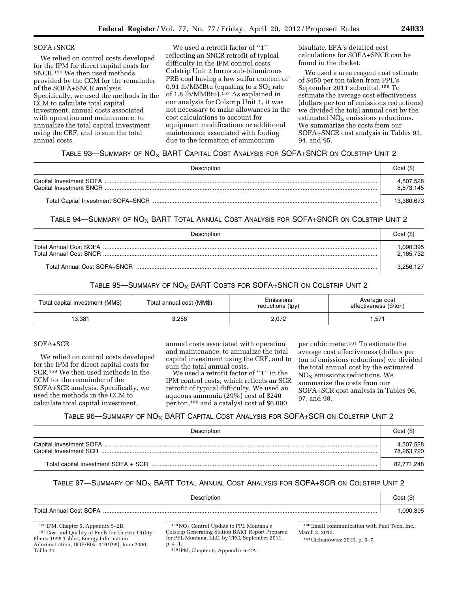#### SOFA+SNCR

We relied on control costs developed for the IPM for direct capital costs for SNCR.156 We then used methods provided by the CCM for the remainder of the SOFA+SNCR analysis. Specifically, we used the methods in the CCM to calculate total capital investment, annual costs associated with operation and maintenance, to annualize the total capital investment using the CRF, and to sum the total annual costs.

We used a retrofit factor of ''1'' reflecting an SNCR retrofit of typical difficulty in the IPM control costs. Colstrip Unit 2 burns sub-bituminous PRB coal having a low sulfur content of 0.91 lb/MMBtu (equating to a  $SO<sub>2</sub>$  rate of 1.8 lb/MMBtu).<sup>157</sup> As explained in our analysis for Colstrip Unit 1, it was not necessary to make allowances in the cost calculations to account for equipment modifications or additional maintenance associated with fouling due to the formation of ammonium

bisulfate. EPA's detailed cost calculations for SOFA+SNCR can be found in the docket.

We used a urea reagent cost estimate of \$450 per ton taken from PPL's September 2011 submittal.158 To estimate the average cost effectiveness (dollars per ton of emissions reductions) we divided the total annual cost by the estimated  $NO<sub>X</sub>$  emissions reductions. We summarize the costs from our SOFA+SNCR cost analysis in Tables 93, 94, and 95.

## TABLE 93—SUMMARY OF  $\mathsf{NO}_{\mathsf{X}}$  BART Capital Cost Analysis for SOFA+SNCR on Colstrip Unit 2

| Description | Cost(S)                |
|-------------|------------------------|
|             | 4,507,528<br>8,873,145 |
|             | 13.380.673             |

TABLE 94—SUMMARY OF  $N\text{O}_X$  BART TOTAL ANNUAL COST ANALYSIS FOR SOFA+SNCR ON COLSTRIP UNIT 2

| Description                 | Cost(S)               |
|-----------------------------|-----------------------|
|                             | ,090,395<br>2,165,732 |
| Total Annual Cost SOFA+SNCR | 3,256,127             |

# TABLE 95—SUMMARY OF  $N_{\rm OX}$  BART COSTS FOR SOFA+SNCR ON COLSTRIP UNIT 2

| Total capital investment (MM\$) | Total annual cost (MM\$) |       | Average cost<br>effectiveness (\$/ton) |  |
|---------------------------------|--------------------------|-------|----------------------------------------|--|
| 13.381                          | 3.256                    | 2,072 | ,571                                   |  |

#### SOFA+SCR

We relied on control costs developed for the IPM for direct capital costs for SCR.159 We then used methods in the CCM for the remainder of the SOFA+SCR analysis. Specifically, we used the methods in the CCM to calculate total capital investment,

annual costs associated with operation and maintenance, to annualize the total capital investment using the CRF, and to sum the total annual costs.

We used a retrofit factor of ''1'' in the IPM control costs, which reflects an SCR retrofit of typical difficulty. We used an aqueous ammonia (29%) cost of \$240 per ton,160 and a catalyst cost of \$6,000

per cubic meter.161 To estimate the average cost effectiveness (dollars per ton of emissions reductions) we divided the total annual cost by the estimated  $NO<sub>x</sub>$  emissions reductions. We summarize the costs from our SOFA+SCR cost analysis in Tables 96, 97, and 98.

#### TABLE 96—SUMMARY OF  $\mathsf{NO}_{\mathsf{X}}$  BART Capital Cost Analysis for SOFA+SCR on Colstrip Unit 2

| Description | Cost(S)                 |
|-------------|-------------------------|
|             | 4,507,528<br>78,263,720 |
|             | 82,771,248              |

## TABLE 97-SUMMARY OF  $NO<sub>X</sub>$  BART TOTAL ANNUAL COST ANALYSIS FOR SOFA+SCR ON COLSTRIP UNIT 2

| Description                   | Cost (\$) |
|-------------------------------|-----------|
| <b>Total Annual Cost SOFA</b> | .090.395  |

156 IPM, Chapter 5, Appendix 5–2B.

157Cost and Quality of Fuels for Electric Utility Plants 1999 Tables, Energy Information Administration, DOE/EIA–0191(99), June 2000, Table 24.

 $158\,\mathrm{NO_{X}}$  Control Update to PPL Montana's Colstrip Generating Station BART Report Prepared for PPL Montana, LLC, by TRC, September 2011, p. 4–1.

160Email communication with Fuel Tech, Inc., March 2, 2012.

161Cichanowicz 2010, p. 6–7.

159 IPM, Chapter 5, Appendix 5–2A.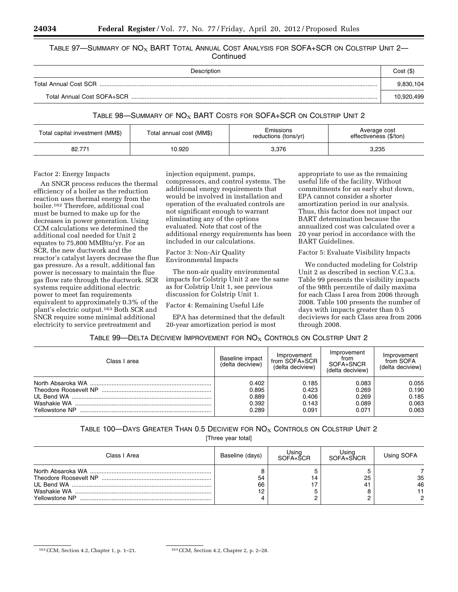#### Table 97—Summary of  $\mathsf{NO}_{\mathsf{X}}$  BART Total Annual Cost Analysis for SOFA+SCR on Colstrip Unit 2— **Continued**

| Description           | Cost(S)    |
|-----------------------|------------|
| Total Annual Cost SCR | 9.830.104  |
|                       | 10.920.499 |

#### TABLE 98—SUMMARY OF  $NO<sub>X</sub>$  BART COSTS FOR SOFA+SCR ON COLSTRIP UNIT 2

| Total capital investment (MM\$) |        | Emissions            | Average cost           |  |
|---------------------------------|--------|----------------------|------------------------|--|
| Total annual cost (MM\$)        |        | reductions (tons/yr) | effectiveness (\$/ton) |  |
| 82.771                          | 10.920 | 3,376                | 3,235                  |  |

#### Factor 2: Energy Impacts

An SNCR process reduces the thermal efficiency of a boiler as the reduction reaction uses thermal energy from the boiler.162 Therefore, additional coal must be burned to make up for the decreases in power generation. Using CCM calculations we determined the additional coal needed for Unit 2 equates to 75,800 MMBtu/yr. For an SCR, the new ductwork and the reactor's catalyst layers decrease the flue gas pressure. As a result, additional fan power is necessary to maintain the flue gas flow rate through the ductwork. SCR systems require additional electric power to meet fan requirements equivalent to approximately 0.3% of the plant's electric output.163 Both SCR and SNCR require some minimal additional electricity to service pretreatment and

injection equipment, pumps, compressors, and control systems. The additional energy requirements that would be involved in installation and operation of the evaluated controls are not significant enough to warrant eliminating any of the options evaluated. Note that cost of the additional energy requirements has been included in our calculations.

Factor 3: Non-Air Quality Environmental Impacts

The non-air quality environmental impacts for Colstrip Unit 2 are the same as for Colstrip Unit 1, see previous discussion for Colstrip Unit 1.

Factor 4: Remaining Useful Life

EPA has determined that the default 20-year amortization period is most

appropriate to use as the remaining useful life of the facility. Without commitments for an early shut down, EPA cannot consider a shorter amortization period in our analysis. Thus, this factor does not impact our BART determination because the annualized cost was calculated over a 20 year period in accordance with the BART Guidelines.

Factor 5: Evaluate Visibility Impacts

We conducted modeling for Colstrip Unit 2 as described in section V.C.3.a. Table 99 presents the visibility impacts of the 98th percentile of daily maxima for each Class I area from 2006 through 2008. Table 100 presents the number of days with impacts greater than 0.5 deciviews for each Class area from 2006 through 2008.

## TABLE 99—DELTA DECIVIEW IMPROVEMENT FOR  $NO_X$  Controls on Colstrip Unit 2

| Class I area   | Baseline impact<br>(delta deciview) | Improvement<br>from SOFA+SCR<br>(delta deciview) | Improvement<br>from<br>SOFA+SNCR<br>(delta deciview) | Improvement<br>from SOFA<br>(delta deciview) |
|----------------|-------------------------------------|--------------------------------------------------|------------------------------------------------------|----------------------------------------------|
|                | 0.402                               | 0.185                                            | 0.083                                                | 0.055                                        |
|                | 0.895                               | 0.423                                            | 0.269                                                | 0.190                                        |
|                | 0.889                               | 0.406                                            | 0.269                                                | 0.185                                        |
|                | 0.392                               | 0.143                                            | 0.089                                                | 0.063                                        |
| Yellowstone NP | 0.289                               | 0.091                                            | 0.071                                                | 0.063                                        |

## TABLE 100—DAYS GREATER THAN 0.5 DECIVIEW FOR  $NO_{X}$  Controls on Colstrip Unit 2

[Three year total]

| Class I Area   | Baseline (days) | Using<br>$SOFA+SCR$ | Using<br>SOFA+SNCR | Using SOFA    |
|----------------|-----------------|---------------------|--------------------|---------------|
| Yellowstone NP | 54<br>66<br>19  |                     | 25<br>41           | 35<br>46<br>റ |

<sup>162</sup>CCM, Section 4.2, Chapter 1, p. 1–21. 163CCM, Section 4.2, Chapter 2, p. 2–28.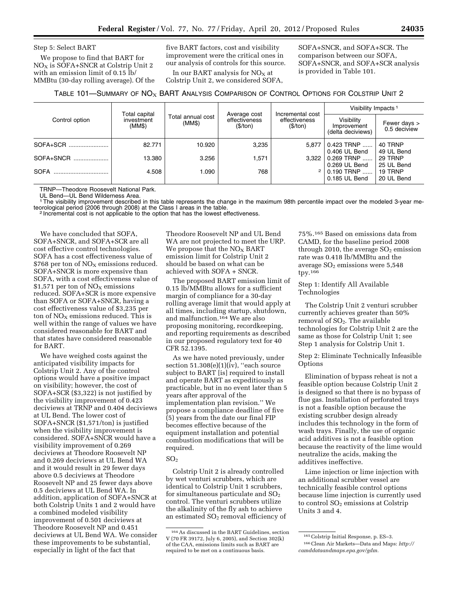Step 5: Select BART

We propose to find that BART for NOX is SOFA+SNCR at Colstrip Unit 2 with an emission limit of 0.15 lb/ MMBtu (30-day rolling average). Of the five BART factors, cost and visibility improvement were the critical ones in our analysis of controls for this source.

In our BART analysis for  $NO<sub>x</sub>$  at Colstrip Unit 2, we considered SOFA, SOFA+SNCR, and SOFA+SCR. The comparison between our SOFA, SOFA+SNCR, and SOFA+SCR analysis is provided in Table 101.

## TABLE 101-SUMMARY OF NO<sub>X</sub> BART ANALYSIS COMPARISON OF CONTROL OPTIONS FOR COLSTRIP UNIT 2

|                | Total capital        |                             | Average cost              | Incremental cost<br>effectiveness<br>(\$/ton) | Visibility Impacts <sup>1</sup>                |                              |
|----------------|----------------------|-----------------------------|---------------------------|-----------------------------------------------|------------------------------------------------|------------------------------|
| Control option | investment<br>(MM\$) | Total annual cost<br>(MM\$) | effectiveness<br>(\$/ton) |                                               | Visibility<br>Improvement<br>(delta deciviews) | Fewer days ><br>0.5 deciview |
| SOFA+SCR       | 82.771               | 10.920                      | 3.235                     | 5.877                                         | 0.423 TRNP<br>0.406 UL Bend                    | 40 TRNP<br>49 UL Bend        |
| SOFA+SNCR      | 13.380               | 3.256                       | .571                      | 3.322                                         | $0.269$ TRNP<br>0.269 UL Bend                  | 29 TRNP<br>25 UL Bend        |
| <b>SOFA</b>    | 4.508                | 090.                        | 768                       |                                               | $0.190$ TRNP<br>0.185 UL Bend                  | 19 TRNP<br>20 UL Bend        |

TRNP—Theodore Roosevelt National Park.

UL Bend—UL Bend Wilderness Area.

<sup>1</sup>The visibility improvement described in this table represents the change in the maximum 98th percentile impact over the modeled 3-year me-<br>teorological period (2006 through 2008) at the Class I areas in the table.

<sup>2</sup> Incremental cost is not applicable to the option that has the lowest effectiveness.

We have concluded that SOFA, SOFA+SNCR, and SOFA+SCR are all cost effective control technologies. SOFA has a cost effectiveness value of \$768 per ton of  $NO<sub>x</sub>$  emissions reduced. SOFA+SNCR is more expensive than SOFA, with a cost effectiveness value of \$1,571 per ton of  $NO<sub>x</sub>$  emissions reduced. SOFA+SCR is more expensive than SOFA or SOFA+SNCR, having a cost effectiveness value of \$3,235 per ton of  $NO<sub>x</sub>$  emissions reduced. This is well within the range of values we have considered reasonable for BART and that states have considered reasonable for BART.

We have weighed costs against the anticipated visibility impacts for Colstrip Unit 2. Any of the control options would have a positive impact on visibility; however, the cost of SOFA+SCR (\$3,322) is not justified by the visibility improvement of 0.423 deciviews at TRNP and 0.404 deciviews at UL Bend. The lower cost of SOFA+SNCR (\$1,571/ton) is justified when the visibility improvement is considered. SOFA+SNCR would have a visibility improvement of 0.269 deciviews at Theodore Roosevelt NP and 0.269 deciviews at UL Bend WA and it would result in 29 fewer days above 0.5 deciviews at Theodore Roosevelt NP and 25 fewer days above 0.5 deciviews at UL Bend WA. In addition, application of SOFA+SNCR at both Colstrip Units 1 and 2 would have a combined modeled visibility improvement of 0.501 deciviews at Theodore Roosevelt NP and 0.451 deciviews at UL Bend WA. We consider these improvements to be substantial, especially in light of the fact that

Theodore Roosevelt NP and UL Bend WA are not projected to meet the URP. We propose that the  $NO<sub>x</sub>$  BART emission limit for Colstrip Unit 2 should be based on what can be achieved with SOFA + SNCR.

The proposed BART emission limit of 0.15 lb/MMBtu allows for a sufficient margin of compliance for a 30-day rolling average limit that would apply at all times, including startup, shutdown, and malfunction.164 We are also proposing monitoring, recordkeeping, and reporting requirements as described in our proposed regulatory text for 40 CFR 52.1395.

As we have noted previously, under section 51.308(e)(1)(iv), "each source subject to BART [is] required to install and operate BART as expeditiously as practicable, but in no event later than 5 years after approval of the implementation plan revision.'' We propose a compliance deadline of five (5) years from the date our final FIP becomes effective because of the equipment installation and potential combustion modifications that will be required.

#### $SO<sub>2</sub>$

Colstrip Unit 2 is already controlled by wet venturi scrubbers, which are identical to Colstrip Unit 1 scrubbers, for simultaneous particulate and  $SO<sub>2</sub>$ control. The venturi scrubbers utilize the alkalinity of the fly ash to achieve an estimated SO2 removal efficiency of 75%.165 Based on emissions data from CAMD, for the baseline period 2008 through 2010, the average  $SO<sub>2</sub>$  emission rate was 0.418 lb/MMBtu and the average  $SO<sub>2</sub>$  emissions were 5,548 tpy.166

Step 1: Identify All Available Technologies

The Colstrip Unit 2 venturi scrubber currently achieves greater than 50% removal of SO2. The available technologies for Colstrip Unit 2 are the same as those for Colstrip Unit 1; see Step 1 analysis for Colstrip Unit 1.

Step 2: Eliminate Technically Infeasible **Options** 

Elimination of bypass reheat is not a feasible option because Colstrip Unit 2 is designed so that there is no bypass of flue gas. Installation of perforated trays is not a feasible option because the existing scrubber design already includes this technology in the form of wash trays. Finally, the use of organic acid additives is not a feasible option because the reactivity of the lime would neutralize the acids, making the additives ineffective.

Lime injection or lime injection with an additional scrubber vessel are technically feasible control options because lime injection is currently used to control  $SO<sub>2</sub>$  emissions at Colstrip Units 3 and 4.

<sup>164</sup>As discussed in the BART Guidelines, section V (70 FR 39172, July 6, 2005), and Section 302(k) of the CAA, emissions limits such as BART are required to be met on a continuous basis.

<sup>165</sup>Colstrip Initial Response, p. ES–3. 166Clean Air Markets—Data and Maps: *[http://](http://camddataandmaps.epa.gov/gdm)  [camddataandmaps.epa.gov/gdm.](http://camddataandmaps.epa.gov/gdm)*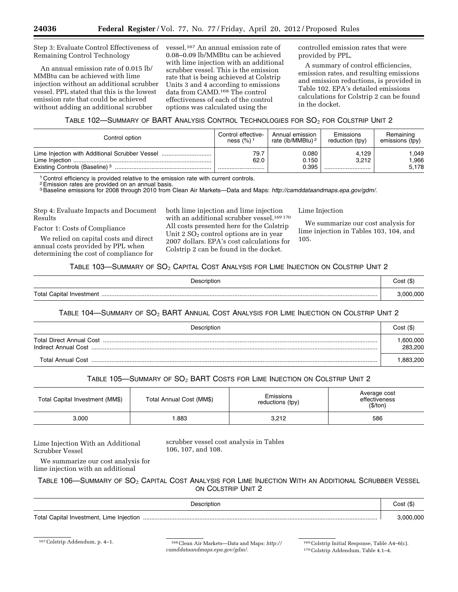Step 3: Evaluate Control Effectiveness of Remaining Control Technology

An annual emission rate of 0.015 lb/ MMBtu can be achieved with lime injection without an additional scrubber vessel. PPL stated that this is the lowest emission rate that could be achieved without adding an additional scrubber

vessel.167 An annual emission rate of 0.08–0.09 lb/MMBtu can be achieved with lime injection with an additional scrubber vessel. This is the emission rate that is being achieved at Colstrip Units 3 and 4 according to emissions data from CAMD.168 The control effectiveness of each of the control options was calculated using the

controlled emission rates that were provided by PPL.

A summary of control efficiencies, emission rates, and resulting emissions and emission reductions, is provided in Table 102. EPA's detailed emissions calculations for Colstrip 2 can be found in the docket.

## TABLE 102—SUMMARY OF BART ANALYSIS CONTROL TECHNOLOGIES FOR SO2 FOR COLSTRIP UNIT 2

| Control option                            | Control effective-      | Annual emission              | Emissions       | Remaining             |
|-------------------------------------------|-------------------------|------------------------------|-----------------|-----------------------|
|                                           | ness $(%)$ <sup>1</sup> | rate (lb/MMBtu) <sup>2</sup> | reduction (tpy) | emissions (tpy)       |
| Existing Controls (Baseline) <sup>3</sup> | 79.7<br>62.0            | 0.080<br>0.150<br>0.395      | 4.129<br>3.212  | .049<br>.966<br>5.178 |

<sup>1</sup> Control efficiency is provided relative to the emission rate with current controls.

2Emission rates are provided on an annual basis.

3Baseline emissions for 2008 through 2010 from Clean Air Markets—Data and Maps: *[http://camddataandmaps.epa.gov/gdm/.](http://camddataandmaps.epa.gov/gdm/)* 

Step 4: Evaluate Impacts and Document Results

Factor 1: Costs of Compliance

We relied on capital costs and direct annual costs provided by PPL when determining the cost of compliance for both lime injection and lime injection with an additional scrubber vessel.  $^{169\,170}$ All costs presented here for the Colstrip Unit  $2 SO<sub>2</sub>$  control options are in year 2007 dollars. EPA's cost calculations for Colstrip 2 can be found in the docket.

Lime Injection

We summarize our cost analysis for lime injection in Tables 103, 104, and 105.

#### TABLE 103-SUMMARY OF SO<sub>2</sub> CAPITAL COST ANALYSIS FOR LIME INJECTION ON COLSTRIP UNIT 2

| Description | Cost (\$) |
|-------------|-----------|
|             | 000.000.، |

TABLE 104—SUMMARY OF SO2 BART ANNUAL COST ANALYSIS FOR LIME INJECTION ON COLSTRIP UNIT 2

| Description       | Cost (\$)           |
|-------------------|---------------------|
|                   | ,600,000<br>283.200 |
| Total Annual Cost | .883.200            |

## TABLE 105-SUMMARY OF SO<sub>2</sub> BART COSTS FOR LIME INJECTION ON COLSTRIP UNIT 2

| Total Capital Investment (MM\$) | Total Annual Cost (MM\$) | Emissions<br>reductions (tpy) | Average cost<br>effectiveness<br>(\$/ton) |
|---------------------------------|--------------------------|-------------------------------|-------------------------------------------|
| 3.000                           | .883                     | 3,212                         | 586                                       |

Lime Injection With an Additional Scrubber Vessel

scrubber vessel cost analysis in Tables 106, 107, and 108.

We summarize our cost analysis for lime injection with an additional

## Table 106—Summary of  $\mathrm{SO}_2$  Capital Cost Analysis for Lime Injection With an Additional Scrubber Vessel ON COLSTRIP UNIT 2

| Description | $Cost($ \$) |
|-------------|-------------|
|             | 3.000.000   |

167Colstrip Addendum, p. 4–1. 168Clean Air Markets—Data and Maps: *[http://](http://camddataandmaps.epa.gov/gdm/)  [camddataandmaps.epa.gov/gdm/.](http://camddataandmaps.epa.gov/gdm/)* 

169Colstrip Initial Response, Table A4–6(c). 170Colstrip Addendum, Table 4.1–4.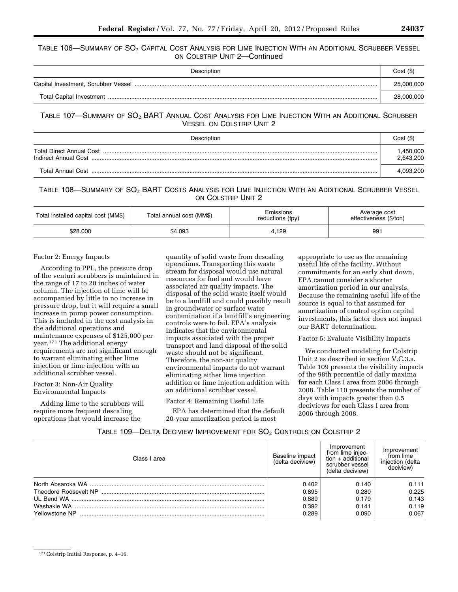#### TABLE 106—SUMMARY OF SO<sub>2</sub> CAPITAL COST ANALYSIS FOR LIME INJECTION WITH AN ADDITIONAL SCRUBBER VESSEL ON COLSTRIP UNIT 2—Continued

| Description | Cost(S)    |
|-------------|------------|
|             | 25,000,000 |
|             | 28,000,000 |

## TABLE 107—SUMMARY OF SO2 BART ANNUAL COST ANALYSIS FOR LIME INJECTION WITH AN ADDITIONAL SCRUBBER VESSEL ON COLSTRIP UNIT 2

| Description                                       | $Cost ($\)$           |
|---------------------------------------------------|-----------------------|
| Total Direct Annual Cost.<br>Indirect Annual Cost | ,450,000<br>2,643,200 |
| Total Annual Cost                                 | 4,093,200             |

## TABLE 108—SUMMARY OF SO<sub>2</sub> BART COSTS ANALYSIS FOR LIME INJECTION WITH AN ADDITIONAL SCRUBBER VESSEL ON COLSTRIP UNIT 2

| Total installed capital cost (MM\$) | Total annual cost (MM\$) |       | Average cost<br>effectiveness (\$/ton) |  |
|-------------------------------------|--------------------------|-------|----------------------------------------|--|
| \$28.000                            | \$4.093                  | 4.129 | 991                                    |  |

#### Factor 2: Energy Impacts

According to PPL, the pressure drop of the venturi scrubbers is maintained in the range of 17 to 20 inches of water column. The injection of lime will be accompanied by little to no increase in pressure drop, but it will require a small increase in pump power consumption. This is included in the cost analysis in the additional operations and maintenance expenses of \$125,000 per year.171 The additional energy requirements are not significant enough to warrant eliminating either lime injection or lime injection with an additional scrubber vessel.

#### Factor 3: Non-Air Quality Environmental Impacts

Adding lime to the scrubbers will require more frequent descaling operations that would increase the

quantity of solid waste from descaling operations. Transporting this waste stream for disposal would use natural resources for fuel and would have associated air quality impacts. The disposal of the solid waste itself would be to a landfill and could possibly result in groundwater or surface water contamination if a landfill's engineering controls were to fail. EPA's analysis indicates that the environmental impacts associated with the proper transport and land disposal of the solid waste should not be significant. Therefore, the non-air quality environmental impacts do not warrant eliminating either lime injection addition or lime injection addition with an additional scrubber vessel.

## Factor 4: Remaining Useful Life

EPA has determined that the default 20-year amortization period is most

appropriate to use as the remaining useful life of the facility. Without commitments for an early shut down, EPA cannot consider a shorter amortization period in our analysis. Because the remaining useful life of the source is equal to that assumed for amortization of control option capital investments, this factor does not impact our BART determination.

Factor 5: Evaluate Visibility Impacts

We conducted modeling for Colstrip Unit 2 as described in section V.C.3.a. Table 109 presents the visibility impacts of the 98th percentile of daily maxima for each Class I area from 2006 through 2008. Table 110 presents the number of days with impacts greater than 0.5 deciviews for each Class I area from 2006 through 2008.

#### TABLE 109—DELTA DECIVIEW IMPROVEMENT FOR  $SO_2$  Controls on Colstrip 2

| Class I area   | Baseline impact<br>(delta deciview) | Improvement<br>from lime injec-<br>$tion + additional$<br>scrubber vessel<br>(delta deciview) | Improvement<br>from lime<br>injection (delta<br>deciview) |
|----------------|-------------------------------------|-----------------------------------------------------------------------------------------------|-----------------------------------------------------------|
|                | 0.402                               | 0.140                                                                                         | 0.111                                                     |
|                | 0.895                               | 0.280                                                                                         | 0.225                                                     |
|                | 0.889                               | 0.179                                                                                         | 0.143                                                     |
|                | 0.392                               | 0.141                                                                                         | 0.119                                                     |
| Yellowstone NP | 0.289                               | 0.090                                                                                         | 0.067                                                     |

<sup>171</sup>Colstrip Initial Response, p. 4–16.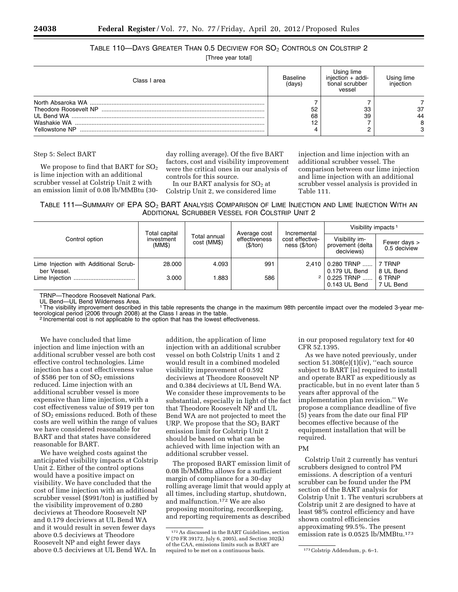# Table 110—Days Greater Than 0.5 Deciview for  $SO_2$  Controls on Colstrip 2

[Three year total]

| Class I area   | Baseline<br>(days) | Using lime<br>injection $+$ addi-<br>tional scrubber<br>vessel | iniection |
|----------------|--------------------|----------------------------------------------------------------|-----------|
|                |                    |                                                                |           |
|                | 52                 | 33                                                             | -37       |
|                | 68                 | 39                                                             | 44        |
|                | 12.                |                                                                |           |
| Yellowstone NP |                    |                                                                |           |

Step 5: Select BART

We propose to find that BART for  $SO<sub>2</sub>$ is lime injection with an additional scrubber vessel at Colstrip Unit 2 with an emission limit of 0.08 lb/MMBtu (30day rolling average). Of the five BART factors, cost and visibility improvement were the critical ones in our analysis of controls for this source.

In our BART analysis for  $SO<sub>2</sub>$  at Colstrip Unit 2, we considered lime injection and lime injection with an additional scrubber vessel. The comparison between our lime injection and lime injection with an additional scrubber vessel analysis is provided in Table 111.

TABLE 111—SUMMARY OF EPA SO<sub>2</sub> BART ANALYSIS COMPARISON OF LIME INJECTION AND LIME INJECTION WITH AN ADDITIONAL SCRUBBER VESSEL FOR COLSTRIP UNIT 2

|                                                      |                                       |                             | Average cost<br>effectiveness<br>(\$/ton) |                                                 | Visibility impacts <sup>1</sup>                  |                              |
|------------------------------------------------------|---------------------------------------|-----------------------------|-------------------------------------------|-------------------------------------------------|--------------------------------------------------|------------------------------|
| Control option                                       | Total capital<br>investment<br>(MM\$) | Total annual<br>cost (MM\$) |                                           | Incremental<br>cost effective-<br>ness (\$/ton) | Visibility im-<br>provement (delta<br>deciviews) | Fewer days ><br>0.5 deciview |
| Lime Injection with Additional Scrub-<br>ber Vessel. | 28.000                                | 4.093                       | 991                                       | 2.410                                           | 0.280 TRNP<br>0.179 UL Bend                      | 7 TRNP<br>8 UL Bend          |
|                                                      | 3.000                                 | 1.883                       | 586                                       | 2 <sup>1</sup>                                  | $0.225$ TRNP<br>0.143 UL Bend                    | 6 TRNP<br>7 UL Bend          |

TRNP—Theodore Roosevelt National Park.

UL Bend—UL Bend Wilderness Area.<br>1 The visibility improvement described in this table represents the change in the maximum 98th percentile impact over the modeled 3-year meteorological period (2006 through 2008) at the Class I areas in the table. <sup>2</sup> Incremental cost is not applicable to the option that has the lowest effectiveness.

We have concluded that lime injection and lime injection with an additional scrubber vessel are both cost effective control technologies. Lime injection has a cost effectiveness value of  $$586$  per ton of  $SO<sub>2</sub>$  emissions reduced. Lime injection with an additional scrubber vessel is more expensive than lime injection, with a cost effectiveness value of \$919 per ton of  $SO<sub>2</sub>$  emissions reduced. Both of these costs are well within the range of values we have considered reasonable for BART and that states have considered reasonable for BART.

We have weighed costs against the anticipated visibility impacts at Colstrip Unit 2. Either of the control options would have a positive impact on visibility. We have concluded that the cost of lime injection with an additional scrubber vessel (\$991/ton) is justified by the visibility improvement of 0.280 deciviews at Theodore Roosevelt NP and 0.179 deciviews at UL Bend WA and it would result in seven fewer days above 0.5 deciviews at Theodore Roosevelt NP and eight fewer days above 0.5 deciviews at UL Bend WA. In

addition, the application of lime injection with an additional scrubber vessel on both Colstrip Units 1 and 2 would result in a combined modeled visibility improvement of 0.592 deciviews at Theodore Roosevelt NP and 0.384 deciviews at UL Bend WA. We consider these improvements to be substantial, especially in light of the fact that Theodore Roosevelt NP and UL Bend WA are not projected to meet the URP. We propose that the  $SO<sub>2</sub>$  BART emission limit for Colstrip Unit 2 should be based on what can be achieved with lime injection with an additional scrubber vessel.

The proposed BART emission limit of 0.08 lb/MMBtu allows for a sufficient margin of compliance for a 30-day rolling average limit that would apply at all times, including startup, shutdown, and malfunction.172 We are also proposing monitoring, recordkeeping, and reporting requirements as described

in our proposed regulatory text for 40 CFR 52.1395.

As we have noted previously, under section  $51.308(e)(1)(iv)$ , "each source subject to BART [is] required to install and operate BART as expeditiously as practicable, but in no event later than 5 years after approval of the implementation plan revision.'' We propose a compliance deadline of five (5) years from the date our final FIP becomes effective because of the equipment installation that will be required.

#### PM

Colstrip Unit 2 currently has venturi scrubbers designed to control PM emissions. A description of a venturi scrubber can be found under the PM section of the BART analysis for Colstrip Unit 1. The venturi scrubbers at Colstrip unit 2 are designed to have at least 98% control efficiency and have shown control efficiencies approximating 99.5%. The present emission rate is 0.0525 lb/MMBtu.<sup>173</sup>

<sup>172</sup>As discussed in the BART Guidelines, section V (70 FR 39172, July 6, 2005), and Section 302(k) of the CAA, emissions limits such as BART are required to be met on a continuous basis. 173Colstrip Addendum, p. 6–1.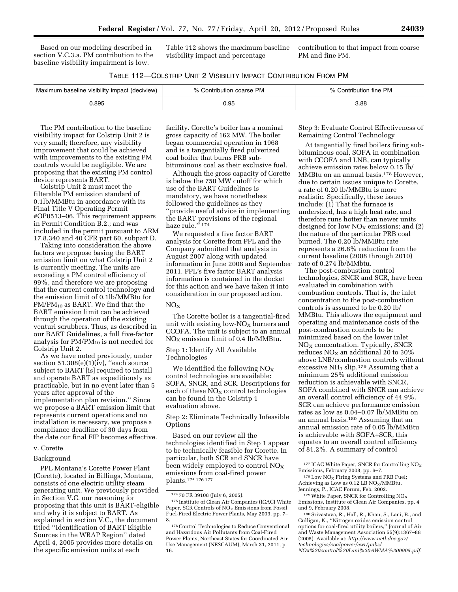Based on our modeling described in section V.C.3.a. PM contribution to the baseline visibility impairment is low.

Table 112 shows the maximum baseline visibility impact and percentage

contribution to that impact from coarse PM and fine PM.

| TABLE 112-COLSTRIP UNIT 2 VISIBILITY IMPACT CONTRIBUTION FROM PM |  |
|------------------------------------------------------------------|--|
|------------------------------------------------------------------|--|

| Maximum baseline visibility impact (deciview) | % Contribution coarse PM | Contribution fine PM |
|-----------------------------------------------|--------------------------|----------------------|
| 895.(                                         | 95. ل                    | 3.88                 |

The PM contribution to the baseline visibility impact for Colstrip Unit 2 is very small; therefore, any visibility improvement that could be achieved with improvements to the existing PM controls would be negligible. We are proposing that the existing PM control device represents BART.

Colstrip Unit 2 must meet the filterable PM emission standard of 0.1lb/MMBtu in accordance with its Final Title V Operating Permit #OP0513–06. This requirement appears in Permit Condition B.2.; and was included in the permit pursuant to ARM 17.8.340 and 40 CFR part 60, subpart D.

Taking into consideration the above factors we propose basing the BART emission limit on what Colstrip Unit 2 is currently meeting. The units are exceeding a PM control efficiency of 99%, and therefore we are proposing that the current control technology and the emission limit of 0.1lb/MMBtu for  $PM/PM_{10}$  as BART. We find that the BART emission limit can be achieved through the operation of the existing venturi scrubbers. Thus, as described in our BART Guidelines, a full five-factor analysis for  $PM/PM_{10}$  is not needed for Colstrip Unit 2.

As we have noted previously, under section 51.308(e)(1)(iv), "each source subject to BART [is] required to install and operate BART as expeditiously as practicable, but in no event later than 5 years after approval of the implementation plan revision.'' Since we propose a BART emission limit that represents current operations and no installation is necessary, we propose a compliance deadline of 30 days from the date our final FIP becomes effective.

#### v. Corette

#### Background

PPL Montana's Corette Power Plant (Corette), located in Billings, Montana, consists of one electric utility steam generating unit. We previously provided in Section V.C. our reasoning for proposing that this unit is BART-eligible and why it is subject to BART. As explained in section V.C., the document titled ''Identification of BART Eligible Sources in the WRAP Region'' dated April 4, 2005 provides more details on the specific emission units at each

facility. Corette's boiler has a nominal gross capacity of 162 MW. The boiler began commercial operation in 1968 and is a tangentially fired pulverized coal boiler that burns PRB subbituminous coal as their exclusive fuel.

Although the gross capacity of Corette is below the 750 MW cutoff for which use of the BART Guidelines is mandatory, we have nonetheless followed the guidelines as they ''provide useful advice in implementing the BART provisions of the regional haze rule.'' 174

We requested a five factor BART analysis for Corette from PPL and the Company submitted that analysis in August 2007 along with updated information in June 2008 and September 2011. PPL's five factor BART analysis information is contained in the docket for this action and we have taken it into consideration in our proposed action.

#### $NO<sub>X</sub>$

The Corette boiler is a tangential-fired unit with existing low- $NO_{X}$  burners and CCOFA. The unit is subject to an annual  $NO<sub>X</sub>$  emission limit of 0.4 lb/MMBtu.

Step 1: Identify All Available Technologies

We identified the following  $NO<sub>X</sub>$ control technologies are available: SOFA, SNCR, and SCR. Descriptions for each of these  $NO<sub>X</sub>$  control technologies can be found in the Colstrip 1 evaluation above.

Step 2: Eliminate Technically Infeasible **Options** 

Based on our review all the technologies identified in Step 1 appear to be technically feasible for Corette. In particular, both SCR and SNCR have been widely employed to control  $NO_X$ emissions from coal-fired power plants.175 176 177

Step 3: Evaluate Control Effectiveness of Remaining Control Technology

At tangentially fired boilers firing subbituminous coal, SOFA in combination with CCOFA and LNB, can typically achieve emission rates below 0.15 lb/ MMBtu on an annual basis.178 However, due to certain issues unique to Corette, a rate of 0.20 lb/MMBtu is more realistic. Specifically, these issues include: (1) That the furnace is undersized, has a high heat rate, and therefore runs hotter than newer units designed for low  $NO<sub>X</sub>$  emissions; and (2) the nature of the particular PRB coal burned. The 0.20 lb/MMBtu rate represents a 26.8% reduction from the current baseline (2008 through 2010) rate of 0.274 lb/MMbtu.

The post-combustion control technologies, SNCR and SCR, have been evaluated in combination with combustion controls. That is, the inlet concentration to the post-combustion controls is assumed to be 0.20 lb/ MMBtu. This allows the equipment and operating and maintenance costs of the post-combustion controls to be minimized based on the lower inlet  $NO<sub>X</sub>$  concentration. Typically, SNCR reduces  $NO<sub>X</sub>$  an additional 20 to 30% above LNB/combustion controls without excessive NH<sup>3</sup> slip.179 Assuming that a minimum 25% additional emission reduction is achievable with SNCR, SOFA combined with SNCR can achieve an overall control efficiency of 44.9%. SCR can achieve performance emission rates as low as 0.04–0.07 lb/MMBtu on an annual basis.180 Assuming that an annual emission rate of 0.05 lb/MMBtu is achievable with SOFA+SCR, this equates to an overall control efficiency of 81.2%. A summary of control

Emissions, Institute of Clean Air Companies, pp. 4 and 9, February 2008.

*[NOx%20control%20Lani%20AWMA%200905.pdf.](http://www.netl.doe.gov/technologies/coalpower/ewr/pubs/NOx%20control%20Lani%20AWMA%200905.pdf)* 

<sup>174</sup> 70 FR 39108 (July 6, 2005).

<sup>175</sup> Institute of Clean Air Companies (ICAC) White Paper, SCR Controls of NO<sub>x</sub> Emissions from Fossil Fuel-Fired Electric Power Plants, May 2009, pp. 7– 8.

<sup>176</sup>Control Technologies to Reduce Conventional and Hazardous Air Pollutants from Coal-Fired Power Plants, Northeast States for Coordinated Air Use Management (NESCAUM), March 31, 2011, p. 16.

 $^{177}\rm ICAC$  White Paper, SNCR for Controlling  $\rm NO_X$ Emissions, February 2008, pp. 6–7.

 $^{178}\mathrm{Low}$  NO<sub>X</sub> Firing Systems and PRB Fuel; Achieving as Low as  $0.12$  LB NO<sub>X</sub>/MMBtu, Jennings, P., ICAC Forum, Feb. 2002.

 $179$  White Paper, SNCR for Controlling NO<sub>X</sub>

<sup>180</sup>Srivastava, R., Hall, R., Khan, S., Lani, B., and Culligan, K., ''Nitrogen oxides emission control options for coal-fired utility boilers,'' Journal of Air and Waste Management Association 55(9):1367–88 (2005). Available at: *[http://www.netl.doe.gov/](http://www.netl.doe.gov/technologies/coalpower/ewr/pubs/NOx%20control%20Lani%20AWMA%200905.pdf)  [technologies/coalpower/ewr/pubs/](http://www.netl.doe.gov/technologies/coalpower/ewr/pubs/NOx%20control%20Lani%20AWMA%200905.pdf)*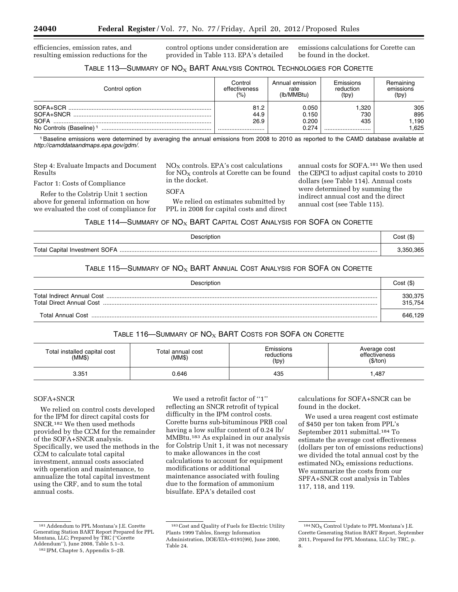efficiencies, emission rates, and resulting emission reductions for the control options under consideration are provided in Table 113. EPA's detailed

emissions calculations for Corette can be found in the docket.

## TABLE 113-SUMMARY OF NO<sub>X</sub> BART ANALYSIS CONTROL TECHNOLOGIES FOR CORETTE

| Control option                      | Control<br>effectiveness<br>(%) | Annual emission<br>rate<br>(lb/MMBtu) | Emissions<br>reduction<br>(tpy) | Remaining<br>emissions<br>(tpy) |
|-------------------------------------|---------------------------------|---------------------------------------|---------------------------------|---------------------------------|
| SOFA+SCR                            | 81.2                            | 0.050                                 | 320                             | 305                             |
| SOFA+SNCR                           | 44.9                            | 0.150                                 | 730                             | 895                             |
| <b>SOFA</b>                         | 26.9                            | 0.200                                 | 435                             | .190                            |
| No Controls (Baseline) <sup>1</sup> |                                 | 0.274                                 |                                 | .625                            |

1Baseline emissions were determined by averaging the annual emissions from 2008 to 2010 as reported to the CAMD database available at *[http://camddataandmaps.epa.gov/gdm/.](http://camddataandmaps.epa.gov/gdm/)* 

Step 4: Evaluate Impacts and Document Results

Refer to the Colstrip Unit 1 section above for general information on how we evaluated the cost of compliance for

Factor 1: Costs of Compliance

 $NO<sub>x</sub>$  controls. EPA's cost calculations for  $NO<sub>X</sub>$  controls at Corette can be found in the docket.

 $S$ OFA

We relied on estimates submitted by PPL in 2008 for capital costs and direct

annual costs for SOFA.181 We then used the CEPCI to adjust capital costs to 2010 dollars (see Table 114). Annual costs were determined by summing the indirect annual cost and the direct annual cost (see Table 115).

#### TABLE 114-SUMMARY OF  $NO<sub>X</sub>$  BART CAPITAL COST ANALYSIS FOR SOFA ON CORETTE

| Description | Cost (\$) |
|-------------|-----------|
|             |           |

## TABLE 115-SUMMARY OF  $NO<sub>X</sub>$  BART ANNUAL COST ANALYSIS FOR SOFA ON CORETTE

| Description       | Cost(S)            |
|-------------------|--------------------|
|                   | 330,375<br>315.754 |
| Total Annual Cost | 646.129            |

## TABLE 116-SUMMARY OF  $NO<sub>X</sub>$  BART COSTS FOR SOFA ON CORETTE

| Total installed capital cost<br>(MMS) | Total annual cost<br>(MM\$) | Emissions<br>reductions<br>(tpy) | Average cost<br>effectiveness<br>(\$/ton) |
|---------------------------------------|-----------------------------|----------------------------------|-------------------------------------------|
| 3.351                                 | 0.646                       | 435                              | ,487                                      |

## SOFA+SNCR

We relied on control costs developed for the IPM for direct capital costs for SNCR.182 We then used methods provided by the CCM for the remainder of the SOFA+SNCR analysis. Specifically, we used the methods in the CCM to calculate total capital investment, annual costs associated with operation and maintenance, to annualize the total capital investment using the CRF, and to sum the total annual costs.

We used a retrofit factor of "1" reflecting an SNCR retrofit of typical difficulty in the IPM control costs. Corette burns sub-bituminous PRB coal having a low sulfur content of 0.24 lb/ MMBtu.183 As explained in our analysis for Colstrip Unit 1, it was not necessary to make allowances in the cost calculations to account for equipment modifications or additional maintenance associated with fouling due to the formation of ammonium bisulfate. EPA's detailed cost

calculations for SOFA+SNCR can be found in the docket.

We used a urea reagent cost estimate of \$450 per ton taken from PPL's September 2011 submittal.184 To estimate the average cost effectiveness (dollars per ton of emissions reductions) we divided the total annual cost by the estimated  $NO<sub>X</sub>$  emissions reductions. We summarize the costs from our SPFA+SNCR cost analysis in Tables 117, 118, and 119.

181Addendum to PPL Montana's J.E. Corette Generating Station BART Report Prepared for PPL Montana, LLC; Prepared by TRC (''Corette Addendum''), June 2008, Table 5.1–3.

<sup>182</sup> IPM, Chapter 5, Appendix 5–2B.

<sup>183</sup>Cost and Quality of Fuels for Electric Utility Plants 1999 Tables, Energy Information Administration, DOE/EIA–0191(99), June 2000, Table 24.

 $^{184}\rm{NO_X}$  Control Update to PPL Montana's J.E. Corette Generating Station BART Report, September 2011, Prepared for PPL Montana, LLC by TRC, p. 8.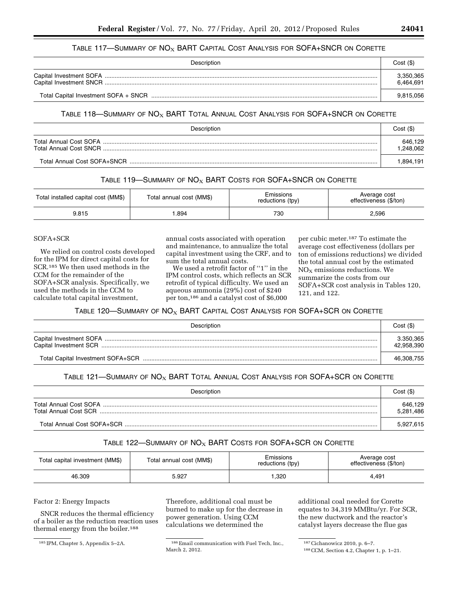## TABLE 117—SUMMARY OF  $NO_X$  BART CAPITAL COST ANALYSIS FOR SOFA+SNCR ON CORETTE

| Description | Cost(S)                |
|-------------|------------------------|
|             | 3,350,365<br>6.464.691 |
|             | 9,815,056              |

#### TABLE 118-SUMMARY OF NO<sub>X</sub> BART TOTAL ANNUAL COST ANALYSIS FOR SOFA+SNCR ON CORETTE

| Description            | Cost(S)             |
|------------------------|---------------------|
| Total Annual Cost SOFA | 646,129<br>.248.062 |
|                        | .894.191            |

## TABLE 119-SUMMARY OF  $NO<sub>X</sub>$  BART COSTS FOR SOFA+SNCR ON CORETTE

| Total installed capital cost (MM\$) | Total annual cost (MM\$) |     | Average cost<br>effectiveness (\$/ton) |  |
|-------------------------------------|--------------------------|-----|----------------------------------------|--|
| 9.815                               | .894                     | 730 | 2,596                                  |  |

## SOFA+SCR

We relied on control costs developed for the IPM for direct capital costs for SCR.185 We then used methods in the CCM for the remainder of the SOFA+SCR analysis. Specifically, we used the methods in the CCM to calculate total capital investment,

annual costs associated with operation and maintenance, to annualize the total capital investment using the CRF, and to sum the total annual costs.

We used a retrofit factor of ''1'' in the IPM control costs, which reflects an SCR retrofit of typical difficulty. We used an aqueous ammonia (29%) cost of \$240 per ton,186 and a catalyst cost of \$6,000

per cubic meter.187 To estimate the average cost effectiveness (dollars per ton of emissions reductions) we divided the total annual cost by the estimated NOX emissions reductions. We summarize the costs from our SOFA+SCR cost analysis in Tables 120, 121, and 122.

## TABLE 120-SUMMARY OF NO<sub>X</sub> BART CAPITAL COST ANALYSIS FOR SOFA+SCR ON CORETTE

| Description | Cost(S)                 |
|-------------|-------------------------|
|             | 3.350,365<br>42,958,390 |
|             | 46.308.755              |

#### TABLE 121-SUMMARY OF NO<sub>X</sub> BART TOTAL ANNUAL COST ANALYSIS FOR SOFA+SCR ON CORETTE

| Description                 | Cost(S)              |
|-----------------------------|----------------------|
|                             | 646,129<br>5,281,486 |
| Total Annual Cost SOFA+SCR. | 5,927,615            |

#### TABLE 122-SUMMARY OF  $NO<sub>X</sub>$  BART COSTS FOR SOFA+SCR ON CORETTE

| Total capital investment (MM\$) | Total annual cost (MM\$) | Emissions<br>reductions (tpy) |       |
|---------------------------------|--------------------------|-------------------------------|-------|
| 46.309                          | 5.927                    | .320                          | 4.491 |

## Factor 2: Energy Impacts

SNCR reduces the thermal efficiency of a boiler as the reduction reaction uses thermal energy from the boiler.188

Therefore, additional coal must be burned to make up for the decrease in power generation. Using CCM calculations we determined the

additional coal needed for Corette equates to 34,319 MMBtu/yr. For SCR, the new ductwork and the reactor's catalyst layers decrease the flue gas

<sup>&</sup>lt;sup>185</sup> IPM, Chapter 5, Appendix 5–2A. <sup>186</sup> Email communication with Fuel Tech, Inc., March 2, 2012.

<sup>187</sup>Cichanowicz 2010, p. 6–7.

<sup>188</sup>CCM, Section 4.2, Chapter 1, p. 1–21.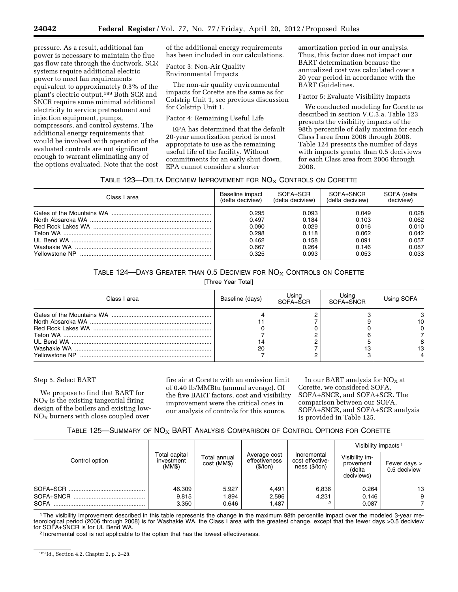pressure. As a result, additional fan power is necessary to maintain the flue gas flow rate through the ductwork. SCR systems require additional electric power to meet fan requirements equivalent to approximately 0.3% of the plant's electric output.189 Both SCR and SNCR require some minimal additional electricity to service pretreatment and injection equipment, pumps, compressors, and control systems. The additional energy requirements that would be involved with operation of the evaluated controls are not significant enough to warrant eliminating any of the options evaluated. Note that the cost

of the additional energy requirements has been included in our calculations.

Factor 3: Non-Air Quality Environmental Impacts

The non-air quality environmental impacts for Corette are the same as for Colstrip Unit 1, see previous discussion for Colstrip Unit 1.

Factor 4: Remaining Useful Life

EPA has determined that the default 20-year amortization period is most appropriate to use as the remaining useful life of the facility. Without commitments for an early shut down, EPA cannot consider a shorter

amortization period in our analysis. Thus, this factor does not impact our BART determination because the annualized cost was calculated over a 20 year period in accordance with the BART Guidelines.

Factor 5: Evaluate Visibility Impacts

We conducted modeling for Corette as described in section V.C.3.a. Table 123 presents the visibility impacts of the 98th percentile of daily maxima for each Class I area from 2006 through 2008. Table 124 presents the number of days with impacts greater than 0.5 deciviews for each Class area from 2006 through 2008.

## TABLE 123-DELTA DECIVIEW IMPROVEMENT FOR  $NO_X$  CONTROLS ON CORETTE

| Class I area   | Baseline impact  | SOFA+SCR         | SOFA+SNCR        | SOFA (delta |
|----------------|------------------|------------------|------------------|-------------|
|                | (delta deciview) | (delta deciview) | (delta deciview) | deciview)   |
|                | 0.295            | 0.093            | 0.049            | 0.028       |
|                | 0.497            | 0.184            | 0.103            | 0.062       |
|                | 0.090            | 0.029            | 0.016            | 0.010       |
|                | 0.298            | 0.118            | 0.062            | 0.042       |
|                | 0.462            | 0.158            | 0.091            | 0.057       |
|                | 0.667            | 0.264            | 0.146            | 0.087       |
| Yellowstone NP | 0.325            | 0.093            | 0.053            | 0.033       |

# TABLE 124—DAYS GREATER THAN 0.5 DECIVIEW FOR  $NO<sub>X</sub>$  Controls on Corette

[Three Year Total]

| Class I area   | Baseline (days) | Using<br>SOFA+SCR | Using<br>SOFA+SNCR | Using SOFA |
|----------------|-----------------|-------------------|--------------------|------------|
|                |                 |                   |                    |            |
|                |                 |                   |                    |            |
|                |                 |                   |                    |            |
|                |                 |                   |                    |            |
|                |                 |                   |                    |            |
|                | 20              |                   |                    |            |
| Yellowstone NP |                 |                   |                    |            |

#### Step 5. Select BART

We propose to find that BART for  $NO<sub>x</sub>$  is the existing tangential firing design of the boilers and existing low- $NO<sub>X</sub>$  burners with close coupled over

fire air at Corette with an emission limit of 0.40 lb/MMBtu (annual average). Of the five BART factors, cost and visibility improvement were the critical ones in our analysis of controls for this source.

In our BART analysis for  $NO<sub>x</sub>$  at Corette, we considered SOFA, SOFA+SNCR, and SOFA+SCR. The comparison between our SOFA, SOFA+SNCR, and SOFA+SCR analysis is provided in Table 125.

## TABLE 125—SUMMARY OF  $NO<sub>X</sub>$  BART ANALYSIS COMPARISON OF CONTROL OPTIONS FOR CORETTE

| Total capital<br>investment<br>(MM\$) | Total annual<br>cost (MM\$) | Average cost<br>effectiveness<br>(\$/ton) | Incremental<br>ness (\$/ton) | Visibility im-<br>provement<br>(delta<br>deciviews) | Fewer days ><br>0.5 deciview             |
|---------------------------------------|-----------------------------|-------------------------------------------|------------------------------|-----------------------------------------------------|------------------------------------------|
| 46.309<br>9.815                       | 5.927<br>1.894              | 4,491<br>2.596                            | 6,836<br>4,231               | 0.264<br>0.146                                      | 13<br>9                                  |
|                                       | 3.350                       | 0.646                                     | 1.487                        | cost effective-                                     | Visibility impacts <sup>1</sup><br>0.087 |

1The visibility improvement described in this table represents the change in the maximum 98th percentile impact over the modeled 3-year meteorological period (2006 through 2008) is for Washakie WA, the Class I area with the greatest change, except that the fewer days >0.5 deciview<br>for SOFA+SNCR is for UL Bend WA.

<sup>2</sup> Incremental cost is not applicable to the option that has the lowest effectiveness.

<sup>189</sup> Id., Section 4.2, Chapter 2, p. 2–28.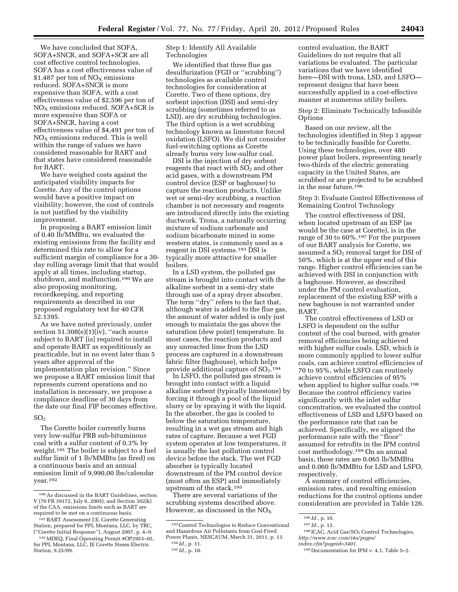We have concluded that SOFA, SOFA+SNCR, and SOFA+SCR are all cost effective control technologies. SOFA has a cost effectiveness value of \$1,487 per ton of  $NO<sub>x</sub>$  emissions reduced. SOFA+SNCR is more expensive than SOFA, with a cost effectiveness value of \$2,596 per ton of  $NO<sub>X</sub>$  emissions reduced. SOFA+SCR is more expensive than SOFA or SOFA+SNCR, having a cost effectiveness value of \$4,491 per ton of  $NO<sub>x</sub>$  emissions reduced. This is well within the range of values we have considered reasonable for BART and that states have considered reasonable for BART.

We have weighed costs against the anticipated visibility impacts for Corette. Any of the control options would have a positive impact on visibility; however, the cost of controls is not justified by the visibility improvement.

In proposing a BART emission limit of 0.40 lb/MMBtu, we evaluated the existing emissions from the facility and determined this rate to allow for a sufficient margin of compliance for a 30 day rolling average limit that that would apply at all times, including startup, shutdown, and malfunction.190 We are also proposing monitoring, recordkeeping, and reporting requirements as described in our proposed regulatory text for 40 CFR 52.1395.

As we have noted previously, under section 51.308(e)(1)(iv), "each source subject to BART [is] required to install and operate BART as expeditiously as practicable, but in no event later than 5 years after approval of the implementation plan revision.'' Since we propose a BART emission limit that represents current operations and no installation is necessary, we propose a compliance deadline of 30 days from the date our final FIP becomes effective.

#### $SO<sub>2</sub>$

The Corette boiler currently burns very low-sulfur PRB sub-bituminous coal with a sulfur content of 0.3% by weight.191 The boiler is subject to a fuel sulfur limit of 1 lb/MMBtu (as fired) on a continuous basis and an annual emission limit of 9,990,00 lbs/calendar year.192

Step 1: Identify All Available Technologies

We identified that three flue gas desulfurization (FGD or ''scrubbing'') technologies as available control technologies for consideration at Corette. Two of these options, dry sorbent injection (DSI) and semi-dry scrubbing (sometimes referred to as LSD), are dry scrubbing technologies. The third option is a wet scrubbing technology known as limestone forced oxidation (LSFO). We did not consider fuel-switching options as Corette already burns very low-sulfur coal.

DSI is the injection of dry sorbent reagents that react with  $SO<sub>2</sub>$  and other acid gases, with a downstream PM control device (ESP or baghouse) to capture the reaction products. Unlike wet or semi-dry scrubbing, a reaction chamber is not necessary and reagents are introduced directly into the existing ductwork. Trona, a naturally occurring mixture of sodium carbonate and sodium bicarbonate mined in some western states, is commonly used as a reagent in DSI systems.193 DSI is typically more attractive for smaller boilers.

In a LSD system, the polluted gas stream is brought into contact with the alkaline sorbent in a semi-dry state through use of a spray dryer absorber. The term ''dry'' refers to the fact that, although water is added to the flue gas, the amount of water added is only just enough to maintain the gas above the saturation (dew point) temperature. In most cases, the reaction products and any unreacted lime from the LSD process are captured in a downstream fabric filter (baghouse), which helps provide additional capture of SO<sub>2</sub>.<sup>194</sup>

In LSFO, the polluted gas stream is brought into contact with a liquid alkaline sorbent (typically limestone) by forcing it through a pool of the liquid slurry or by spraying it with the liquid. In the absorber, the gas is cooled to below the saturation temperature, resulting in a wet gas stream and high rates of capture. Because a wet FGD system operates at low temperatures, it is usually the last pollution control device before the stack. The wet FGD absorber is typically located downstream of the PM control device (most often an ESP) and immediately upstream of the stack.195

There are several variations of the scrubbing systems described above. However, as discussed in the  $NO_X$ 

control evaluation, the BART Guidelines do not require that all variations be evaluated. The particular variations that we have identified here—DSI with trona, LSD, and LSFO represent designs that have been successfully applied in a cost-effective manner at numerous utility boilers.

Step 2: Eliminate Technically Infeasible Options

Based on our review, all the technologies identified in Step 1 appear to be technically feasible for Corette. Using these technologies, over 480 power plant boilers, representing nearly two-thirds of the electric generating capacity in the United States, are scrubbed or are projected to be scrubbed in the near future.196

Step 3: Evaluate Control Effectiveness of Remaining Control Technology

The control effectiveness of DSI, when located upstream of an ESP (as would be the case at Corette), is in the range of 30 to 60%.197 For the purposes of our BART analysis for Corette, we assumed a  $SO<sub>2</sub>$  removal target for DSI of 50%, which is at the upper end of this range. Higher control efficiencies can be achieved with DSI in conjunction with a baghouse. However, as described under the PM control evaluation, replacement of the existing ESP with a new baghouse is not warranted under BART.

The control effectiveness of LSD or LSFO is dependent on the sulfur content of the coal burned, with greater removal efficiencies being achieved with higher sulfur coals. LSD, which is more commonly applied to lower sulfur coals, can achieve control efficiencies of 70 to 95%, while LSFO can routinely achieve control efficiencies of 95% when applied to higher sulfur coals.198 Because the control efficiency varies significantly with the inlet sulfur concentration, we evaluated the control effectiveness of LSD and LSFO based on the performance rate that can be achieved. Specifically, we aligned the performance rate with the ''floor'' assumed for retrofits in the IPM control cost methodology.199 On an annual basis, these rates are 0.065 lb/MMBtu and 0.060 lb/MMBtu for LSD and LSFO, respectively.

A summary of control efficiencies, emission rates, and resulting emission reductions for the control options under consideration are provided in Table 126.

<sup>190</sup>As discussed in the BART Guidelines, section V (70 FR 39172, July 6, 2005), and Section 302(k) of the CAA, emissions limits such as BART are required to be met on a continuous basis.

<sup>191</sup>BART Assessment J.E. Corette Generating Station, prepared for PPL Montana, LLC, by TRC, (''Corette Initial Response''), August 2007, p. 4–9.

<sup>192</sup>MDEQ, Final Operating Permit #OP2953–05, for PPL Montana, LLC, JE Corette Steam Electric Station, 9.25/09.

<sup>193</sup>Control Technologies to Reduce Conventional and Hazardous Air Pollutants from Coal-Fired Power Plants, NESCAUM, March 31, 2011, p. 13.

<sup>194</sup> *Id.,* p. 11.

<sup>195</sup> *Id.,* p. 10.

<sup>196</sup> *Id.,* p. 10.

<sup>197</sup> *Id.,* p. 13.

 $^{198}\rm ICAC$ , Acid Gas/SO<sub>2</sub> Control Technologies, *[http://www.icac.com/i4a/pages/](http://www.icac.com/i4a/pages/index.cfm?pageid=3401)* 

*[index.cfm?pageid=3401.](http://www.icac.com/i4a/pages/index.cfm?pageid=3401)*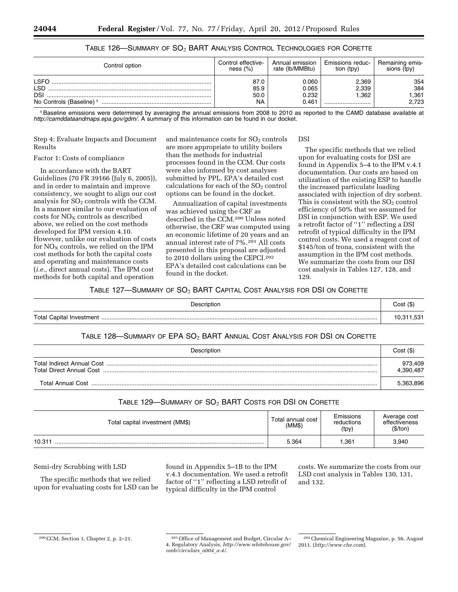| Control option                      | Control effective- | Annual emission | Emissions reduc- | Remaining emis- |
|-------------------------------------|--------------------|-----------------|------------------|-----------------|
|                                     | ness $(\%)$        | rate (lb/MMBtu) | tion (tpy)       | sions (tpy)     |
| I SEC                               | 87.C               | 0.060           | 2.369            | 354             |
| LSD                                 | 85.9               | 0.065           | 2,339            | 384             |
| <b>DSI</b>                          | 50.0               | 0.232           | .362             | .361            |
| No Controls (Baseline) <sup>1</sup> | NA                 | 0.461           |                  | 2.723           |

## TABLE 126—SUMMARY OF SO2 BART ANALYSIS CONTROL TECHNOLOGIES FOR CORETTE

1Baseline emissions were determined by averaging the annual emissions from 2008 to 2010 as reported to the CAMD database available at *<http://camddataandmaps.epa.gov/gdm/>*. A summary of this information can be found in our docket.

Step 4: Evaluate Impacts and Document Results

#### Factor 1: Costs of compliance

In accordance with the BART Guidelines (70 FR 39166 (July 6, 2005)), and in order to maintain and improve consistency, we sought to align our cost analysis for  $SO<sub>2</sub>$  controls with the CCM. In a manner similar to our evaluation of costs for  $NO<sub>x</sub>$  controls as described above, we relied on the cost methods developed for IPM version 4.10. However, unlike our evaluation of costs for  $NO<sub>x</sub>$  controls, we relied on the IPM cost methods for both the capital costs and operating and maintenance costs (*i.e.,* direct annual costs). The IPM cost methods for both capital and operation

and maintenance costs for  $SO<sub>2</sub>$  controls are more appropriate to utility boilers than the methods for industrial processes found in the CCM. Our costs were also informed by cost analyses submitted by PPL. EPA's detailed cost calculations for each of the  $SO<sub>2</sub>$  control options can be found in the docket.

Annualization of capital investments was achieved using the CRF as described in the CCM.200 Unless noted otherwise, the CRF was computed using an economic lifetime of 20 years and an annual interest rate of 7%.201 All costs presented in this proposal are adjusted to 2010 dollars using the CEPCI.<sup>202</sup> EPA's detailed cost calculations can be found in the docket.

#### DSI

The specific methods that we relied upon for evaluating costs for DSI are found in Appendix 5–4 to the IPM v.4.1 documentation. Our costs are based on utilization of the existing ESP to handle the increased particulate loading associated with injection of dry sorbent. This is consistent with the  $SO<sub>2</sub>$  control efficiency of 50% that we assumed for DSI in conjunction with ESP. We used a retrofit factor of ''1'' reflecting a DSI retrofit of typical difficulty in the IPM control costs. We used a reagent cost of \$145/ton of trona, consistent with the assumption in the IPM cost methods. We summarize the costs from our DSI cost analysis in Tables 127, 128, and 129.

#### TABLE 127—SUMMARY OF SO2 BART CAPITAL COST ANALYSIS FOR DSI ON CORETTE

| Description | Cost(S) |
|-------------|---------|
| .           | 10 311  |

#### TABLE 128—SUMMARY OF EPA SO2 BART ANNUAL COST ANALYSIS FOR DSI ON CORETTE

| Description | Cost (\$)            |
|-------------|----------------------|
|             | 973,409<br>4,390,487 |
|             | 5.363.896            |

#### TABLE 129—SUMMARY OF  $SO_2$  BART COSTS FOR DSI ON CORETTE

| Total capital investment (MM\$) | Total annual cost<br>(MM\$) | Emissions<br>reductions<br>(tpy) | Average cost<br>effectiveness<br>(\$/ton) |
|---------------------------------|-----------------------------|----------------------------------|-------------------------------------------|
| 10.31                           | 5.364                       | 361. ا                           | 3,940                                     |

Semi-dry Scrubbing with LSD

The specific methods that we relied upon for evaluating costs for LSD can be found in Appendix 5–1B to the IPM v.4.1 documentation. We used a retrofit factor of "1" reflecting a LSD retrofit of typical difficulty in the IPM control

costs. We summarize the costs from our LSD cost analysis in Tables 130, 131, and 132.

<sup>200</sup>CCM, Section 1, Chapter 2, p. 2–21. 201Office of Management and Budget, Circular A– 4, Regulatory Analysis, *[http://www.whitehouse.gov/](http://www.whitehouse.gov/omb/circulars_a004_a-4/) [omb/circulars](http://www.whitehouse.gov/omb/circulars_a004_a-4/)*\_*a004*\_*a-4/.* 

<sup>202</sup>Chemical Engineering Magazine, p. 56, August 2011. (*<http://www.che.com>*).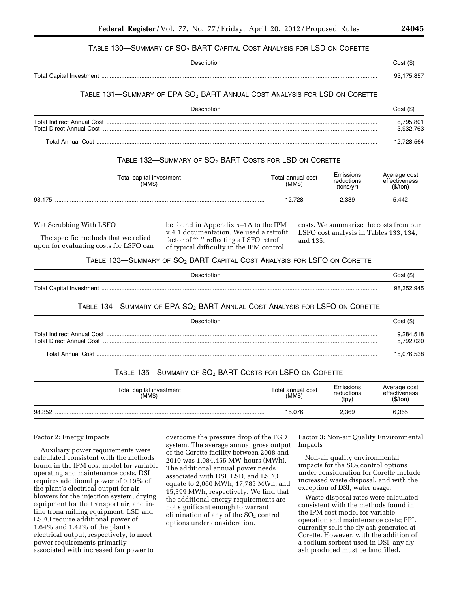#### Table 130—Summary of  $\mathrm{SO}_2$   $\mathrm{BART}$  Capital Cost Analysis for LSD on Corette

| <b>Description</b> | $Cost($ \$) |
|--------------------|-------------|
|                    | 75.857      |

## TABLE 131—SUMMARY OF EPA SO2 BART ANNUAL COST ANALYSIS FOR LSD ON CORETTE

| Description                                             | Cost(S)                |
|---------------------------------------------------------|------------------------|
| Total Indirect Annual Cost.<br>Total Direct Annual Cost | 8,795,801<br>3,932,763 |
|                                                         | 12,728,564             |

## TABLE 132-SUMMARY OF SO<sub>2</sub> BART COSTS FOR LSD ON CORETTE

| Total capital investment<br>(MMS) | Total annual cost<br>(MM\$) | Emissions<br>reductions<br>(tons/vr) | Average cost<br>effectiveness<br>(\$/ton) |
|-----------------------------------|-----------------------------|--------------------------------------|-------------------------------------------|
| 93.175                            | 12.728                      | 2,339                                | 5.442                                     |

#### Wet Scrubbing With LSFO

The specific methods that we relied upon for evaluating costs for LSFO can be found in Appendix 5–1A to the IPM v.4.1 documentation. We used a retrofit factor of ''1'' reflecting a LSFO retrofit of typical difficulty in the IPM control

costs. We summarize the costs from our LSFO cost analysis in Tables 133, 134, and 135.

#### TABLE 133-SUMMARY OF SO<sub>2</sub> BART CAPITAL COST ANALYSIS FOR LSFO ON CORETTE

| escription                              | ∵∩st <i>(</i> \$ |
|-----------------------------------------|------------------|
| <b>Total Capital</b><br>Investment<br>. | 945<br>QЯ        |

## TABLE 134—SUMMARY OF EPA SO<sub>2</sub> BART ANNUAL COST ANALYSIS FOR LSFO ON CORETTE

| Description       | Cost (\$)              |
|-------------------|------------------------|
|                   | 9,284,518<br>5.792.020 |
| Total Annual Cost | 15,076,538             |

#### TABLE 135—SUMMARY OF  $SO_2$  BART COSTS FOR LSFO ON CORETTE

| Total capital investment<br>(MMS) | Total annual cost<br>(MM\$) | Emissions<br>reductions<br>(tpy) | Average cost<br>effectiveness<br>(\$/ton) |
|-----------------------------------|-----------------------------|----------------------------------|-------------------------------------------|
| 98.352                            | 15.076                      | 2,369                            | 6,365                                     |

#### Factor 2: Energy Impacts

Auxiliary power requirements were calculated consistent with the methods found in the IPM cost model for variable operating and maintenance costs. DSI requires additional power of 0.19% of the plant's electrical output for air blowers for the injection system, drying equipment for the transport air, and inline trona milling equipment. LSD and LSFO require additional power of 1.64% and 1.42% of the plant's electrical output, respectively, to meet power requirements primarily associated with increased fan power to

overcome the pressure drop of the FGD system. The average annual gross output of the Corette facility between 2008 and 2010 was 1,084,455 MW-hours (MWh). The additional annual power needs associated with DSI, LSD, and LSFO equate to 2,060 MWh, 17,785 MWh, and 15,399 MWh, respectively. We find that the additional energy requirements are not significant enough to warrant elimination of any of the  $SO<sub>2</sub>$  control options under consideration.

Factor 3: Non-air Quality Environmental Impacts

Non-air quality environmental impacts for the  $SO<sub>2</sub>$  control options under consideration for Corette include increased waste disposal, and with the exception of DSI, water usage.

Waste disposal rates were calculated consistent with the methods found in the IPM cost model for variable operation and maintenance costs; PPL currently sells the fly ash generated at Corette. However, with the addition of a sodium sorbent used in DSI, any fly ash produced must be landfilled.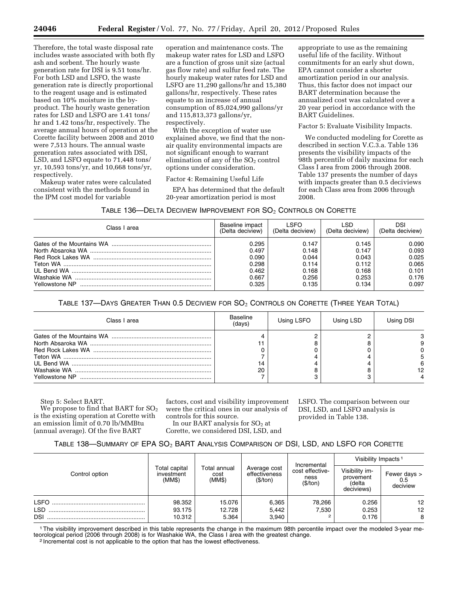Therefore, the total waste disposal rate includes waste associated with both fly ash and sorbent. The hourly waste generation rate for DSI is 9.51 tons/hr. For both LSD and LSFO, the waste generation rate is directly proportional to the reagent usage and is estimated based on 10% moisture in the byproduct. The hourly waste generation rates for LSD and LSFO are 1.41 tons/ hr and 1.42 tons/hr, respectively. The average annual hours of operation at the Corette facility between 2008 and 2010 were 7,513 hours. The annual waste generation rates associated with DSI, LSD, and LSFO equate to 71,448 tons/ yr, 10,593 tons/yr, and 10,668 tons/yr, respectively.

Makeup water rates were calculated consistent with the methods found in the IPM cost model for variable

operation and maintenance costs. The makeup water rates for LSD and LSFO are a function of gross unit size (actual gas flow rate) and sulfur feed rate. The hourly makeup water rates for LSD and LSFO are 11,290 gallons/hr and 15,380 gallons/hr, respectively. These rates equate to an increase of annual consumption of 85,024,990 gallons/yr and 115,813,373 gallons/yr, respectively.

With the exception of water use explained above, we find that the nonair quality environmental impacts are not significant enough to warrant elimination of any of the  $SO<sub>2</sub>$  control options under consideration.

Factor 4: Remaining Useful Life

EPA has determined that the default 20-year amortization period is most

appropriate to use as the remaining useful life of the facility. Without commitments for an early shut down, EPA cannot consider a shorter amortization period in our analysis. Thus, this factor does not impact our BART determination because the annualized cost was calculated over a 20 year period in accordance with the BART Guidelines.

#### Factor 5: Evaluate Visibility Impacts.

We conducted modeling for Corette as described in section V.C.3.a. Table 136 presents the visibility impacts of the 98th percentile of daily maxima for each Class I area from 2006 through 2008. Table 137 presents the number of days with impacts greater than 0.5 deciviews for each Class area from 2006 through 2008.

| Table 136—Delta Deciview Improvement for $\mathrm{SO}_2$ Controls on Corette |  |
|------------------------------------------------------------------------------|--|
|------------------------------------------------------------------------------|--|

| Class I area   | Baseline impact<br>(Delta deciview) | <b>SEO</b><br>(Delta deciview) | ∣ SD<br>(Delta deciview) | DSI<br>(Delta deciview) |  |
|----------------|-------------------------------------|--------------------------------|--------------------------|-------------------------|--|
|                | 0.295                               | 0.147                          | 0.145                    | 0.090                   |  |
|                | 0.497                               | 0.148                          | 0.147                    | 0.093                   |  |
|                | 0.090                               | 0.044                          | 0.043                    | 0.025                   |  |
|                | 0.298                               | 0.114                          | 0.112                    | 0.065                   |  |
|                | 0.462                               | 0.168                          | 0.168                    | 0.101                   |  |
|                | 0.667                               | 0.256                          | 0.253                    | 0.176                   |  |
| Yellowstone NP | 0.325                               | 0.135                          | 0.134                    | 0.097                   |  |

## TABLE 137—DAYS GREATER THAN 0.5 DECIVIEW FOR  $SO_2$  Controls on Corette (Three Year Total)

| Class I area   | Baseline<br>(days) | Using LSFO | Using LSD | Using DSI |
|----------------|--------------------|------------|-----------|-----------|
| Yellowstone NP | 20                 |            |           |           |

Step 5: Select BART.

We propose to find that BART for  $SO<sub>2</sub>$ is the existing operation at Corette with an emission limit of 0.70 lb/MMBtu (annual average). Of the five BART

factors, cost and visibility improvement were the critical ones in our analysis of controls for this source.

In our BART analysis for  $SO<sub>2</sub>$  at Corette, we considered DSI, LSD, and LSFO. The comparison between our DSI, LSD, and LSFO analysis is provided in Table 138.

#### TABLE 138—SUMMARY OF EPA SO<sub>2</sub> BART ANALYSIS COMPARISON OF DSI, LSD, AND LSFO FOR CORETTE

|                |                                       |                                       |                                           |                                                    |                                                     | Visibility Impacts <sup>1</sup> |  |
|----------------|---------------------------------------|---------------------------------------|-------------------------------------------|----------------------------------------------------|-----------------------------------------------------|---------------------------------|--|
| Control option | Total capital<br>investment<br>(MM\$) | <b>Total annual</b><br>cost<br>(MM\$) | Average cost<br>effectiveness<br>(\$/ton) | Incremental<br>cost effective-<br>ness<br>(\$/ton) | Visibility im-<br>provement<br>(delta<br>deciviews) | Fewer days ><br>0.5<br>deciview |  |
| <b>LSFO</b>    | 98.352                                | 15.076                                | 6,365                                     | 78,266                                             | 0.256                                               | 12                              |  |
| LSD            | 93.175                                | 12.728                                | 5.442                                     | 7.530                                              | 0.253                                               | 12                              |  |
| <b>DSI</b>     | 10.312                                | 5.364                                 | 3.940                                     | 2                                                  | 0.176                                               | 8                               |  |

1The visibility improvement described in this table represents the change in the maximum 98th percentile impact over the modeled 3-year meteorological period (2006 through 2008) is for Washakie WA, the Class I area with the greatest change.<br><sup>2</sup> Incremental cost is not applicable to the option that has the lowest effectiveness.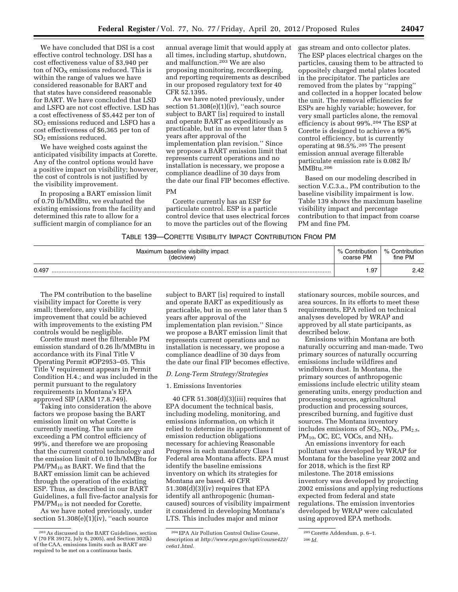We have concluded that DSI is a cost effective control technology. DSI has a cost effectiveness value of \$3,940 per ton of  $NO<sub>X</sub>$  emissions reduced. This is within the range of values we have considered reasonable for BART and that states have considered reasonable for BART. We have concluded that LSD and LSFO are not cost effective. LSD has a cost effectiveness of \$5,442 per ton of SO2 emissions reduced and LSFO has a cost effectiveness of \$6,365 per ton of SO2 emissions reduced.

We have weighed costs against the anticipated visibility impacts at Corette. Any of the control options would have a positive impact on visibility; however, the cost of controls is not justified by the visibility improvement.

In proposing a BART emission limit of 0.70 lb/MMBtu, we evaluated the existing emissions from the facility and determined this rate to allow for a sufficient margin of compliance for an

annual average limit that would apply at all times, including startup, shutdown, and malfunction.203 We are also proposing monitoring, recordkeeping, and reporting requirements as described in our proposed regulatory text for 40 CFR 52.1395.

As we have noted previously, under section  $51.308(e)(1)(iv)$ , "each source subject to BART [is] required to install and operate BART as expeditiously as practicable, but in no event later than 5 years after approval of the implementation plan revision.'' Since we propose a BART emission limit that represents current operations and no installation is necessary, we propose a compliance deadline of 30 days from the date our final FIP becomes effective.

PM

Corette currently has an ESP for particulate control. ESP is a particle control device that uses electrical forces to move the particles out of the flowing

gas stream and onto collector plates. The ESP places electrical charges on the particles, causing them to be attracted to oppositely charged metal plates located in the precipitator. The particles are removed from the plates by ''rapping'' and collected in a hopper located below the unit. The removal efficiencies for ESPs are highly variable; however, for very small particles alone, the removal efficiency is about 99%.204 The ESP at Corette is designed to achieve a 96% control efficiency, but is currently operating at 98.5%.205 The present emission annual average filterable particulate emission rate is 0.082 lb/ MMBtu.206

Based on our modeling described in section V.C.3.a., PM contribution to the baseline visibility impairment is low. Table 139 shows the maximum baseline visibility impact and percentage contribution to that impact from coarse PM and fine PM.

#### TABLE 139—CORETTE VISIBILITY IMPACT CONTRIBUTION FROM PM

| Maximum baseline visibility impact |  | % Contribution | % Contribution |
|------------------------------------|--|----------------|----------------|
| (deciview)                         |  | coarse PM      | fine PM        |
| 0.497                              |  | . 97           | 2.42           |

The PM contribution to the baseline visibility impact for Corette is very small; therefore, any visibility improvement that could be achieved with improvements to the existing PM controls would be negligible.

Corette must meet the filterable PM emission standard of 0.26 lb/MMBtu in accordance with its Final Title V Operating Permit #OP2953–05. This Title V requirement appears in Permit Condition H.4.; and was included in the permit pursuant to the regulatory requirements in Montana's EPA approved SIP (ARM 17.8.749).

Taking into consideration the above factors we propose basing the BART emission limit on what Corette is currently meeting. The units are exceeding a PM control efficiency of 99%, and therefore we are proposing that the current control technology and the emission limit of 0.10 lb/MMBtu for  $PM/PM_{10}$  as BART. We find that the BART emission limit can be achieved through the operation of the existing ESP. Thus, as described in our BART Guidelines, a full five-factor analysis for PM/PM<sub>10</sub> is not needed for Corette.

As we have noted previously, under section 51.308(e)(1)(iv), "each source

subject to BART [is] required to install and operate BART as expeditiously as practicable, but in no event later than 5 years after approval of the implementation plan revision.'' Since we propose a BART emission limit that represents current operations and no installation is necessary, we propose a compliance deadline of 30 days from the date our final FIP becomes effective.

#### *D. Long-Term Strategy/Strategies*

#### 1. Emissions Inventories

40 CFR 51.308(d)(3)(iii) requires that EPA document the technical basis, including modeling, monitoring, and emissions information, on which it relied to determine its apportionment of emission reduction obligations necessary for achieving Reasonable Progress in each mandatory Class I Federal area Montana affects. EPA must identify the baseline emissions inventory on which its strategies for Montana are based. 40 CFR 51.308(d)(3)(iv) requires that EPA identify all anthropogenic (humancaused) sources of visibility impairment it considered in developing Montana's LTS. This includes major and minor

stationary sources, mobile sources, and area sources. In its efforts to meet these requirements, EPA relied on technical analyses developed by WRAP and approved by all state participants, as described below.

Emissions within Montana are both naturally occurring and man-made. Two primary sources of naturally occurring emissions include wildfires and windblown dust. In Montana, the primary sources of anthropogenic emissions include electric utility steam generating units, energy production and processing sources, agricultural production and processing sources, prescribed burning, and fugitive dust sources. The Montana inventory includes emissions of  $SO_2$ ,  $NO<sub>X</sub>$ ,  $PM<sub>2.5</sub>$ ,  $PM_{10}$ , OC, EC, VOCs, and NH<sub>3</sub>.

An emissions inventory for each pollutant was developed by WRAP for Montana for the baseline year 2002 and for 2018, which is the first RP milestone. The 2018 emissions inventory was developed by projecting 2002 emissions and applying reductions expected from federal and state regulations. The emission inventories developed by WRAP were calculated using approved EPA methods.

<sup>203</sup>As discussed in the BART Guidelines, section V (70 FR 39172, July 6, 2005), and Section 302(k) of the CAA, emissions limits such as BART are required to be met on a continuous basis.

<sup>204</sup>EPA Air Pollution Control Online Course, description at *[http://www.epa.gov/apti/course422/](http://www.epa.gov/apti/course422/ce6a1.html)  [ce6a1.html.](http://www.epa.gov/apti/course422/ce6a1.html)* 

<sup>205</sup>Corette Addendum, p. 6–1.

<sup>206</sup> *Id.*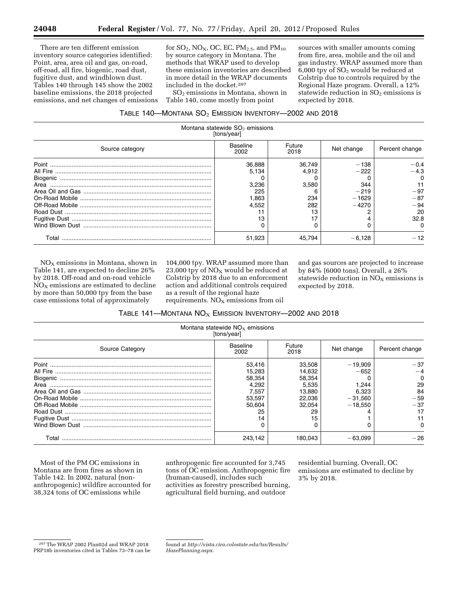There are ten different emission inventory source categories identified: Point, area, area oil and gas, on-road, off-road, all fire, biogenic, road dust, fugitive dust, and windblown dust. Tables 140 through 145 show the 2002 baseline emissions, the 2018 projected emissions, and net changes of emissions for  $SO_2$ , NO<sub>X</sub>, OC, EC, PM<sub>2.5</sub>, and PM<sub>10</sub> by source category in Montana. The methods that WRAP used to develop these emission inventories are described in more detail in the WRAP documents included in the docket.207

SO2 emissions in Montana, shown in Table 140, come mostly from point

sources with smaller amounts coming from fire, area, mobile and the oil and gas industry. WRAP assumed more than 6,000 tpy of SO2 would be reduced at Colstrip due to controls required by the Regional Haze program. Overall, a 12% statewide reduction in  $SO<sub>2</sub>$  emissions is expected by 2018.

| Table 140—Montana SO $_{2}$ Emission Inventory—2002 and 2018. |  |
|---------------------------------------------------------------|--|
|---------------------------------------------------------------|--|

|                 | Montana statewide $SO2$ emissions<br>[tons/year] |                |            |                |
|-----------------|--------------------------------------------------|----------------|------------|----------------|
| Source category | Baseline<br>2002                                 | Future<br>2018 | Net change | Percent change |
|                 | 36,888                                           | 36,749         | $-138$     | $-0.4$         |
|                 | 5.134                                            | 4.912          | $-222$     | $-4.3$         |
|                 |                                                  |                |            |                |
| Area            | 3.236                                            | 3.580          | 344        |                |
|                 | 225                                              |                | $-219$     | $-97$          |
|                 | 1.863                                            | 234            | $-1629$    | $-87$          |
|                 | 4.552                                            | 282            | $-4270$    | $-94$          |
|                 |                                                  | 13             |            | 20             |
|                 | 13                                               |                |            | 32.8           |
|                 |                                                  |                |            | <sup>0</sup>   |
| Total           | 51,923                                           | 45.794         | $-6.128$   | $-12$          |

 $NO<sub>X</sub>$  emissions in Montana, shown in Table 141, are expected to decline 26% by 2018. Off-road and on-road vehicle  $NO<sub>X</sub>$  emissions are estimated to decline by more than 50,000 tpy from the base case emissions total of approximately

104,000 tpy. WRAP assumed more than 23,000 tpy of  $NO<sub>x</sub>$  would be reduced at Colstrip by 2018 due to an enforcement action and additional controls required as a result of the regional haze requirements.  $NO<sub>X</sub>$  emissions from oil

and gas sources are projected to increase by 84% (6000 tons). Overall, a 26% statewide reduction in  $NO<sub>X</sub>$  emissions is expected by 2018.

| Montana statewide $NOx$ emissions<br>[tons/year] |                         |                |            |                |  |
|--------------------------------------------------|-------------------------|----------------|------------|----------------|--|
| Source Category                                  | <b>Baseline</b><br>2002 | Future<br>2018 | Net change | Percent change |  |
|                                                  | 53.416                  | 33.508         | $-19,909$  | $-37$          |  |
|                                                  | 15.283                  | 14.632         | $-652$     |                |  |
|                                                  | 58,354                  | 58,354         |            |                |  |
| Area                                             | 4.292                   | 5.535          | 1.244      | 29             |  |
|                                                  | 7,557                   | 13,880         | 6,323      | 84             |  |
|                                                  | 53,597                  | 22,036         | $-31,560$  | $-59$          |  |
|                                                  | 50.604                  | 32.054         | $-18.550$  | $-37$          |  |
|                                                  | 25                      | 29             |            |                |  |
|                                                  | 14                      |                |            |                |  |
|                                                  |                         |                |            |                |  |
| Total                                            | 243.142                 | 180.043        | $-63.099$  | $-26$          |  |

Most of the PM OC emissions in Montana are from fires as shown in Table 142. In 2002, natural (nonanthropogenic) wildfire accounted for 38,324 tons of OC emissions while

anthropogenic fire accounted for 3,745 tons of OC emission. Anthropogenic fire (human-caused), includes such activities as forestry prescribed burning, agricultural field burning, and outdoor

residential burning. Overall, OC emissions are estimated to decline by 3% by 2018.

<sup>207</sup>The WRAP 2002 Plan02d and WRAP 2018 PRP18b inventories cited in Tables 73–78 can be

found at *[http://vista.cira.colostate.edu/tss/Results/](http://vista.cira.colostate.edu/tss/Results/HazePlanning.aspx) [HazePlanning.aspx.](http://vista.cira.colostate.edu/tss/Results/HazePlanning.aspx)*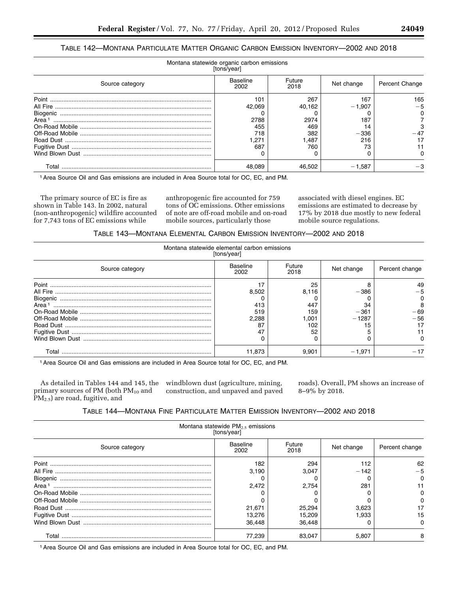# TABLE 142—MONTANA PARTICULATE MATTER ORGANIC CARBON EMISSION INVENTORY—2002 AND 2018

| Montana statewide organic carbon emissions<br>[tons/year] |                  |                |            |                       |  |
|-----------------------------------------------------------|------------------|----------------|------------|-----------------------|--|
| Source category                                           | Baseline<br>2002 | Future<br>2018 | Net change | <b>Percent Change</b> |  |
|                                                           | 101              | 267            | 167        | 165                   |  |
|                                                           | 42.069           | 40.162         | $-1.907$   |                       |  |
|                                                           |                  |                |            |                       |  |
| Area <sup>1</sup>                                         | 2788             | 2974           | 187        |                       |  |
|                                                           | 455              | 469            | 14         |                       |  |
|                                                           | 718              | 382            | $-336$     | -47                   |  |
|                                                           | 271. ا           | 1.487          | 216        |                       |  |
|                                                           | 687              | 760            |            |                       |  |
|                                                           |                  |                |            |                       |  |
| Total                                                     | 48.089           | 46.502         | $-1.587$   |                       |  |

1Area Source Oil and Gas emissions are included in Area Source total for OC, EC, and PM.

The primary source of EC is fire as shown in Table 143. In 2002, natural (non-anthropogenic) wildfire accounted for 7,743 tons of EC emissions while

anthropogenic fire accounted for 759 tons of OC emissions. Other emissions of note are off-road mobile and on-road mobile sources, particularly those

associated with diesel engines. EC emissions are estimated to decrease by 17% by 2018 due mostly to new federal mobile source regulations.

| TABLE 143-MONTANA ELEMENTAL CARBON EMISSION INVENTORY-2002 AND 2018 |  |  |  |
|---------------------------------------------------------------------|--|--|--|
|                                                                     |  |  |  |

| Montana statewide elemental carbon emissions<br>[tons/year] |                         |                |            |                |  |
|-------------------------------------------------------------|-------------------------|----------------|------------|----------------|--|
| Source category                                             | <b>Baseline</b><br>2002 | Future<br>2018 | Net change | Percent change |  |
|                                                             |                         | 25             |            | 49             |  |
|                                                             | 8,502                   | 8.116          | $-386$     |                |  |
|                                                             |                         |                |            |                |  |
| Area <sup>1</sup>                                           | 413                     | 447            | 34         | 8              |  |
|                                                             | 519                     | 159            | $-361$     | - 69           |  |
|                                                             | 2,288                   | 1.001          | $-1287$    | $-56$          |  |
|                                                             | 87                      | 102            | 15         |                |  |
|                                                             | 47                      | 52             |            |                |  |
|                                                             |                         |                |            | <sup>n</sup>   |  |
| Total                                                       | 11.873                  | 9.901          | $-1.971$   |                |  |

1Area Source Oil and Gas emissions are included in Area Source total for OC, EC, and PM.

As detailed in Tables 144 and 145, the primary sources of PM (both  $PM_{10}$  and PM2.5) are road, fugitive, and

windblown dust (agriculture, mining, construction, and unpaved and paved roads). Overall, PM shows an increase of 8–9% by 2018.

| TABLE 144—MONTANA FINE PARTICULATE MATTER EMISSION INVENTORY—2002 AND 2018 |  |
|----------------------------------------------------------------------------|--|
|----------------------------------------------------------------------------|--|

| Montana statewide $PM_{2.5}$ emissions<br>[tons/year] |                         |                |            |                |  |
|-------------------------------------------------------|-------------------------|----------------|------------|----------------|--|
| Source category                                       | <b>Baseline</b><br>2002 | Future<br>2018 | Net change | Percent change |  |
|                                                       | 182                     | 294            | 112        | 62             |  |
|                                                       | 3.190                   | 3.047          | $-142$     | $-5$           |  |
|                                                       |                         |                |            | n              |  |
| Area <sup>1</sup>                                     | 2.472                   | 2,754          | 281        |                |  |
|                                                       |                         |                |            |                |  |
|                                                       |                         |                |            |                |  |
|                                                       | 21,671                  | 25,294         | 3,623      |                |  |
|                                                       | 13.276                  | 15.209         | 1,933      | 15             |  |
|                                                       | 36.448                  | 36.448         |            |                |  |
| Total                                                 | 77.239                  | 83.047         | 5.807      | 8              |  |

1Area Source Oil and Gas emissions are included in Area Source total for OC, EC, and PM.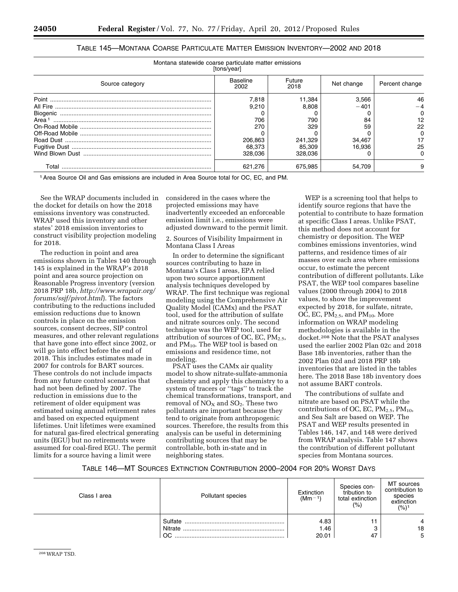| Montana statewide coarse particulate matter emissions | [tons/year]      |                |            |                |
|-------------------------------------------------------|------------------|----------------|------------|----------------|
| Source category                                       | Baseline<br>2002 | Future<br>2018 | Net change | Percent change |
|                                                       | 7.818            | 11,384         | 3,566      | 46             |
|                                                       | 9.210            | 8.808          | $-401$     |                |
|                                                       |                  |                |            |                |
| Area <sup>1</sup>                                     | 706              | 790            | 84         | 12             |
|                                                       | 270              | 329            | 59         | 22             |
|                                                       |                  |                |            |                |
|                                                       | 206,863          | 241,329        | 34,467     |                |
|                                                       | 68.373           | 85,309         | 16.936     | 25             |
|                                                       | 328.036          | 328.036        |            |                |
| Total                                                 | 621.276          | 675.985        | 54.709     | 9              |

# TABLE 145—MONTANA COARSE PARTICULATE MATTER EMISSION INVENTORY—2002 AND 2018

1Area Source Oil and Gas emissions are included in Area Source total for OC, EC, and PM.

See the WRAP documents included in the docket for details on how the 2018 emissions inventory was constructed. WRAP used this inventory and other states' 2018 emission inventories to construct visibility projection modeling for 2018.

The reduction in point and area emissions shown in Tables 140 through 145 is explained in the WRAP's 2018 point and area source projection on Reasonable Progress inventory (version 2018 PRP 18b, *[http://www.wrapair.org/](http://www.wrapair.org/forums/ssjf/pivot.html)  [forums/ssjf/pivot.html](http://www.wrapair.org/forums/ssjf/pivot.html)*). The factors contributing to the reductions included emission reductions due to known controls in place on the emission sources, consent decrees, SIP control measures, and other relevant regulations that have gone into effect since 2002, or will go into effect before the end of 2018. This includes estimates made in 2007 for controls for BART sources. These controls do not include impacts from any future control scenarios that had not been defined by 2007. The reduction in emissions due to the retirement of older equipment was estimated using annual retirement rates and based on expected equipment lifetimes. Unit lifetimes were examined for natural gas-fired electrical generating units (EGU) but no retirements were assumed for coal-fired EGU. The permit limits for a source having a limit were

considered in the cases where the projected emissions may have inadvertently exceeded an enforceable emission limit i.e., emissions were adjusted downward to the permit limit.

2. Sources of Visibility Impairment in Montana Class I Areas

In order to determine the significant sources contributing to haze in Montana's Class I areas, EPA relied upon two source apportionment analysis techniques developed by WRAP. The first technique was regional modeling using the Comprehensive Air Quality Model (CAMx) and the PSAT tool, used for the attribution of sulfate and nitrate sources only. The second technique was the WEP tool, used for attribution of sources of OC, EC,  $PM_{2.5}$ , and PM10. The WEP tool is based on emissions and residence time, not modeling.

PSAT uses the CAMx air quality model to show nitrate-sulfate-ammonia chemistry and apply this chemistry to a system of tracers or ''tags'' to track the chemical transformations, transport, and removal of NO<sub>X</sub> and SO<sub>2</sub>. These two pollutants are important because they tend to originate from anthropogenic sources. Therefore, the results from this analysis can be useful in determining contributing sources that may be controllable, both in-state and in neighboring states.

WEP is a screening tool that helps to identify source regions that have the potential to contribute to haze formation at specific Class I areas. Unlike PSAT, this method does not account for chemistry or deposition. The WEP combines emissions inventories, wind patterns, and residence times of air masses over each area where emissions occur, to estimate the percent contribution of different pollutants. Like PSAT, the WEP tool compares baseline values (2000 through 2004) to 2018 values, to show the improvement expected by 2018, for sulfate, nitrate,  $OC$ , EC, P $M<sub>2.5</sub>$ , and P $M<sub>10</sub>$ . More information on WRAP modeling methodologies is available in the docket.208 Note that the PSAT analyses used the earlier 2002 Plan 02c and 2018 Base 18b inventories, rather than the 2002 Plan 02d and 2018 PRP 18b inventories that are listed in the tables here. The 2018 Base 18b inventory does not assume BART controls.

The contributions of sulfate and nitrate are based on PSAT while the contributions of OC, EC,  $PM_{2.5}$ ,  $PM_{10}$ , and Sea Salt are based on WEP. The PSAT and WEP results presented in Tables 146, 147, and 148 were derived from WRAP analysis. Table 147 shows the contribution of different pollutant species from Montana sources.

## TABLE 146—MT SOURCES EXTINCTION CONTRIBUTION 2000–2004 FOR 20% WORST DAYS

| Class I area | Pollutant species        | Extinction<br>$(Mm^{-1})$ | Species con-<br>tribution to<br>total extinction<br>(% ) | MT sources<br>contribution to<br>species<br>extinction<br>(%) <sup>1</sup> |
|--------------|--------------------------|---------------------------|----------------------------------------------------------|----------------------------------------------------------------------------|
|              | Sulfate<br>Nitrate<br>OC | 4.83<br>1.46<br>20.01     | 47                                                       | 18<br>5                                                                    |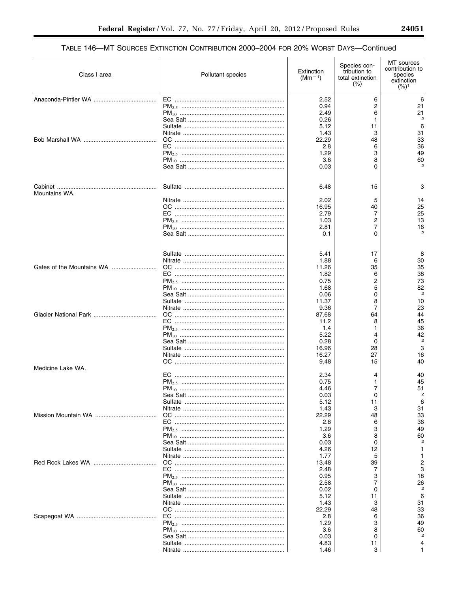# TABLE 146-MT SOURCES EXTINCTION CONTRIBUTION 2000-2004 FOR 20% WORST DAYS-Continued

| Class I area      | Pollutant species | Extinction<br>$(Mm^{-1})$ | Species con-<br>tribution to<br>total extinction<br>$(\%)$ | MT sources<br>contribution to<br>species<br>extinction<br>$(%)^1$ |
|-------------------|-------------------|---------------------------|------------------------------------------------------------|-------------------------------------------------------------------|
|                   |                   | 2.52                      | 6                                                          | 6                                                                 |
|                   |                   | 0.94                      | 2                                                          | 21                                                                |
|                   |                   | 2.49                      | 6                                                          | 21                                                                |
|                   |                   | 0.26                      | 1                                                          | $\mathfrak{p}$                                                    |
|                   |                   | 5.12                      | 11                                                         | 6                                                                 |
|                   |                   | 1.43                      | 3                                                          | 31                                                                |
|                   |                   | 22.29                     | 48                                                         | 33                                                                |
|                   |                   | 2.8                       | 6                                                          | 36                                                                |
|                   |                   | 1.29                      | 3                                                          | 49                                                                |
|                   |                   | 3.6<br>0.03               | 8<br>0                                                     | 60                                                                |
|                   |                   |                           |                                                            |                                                                   |
| Mountains WA.     |                   | 6.48                      | 15                                                         | 3                                                                 |
|                   |                   | 2.02                      | 5                                                          | 14                                                                |
|                   |                   | 16.95                     | 40                                                         | 25                                                                |
|                   |                   | 2.79                      | 7                                                          | 25                                                                |
|                   |                   | 1.03                      | 2                                                          | 13                                                                |
|                   |                   | 2.81<br>0.1               | 7<br>0                                                     | 16                                                                |
|                   |                   |                           |                                                            |                                                                   |
|                   |                   | 5.41                      | 17                                                         | 8                                                                 |
|                   |                   | 1.88                      | 6                                                          | 30                                                                |
|                   |                   | 11.26                     | 35                                                         | 35                                                                |
|                   |                   | 1.82                      | 6                                                          | 38                                                                |
|                   |                   | 0.75                      | 2                                                          | 73                                                                |
|                   |                   | 1.68                      | 5                                                          | 82                                                                |
|                   |                   | 0.06                      | 0                                                          | $\overline{2}$                                                    |
|                   |                   | 11.37                     | 8                                                          | 10                                                                |
|                   |                   | 9.36                      | 7                                                          | 23<br>44                                                          |
|                   |                   | 87.68<br>11.2             | 64<br>8                                                    | 45                                                                |
|                   |                   | 1.4                       | 1                                                          | 36                                                                |
|                   |                   | 5.22                      | 4                                                          | 42                                                                |
|                   |                   | 0.28                      | 0                                                          | $\overline{2}$                                                    |
|                   |                   | 16.96                     | 28                                                         | 3                                                                 |
|                   |                   | 16.27                     | 27                                                         | 16                                                                |
| Medicine Lake WA. |                   | 9.48                      | 15                                                         | 40                                                                |
|                   |                   | 2.34                      | 4                                                          | 40                                                                |
|                   |                   | 0.75                      | 1                                                          | 45                                                                |
|                   |                   | 4.46                      | 7                                                          | 51                                                                |
|                   |                   | 0.03                      | 0                                                          |                                                                   |
|                   |                   | 5.12                      | 11<br>3                                                    | 6                                                                 |
|                   |                   | 1.43<br>22.29             | 48                                                         | 31<br>33                                                          |
|                   |                   | 2.8                       | 6                                                          | 36                                                                |
|                   |                   | 1.29                      | 3                                                          | 49                                                                |
|                   |                   | 3.6                       | 8                                                          | 60                                                                |
|                   |                   | 0.03                      | 0                                                          |                                                                   |
|                   |                   | 4.26                      | 12                                                         |                                                                   |
|                   |                   | 1.77                      | 5                                                          |                                                                   |
|                   |                   | 13.48                     | 39                                                         | 2                                                                 |
|                   |                   | 2.48<br>0.95              | 7<br>3                                                     | 3<br>18                                                           |
|                   |                   | 2.58                      | 7                                                          | 26                                                                |
|                   |                   | 0.02                      | 0                                                          |                                                                   |
|                   |                   | 5.12                      | 11                                                         | 6                                                                 |
|                   |                   | 1.43                      | 3                                                          | 31                                                                |
|                   |                   | 22.29                     | 48                                                         | 33                                                                |
|                   |                   | 2.8                       | 6                                                          | 36                                                                |
|                   |                   | 1.29                      | 3                                                          | 49<br>60                                                          |
|                   |                   | 3.6<br>0.03               | 8<br>0                                                     |                                                                   |
|                   |                   | 4.83                      | 11                                                         |                                                                   |
|                   |                   | 1.46                      | 3                                                          |                                                                   |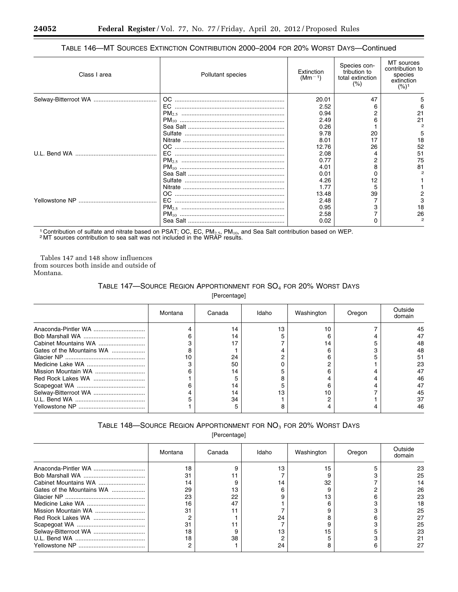# TABLE 146—MT SOURCES EXTINCTION CONTRIBUTION 2000–2004 FOR 20% WORST DAYS—Continued

| Class I area | Pollutant species | Extinction<br>$(Mm^{-1})$ | Species con-<br>tribution to<br>total extinction<br>(% ) | MT sources<br>contribution to<br>species<br>extinction<br>$(%)^1$ |
|--------------|-------------------|---------------------------|----------------------------------------------------------|-------------------------------------------------------------------|
|              |                   | 20.01                     | 47                                                       |                                                                   |
|              |                   | 2.52                      |                                                          |                                                                   |
|              |                   | 0.94                      |                                                          | 21                                                                |
|              |                   | 2.49                      |                                                          | 21                                                                |
|              |                   | 0.26                      |                                                          |                                                                   |
|              |                   | 9.78                      | 20                                                       | 5                                                                 |
|              |                   | 8.01                      |                                                          | 18                                                                |
|              |                   | 12.76                     | 26                                                       | 52                                                                |
|              |                   | 2.08                      |                                                          | 51                                                                |
|              |                   | 0.77                      |                                                          | 75                                                                |
|              |                   | 4.01                      |                                                          | 81                                                                |
|              |                   | 0.01                      |                                                          | 2                                                                 |
|              |                   | 4.26                      |                                                          |                                                                   |
|              |                   | 1.77                      |                                                          |                                                                   |
|              |                   | 13.48                     | 39                                                       |                                                                   |
|              | EC                | 2.48                      |                                                          |                                                                   |
|              |                   | 0.95                      |                                                          | 18                                                                |
|              |                   | 2.58                      |                                                          | 26                                                                |
|              |                   | 0.02                      |                                                          |                                                                   |

<sup>1</sup> Contribution of sulfate and nitrate based on PSAT; OC, EC, PM<sub>2.5</sub>, PM<sub>10</sub>, and Sea Salt contribution based on WEP. <sup>2</sup> MT sources contribution to sea salt was not included in the WRAP results.

Tables 147 and 148 show influences from sources both inside and outside of Montana.

# TABLE 147—SOURCE REGION APPORTIONMENT FOR SO4 FOR 20% WORST DAYS

[Percentage]

|                           | Montana | Canada | Idaho | Washington | Oregon | Outside<br>domain |
|---------------------------|---------|--------|-------|------------|--------|-------------------|
| Anaconda-Pintler WA       |         | 14     | 13    | 10         |        | 45                |
|                           |         | 14     |       |            |        | 47                |
|                           |         | 17     |       | 14         |        | 48                |
| Gates of the Mountains WA |         |        |       |            |        | 48                |
|                           |         | 24     |       |            |        | 51                |
|                           |         | 50     |       |            |        | 23                |
|                           |         | 14     |       |            |        | 47                |
|                           |         |        |       |            |        | 46                |
|                           |         | 14     |       |            |        | 47                |
|                           |         | 14     |       | 10         |        | 45                |
|                           |         | 34     |       |            |        | 37                |
|                           |         |        |       |            |        | 46                |

# TABLE 148-SOURCE REGION APPORTIONMENT FOR NO<sub>3</sub> FOR 20% WORST DAYS

[Percentage]

|                           | Montana | Canada | Idaho | Washington | Oregon | Outside<br>domain |
|---------------------------|---------|--------|-------|------------|--------|-------------------|
|                           | 18      |        | 13    | 15         |        | 23                |
|                           |         |        |       |            |        | 25                |
| Cabinet Mountains WA      |         |        |       | 32         |        | 14                |
| Gates of the Mountains WA | 29      | 13     |       |            |        | 26                |
|                           | 23      | 22     |       | 13         |        | 23                |
|                           | 16      | 47     |       |            |        | 18                |
|                           |         |        |       |            |        | 25                |
|                           |         |        | 24    |            |        | 27                |
|                           |         |        |       |            |        | 25                |
| Selway-Bitterroot WA      | 18      |        | 13    | 15         |        | 23                |
|                           | 18      | 38     |       |            |        |                   |
|                           |         |        | 24    |            |        | 27                |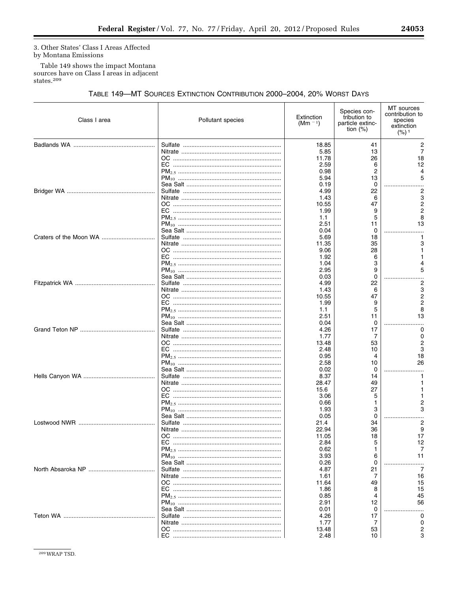۰

3. Other States' Class I Areas Affected by Montana Emissions

Table 149 shows the impact Montana sources have on Class I areas in adjacent states.<sup>209</sup>

# TABLE 149-MT SOURCES EXTINCTION CONTRIBUTION 2000-2004, 20% WORST DAYS

| Class I area | Pollutant species | Extinction<br>(Mm $^{-1}$ ) | Species con-<br>tribution to<br>particle extinc-<br>tion $(\%)$ | MT sources<br>contribution to<br>species<br>extinction<br>(%) <sup>1</sup> |
|--------------|-------------------|-----------------------------|-----------------------------------------------------------------|----------------------------------------------------------------------------|
|              |                   | 18.85                       | 41                                                              | 2                                                                          |
|              |                   | 5.85<br>11.78               | 13<br>26                                                        | 7<br>18                                                                    |
|              |                   | 2.59                        | 6                                                               | 12                                                                         |
|              |                   | 0.98                        | 2                                                               |                                                                            |
|              |                   | 5.94                        | 13                                                              |                                                                            |
|              |                   | 0.19                        | 0                                                               |                                                                            |
|              |                   | 4.99                        | 22                                                              | 2                                                                          |
|              |                   | 1.43                        | 6                                                               | 3                                                                          |
|              |                   | 10.55                       | 47                                                              |                                                                            |
|              |                   | 1.99                        | 9                                                               |                                                                            |
|              |                   | 1.1<br>2.51                 | 5<br>11                                                         | 13                                                                         |
|              |                   | 0.04                        | 0                                                               |                                                                            |
|              |                   | 5.69                        | 18                                                              |                                                                            |
|              |                   | 11.35                       | 35                                                              |                                                                            |
|              |                   | 9.06                        | 28                                                              |                                                                            |
|              |                   | 1.92                        | 6                                                               |                                                                            |
|              |                   | 1.04                        | 3                                                               |                                                                            |
|              |                   | 2.95                        | 9                                                               | 5                                                                          |
|              |                   | 0.03                        | $\Omega$                                                        |                                                                            |
|              |                   | 4.99                        | 22<br>6                                                         | 3                                                                          |
|              |                   | 1.43<br>10.55               | 47                                                              | 2                                                                          |
|              |                   | 1.99                        | 9                                                               |                                                                            |
|              |                   | 1.1                         | 5                                                               |                                                                            |
|              |                   | 2.51                        | 11                                                              | 13                                                                         |
|              |                   | 0.04                        | 0                                                               |                                                                            |
|              |                   | 4.26                        | 17                                                              | 0                                                                          |
|              |                   | 1.77                        | 7                                                               | 0                                                                          |
|              |                   | 13.48                       | 53                                                              |                                                                            |
|              |                   | 2.48                        | 10                                                              |                                                                            |
|              |                   | 0.95                        | 4                                                               | 18                                                                         |
|              |                   | 2.58                        | 10<br>0                                                         | 26                                                                         |
|              |                   | 0.02<br>8.37                | 14                                                              |                                                                            |
|              |                   | 28.47                       | 49                                                              |                                                                            |
|              |                   | 15.6                        | 27                                                              |                                                                            |
|              |                   | 3.06                        | 5                                                               |                                                                            |
|              |                   | 0.66                        | 1                                                               |                                                                            |
|              |                   | 1.93                        | 3                                                               |                                                                            |
|              |                   | 0.05                        | 0                                                               |                                                                            |
|              |                   | 21.4                        | 34                                                              | 2                                                                          |
|              |                   | 22.94                       | 36                                                              | 9                                                                          |
|              |                   | 11.05<br>2.84               | 18<br>5                                                         | 17<br>12                                                                   |
|              |                   | 0.62                        | 1                                                               |                                                                            |
|              |                   | 3.93                        | 6                                                               | 11                                                                         |
|              |                   | 0.26                        | 0                                                               |                                                                            |
|              |                   | 4.87                        | 21                                                              | 7                                                                          |
|              |                   | 1.61                        | 7                                                               | 16                                                                         |
|              |                   | 11.64                       | 49                                                              | 15                                                                         |
|              |                   | 1.86                        | 8                                                               | 15                                                                         |
|              |                   | 0.85                        | 4                                                               | 45                                                                         |
|              |                   | 2.91                        | 12                                                              | 56                                                                         |
|              |                   | 0.01                        | 0                                                               |                                                                            |
|              |                   | 4.26<br>1.77                | 17<br>7                                                         | O<br>n                                                                     |
|              |                   | 13.48                       | 53                                                              |                                                                            |
|              |                   | 2.48                        | 10                                                              |                                                                            |
|              |                   |                             |                                                                 |                                                                            |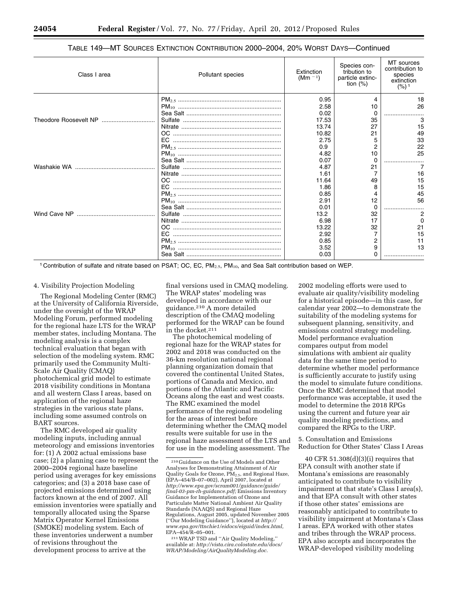| Class I area | Pollutant species | Extinction<br>$(Mm - 1)$ | Species con-<br>tribution to<br>particle extinc-<br>tion $(%)$ | MT sources<br>contribution to<br>species<br>extinction<br>(%) <sup>1</sup> |
|--------------|-------------------|--------------------------|----------------------------------------------------------------|----------------------------------------------------------------------------|
|              |                   | 0.95                     |                                                                | 18                                                                         |
|              |                   | 2.58                     | 10                                                             | 26                                                                         |
|              |                   | 0.02                     |                                                                |                                                                            |
|              |                   | 17.53                    | 35                                                             |                                                                            |
|              |                   | 13.74                    | 27                                                             | 15                                                                         |
|              |                   | 10.82                    | 21                                                             | 49                                                                         |
|              |                   | 2.75                     |                                                                | 33                                                                         |
|              |                   | 0.9                      |                                                                | 22                                                                         |
|              |                   | 4.82                     | 10                                                             | 25                                                                         |
|              |                   | 0.07                     |                                                                |                                                                            |
|              |                   | 4.87                     | 21                                                             |                                                                            |
|              |                   | 1.61                     |                                                                | 16                                                                         |
|              |                   | 11.64                    | 49                                                             | 15                                                                         |
|              |                   | 1.86                     | 8                                                              | 15                                                                         |
|              |                   | 0.85                     |                                                                | 45                                                                         |
|              |                   | 2.91                     | 12                                                             | 56                                                                         |
|              |                   | 0.01                     |                                                                |                                                                            |
|              |                   | 13.2                     | 32                                                             |                                                                            |
|              |                   | 6.98                     | 17                                                             | $\Omega$                                                                   |
|              |                   | 13.22                    | 32                                                             | 21                                                                         |
|              |                   | 2.92                     |                                                                | 15                                                                         |
|              |                   | 0.85                     |                                                                | 11                                                                         |
|              |                   | 3.52                     | 9                                                              | 13                                                                         |
|              |                   | 0.03                     |                                                                |                                                                            |
|              |                   |                          |                                                                |                                                                            |

#### TABLE 149—MT SOURCES EXTINCTION CONTRIBUTION 2000–2004, 20% WORST DAYS—Continued

<sup>1</sup> Contribution of sulfate and nitrate based on PSAT; OC, EC, PM<sub>2.5</sub>, PM<sub>10</sub>, and Sea Salt contribution based on WEP.

#### 4. Visibility Projection Modeling

The Regional Modeling Center (RMC) at the University of California Riverside, under the oversight of the WRAP Modeling Forum, performed modeling for the regional haze LTS for the WRAP member states, including Montana. The modeling analysis is a complex technical evaluation that began with selection of the modeling system. RMC primarily used the Community Multi-Scale Air Quality (CMAQ) photochemical grid model to estimate 2018 visibility conditions in Montana and all western Class I areas, based on application of the regional haze strategies in the various state plans, including some assumed controls on BART sources.

The RMC developed air quality modeling inputs, including annual meteorology and emissions inventories for: (1) A 2002 actual emissions base case; (2) a planning case to represent the 2000–2004 regional haze baseline period using averages for key emissions categories; and (3) a 2018 base case of projected emissions determined using factors known at the end of 2007. All emission inventories were spatially and temporally allocated using the Sparse Matrix Operator Kernel Emissions (SMOKE) modeling system. Each of these inventories underwent a number of revisions throughout the development process to arrive at the

final versions used in CMAQ modeling. The WRAP states' modeling was developed in accordance with our guidance.210 A more detailed description of the CMAQ modeling performed for the WRAP can be found in the docket.211

The photochemical modeling of regional haze for the WRAP states for 2002 and 2018 was conducted on the 36-km resolution national regional planning organization domain that covered the continental United States, portions of Canada and Mexico, and portions of the Atlantic and Pacific Oceans along the east and west coasts. The RMC examined the model performance of the regional modeling for the areas of interest before determining whether the CMAQ model results were suitable for use in the regional haze assessment of the LTS and for use in the modeling assessment. The

2002 modeling efforts were used to evaluate air quality/visibility modeling for a historical episode—in this case, for calendar year 2002—to demonstrate the suitability of the modeling systems for subsequent planning, sensitivity, and emissions control strategy modeling. Model performance evaluation compares output from model simulations with ambient air quality data for the same time period to determine whether model performance is sufficiently accurate to justify using the model to simulate future conditions. Once the RMC determined that model performance was acceptable, it used the model to determine the 2018 RPGs using the current and future year air quality modeling predictions, and compared the RPGs to the URP.

5. Consultation and Emissions Reduction for Other States' Class I Areas

40 CFR 51.308(d)(3)(i) requires that EPA consult with another state if Montana's emissions are reasonably anticipated to contribute to visibility impairment at that state's Class I area(s), and that EPA consult with other states if those other states' emissions are reasonably anticipated to contribute to visibility impairment at Montana's Class I areas. EPA worked with other states and tribes through the WRAP process. EPA also accepts and incorporates the WRAP-developed visibility modeling

<sup>210</sup> Guidance on the Use of Models and Other Analyses for Demonstrating Attainment of Air Quality Goals for Ozone,  $\widetilde{PM}_{2.5}$ , and Regional Haze, (EPA–454/B–07–002), April 2007, located at *[http://www.epa.gov/scram001/guidance/guide/](http://www.epa.gov/scram001/guidance/guide/final-03-pm-rh-guidance.pdf) [final-03-pm-rh-guidance.pdf;](http://www.epa.gov/scram001/guidance/guide/final-03-pm-rh-guidance.pdf)* Emissions Inventory Guidance for Implementation of Ozone and Particulate Matter National Ambient Air Quality Standards (NAAQS) and Regional Haze Regulations, August 2005, updated November 2005 (''Our Modeling Guidance''), located at *[http://](http://www.epa.gov/ttnchie1/eidocs/eiguid/index.html)  [www.epa.gov/ttnchie1/eidocs/eiguid/index.html,](http://www.epa.gov/ttnchie1/eidocs/eiguid/index.html)*  EPA–454/R–05–001.

<sup>211</sup>WRAP TSD and ''Air Quality Modeling,'' available at: *[http://vista.cira.colostate.edu/docs/](http://vista.cira.colostate.edu/docs/WRAP/Modeling/AirQualityModeling.doc) [WRAP/Modeling/AirQualityModeling.doc.](http://vista.cira.colostate.edu/docs/WRAP/Modeling/AirQualityModeling.doc)*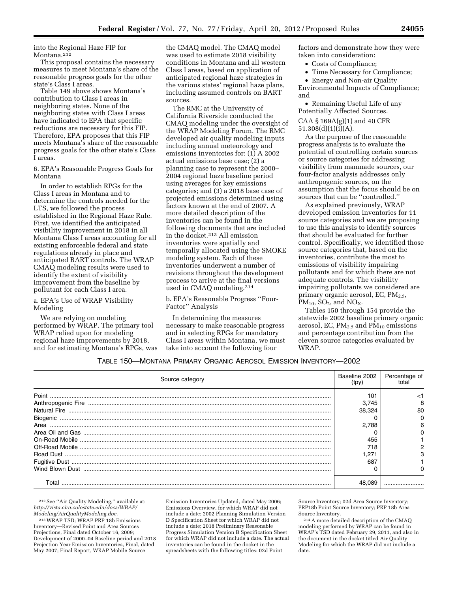into the Regional Haze FIP for Montana.<sup>212</sup>

This proposal contains the necessary measures to meet Montana's share of the reasonable progress goals for the other state's Class I areas.

Table 149 above shows Montana's contribution to Class I areas in neighboring states. None of the neighboring states with Class I areas have indicated to EPA that specific reductions are necessary for this FIP. Therefore, EPA proposes that this FIP meets Montana's share of the reasonable progress goals for the other state's Class I areas.

6. EPA's Reasonable Progress Goals for Montana

In order to establish RPGs for the Class I areas in Montana and to determine the controls needed for the LTS, we followed the process established in the Regional Haze Rule. First, we identified the anticipated visibility improvement in 2018 in all Montana Class I areas accounting for all existing enforceable federal and state regulations already in place and anticipated BART controls. The WRAP CMAQ modeling results were used to identify the extent of visibility improvement from the baseline by pollutant for each Class I area.

a. EPA's Use of WRAP Visibility Modeling

We are relying on modeling performed by WRAP. The primary tool WRAP relied upon for modeling regional haze improvements by 2018, and for estimating Montana's RPGs, was

the CMAQ model. The CMAQ model was used to estimate 2018 visibility conditions in Montana and all western Class I areas, based on application of anticipated regional haze strategies in the various states' regional haze plans, including assumed controls on BART sources.

The RMC at the University of California Riverside conducted the CMAQ modeling under the oversight of the WRAP Modeling Forum. The RMC developed air quality modeling inputs including annual meteorology and emissions inventories for: (1) A 2002 actual emissions base case; (2) a planning case to represent the 2000– 2004 regional haze baseline period using averages for key emissions categories; and (3) a 2018 base case of projected emissions determined using factors known at the end of 2007. A more detailed description of the inventories can be found in the following documents that are included in the docket.213 All emission inventories were spatially and temporally allocated using the SMOKE modeling system. Each of these inventories underwent a number of revisions throughout the development process to arrive at the final versions used in CMAQ modeling.214

b. EPA's Reasonable Progress ''Four-Factor'' Analysis

In determining the measures necessary to make reasonable progress and in selecting RPGs for mandatory Class I areas within Montana, we must take into account the following four

factors and demonstrate how they were taken into consideration:

• Costs of Compliance;

• Time Necessary for Compliance;

• Energy and Non-air Quality Environmental Impacts of Compliance; and

• Remaining Useful Life of any Potentially Affected Sources.

CAA § 169A(g)(1) and 40 CFR  $51.308(d)(1)(i)(A)$ .

As the purpose of the reasonable progress analysis is to evaluate the potential of controlling certain sources or source categories for addressing visibility from manmade sources, our four-factor analysis addresses only anthropogenic sources, on the assumption that the focus should be on sources that can be ''controlled.''

As explained previously, WRAP developed emission inventories for 11 source categories and we are proposing to use this analysis to identify sources that should be evaluated for further control. Specifically, we identified those source categories that, based on the inventories, contribute the most to emissions of visibility impairing pollutants and for which there are not adequate controls. The visibility impairing pollutants we considered are primary organic aerosol, EC,  $PM<sub>2.5</sub>$ ,  $PM_{10}$ , SO<sub>2</sub>, and NO<sub>X</sub>.

Tables 150 through 154 provide the statewide 2002 baseline primary organic aerosol, EC,  $PM_{2.5}$  and  $PM_{10}$  emissions and percentage contribution from the eleven source categories evaluated by WRAP.

#### TABLE 150—MONTANA PRIMARY ORGANIC AEROSOL EMISSION INVENTORY—2002

| Source category | Baseline 2002 | Percentage of |
|-----------------|---------------|---------------|
| Point           | 101           |               |
|                 | 3.745         |               |
|                 | 38.324        | 80            |
|                 |               |               |
| Area            | 2.788         |               |
|                 |               |               |
|                 | 455           |               |
|                 | 718           |               |
|                 | 1.271         |               |
|                 | 687           |               |
|                 |               |               |
| l ota           |               |               |

212See ''Air Quality Modeling,'' available at: *[http://vista.cira.colostate.edu/docs/WRAP/](http://vista.cira.colostate.edu/docs/WRAP/Modeling/AirQualityModeling.doc) [Modeling/AirQualityModeling.doc.](http://vista.cira.colostate.edu/docs/WRAP/Modeling/AirQualityModeling.doc)* 

213WRAP TSD; WRAP PRP 18b Emissions Inventory—Revised Point and Area Sources Projections, Final dated October 16, 2009; Development of 2000–04 Baseline period and 2018 Projection Year Emission Inventories, Final, dated May 2007; Final Report, WRAP Mobile Source

Emission Inventories Updated, dated May 2006; Emissions Overview, for which WRAP did not include a date; 2002 Planning Simulation Version D Specification Sheet for which WRAP did not include a date; 2018 Preliminary Reasonable Progress Simulation Version B Specification Sheet for which WRAP did not include a date. The actual inventories can be found in the docket in the spreadsheets with the following titles: 02d Point

Source Inventory; 02d Area Source Inventory; PRP18b Point Source Inventory; PRP 18b Area Source Inventory.

214A more detailed description of the CMAQ modeling performed by WRAP can be found in WRAP's TSD dated February 29, 2011, and also in the document in the docket titled Air Quality Modeling for which the WRAP did not include a date.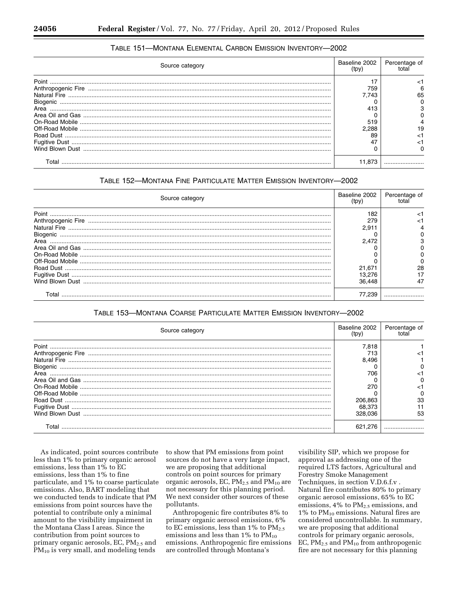| TABLE 151-MONTANA ELEMENTAL CARBON EMISSION INVENTORY-2002 |               |
|------------------------------------------------------------|---------------|
| $P$ <sup>a</sup>                                           | Baseline 2002 |

| Source category | Baseline 2002<br>(tpy) | Percentage of |
|-----------------|------------------------|---------------|
|                 |                        |               |
|                 | 759                    |               |
|                 | 7.743                  |               |
|                 |                        |               |
|                 |                        |               |
|                 |                        |               |
|                 | 519                    |               |
|                 | 2.288                  |               |
|                 |                        |               |
|                 |                        |               |
|                 |                        |               |
|                 | 11.873                 |               |

# TABLE 152-MONTANA FINE PARTICULATE MATTER EMISSION INVENTORY-2002

| Source category | Baseline 2002<br>(tpv) | Percentage of |
|-----------------|------------------------|---------------|
| Point           | 182                    |               |
|                 | 279                    |               |
|                 | 2.911                  |               |
|                 |                        |               |
| Area            | 2.472                  |               |
|                 |                        |               |
|                 |                        |               |
|                 |                        |               |
|                 | 21.671                 | 28            |
|                 | 13.276                 |               |
|                 | 36.448                 |               |
| Total           |                        |               |

## TABLE 153-MONTANA COARSE PARTICULATE MATTER EMISSION INVENTORY-2002

| Source category | Baseline 2002<br>(tpv) | Percentage of |
|-----------------|------------------------|---------------|
| Point           | 7.818                  |               |
|                 | 713                    |               |
|                 | 8.496                  |               |
|                 |                        |               |
| Area            | 706                    |               |
|                 |                        |               |
|                 | 270                    |               |
|                 |                        |               |
|                 | 206.863                |               |
|                 | 68.373                 |               |
|                 | 328.036                |               |
| Total           |                        |               |

As indicated, point sources contribute less than 1% to primary organic aerosol emissions, less than 1% to EC emissions, less than 1% to fine particulate, and 1% to coarse particulate emissions. Also, BART modeling that we conducted tends to indicate that PM emissions from point sources have the potential to contribute only a minimal amount to the visibility impairment in the Montana Class I areas. Since the contribution from point sources to primary organic aerosols, EC,  $PM_{2.5}$  and  $PM_{10}$  is very small, and modeling tends

to show that PM emissions from point sources do not have a very large impact, we are proposing that additional controls on point sources for primary organic aerosols, EC,  $PM_{2.5}$  and  $PM_{10}$  are not necessary for this planning period. We next consider other sources of these pollutants.

Anthropogenic fire contributes 8% to primary organic aerosol emissions, 6% to EC emissions, less than  $1\%$  to  $PM_{2.5}$ emissions and less than  $1\%$  to  $PM_{10}$ emissions. Anthropogenic fire emissions are controlled through Montana's

visibility SIP, which we propose for approval as addressing one of the required LTS factors, Agricultural and Forestry Smoke Management Techniques, in section V.D.6.f.v. Natural fire contributes 80% to primary organic aerosol emissions, 65% to EC emissions,  $4\%$  to  $PM_{2.5}$  emissions, and  $1\%$  to PM<sub>10</sub> emissions. Natural fires are considered uncontrollable. In summary, we are proposing that additional controls for primary organic aerosols, EC,  $PM_{2.5}$  and  $PM_{10}$  from anthropogenic fire are not necessary for this planning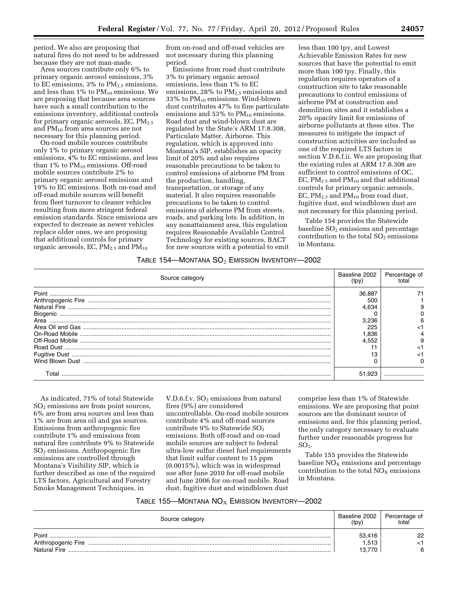period. We also are proposing that natural fires do not need to be addressed because they are not man-made.

Area sources contribute only 6% to primary organic aerosol emissions, 3% to EC emissions,  $3\%$  to  $PM_{2.5}$  emissions, and less than  $1\%$  to  $PM_{10}$  emissions. We are proposing that because area sources have such a small contribution to the emissions inventory, additional controls for primary organic aerosols, EC,  $PM_{2.5}$ and PM10 from area sources are not necessary for this planning period.

On-road mobile sources contribute only 1% to primary organic aerosol emissions, 4% to EC emissions, and less than 1% to  $PM_{10}$  emissions. Off-road mobile sources contribute 2% to primary organic aerosol emissions and 19% to EC emissions. Both on-road and off-road mobile sources will benefit from fleet turnover to cleaner vehicles resulting from more stringent federal emission standards. Since emissions are expected to decrease as newer vehicles replace older ones, we are proposing that additional controls for primary organic aerosols, EC,  $PM_{2.5}$  and  $PM_{10}$ 

from on-road and off-road vehicles are not necessary during this planning period.

Emissions from road dust contribute 3% to primary organic aerosol emissions, less than 1% to EC emissions,  $28\%$  to  $PM_{2.5}$  emissions and 33% to PM10 emissions. Wind-blown dust contributes 47% to fine particulate emissions and  $53\%$  to  $PM_{10}$  emissions. Road dust and wind-blown dust are regulated by the State's ARM 17.8.308, Particulate Matter, Airborne. This regulation, which is approved into Montana's SIP, establishes an opacity limit of 20% and also requires reasonable precautions to be taken to control emissions of airborne PM from the production, handling, transportation, or storage of any material. It also requires reasonable precautions to be taken to control emissions of airborne PM from streets, roads, and parking lots. In addition, in any nonattainment area, this regulation requires Reasonable Available Control Technology for existing sources, BACT for new sources with a potential to emit

less than 100 tpy, and Lowest Achievable Emission Rates for new sources that have the potential to emit more than 100 tpy. Finally, this regulation requires operators of a construction site to take reasonable precautions to control emissions of airborne PM at construction and demolition sites and it establishes a 20% opacity limit for emissions of airborne pollutants at these sites. The measures to mitigate the impact of construction activities are included as one of the required LTS factors in section V.D.6.f.ii. We are proposing that the existing rules at ARM 17.8.308 are sufficient to control emissions of OC, EC,  $PM_{2.5}$  and  $PM_{10}$  and that additional controls for primary organic aerosols, EC,  $PM_{2.5}$  and  $PM_{10}$  from road dust, fugitive dust, and windblown dust are not necessary for this planning period.

Table 154 provides the Statewide baseline  $SO<sub>2</sub>$  emissions and percentage contribution to the total  $SO<sub>2</sub>$  emissions in Montana.

## TABLE 154—MONTANA  $SO<sub>2</sub>$  EMISSION INVENTORY-2002

| Source category | Baseline 2002 | Percentage of |
|-----------------|---------------|---------------|
| Point           | 36.887        |               |
|                 | 500           |               |
|                 | 4.634         |               |
| Biogenic        |               |               |
| Area            | 3.236         |               |
|                 |               |               |
|                 | .836          |               |
|                 | 4.552         |               |
|                 |               |               |
|                 |               |               |
|                 |               |               |
| Γ∩tal           | 51.923        |               |

As indicated, 71% of total Statewide  $SO<sub>2</sub>$  emissions are from point sources, 6% are from area sources and less than 1% are from area oil and gas sources. Emissions from anthropogenic fire contribute 1% and emissions from natural fire contribute 9% to Statewide  $SO<sub>2</sub>$  emissions. Anthropogenic fire emissions are controlled through Montana's Visibility SIP, which is further described as one of the required LTS factors, Agricultural and Forestry Smoke Management Techniques, in

V.D.6.f.v.  $SO<sub>2</sub>$  emissions from natural fires (9%) are considered uncontrollable. On-road mobile sources contribute 4% and off-road sources contribute  $9\%$  to Statewide  $SO<sub>2</sub>$ emissions. Both off-road and on-road mobile sources are subject to federal ultra-low sulfur diesel fuel requirements that limit sulfur content to 15 ppm (0.0015%), which was in widespread use after June 2010 for off-road mobile and June 2006 for on-road mobile. Road dust, fugitive dust and windblown dust

comprise less than 1% of Statewide emissions. We are proposing that point sources are the dominant source of emissions and, for this planning period, the only category necessary to evaluate further under reasonable progress for  $SO<sub>2</sub>$ .

Table 155 provides the Statewide baseline  $NO<sub>x</sub>$  emissions and percentage contribution to the total  $NO<sub>X</sub>$  emissions in Montana.

## TABLE 155—MONTANA  $NO<sub>X</sub>$  EMISSION INVENTORY-2002

| Source category     | Baseline 2002<br>(tpv) | Percentage of<br>total |
|---------------------|------------------------|------------------------|
| Point               | 53.416                 | つつ                     |
| Anthropogenic Fire  | .513                   |                        |
| <b>Natural Fire</b> | 13.770                 | ี                      |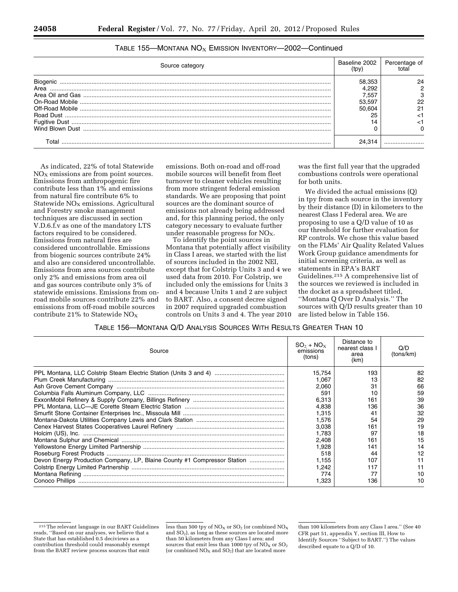| Source category | Baseline 2002 | Percentage of |
|-----------------|---------------|---------------|
| Biogenic        | 58.353        |               |
| Area            | 4.292         |               |
|                 | 7.557         |               |
|                 | 53.597        |               |
|                 | 50.604        |               |
|                 | 25            |               |
|                 |               |               |
|                 |               |               |
| Γ∩tal           | 24.314        |               |

#### TABLE 155—MONTANA  $NO_X$  EMISSION INVENTORY—2002—Continued

As indicated, 22% of total Statewide  $NO<sub>x</sub>$  emissions are from point sources. Emissions from anthropogenic fire contribute less than 1% and emissions from natural fire contribute 6% to Statewide  $NO<sub>X</sub>$  emissions. Agricultural and Forestry smoke management techniques are discussed in section V.D.6.f.v as one of the mandatory LTS factors required to be considered. Emissions from natural fires are considered uncontrollable. Emissions from biogenic sources contribute 24% and also are considered uncontrollable. Emissions from area sources contribute only 2% and emissions from area oil and gas sources contribute only 3% of statewide emissions. Emissions from onroad mobile sources contribute 22% and emissions from off-road mobile sources contribute 21% to Statewide  $NO<sub>X</sub>$ 

emissions. Both on-road and off-road mobile sources will benefit from fleet turnover to cleaner vehicles resulting from more stringent federal emission standards. We are proposing that point sources are the dominant source of emissions not already being addressed and, for this planning period, the only category necessary to evaluate further under reasonable progress for  $NO<sub>X</sub>$ .

To identify the point sources in Montana that potentially affect visibility in Class I areas, we started with the list of sources included in the 2002 NEI, except that for Colstrip Units 3 and 4 we used data from 2010. For Colstrip, we included only the emissions for Units 3 and 4 because Units 1 and 2 are subject to BART. Also, a consent decree signed in 2007 required upgraded combustion controls on Units 3 and 4. The year 2010 was the first full year that the upgraded combustions controls were operational for both units.

We divided the actual emissions (Q) in tpy from each source in the inventory by their distance (D) in kilometers to the nearest Class I Federal area. We are proposing to use a Q/D value of 10 as our threshold for further evaluation for RP controls. We chose this value based on the FLMs' Air Quality Related Values Work Group guidance amendments for initial screening criteria, as well as statements in EPA's BART Guidelines.215 A comprehensive list of the sources we reviewed is included in the docket as a spreadsheet titled, ''Montana Q Over D Analysis.'' The sources with Q/D results greater than 10 are listed below in Table 156.

|  | TABLE 156-MONTANA Q/D ANALYSIS SOURCES WITH RESULTS GREATER THAN 10 |  |
|--|---------------------------------------------------------------------|--|
|--|---------------------------------------------------------------------|--|

| Source                                                                   | $SO_2 + NO_x$<br>emissions<br>(tons) | Distance to<br>nearest class I<br>area<br>(km) | Q/D<br>(tons/km) |
|--------------------------------------------------------------------------|--------------------------------------|------------------------------------------------|------------------|
|                                                                          | 15.754                               | 193                                            | 82               |
|                                                                          | 1.067                                | 13                                             | 82               |
|                                                                          | 2,060                                | 31                                             | 66               |
|                                                                          | 591                                  | 10                                             | 59               |
|                                                                          | 6.313                                | 161                                            | 39               |
|                                                                          | 4.838                                | 136                                            | 36               |
|                                                                          | 1.315                                | 41                                             | 32               |
|                                                                          | 1.576                                | 54                                             | 29               |
|                                                                          | 3.038                                | 161                                            | 19               |
|                                                                          | 1.783                                | 97                                             | 18               |
|                                                                          | 2.408                                | 161                                            | 15               |
|                                                                          | 1,928                                | 141                                            |                  |
|                                                                          | 518                                  | 44                                             | 12               |
| Devon Energy Production Company, LP, Blaine County #1 Compressor Station | 1.155                                | 107                                            |                  |
|                                                                          | 1.242                                | 117                                            |                  |
|                                                                          | 774                                  | 77                                             | 10               |
| Conoco Phillips                                                          | 1.323                                | 136                                            | 10               |

less than 500 tpy of  $NO<sub>X</sub>$  or  $SO<sub>2</sub>$  (or combined  $NO<sub>X</sub>$ and SO2), as long as these sources are located more than 50 kilometers from any Class I area; and sources that emit less than 1000 tpy of  $NO<sub>x</sub>$  or  $SO<sub>2</sub>$ (or combined  $NO<sub>X</sub>$  and  $SO<sub>2</sub>$ ) that are located more

<sup>215</sup>The relevant language in our BART Guidelines reads, ''Based on our analyses, we believe that a State that has established 0.5 deciviews as a contribution threshold could reasonably exempt from the BART review process sources that emit

than 100 kilometers from any Class I area.'' (See 40 CFR part 51, appendix Y, section III, How to Identify Sources ''Subject to BART.'') The values described equate to a Q/D of 10.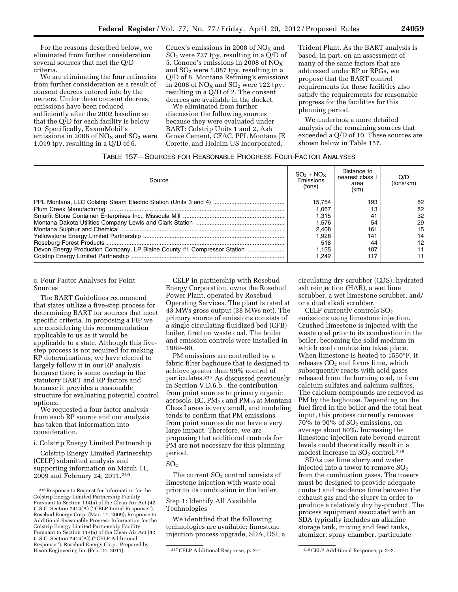For the reasons described below, we eliminated from further consideration several sources that met the Q/D criteria.

We are eliminating the four refineries from further consideration as a result of consent decrees entered into by the owners. Under these consent decrees, emissions have been reduced sufficiently after the 2002 baseline so that the Q/D for each facility is below 10. Specifically, ExxonMobil's emissions in 2008 of  $NO<sub>x</sub>$  and  $SO<sub>2</sub>$  were 1,019 tpy, resulting in a Q/D of 6.

Cenex's emissions in 2008 of  $NO<sub>x</sub>$  and  $SO<sub>2</sub>$  were 727 tpy, resulting in a Q/D of 5. Conoco's emissions in 2008 of  $NO<sub>X</sub>$ and  $SO<sub>2</sub>$  were 1,087 tpy, resulting in a Q/D of 8. Montana Refining's emissions in 2008 of  $NO<sub>X</sub>$  and  $SO<sub>2</sub>$  were 122 tpv, resulting in a Q/D of 2. The consent decrees are available in the docket.

We eliminated from further discussion the following sources because they were evaluated under BART: Colstrip Units 1 and 2, Ash Grove Cement, CFAC, PPL Montana JE Corette, and Holcim US Incorporated,

Trident Plant. As the BART analysis is based, in part, on an assessment of many of the same factors that are addressed under RP or RPGs, we propose that the BART control requirements for these facilities also satisfy the requirements for reasonable progress for the facilities for this planning period.

We undertook a more detailed analysis of the remaining sources that exceeded a Q/D of 10. These sources are shown below in Table 157.

# TABLE 157—SOURCES FOR REASONABLE PROGRESS FOUR-FACTOR ANALYSES

| Source                                                                  | $SO_2 + NO_X$<br>Emissions<br>(tons) | Distance to<br>nearest class I<br>area<br>(km) | Q/D<br>(tons/km) |
|-------------------------------------------------------------------------|--------------------------------------|------------------------------------------------|------------------|
|                                                                         | 15.754                               | 193                                            | 82.              |
|                                                                         | 1.067                                |                                                | 82               |
|                                                                         | 1.315                                | 41                                             | 32               |
|                                                                         | 1.576                                | 54                                             | 29               |
|                                                                         | 2.408                                | 161                                            | 15               |
|                                                                         | Ⅰ.928                                | 141                                            | 14               |
|                                                                         | 518                                  | 44                                             | 12               |
| Devon Energy Production Company, LP Blaine County #1 Compressor Station | 1.155                                | 107                                            |                  |
|                                                                         | 1.242                                | 117                                            |                  |

#### c. Four Factor Analyses for Point Sources

The BART Guidelines recommend that states utilize a five-step process for determining BART for sources that meet specific criteria. In proposing a FIP we are considering this recommendation applicable to us as it would be applicable to a state. Although this fivestep process is not required for making RP determinations, we have elected to largely follow it in our RP analysis because there is some overlap in the statutory BART and RP factors and because it provides a reasonable structure for evaluating potential control options.

We requested a four factor analysis from each RP source and our analysis has taken that information into consideration.

i. Colstrip Energy Limited Partnership

Colstrip Energy Limited Partnership (CELP) submitted analysis and supporting information on March 11, 2009 and February 24, 2011.216

CELP in partnership with Rosebud Energy Corporation, owns the Rosebud Power Plant, operated by Rosebud Operating Services. The plant is rated at 43 MWs gross output (38 MWs net). The primary source of emissions consists of a single circulating fluidized bed (CFB) boiler, fired on waste coal. The boiler and emission controls were installed in 1989–90.

PM emissions are controlled by a fabric filter baghouse that is designed to achieve greater than 99% control of particulates.217 As discussed previously in Section V.D.6.b., the contribution from point sources to primary organic aerosols, EC, PM<sub>2.5</sub> and PM<sub>10</sub> at Montana Class I areas is very small, and modeling tends to confirm that PM emissions from point sources do not have a very large impact. Therefore, we are proposing that additional controls for PM are not necessary for this planning period.

# $SO<sub>2</sub>$

The current  $SO<sub>2</sub>$  control consists of limestone injection with waste coal prior to its combustion in the boiler.

## Step 1: Identify All Available Technologies

We identified that the following technologies are available: limestone injection process upgrade, SDA, DSI, a

circulating dry scrubber (CDS), hydrated ash reinjection (HAR), a wet lime scrubber, a wet limestone scrubber, and/ or a dual alkali scrubber.

CELP currently controls  $SO<sub>2</sub>$ emissions using limestone injection. Crushed limestone is injected with the waste coal prior to its combustion in the boiler, becoming the solid medium in which coal combustion takes place. When limestone is heated to 1550°F, it releases  $CO<sub>2</sub>$  and forms lime, which subsequently reacts with acid gases released from the burning coal, to form calcium sulfates and calcium sulfites. The calcium compounds are removed as PM by the baghouse. Depending on the fuel fired in the boiler and the total heat input, this process currently removes  $70\%$  to  $90\%$  of  $SO_2$  emissions, on average about 80%. Increasing the limestone injection rate beyond current levels could theoretically result in a modest increase in SO<sub>2</sub> control.<sup>218</sup>

SDAs use lime slurry and water injected into a tower to remove  $SO<sub>2</sub>$ from the combustion gases. The towers must be designed to provide adequate contact and residence time between the exhaust gas and the slurry in order to produce a relatively dry by-product. The process equipment associated with an SDA typically includes an alkaline storage tank, mixing and feed tanks, atomizer, spray chamber, particulate

<sup>216</sup>Response to Request for Information for the Colstrip Energy Limited Partnership Facility Pursuant to Section 114(a) of the Clean Air Act (42 U.S.C. Section 7414(A) (''CELP Initial Response''), Rosebud Energy Corp. (Mar. 11, 2009); Response to Additional Reasonable Progress Information for the Colstrip Energy Limited Partnership Facility Pursuant to Section 114(a) of the Clean Air Act (42 U.S.C. Section 7414(A)) (''CELP Additional Response''), Rosebud Energy Corp., Prepared by

<sup>&</sup>lt;sup>217</sup> CELP Additional Response, p. 2–1. <sup>218</sup> CELP Additional Response, p. 2–2.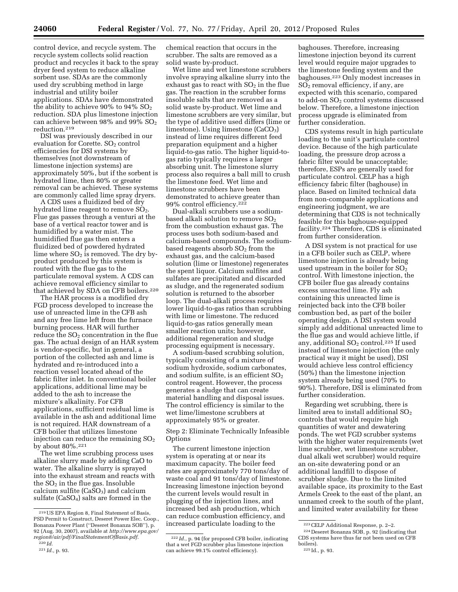control device, and recycle system. The recycle system collects solid reaction product and recycles it back to the spray dryer feed system to reduce alkaline sorbent use. SDAs are the commonly used dry scrubbing method in large industrial and utility boiler applications. SDAs have demonstrated the ability to achieve 90% to 94%  $SO_2$ reduction. SDA plus limestone injection can achieve between  $98\%$  and  $99\%$  SO<sub>2</sub> reduction.219

DSI was previously described in our evaluation for Corette.  $SO<sub>2</sub>$  control efficiencies for DSI systems by themselves (not downstream of limestone injection systems) are approximately 50%, but if the sorbent is hydrated lime, then 80% or greater removal can be achieved. These systems are commonly called lime spray dryers.

A CDS uses a fluidized bed of dry hydrated lime reagent to remove SO<sub>2</sub>. Flue gas passes through a venturi at the base of a vertical reactor tower and is humidified by a water mist. The humidified flue gas then enters a fluidized bed of powdered hydrated lime where  $SO<sub>2</sub>$  is removed. The dry byproduct produced by this system is routed with the flue gas to the particulate removal system. A CDS can achieve removal efficiency similar to that achieved by SDA on CFB boilers.<sup>220</sup>

The HAR process is a modified dry FGD process developed to increase the use of unreacted lime in the CFB ash and any free lime left from the furnace burning process. HAR will further reduce the  $SO<sub>2</sub>$  concentration in the flue gas. The actual design of an HAR system is vendor-specific, but in general, a portion of the collected ash and lime is hydrated and re-introduced into a reaction vessel located ahead of the fabric filter inlet. In conventional boiler applications, additional lime may be added to the ash to increase the mixture's alkalinity. For CFB applications, sufficient residual lime is available in the ash and additional lime is not required. HAR downstream of a CFB boiler that utilizes limestone injection can reduce the remaining  $SO<sub>2</sub>$ by about 80%.221

The wet lime scrubbing process uses alkaline slurry made by adding CaO to water. The alkaline slurry is sprayed into the exhaust stream and reacts with the  $SO<sub>2</sub>$  in the flue gas. Insoluble calcium sulfite  $(CaSO<sub>3</sub>)$  and calcium sulfate ( $CaSO<sub>4</sub>$ ) salts are formed in the

chemical reaction that occurs in the scrubber. The salts are removed as a solid waste by-product.

Wet lime and wet limestone scrubbers involve spraying alkaline slurry into the exhaust gas to react with  $SO<sub>2</sub>$  in the flue gas. The reaction in the scrubber forms insoluble salts that are removed as a solid waste by-product. Wet lime and limestone scrubbers are very similar, but the type of additive used differs (lime or limestone). Using limestone  $(CaCO<sub>3</sub>)$ instead of lime requires different feed preparation equipment and a higher liquid-to-gas ratio. The higher liquid-togas ratio typically requires a larger absorbing unit. The limestone slurry process also requires a ball mill to crush the limestone feed. Wet lime and limestone scrubbers have been demonstrated to achieve greater than 99% control efficiency.222

Dual-alkali scrubbers use a sodiumbased alkali solution to remove SO<sub>2</sub> from the combustion exhaust gas. The process uses both sodium-based and calcium-based compounds. The sodiumbased reagents absorb  $SO<sub>2</sub>$  from the exhaust gas, and the calcium-based solution (lime or limestone) regenerates the spent liquor. Calcium sulfites and sulfates are precipitated and discarded as sludge, and the regenerated sodium solution is returned to the absorber loop. The dual-alkali process requires lower liquid-to-gas ratios than scrubbing with lime or limestone. The reduced liquid-to-gas ratios generally mean smaller reaction units; however, additional regeneration and sludge processing equipment is necessary.

A sodium-based scrubbing solution, typically consisting of a mixture of sodium hydroxide, sodium carbonates, and sodium sulfite, is an efficient  $SO<sub>2</sub>$ control reagent. However, the process generates a sludge that can create material handling and disposal issues. The control efficiency is similar to the wet lime/limestone scrubbers at approximately 95% or greater.

Step 2: Eliminate Technically Infeasible **Options** 

The current limestone injection system is operating at or near its maximum capacity. The boiler feed rates are approximately 770 tons/day of waste coal and 91 tons/day of limestone. Increasing limestone injection beyond the current levels would result in plugging of the injection lines, and increased bed ash production, which can reduce combustion efficiency, and increased particulate loading to the

baghouses. Therefore, increasing limestone injection beyond its current level would require major upgrades to the limestone feeding system and the baghouses.223 Only modest increases in  $SO<sub>2</sub>$  removal efficiency, if any, are expected with this scenario, compared to add-on  $SO<sub>2</sub>$  control systems discussed below. Therefore, a limestone injection process upgrade is eliminated from further consideration.

CDS systems result in high particulate loading to the unit's particulate control device. Because of the high particulate loading, the pressure drop across a fabric filter would be unacceptable; therefore, ESPs are generally used for particulate control. CELP has a high efficiency fabric filter (baghouse) in place. Based on limited technical data from non-comparable applications and engineering judgment, we are determining that CDS is not technically feasible for this baghouse-equipped facility.224 Therefore, CDS is eliminated from further consideration.

A DSI system is not practical for use in a CFB boiler such as CELP, where limestone injection is already being used upstream in the boiler for  $SO<sub>2</sub>$ control. With limestone injection, the CFB boiler flue gas already contains excess unreacted lime. Fly ash containing this unreacted lime is reinjected back into the CFB boiler combustion bed, as part of the boiler operating design. A DSI system would simply add additional unreacted lime to the flue gas and would achieve little, if any, additional  $SO<sub>2</sub>$  control.<sup>225</sup> If used instead of limestone injection (the only practical way it might be used), DSI would achieve less control efficiency (50%) than the limestone injection system already being used (70% to 90%). Therefore, DSI is eliminated from further consideration.

Regarding wet scrubbing, there is limited area to install additional  $SO<sub>2</sub>$ controls that would require high quantities of water and dewatering ponds. The wet FGD scrubber systems with the higher water requirements (wet lime scrubber, wet limestone scrubber, dual alkali wet scrubber) would require an on-site dewatering pond or an additional landfill to dispose of scrubber sludge. Due to the limited available space, its proximity to the East Armels Creek to the east of the plant, an unnamed creek to the south of the plant, and limited water availability for these

<sup>219</sup>US EPA Region 8, Final Statement of Basis, PSD Permit to Construct, Deseret Power Elec. Coop., Bonanza Power Plant (''Deseret Bonanza SOB''), p. 92 (Aug. 30, 2007), available at *[http://www.epa.gov/](http://www.epa.gov/region8/air/pdf/FinalStatementOfBasis.pdf)  [region8/air/pdf/FinalStatementOfBasis.pdf.](http://www.epa.gov/region8/air/pdf/FinalStatementOfBasis.pdf)* 

<sup>220</sup> *Id.* 

<sup>221</sup> *Id.,* p. 93.

<sup>222</sup> *Id.,* p. 94 (for proposed CFB boiler, indicating that a wet FGD scrubber plus limestone injection can achieve 99.1% control efficiency).

<sup>223</sup>CELP Additional Response, p. 2–2.

<sup>224</sup> Deseret Bonanza SOB, p. 92 (indicating that CDS systems have thus far not been used on CFB boilers).

<sup>225</sup> Id., p. 93.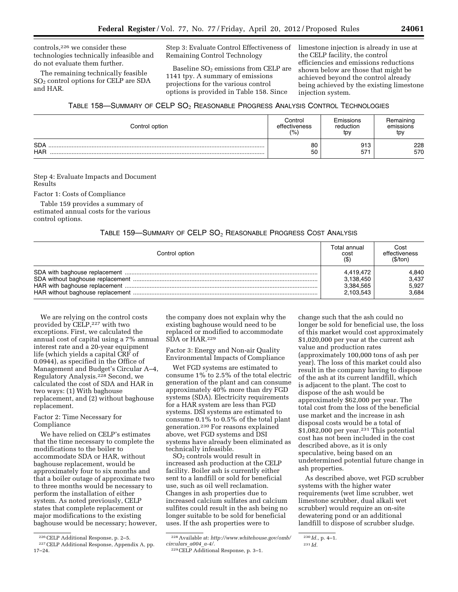controls,226 we consider these technologies technically infeasible and do not evaluate them further.

The remaining technically feasible SO2 control options for CELP are SDA and HAR.

Step 3: Evaluate Control Effectiveness of Remaining Control Technology

Baseline  $SO<sub>2</sub>$  emissions from CELP are 1141 tpy. A summary of emissions projections for the various control options is provided in Table 158. Since

limestone injection is already in use at the CELP facility, the control efficiencies and emissions reductions shown below are those that might be achieved beyond the control already being achieved by the existing limestone injection system.

# TABLE 158-SUMMARY OF CELP SO<sub>2</sub> REASONABLE PROGRESS ANALYSIS CONTROL TECHNOLOGIES

| Control option           | Control       | Emissions | Remaining  |
|--------------------------|---------------|-----------|------------|
|                          | effectiveness | reduction | emissions  |
|                          | (%            | tpy       | tpy        |
| <b>SDA</b><br><b>HAR</b> | 80<br>50      | 913<br>57 | 228<br>570 |

Step 4: Evaluate Impacts and Document Results

Factor 1: Costs of Compliance

Table 159 provides a summary of estimated annual costs for the various control options.

## TABLE 159-SUMMARY OF CELP SO<sub>2</sub> REASONABLE PROGRESS COST ANALYSIS

| Control option | Total annual<br>cost<br>$($ \$) | Cost<br>effectiveness<br>(S/ton) |
|----------------|---------------------------------|----------------------------------|
|                | 4,419,472                       | 4,840                            |
|                | 3,138,450                       | 3.437                            |
|                | 3,384,565                       | 5.927                            |
|                | 2,103,543                       | 3.684                            |

We are relying on the control costs provided by CELP,227 with two exceptions. First, we calculated the annual cost of capital using a 7% annual interest rate and a 20-year equipment life (which yields a capital CRF of 0.0944), as specified in the Office of Management and Budget's Circular A–4, Regulatory Analysis.228 Second, we calculated the cost of SDA and HAR in two ways: (1) With baghouse replacement, and (2) without baghouse replacement.

## Factor 2: Time Necessary for Compliance

We have relied on CELP's estimates that the time necessary to complete the modifications to the boiler to accommodate SDA or HAR, without baghouse replacement, would be approximately four to six months and that a boiler outage of approximate two to three months would be necessary to perform the installation of either system. As noted previously, CELP states that complete replacement or major modifications to the existing baghouse would be necessary; however,

the company does not explain why the existing baghouse would need to be replaced or modified to accommodate SDA or HAR.<sup>229</sup>

Factor 3: Energy and Non-air Quality Environmental Impacts of Compliance

Wet FGD systems are estimated to consume 1% to 2.5% of the total electric generation of the plant and can consume approximately 40% more than dry FGD systems (SDA). Electricity requirements for a HAR system are less than FGD systems. DSI systems are estimated to consume 0.1% to 0.5% of the total plant generation.230 For reasons explained above, wet FGD systems and DSI systems have already been eliminated as technically infeasible.

SO2 controls would result in increased ash production at the CELP facility. Boiler ash is currently either sent to a landfill or sold for beneficial use, such as oil well reclamation. Changes in ash properties due to increased calcium sulfates and calcium sulfites could result in the ash being no longer suitable to be sold for beneficial uses. If the ash properties were to

change such that the ash could no longer be sold for beneficial use, the loss of this market would cost approximately \$1,020,000 per year at the current ash value and production rates (approximately 100,000 tons of ash per year). The loss of this market could also result in the company having to dispose of the ash at its current landfill, which is adjacent to the plant. The cost to dispose of the ash would be approximately \$62,000 per year. The total cost from the loss of the beneficial use market and the increase in ash disposal costs would be a total of \$1,082,000 per year.231 This potential cost has not been included in the cost described above, as it is only speculative, being based on an undetermined potential future change in ash properties.

As described above, wet FGD scrubber systems with the higher water requirements (wet lime scrubber, wet limestone scrubber, dual alkali wet scrubber) would require an on-site dewatering pond or an additional landfill to dispose of scrubber sludge.

<sup>226</sup>CELP Additional Response, p. 2–5.

<sup>227</sup>CELP Additional Response, Appendix A, pp. 17–24.

<sup>228</sup>Available at: *[http://www.whitehouse.gov/omb/](http://www.whitehouse.gov/omb/circulars_a004_a-4/) [circulars](http://www.whitehouse.gov/omb/circulars_a004_a-4/)*\_*a004*\_*a-4/.* 

<sup>229</sup>CELP Additional Response, p. 3–1.

<sup>230</sup> *Id.,* p. 4–1.

<sup>231</sup> *Id.*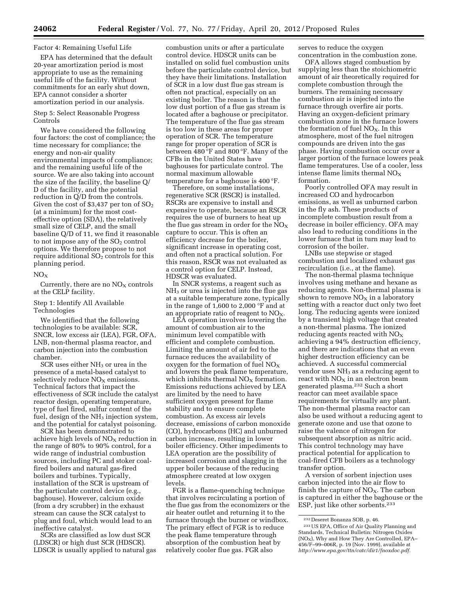#### Factor 4: Remaining Useful Life

EPA has determined that the default 20-year amortization period is most appropriate to use as the remaining useful life of the facility. Without commitments for an early shut down, EPA cannot consider a shorter amortization period in our analysis.

#### Step 5: Select Reasonable Progress Controls

We have considered the following four factors: the cost of compliance; the time necessary for compliance; the energy and non-air quality environmental impacts of compliance; and the remaining useful life of the source. We are also taking into account the size of the facility, the baseline Q/ D of the facility, and the potential reduction in Q/D from the controls. Given the cost of \$3,437 per ton of  $SO<sub>2</sub>$ (at a minimum) for the most costeffective option (SDA), the relatively small size of CELP, and the small baseline Q/D of 11, we find it reasonable to not impose any of the  $SO<sub>2</sub>$  control options. We therefore propose to not require additional SO<sub>2</sub> controls for this planning period.

#### $NO_{Y}$

Currently, there are no  $\mathrm{NO}_\mathrm{X}$  controls at the CELP facility.

## Step 1: Identify All Available Technologies

We identified that the following technologies to be available: SCR, SNCR, low excess air (LEA), FGR, OFA, LNB, non-thermal plasma reactor, and carbon injection into the combustion chamber.

 $SCR$  uses either  $NH<sub>3</sub>$  or urea in the presence of a metal-based catalyst to selectively reduce  $NO<sub>X</sub>$  emissions. Technical factors that impact the effectiveness of SCR include the catalyst reactor design, operating temperature, type of fuel fired, sulfur content of the fuel, design of the  $NH<sub>3</sub>$  injection system, and the potential for catalyst poisoning.

SCR has been demonstrated to achieve high levels of  $NO<sub>x</sub>$  reduction in the range of 80% to 90% control, for a wide range of industrial combustion sources, including PC and stoker coalfired boilers and natural gas-fired boilers and turbines. Typically, installation of the SCR is upstream of the particulate control device (e.g., baghouse). However, calcium oxide (from a dry scrubber) in the exhaust stream can cause the SCR catalyst to plug and foul, which would lead to an ineffective catalyst.

SCRs are classified as low dust SCR (LDSCR) or high dust SCR (HDSCR). LDSCR is usually applied to natural gas

combustion units or after a particulate control device. HDSCR units can be installed on solid fuel combustion units before the particulate control device, but they have their limitations. Installation of SCR in a low dust flue gas stream is often not practical, especially on an existing boiler. The reason is that the low dust portion of a flue gas stream is located after a baghouse or precipitator. The temperature of the flue gas stream is too low in these areas for proper operation of SCR. The temperature range for proper operation of SCR is between 480 °F and 800 °F. Many of the CFBs in the United States have baghouses for particulate control. The normal maximum allowable temperature for a baghouse is 400 °F.

Therefore, on some installations, regenerative SCR (RSCR) is installed. RSCRs are expensive to install and expensive to operate, because an RSCR requires the use of burners to heat up the flue gas stream in order for the  $NO<sub>x</sub>$ capture to occur. This is often an efficiency decrease for the boiler, significant increase in operating cost, and often not a practical solution. For this reason, RSCR was not evaluated as a control option for CELP. Instead, HDSCR was evaluated.

In SNCR systems, a reagent such as  $NH<sub>3</sub>$  or urea is injected into the flue gas at a suitable temperature zone, typically in the range of 1,600 to 2,000 °F and at an appropriate ratio of reagent to  $NO<sub>X</sub>$ .

LEA operation involves lowering the amount of combustion air to the minimum level compatible with efficient and complete combustion. Limiting the amount of air fed to the furnace reduces the availability of oxygen for the formation of fuel  $NO<sub>x</sub>$ and lowers the peak flame temperature, which inhibits thermal  $NO<sub>X</sub>$  formation. Emissions reductions achieved by LEA are limited by the need to have sufficient oxygen present for flame stability and to ensure complete combustion. As excess air levels decrease, emissions of carbon monoxide (CO), hydrocarbons (HC) and unburned carbon increase, resulting in lower boiler efficiency. Other impediments to LEA operation are the possibility of increased corrosion and slagging in the upper boiler because of the reducing atmosphere created at low oxygen levels.

FGR is a flame-quenching technique that involves recirculating a portion of the flue gas from the economizers or the air heater outlet and returning it to the furnace through the burner or windbox. The primary effect of FGR is to reduce the peak flame temperature through absorption of the combustion heat by relatively cooler flue gas. FGR also

serves to reduce the oxygen concentration in the combustion zone.

OFA allows staged combustion by supplying less than the stoichiometric amount of air theoretically required for complete combustion through the burners. The remaining necessary combustion air is injected into the furnace through overfire air ports. Having an oxygen-deficient primary combustion zone in the furnace lowers the formation of fuel  $NO<sub>x</sub>$ . In this atmosphere, most of the fuel nitrogen compounds are driven into the gas phase. Having combustion occur over a larger portion of the furnace lowers peak flame temperatures. Use of a cooler, less intense flame limits thermal  $NO<sub>X</sub>$ formation.

Poorly controlled OFA may result in increased CO and hydrocarbon emissions, as well as unburned carbon in the fly ash. These products of incomplete combustion result from a decrease in boiler efficiency. OFA may also lead to reducing conditions in the lower furnace that in turn may lead to corrosion of the boiler.

LNBs use stepwise or staged combustion and localized exhaust gas recirculation (i.e., at the flame).

The non-thermal plasma technique involves using methane and hexane as reducing agents. Non-thermal plasma is shown to remove  $NO<sub>X</sub>$  in a laboratory setting with a reactor duct only two feet long. The reducing agents were ionized by a transient high voltage that created a non-thermal plasma. The ionized reducing agents reacted with  $NO<sub>x</sub>$ achieving a 94% destruction efficiency, and there are indications that an even higher destruction efficiency can be achieved. A successful commercial vendor uses  $NH<sub>3</sub>$  as a reducing agent to react with  $NO<sub>x</sub>$  in an electron beam generated plasma.232 Such a short reactor can meet available space requirements for virtually any plant. The non-thermal plasma reactor can also be used without a reducing agent to generate ozone and use that ozone to raise the valence of nitrogen for subsequent absorption as nitric acid. This control technology may have practical potential for application to coal-fired CFB boilers as a technology transfer option.

A version of sorbent injection uses carbon injected into the air flow to finish the capture of  $NO<sub>X</sub>$ . The carbon is captured in either the baghouse or the ESP, just like other sorbents.233

<sup>232</sup> Deseret Bonanza SOB, p. 46.

<sup>233</sup>US EPA, Office of Air Quality Planning and Standards, Technical Bulletin: Nitrogen Oxides (NO<sub>x</sub>), Why and How They Are Controlled, EPA-456/F–99–006R, p. 19 (Nov. 1999), available at *[http://www.epa.gov/ttn/catc/dir1/fnoxdoc.pdf.](http://www.epa.gov/ttn/catc/dir1/fnoxdoc.pdf)*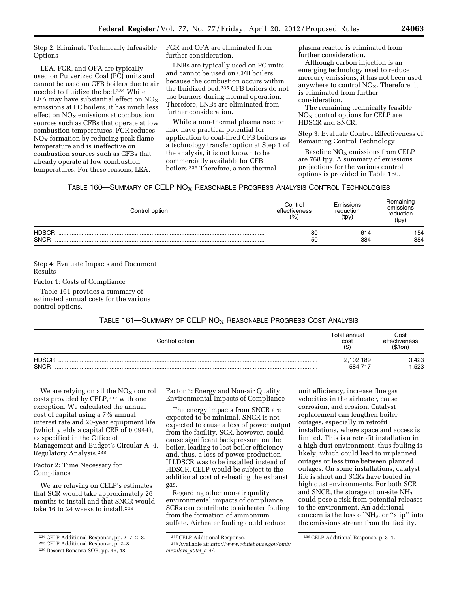Step 2: Eliminate Technically Infeasible **Options** 

LEA, FGR, and OFA are typically used on Pulverized Coal (PC) units and cannot be used on CFB boilers due to air needed to fluidize the bed.234 While LEA may have substantial effect on  $NO<sub>X</sub>$ emissions at PC boilers, it has much less effect on  $NO<sub>x</sub>$  emissions at combustion sources such as CFBs that operate at low combustion temperatures. FGR reduces  $NO<sub>x</sub>$  formation by reducing peak flame temperature and is ineffective on combustion sources such as CFBs that already operate at low combustion temperatures. For these reasons, LEA,

FGR and OFA are eliminated from further consideration.

LNBs are typically used on PC units and cannot be used on CFB boilers because the combustion occurs within the fluidized bed.235 CFB boilers do not use burners during normal operation. Therefore, LNBs are eliminated from further consideration.

While a non-thermal plasma reactor may have practical potential for application to coal-fired CFB boilers as a technology transfer option at Step 1 of the analysis, it is not known to be commercially available for CFB boilers.236 Therefore, a non-thermal

plasma reactor is eliminated from further consideration.

Although carbon injection is an emerging technology used to reduce mercury emissions, it has not been used anywhere to control  $NO<sub>X</sub>$ . Therefore, it is eliminated from further consideration.

The remaining technically feasible NO<sub>X</sub> control options for CELP are HDSCR and SNCR.

Step 3: Evaluate Control Effectiveness of Remaining Control Technology

Baseline  $NO<sub>X</sub>$  emissions from CELP are 768 tpy. A summary of emissions projections for the various control options is provided in Table 160.

# TABLE 160-SUMMARY OF CELP NO<sub>X</sub> REASONABLE PROGRESS ANALYSIS CONTROL TECHNOLOGIES

| Control option              | Control<br>effectiveness<br>(%) | Emissions<br>reduction<br>(tpy) | Remaining<br>emissions<br>reduction<br>(tpy) |
|-----------------------------|---------------------------------|---------------------------------|----------------------------------------------|
| <b>HDSCR</b><br><b>SNCR</b> | 80<br>50                        | 614<br>384                      | 154<br>384                                   |

Step 4: Evaluate Impacts and Document Results

Factor 1: Costs of Compliance

Table 161 provides a summary of estimated annual costs for the various control options.

# TABLE 161—SUMMARY OF CELP  $NO<sub>X</sub>$  Reasonable Progress Cost Analysis

| Control option              | Total annual<br>cost<br>$($ \$) | Cost<br>effectiveness<br>(\$/ton |
|-----------------------------|---------------------------------|----------------------------------|
| <b>HDSCR</b><br><b>SNCR</b> | 2,102,189<br>584.717            | 3,423<br>.523                    |

We are relying on all the  $NO<sub>X</sub>$  control costs provided by CELP,237 with one exception. We calculated the annual cost of capital using a 7% annual interest rate and 20-year equipment life (which yields a capital CRF of 0.0944), as specified in the Office of Management and Budget's Circular A–4, Regulatory Analysis.238

Factor 2: Time Necessary for Compliance

We are relaying on CELP's estimates that SCR would take approximately 26 months to install and that SNCR would take 16 to 24 weeks to install.<sup>239</sup>

Factor 3: Energy and Non-air Quality Environmental Impacts of Compliance

The energy impacts from SNCR are expected to be minimal. SNCR is not expected to cause a loss of power output from the facility. SCR, however, could cause significant backpressure on the boiler, leading to lost boiler efficiency and, thus, a loss of power production. If LDSCR was to be installed instead of HDSCR, CELP would be subject to the additional cost of reheating the exhaust gas.

Regarding other non-air quality environmental impacts of compliance, SCRs can contribute to airheater fouling from the formation of ammonium sulfate. Airheater fouling could reduce

unit efficiency, increase flue gas velocities in the airheater, cause corrosion, and erosion. Catalyst replacement can lengthen boiler outages, especially in retrofit installations, where space and access is limited. This is a retrofit installation in a high dust environment, thus fouling is likely, which could lead to unplanned outages or less time between planned outages. On some installations, catalyst life is short and SCRs have fouled in high dust environments. For both SCR and SNCR, the storage of on-site NH3 could pose a risk from potential releases to the environment. An additional concern is the loss of NH3, or ''slip'' into the emissions stream from the facility.

<sup>234</sup>CELP Additional Response, pp. 2–7, 2–8. 235CELP Additional Response, p. 2–8. 236 Deseret Bonanza SOB, pp. 46, 48.

<sup>237</sup>CELP Additional Response.

<sup>238</sup>Available at: *[http://www.whitehouse.gov/omb/](http://www.whitehouse.gov/omb/circulars_a004_a-4/) [circulars](http://www.whitehouse.gov/omb/circulars_a004_a-4/)*\_*a004*\_*a-4/.* 

<sup>239</sup>CELP Additional Response, p. 3–1.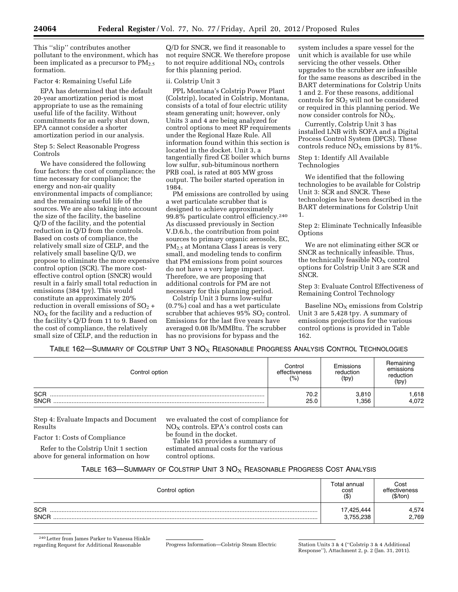This ''slip'' contributes another pollutant to the environment, which has been implicated as a precursor to  $PM_{2.5}$ formation.

## Factor 4: Remaining Useful Life

EPA has determined that the default 20-year amortization period is most appropriate to use as the remaining useful life of the facility. Without commitments for an early shut down, EPA cannot consider a shorter amortization period in our analysis.

Step 5: Select Reasonable Progress Controls

We have considered the following four factors: the cost of compliance; the time necessary for compliance; the energy and non-air quality environmental impacts of compliance; and the remaining useful life of the sources. We are also taking into account the size of the facility, the baseline Q/D of the facility, and the potential reduction in Q/D from the controls. Based on costs of compliance, the relatively small size of CELP, and the relatively small baseline Q/D, we propose to eliminate the more expensive control option (SCR). The more costeffective control option (SNCR) would result in a fairly small total reduction in emissions (384 tpy). This would constitute an approximately 20% reduction in overall emissions of  $SO<sub>2</sub>$  +  $NO<sub>X</sub>$  for the facility and a reduction of the facility's Q/D from 11 to 9. Based on the cost of compliance, the relatively small size of CELP, and the reduction in

Q/D for SNCR, we find it reasonable to not require SNCR. We therefore propose to not require additional  $NO<sub>X</sub>$  controls for this planning period.

## ii. Colstrip Unit 3

PPL Montana's Colstrip Power Plant (Colstrip), located in Colstrip, Montana, consists of a total of four electric utility steam generating unit; however, only Units 3 and 4 are being analyzed for control options to meet RP requirements under the Regional Haze Rule. All information found within this section is located in the docket. Unit 3, a tangentially fired CE boiler which burns low sulfur, sub-bituminous northern PRB coal, is rated at 805 MW gross output. The boiler started operation in 1984.

PM emissions are controlled by using a wet particulate scrubber that is designed to achieve approximately 99.8% particulate control efficiency.240 As discussed previously in Section V.D.6.b., the contribution from point sources to primary organic aerosols, EC, PM2.5 at Montana Class I areas is very small, and modeling tends to confirm that PM emissions from point sources do not have a very large impact. Therefore, we are proposing that additional controls for PM are not necessary for this planning period.

Colstrip Unit 3 burns low-sulfur (0.7%) coal and has a wet particulate scrubber that achieves  $95\%$  SO<sub>2</sub> control. Emissions for the last five years have averaged 0.08 lb/MMBtu. The scrubber has no provisions for bypass and the

system includes a spare vessel for the unit which is available for use while servicing the other vessels. Other upgrades to the scrubber are infeasible for the same reasons as described in the BART determinations for Colstrip Units 1 and 2. For these reasons, additional controls for  $SO<sub>2</sub>$  will not be considered or required in this planning period. We now consider controls for NO<sub>X</sub>.

Currently, Colstrip Unit 3 has installed LNB with SOFA and a Digital Process Control System (DPCS). These controls reduce  $NO<sub>x</sub>$  emissions by 81%.

Step 1: Identify All Available Technologies

We identified that the following technologies to be available for Colstrip Unit 3: SCR and SNCR. These technologies have been described in the BART determinations for Colstrip Unit 1.

Step 2: Eliminate Technically Infeasible Options

We are not eliminating either SCR or SNCR as technically infeasible. Thus, the technically feasible  $NO<sub>x</sub>$  control options for Colstrip Unit 3 are SCR and SNCR.

Step 3: Evaluate Control Effectiveness of Remaining Control Technology

Baseline  $NO<sub>x</sub>$  emissions from Colstrip Unit 3 are 5,428 tpy. A summary of emissions projections for the various control options is provided in Table 162.

TABLE 162—SUMMARY OF COLSTRIP UNIT 3  $NOS_X$  Reasonable Progress Analysis Control Technologies

| Control option            | Control<br>effectiveness<br>(% ) | Emissions<br>reduction<br>(tpy) | Remaining<br>emissions<br>reduction<br>(tpy) |
|---------------------------|----------------------------------|---------------------------------|----------------------------------------------|
| <b>SCR</b><br><b>SNCR</b> | 70.2<br>25.0                     | 3,810<br>1,356                  | .618<br>4,072                                |

Step 4: Evaluate Impacts and Document Results

Factor 1: Costs of Compliance

Refer to the Colstrip Unit 1 section above for general information on how we evaluated the cost of compliance for  $NO<sub>X</sub>$  controls. EPA's control costs can be found in the docket. Table 163 provides a summary of estimated annual costs for the various control options.

# TABLE 163—SUMMARY OF COLSTRIP UNIT  $3$  NO<sub>X</sub> Reasonable Progress Cost Analysis

| Control option            | Total annual<br>cost<br>$($ \$` | Cost<br>effectiveness<br>(\$/ton) |
|---------------------------|---------------------------------|-----------------------------------|
| <b>SCR</b><br><b>SNCR</b> | 17,425,444<br>3,755,238         | 4,574<br>2,769                    |

<sup>240</sup>Letter from James Parker to Vanessa Hinkle regarding Request for Additional Reasonable Progress Information—Colstrip Steam Electric Station Units 3 & 4 (''Colstrip 3 & 4 Additional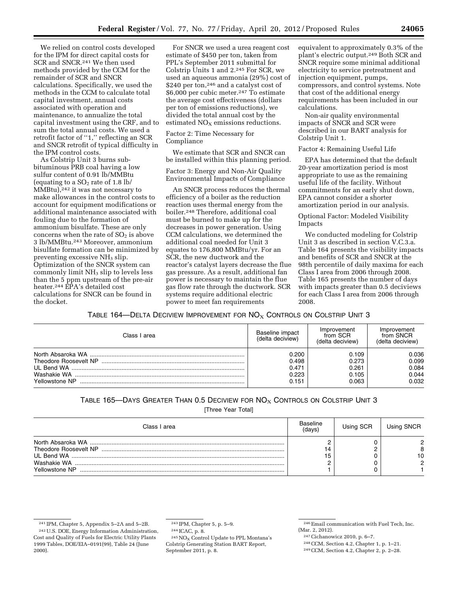We relied on control costs developed for the IPM for direct capital costs for SCR and SNCR.241 We then used methods provided by the CCM for the remainder of SCR and SNCR calculations. Specifically, we used the methods in the CCM to calculate total capital investment, annual costs associated with operation and maintenance, to annualize the total capital investment using the CRF, and to sum the total annual costs. We used a retrofit factor of ''1,'' reflecting an SCR and SNCR retrofit of typical difficulty in the IPM control costs.

As Colstrip Unit 3 burns subbituminous PRB coal having a low sulfur content of 0.91 lb/MMBtu (equating to a  $SO<sub>2</sub>$  rate of 1.8 lb/ MMBtu),242 it was not necessary to make allowances in the control costs to account for equipment modifications or additional maintenance associated with fouling due to the formation of ammonium bisulfate. These are only concerns when the rate of  $SO<sub>2</sub>$  is above 3 lb/MMBtu.243 Moreover, ammonium bisulfate formation can be minimized by preventing excessive NH<sub>3</sub> slip. Optimization of the SNCR system can commonly limit NH3 slip to levels less than the 5 ppm upstream of the pre-air heater.244 EPA's detailed cost calculations for SNCR can be found in the docket.

For SNCR we used a urea reagent cost estimate of \$450 per ton, taken from PPL's September 2011 submittal for Colstrip Units 1 and 2.245 For SCR, we used an aqueous ammonia (29%) cost of \$240 per ton,<sup>246</sup> and a catalyst cost of \$6,000 per cubic meter.<sup>247</sup> To estimate the average cost effectiveness (dollars per ton of emissions reductions), we divided the total annual cost by the estimated  $NO<sub>x</sub>$  emissions reductions.

Factor 2: Time Necessary for Compliance

We estimate that SCR and SNCR can be installed within this planning period.

Factor 3: Energy and Non-Air Quality Environmental Impacts of Compliance

An SNCR process reduces the thermal efficiency of a boiler as the reduction reaction uses thermal energy from the boiler.248 Therefore, additional coal must be burned to make up for the decreases in power generation. Using CCM calculations, we determined the additional coal needed for Unit 3 equates to 176,800 MMBtu/yr. For an SCR, the new ductwork and the reactor's catalyst layers decrease the flue gas pressure. As a result, additional fan power is necessary to maintain the flue gas flow rate through the ductwork. SCR systems require additional electric power to meet fan requirements

equivalent to approximately 0.3% of the plant's electric output.249 Both SCR and SNCR require some minimal additional electricity to service pretreatment and injection equipment, pumps, compressors, and control systems. Note that cost of the additional energy requirements has been included in our calculations.

Non-air quality environmental impacts of SNCR and SCR were described in our BART analysis for Colstrip Unit 1.

Factor 4: Remaining Useful Life

EPA has determined that the default 20-year amortization period is most appropriate to use as the remaining useful life of the facility. Without commitments for an early shut down, EPA cannot consider a shorter amortization period in our analysis.

Optional Factor: Modeled Visibility Impacts

We conducted modeling for Colstrip Unit 3 as described in section V.C.3.a. Table 164 presents the visibility impacts and benefits of SCR and SNCR at the 98th percentile of daily maxima for each Class I area from 2006 through 2008. Table 165 presents the number of days with impacts greater than 0.5 deciviews for each Class I area from 2006 through 2008.

TABLE 164—DELTA DECIVIEW IMPROVEMENT FOR  $NO<sub>X</sub>$  Controls on Colstrip Unit 3

| Class I area   | Baseline impact<br>(delta deciview)       | Improvement<br>from SCR<br>(delta deciview) | Improvement<br>from SNCR<br>(delta deciview) |
|----------------|-------------------------------------------|---------------------------------------------|----------------------------------------------|
| Yellowstone NP | 0.200<br>0.498<br>0.471<br>0.223<br>0.151 | 0.109<br>0.273<br>0.261<br>0.105<br>0.063   | 0.036<br>0.099<br>0.084<br>0.044<br>0.032    |

# TABLE 165-DAYS GREATER THAN 0.5 DECIVIEW FOR  $NO_X$  CONTROLS ON COLSTRIP UNIT 3

[Three Year Total]

| Class I area   | Baseline<br>(davs) | Using SCR | Using SNCR        |
|----------------|--------------------|-----------|-------------------|
| Yellowstone NP | 14<br>15           |           | C<br>8<br>10<br>C |

244 ICAC, p. 8.

243 IPM, Chapter 5, p. 5–9.

242U.S. DOE, Energy Information Administration, Cost and Quality of Fuels for Electric Utility Plants 1999 Tables, DOE/EIA–0191(99), Table 24 (June 2000).

 $^{245}\mathrm{NO_X}$  Control Update to PPL Montana's Colstrip Generating Station BART Report, September 2011, p. 8.

<sup>241</sup> IPM, Chapter 5, Appendix 5–2A and 5–2B.

<sup>246</sup>Email communication with Fuel Tech, Inc. (Mar. 2, 2012).

<sup>247</sup>Cichanowicz 2010, p. 6–7.

<sup>248</sup>CCM, Section 4.2, Chapter 1, p. 1–21.

<sup>249</sup>CCM, Section 4.2, Chapter 2, p. 2–28.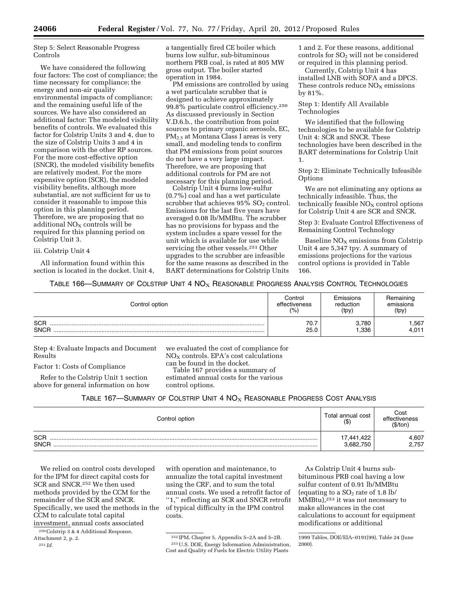Step 5: Select Reasonable Progress Controls

We have considered the following four factors: The cost of compliance; the time necessary for compliance; the energy and non-air quality environmental impacts of compliance; and the remaining useful life of the sources. We have also considered an additional factor: The modeled visibility benefits of controls. We evaluated this factor for Colstrip Units 3 and 4, due to the size of Colstrip Units 3 and 4 in comparison with the other RP sources. For the more cost-effective option (SNCR), the modeled visibility benefits are relatively modest. For the more expensive option (SCR), the modeled visibility benefits, although more substantial, are not sufficient for us to consider it reasonable to impose this option in this planning period. Therefore, we are proposing that no additional  $NO<sub>X</sub>$  controls will be required for this planning period on Colstrip Unit 3.

iii. Colstrip Unit 4

All information found within this section is located in the docket. Unit 4, a tangentially fired CE boiler which burns low sulfur, sub-bituminous northern PRB coal, is rated at 805 MW gross output. The boiler started operation in 1984.

PM emissions are controlled by using a wet particulate scrubber that is designed to achieve approximately 99.8% particulate control efficiency.250 As discussed previously in Section V.D.6.b., the contribution from point sources to primary organic aerosols, EC, PM2.5 at Montana Class I areas is very small, and modeling tends to confirm that PM emissions from point sources do not have a very large impact. Therefore, we are proposing that additional controls for PM are not necessary for this planning period.

Colstrip Unit 4 burns low-sulfur (0.7%) coal and has a wet particulate scrubber that achieves  $95\%$  SO<sub>2</sub> control. Emissions for the last five years have averaged 0.08 lb/MMBtu. The scrubber has no provisions for bypass and the system includes a spare vessel for the unit which is available for use while servicing the other vessels.251 Other upgrades to the scrubber are infeasible for the same reasons as described in the BART determinations for Colstrip Units

1 and 2. For these reasons, additional controls for  $SO<sub>2</sub>$  will not be considered or required in this planning period.

Currently, Colstrip Unit 4 has installed LNB with SOFA and a DPCS. These controls reduce  $NO<sub>X</sub>$  emissions by 81%.

Step 1: Identify All Available Technologies

We identified that the following technologies to be available for Colstrip Unit 4: SCR and SNCR. These technologies have been described in the BART determinations for Colstrip Unit 1.

Step 2: Eliminate Technically Infeasible Options

We are not eliminating any options as technically infeasible. Thus, the technically feasible  $NO<sub>X</sub>$  control options for Colstrip Unit 4 are SCR and SNCR.

Step 3: Evaluate Control Effectiveness of Remaining Control Technology

Baseline  $NO<sub>X</sub>$  emissions from Colstrip Unit 4 are 5,347 tpy. A summary of emissions projections for the various control options is provided in Table 166.

TABLE 166—SUMMARY OF COLSTRIP UNIT 4  $NO_{X}$  Reasonable Progress Analysis Control Technologies

| Control option            | Control       | Emissions     | Remaining     |
|---------------------------|---------------|---------------|---------------|
|                           | effectiveness | reduction     | emissions     |
|                           | (0)           | (tpy)         | (tpy)         |
| <b>SCR</b><br><b>SNCR</b> | 70.7<br>25.0  | 3,780<br>.336 | .567<br>4.011 |

Step 4: Evaluate Impacts and Document Results

Factor 1: Costs of Compliance

Refer to the Colstrip Unit 1 section above for general information on how we evaluated the cost of compliance for  $NO<sub>X</sub>$  controls. EPA's cost calculations can be found in the docket. Table 167 provides a summary of estimated annual costs for the various control options.

TABLE 167—SUMMARY OF COLSTRIP UNIT 4  $NO<sub>X</sub>$  Reasonable Progress Cost Analysis

| Control option            | Total annual cost<br>$($ \$) | Cost<br>effectiveness<br>(\$/ton |
|---------------------------|------------------------------|----------------------------------|
| <b>SCR</b><br><b>SNCR</b> | 17,441,422<br>3,682,750      | 4,607<br>2,757                   |

We relied on control costs developed for the IPM for direct capital costs for SCR and SNCR.252 We then used methods provided by the CCM for the remainder of the SCR and SNCR. Specifically, we used the methods in the CCM to calculate total capital investment, annual costs associated

250Colstrip 3 & 4 Additional Response,

annualize the total capital investment using the CRF, and to sum the total annual costs. We used a retrofit factor of ''1,'' reflecting an SCR and SNCR retrofit of typical difficulty in the IPM control costs.

with operation and maintenance, to

As Colstrip Unit 4 burns subbituminous PRB coal having a low sulfur content of 0.91 lb/MMBtu (equating to a  $SO_2$  rate of 1.8 lb/ MMBtu),253 it was not necessary to make allowances in the cost calculations to account for equipment modifications or additional

Attachment 2, p. 2.

<sup>251</sup> *Id.* 

<sup>252</sup> IPM, Chapter 5, Appendix 5–2A and 5–2B. 253U.S. DOE, Energy Information Administration, Cost and Quality of Fuels for Electric Utility Plants

<sup>1999</sup> Tables, DOE/EIA–0191(99), Table 24 (June 2000).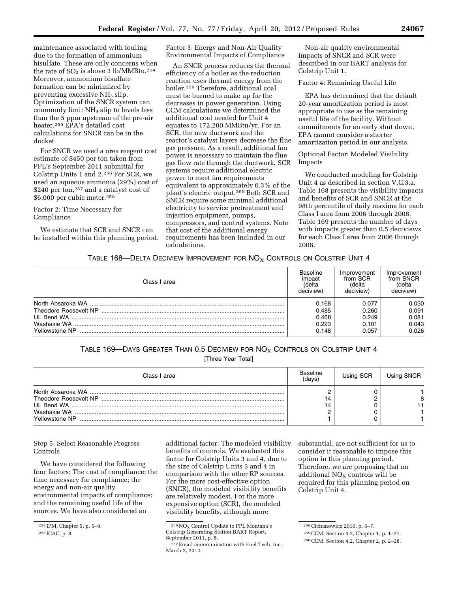maintenance associated with fouling due to the formation of ammonium bisulfate. These are only concerns when the rate of  $SO<sub>2</sub>$  is above 3 lb/MMBtu.<sup>254</sup> Moreover, ammonium bisulfate formation can be minimized by preventing excessive NH<sub>3</sub> slip. Optimization of the SNCR system can commonly limit NH3 slip to levels less than the 5 ppm upstream of the pre-air heater.255 EPA's detailed cost calculations for SNCR can be in the docket.

For SNCR we used a urea reagent cost estimate of \$450 per ton taken from PPL's September 2011 submittal for Colstrip Units 1 and 2.256 For SCR, we used an aqueous ammonia (29%) cost of \$240 per ton,257 and a catalyst cost of \$6,000 per cubic meter.258

Factor 2: Time Necessary for Compliance

We estimate that SCR and SNCR can be installed within this planning period. Factor 3: Energy and Non-Air Quality Environmental Impacts of Compliance

An SNCR process reduces the thermal efficiency of a boiler as the reduction reaction uses thermal energy from the boiler.259 Therefore, additional coal must be burned to make up for the decreases in power generation. Using CCM calculations we determined the additional coal needed for Unit 4 equates to 172,200 MMBtu/yr. For an SCR, the new ductwork and the reactor's catalyst layers decrease the flue gas pressure. As a result, additional fan power is necessary to maintain the flue gas flow rate through the ductwork. SCR systems require additional electric power to meet fan requirements equivalent to approximately 0.3% of the plant's electric output.260 Both SCR and SNCR require some minimal additional electricity to service pretreatment and injection equipment, pumps, compressors, and control systems. Note that cost of the additional energy requirements has been included in our calculations.

Non-air quality environmental impacts of SNCR and SCR were described in our BART analysis for Colstrip Unit 1.

Factor 4: Remaining Useful Life

EPA has determined that the default 20-year amortization period is most appropriate to use as the remaining useful life of the facility. Without commitments for an early shut down, EPA cannot consider a shorter amortization period in our analysis.

Optional Factor: Modeled Visibility Impacts

We conducted modeling for Colstrip Unit 4 as described in section V.C.3.a. Table 168 presents the visibility impacts and benefits of SCR and SNCR at the 98th percentile of daily maxima for each Class I area from 2006 through 2008. Table 169 presents the number of days with impacts greater than 0.5 deciviews for each Class I area from 2006 through 2008.

## TABLE 168—DELTA DECIVIEW IMPROVEMENT FOR  $NO<sub>X</sub>$  Controls on Colstrip Unit 4

| Class I area   | <b>Baseline</b><br>impact<br>(delta<br>deciview) | Improvement<br>from SCR<br>(delta<br>deciview) | Improvement<br>from SNCR<br>(delta<br>deciview) |
|----------------|--------------------------------------------------|------------------------------------------------|-------------------------------------------------|
|                | 0.168                                            | 0.077                                          | 0.030                                           |
|                | 0.485                                            | 0.260                                          | 0.091                                           |
|                | 0.468                                            | 0.249                                          | 0.081                                           |
|                | 0.223                                            | 0.101                                          | 0.043                                           |
| Yellowstone NP | 0.148                                            | 0.057                                          | 0.026                                           |

# TABLE 169—DAYS GREATER THAN 0.5 DECIVIEW FOR  $NO<sub>x</sub>$  CONTROLS ON COLSTRIP UNIT 4

[Three Year Total]

| Class I area   | Baseline<br>(davs) | Using SCR | Using SNCR |
|----------------|--------------------|-----------|------------|
| Yellowstone NP | 14<br>14           |           | 8          |

Step 5: Select Reasonable Progress Controls

We have considered the following four factors: The cost of compliance; the time necessary for compliance; the energy and non-air quality environmental impacts of compliance; and the remaining useful life of the sources. We have also considered an

additional factor: The modeled visibility benefits of controls. We evaluated this factor for Colstrip Units 3 and 4, due to the size of Colstrip Units 3 and 4 in comparison with the other RP sources. For the more cost-effective option (SNCR), the modeled visibility benefits are relatively modest. For the more expensive option (SCR), the modeled visibility benefits, although more

substantial, are not sufficient for us to consider it reasonable to impose this option in this planning period. Therefore, we are proposing that no additional  $NO<sub>X</sub>$  controls will be required for this planning period on Colstrip Unit 4.

<sup>254</sup> IPM, Chapter 5, p. 5–9.

<sup>255</sup> ICAC, p. 8.

 $^{256}\mathrm{NO_X}$  Control Update to PPL Montana's Colstrip Generating Station BART Report, September 2011, p. 8.

<sup>257</sup>Email communication with Fuel Tech, Inc., March 2, 2012.

<sup>258</sup>Cichanowicz 2010, p. 6–7.

<sup>259</sup>CCM, Section 4.2, Chapter 1, p. 1–21.

<sup>260</sup>CCM, Section 4.2, Chapter 2, p. 2–28.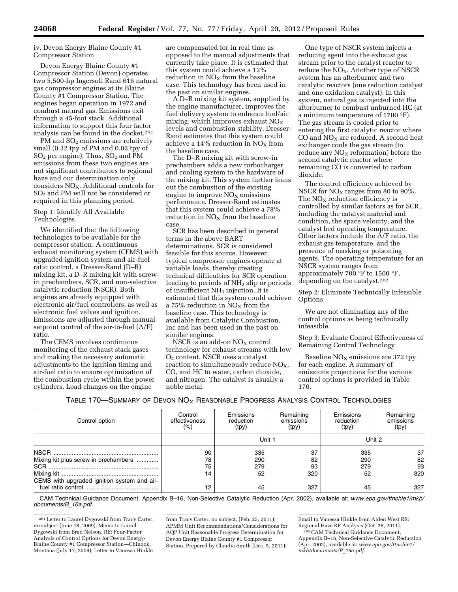## iv. Devon Energy Blaine County #1 Compressor Station

Devon Energy Blaine County #1 Compressor Station (Devon) operates two 5,500-hp Ingersoll Rand 616 natural gas compressor engines at its Blaine County #1 Compressor Station. The engines began operation in 1972 and combust natural gas. Emissions exit through a 45-foot stack. Additional information to support this four factor analysis can be found in the docket.261

PM and  $SO<sub>2</sub>$  emissions are relatively small (0.32 tpy of PM and 0.02 tpy of  $SO<sub>2</sub>$  per engine). Thus,  $SO<sub>2</sub>$  and PM emissions from these two engines are not significant contributors to regional haze and our determination only considers  $NO<sub>X</sub>$ . Additional controls for SO2 and PM will not be considered or required in this planning period.

#### Step 1: Identify All Available Technologies

We identified that the following technologies to be available for the compressor station: A continuous exhaust monitoring system (CEMS) with upgraded ignition system and air-fuel ratio control, a Dresser-Rand (D–R) mixing kit, a D–R mixing kit with screwin prechambers, SCR, and non-selective catalytic reduction (NSCR). Both engines are already equipped with electronic air/fuel controllers, as well as electronic fuel valves and ignition. Emissions are adjusted through manual setpoint control of the air-to-fuel (A/F) ratio.

The CEMS involves continuous monitoring of the exhaust stack gases and making the necessary automatic adjustments to the ignition timing and air-fuel ratio to ensure optimization of the combustion cycle within the power cylinders. Load changes on the engine

are compensated for in real time as opposed to the manual adjustments that currently take place. It is estimated that this system could achieve a 12% reduction in  $NO<sub>x</sub>$  from the baseline case. This technology has been used in the past on similar engines.

A D–R mixing kit system, supplied by the engine manufacturer, improves the fuel delivery system to enhance fuel/air mixing, which improves exhaust  $NO<sub>X</sub>$ levels and combustion stability. Dresser-Rand estimates that this system could achieve a 14% reduction in  $NO<sub>x</sub>$  from the baseline case.

The D–R mixing kit with screw-in prechambers adds a new turbocharger and cooling system to the hardware of the mixing kit. This system further leans out the combustion of the existing engine to improve  $NO<sub>x</sub>$  emissions performance. Dresser-Rand estimates that this system could achieve a 78% reduction in  $\rm{NO_{X}}$  from the baseline case.

SCR has been described in general terms in the above BART determinations. SCR is considered feasible for this source. However, typical compressor engines operate at variable loads, thereby creating technical difficulties for SCR operation leading to periods of NH<sub>3</sub> slip or periods of insufficient NH<sub>3</sub> injection. It is estimated that this system could achieve a 75% reduction in  $NO<sub>x</sub>$  from the baseline case. This technology is available from Catalytic Combustion, Inc and has been used in the past on similar engines.

NSCR is an add-on  $NO<sub>X</sub>$  control technology for exhaust streams with low O2 content. NSCR uses a catalyst reaction to simultaneously reduce  $NO<sub>x</sub>$ , CO, and HC to water, carbon dioxide, and nitrogen. The catalyst is usually a noble metal.

One type of NSCR system injects a reducing agent into the exhaust gas stream prior to the catalyst reactor to reduce the NO<sub>X</sub>. Another type of NSCR system has an afterburner and two catalytic reactors (one reduction catalyst and one oxidation catalyst). In this system, natural gas is injected into the afterburner to combust unburned HC (at a minimum temperature of 1700 °F). The gas stream is cooled prior to entering the first catalytic reactor where  $CO$  and  $NO<sub>X</sub>$  are reduced. A second heat exchanger cools the gas stream (to reduce any  $NO<sub>x</sub>$  reformation) before the second catalytic reactor where remaining CO is converted to carbon dioxide.

The control efficiency achieved by NSCR for  $NO<sub>x</sub>$  ranges from 80 to 90%. The  $NO<sub>X</sub>$  reduction efficiency is controlled by similar factors as for SCR, including the catalyst material and condition, the space velocity, and the catalyst bed operating temperature. Other factors include the A/F ratio, the exhaust gas temperature, and the presence of masking or poisoning agents. The operating temperature for an NSCR system ranges from approximately 700 °F to 1500 °F, depending on the catalyst.262

Step 2: Eliminate Technically Infeasible **Options** 

We are not eliminating any of the control options as being technically infeasible.

Step 3: Evaluate Control Effectiveness of Remaining Control Technology

Baseline  $NO<sub>X</sub>$  emissions are 372 tpy for each engine. A summary of emissions projections for the various control options is provided in Table 170.

TABLE 170—SUMMARY OF DEVON  $NO<sub>X</sub>$  REASONABLE PROGRESS ANALYSIS CONTROL TECHNOLOGIES

| Control option                              | Control<br>effectiveness<br>(%) | Emissions<br>reduction<br>(tpy) | Remaining<br>emissions<br>(tpy) | Emissions<br>reduction<br>(tpy) | Remaining<br>emissions<br>(tpy) |
|---------------------------------------------|---------------------------------|---------------------------------|---------------------------------|---------------------------------|---------------------------------|
|                                             |                                 | Unit 1                          |                                 |                                 | Unit 2                          |
|                                             | 90                              | 335                             | 37                              | 335                             | 37                              |
| Mixing kit plus screw-in prechambers        | 78                              | 290                             | 82                              | 290                             | 82                              |
|                                             | 75                              | 279                             | 93                              | 279                             | 93                              |
|                                             | 14                              | 52                              | 320                             | 52                              | 320                             |
| CEMS with upgraded ignition system and air- | 12                              | 45                              | 327                             | 45                              | 327                             |

CAM Technical Guidance Document, Appendix B–16, Non-Selective Catalytic Reduction (Apr. 2002), available at: *[www.epa.gov/ttnchie1/mkb/](http://www.epa.gov/ttnchie1/mkb/documents/B_16a.pdf)  [documents/B](http://www.epa.gov/ttnchie1/mkb/documents/B_16a.pdf)*\_*16a.pdf.* 

from Tracy Carter, no subject, (Feb. 25, 2011); APMM Unit Recommendations/Considerations for AQP Unit Reasonable Progress Determination for Devon Energy Blaine County #1 Compressor Station, Prepared by Claudia Smith (Dec. 5, 2011);

<sup>261</sup>Letter to Laurel Dygowski from Tracy Carter, no subject (June 18, 2009); Memo to Laurel Dygowski from Brad Nelson, RE: Four-Factor Analysis of Control Options for Devon Energy-Blaine County #1 Compressor Station—Chinook, Montana (July 17, 2009); Letter to Vanessa Hinkle

Email to Vanessa Hinkle from Alden West RE: Regional Haze RP Analysis (Oct. 26, 2011). 262CAM Technical Guidance Document,

Appendix B–16, Non-Selective Catalytic Reduction (Apr. 2002), available at: *[www.epa.gov/ttnchie1/](http://www.epa.gov/ttnchie1/mkb/documents/B_16a.pdf) [mkb/documents/B](http://www.epa.gov/ttnchie1/mkb/documents/B_16a.pdf)*\_*16a.pdf.*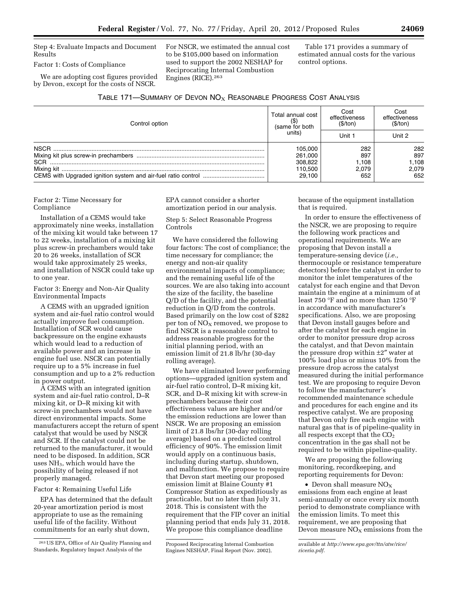Step 4: Evaluate Impacts and Document Results

Factor 1: Costs of Compliance

We are adopting cost figures provided by Devon, except for the costs of NSCR.

For NSCR, we estimated the annual cost to be \$105,000 based on information used to support the 2002 NESHAP for Reciprocating Internal Combustion Engines (RICE).263

Table 171 provides a summary of estimated annual costs for the various control options.

| TABLE 171-SUMMARY OF DEVON NO <sub>X</sub> REASONABLE PROGRESS COST ANALYSIS |  |  |  |  |  |
|------------------------------------------------------------------------------|--|--|--|--|--|
|------------------------------------------------------------------------------|--|--|--|--|--|

| Control option | Total annual cost<br>(same for both | Cost<br>effectiveness<br>(S/ton) | Cost<br>effectiveness<br>(S/ton) |
|----------------|-------------------------------------|----------------------------------|----------------------------------|
|                | units)                              | Unit 1                           | Unit 2                           |
| NSCR.          | 105.000                             | 282                              | 282                              |
|                | 261.000                             | 897                              | 897                              |
| <b>SCR</b>     | 308,822                             | 1.108                            | 1,108                            |
|                | 110,500                             | 2.079                            | 2.079                            |
|                | 29.100                              | 652                              | 652                              |

Factor 2: Time Necessary for Compliance

Installation of a CEMS would take approximately nine weeks, installation of the mixing kit would take between 17 to 22 weeks, installation of a mixing kit plus screw-in prechambers would take 20 to 26 weeks, installation of SCR would take approximately 25 weeks, and installation of NSCR could take up to one year.

Factor 3: Energy and Non-Air Quality Environmental Impacts

A CEMS with an upgraded ignition system and air-fuel ratio control would actually improve fuel consumption. Installation of SCR would cause backpressure on the engine exhausts which would lead to a reduction of available power and an increase in engine fuel use. NSCR can potentially require up to a 5% increase in fuel consumption and up to a 2% reduction in power output.

A CEMS with an integrated ignition system and air-fuel ratio control, D–R mixing kit, or D–R mixing kit with screw-in prechambers would not have direct environmental impacts. Some manufacturers accept the return of spent catalyst that would be used by NSCR and SCR. If the catalyst could not be returned to the manufacturer, it would need to be disposed. In addition, SCR uses NH3, which would have the possibility of being released if not properly managed.

Factor 4: Remaining Useful Life

EPA has determined that the default 20-year amortization period is most appropriate to use as the remaining useful life of the facility. Without commitments for an early shut down,

EPA cannot consider a shorter amortization period in our analysis.

Step 5: Select Reasonable Progress Controls

We have considered the following four factors: The cost of compliance; the time necessary for compliance; the energy and non-air quality environmental impacts of compliance; and the remaining useful life of the sources. We are also taking into account the size of the facility, the baseline Q/D of the facility, and the potential reduction in Q/D from the controls. Based primarily on the low cost of \$282 per ton of  $NO<sub>X</sub>$  removed, we propose to find NSCR is a reasonable control to address reasonable progress for the initial planning period, with an emission limit of 21.8 lb/hr (30-day rolling average).

We have eliminated lower performing options—upgraded ignition system and air-fuel ratio control, D–R mixing kit, SCR, and D–R mixing kit with screw-in prechambers because their cost effectiveness values are higher and/or the emission reductions are lower than NSCR. We are proposing an emission limit of 21.8 lbs/hr (30-day rolling average) based on a predicted control efficiency of 90%. The emission limit would apply on a continuous basis, including during startup, shutdown, and malfunction. We propose to require that Devon start meeting our proposed emission limit at Blaine County #1 Compressor Station as expeditiously as practicable, but no later than July 31, 2018. This is consistent with the requirement that the FIP cover an initial planning period that ends July 31, 2018. We propose this compliance deadline

because of the equipment installation that is required.

In order to ensure the effectiveness of the NSCR, we are proposing to require the following work practices and operational requirements. We are proposing that Devon install a temperature-sensing device (*i.e.,*  thermocouple or resistance temperature detectors) before the catalyst in order to monitor the inlet temperatures of the catalyst for each engine and that Devon maintain the engine at a minimum of at least 750 °F and no more than 1250 °F in accordance with manufacturer's specifications. Also, we are proposing that Devon install gauges before and after the catalyst for each engine in order to monitor pressure drop across the catalyst, and that Devon maintain the pressure drop within  $\pm 2''$  water at 100% load plus or minus 10% from the pressure drop across the catalyst measured during the initial performance test. We are proposing to require Devon to follow the manufacturer's recommended maintenance schedule and procedures for each engine and its respective catalyst. We are proposing that Devon only fire each engine with natural gas that is of pipeline-quality in all respects except that the  $CO<sub>2</sub>$ concentration in the gas shall not be required to be within pipeline-quality.

We are proposing the following monitoring, recordkeeping, and reporting requirements for Devon:

• Devon shall measure  $NO_X$ emissions from each engine at least semi-annually or once every six month period to demonstrate compliance with the emission limits. To meet this requirement, we are proposing that Devon measure  $NO<sub>x</sub>$  emissions from the

<sup>263</sup>US EPA, Office of Air Quality Planning and Standards, Regulatory Impact Analysis of the

Proposed Reciprocating Internal Combustion Engines NESHAP, Final Report (Nov. 2002),

available at *[http://www.epa.gov/ttn/atw/rice/](http://www.epa.gov/ttn/atw/rice/riceria.pdf)  [riceria.pdf.](http://www.epa.gov/ttn/atw/rice/riceria.pdf)*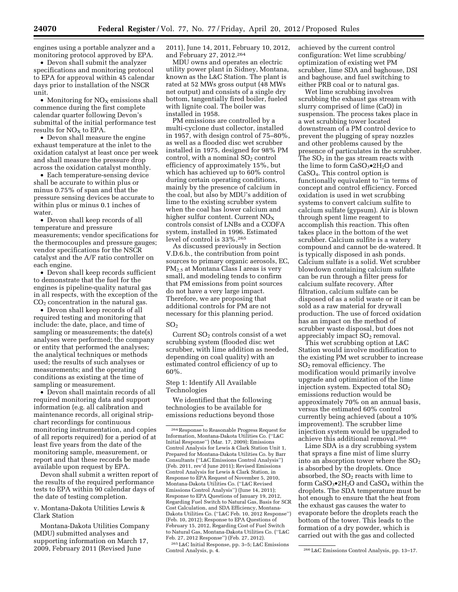engines using a portable analyzer and a monitoring protocol approved by EPA.

• Devon shall submit the analyzer specifications and monitoring protocol to EPA for approval within 45 calendar days prior to installation of the NSCR unit.

• Monitoring for  $NO<sub>x</sub>$  emissions shall commence during the first complete calendar quarter following Devon's submittal of the initial performance test results for  $NO<sub>x</sub>$  to EPA.

• Devon shall measure the engine exhaust temperature at the inlet to the oxidation catalyst at least once per week and shall measure the pressure drop across the oxidation catalyst monthly.

• Each temperature-sensing device shall be accurate to within plus or minus 0.75% of span and that the pressure sensing devices be accurate to within plus or minus 0.1 inches of water.

• Devon shall keep records of all temperature and pressure measurements; vendor specifications for the thermocouples and pressure gauges; vendor specifications for the NSCR catalyst and the A/F ratio controller on each engine.

• Devon shall keep records sufficient to demonstrate that the fuel for the engines is pipeline-quality natural gas in all respects, with the exception of the  $CO<sub>2</sub>$  concentration in the natural gas.

• Devon shall keep records of all required testing and monitoring that include: the date, place, and time of sampling or measurements; the date(s) analyses were performed; the company or entity that performed the analyses; the analytical techniques or methods used; the results of such analyses or measurements; and the operating conditions as existing at the time of sampling or measurement.

• Devon shall maintain records of all required monitoring data and support information (e.g. all calibration and maintenance records, all original stripchart recordings for continuous monitoring instrumentation, and copies of all reports required) for a period of at least five years from the date of the monitoring sample, measurement, or report and that these records be made available upon request by EPA.

Devon shall submit a written report of the results of the required performance tests to EPA within 90 calendar days of the date of testing completion.

v. Montana-Dakota Utilities Lewis & Clark Station

Montana-Dakota Utilities Company (MDU) submitted analyses and supporting information on March 17, 2009, February 2011 (Revised June

2011), June 14, 2011, February 10, 2012, and February 27, 2012.264

MDU owns and operates an electric utility power plant in Sidney, Montana, known as the L&C Station. The plant is rated at 52 MWs gross output (48 MWs net output) and consists of a single dry bottom, tangentially fired boiler, fueled with lignite coal. The boiler was installed in 1958.

PM emissions are controlled by a multi-cyclone dust collector, installed in 1957, with design control of 75–80%, as well as a flooded disc wet scrubber installed in 1975, designed for 98% PM control, with a nominal  $SO<sub>2</sub>$  control efficiency of approximately 15%, but which has achieved up to 60% control during certain operating conditions, mainly by the presence of calcium in the coal, but also by MDU's addition of lime to the existing scrubber system when the coal has lower calcium and higher sulfur content. Current  $NO<sub>x</sub>$ controls consist of LNBs and a CCOFA system, installed in 1996. Estimated level of control is 33%.265

As discussed previously in Section V.D.6.b., the contribution from point sources to primary organic aerosols, EC, PM2.5 at Montana Class I areas is very small, and modeling tends to confirm that PM emissions from point sources do not have a very large impact. Therefore, we are proposing that additional controls for PM are not necessary for this planning period.

## $SO<sub>2</sub>$

Current  $SO<sub>2</sub>$  controls consist of a wet scrubbing system (flooded disc wet scrubber, with lime addition as needed, depending on coal quality) with an estimated control efficiency of up to 60%.

Step 1: Identify All Available Technologies

We identified that the following technologies to be available for emissions reductions beyond those

265L&C Initial Response, pp. 3–5; L&C Emissions

achieved by the current control configuration: Wet lime scrubbing/ optimization of existing wet PM scrubber, lime SDA and baghouse, DSI and baghouse, and fuel switching to either PRB coal or to natural gas.

Wet lime scrubbing involves scrubbing the exhaust gas stream with slurry comprised of lime (CaO) in suspension. The process takes place in a wet scrubbing tower located downstream of a PM control device to prevent the plugging of spray nozzles and other problems caused by the presence of particulates in the scrubber. The  $SO<sub>2</sub>$  in the gas stream reacts with the lime to form  $CaSO<sub>3</sub>•2H<sub>2</sub>O$  and CaSO4. This control option is functionally equivalent to ''in terms of concept and control efficiency. Forced oxidation is used in wet scrubbing systems to convert calcium sulfite to calcium sulfate (gypsum). Air is blown through spent lime reagent to accomplish this reaction. This often takes place in the bottom of the wet scrubber. Calcium sulfite is a watery compound and cannot be de-watered. It is typically disposed in ash ponds. Calcium sulfate is a solid. Wet scrubber blowdown containing calcium sulfate can be run through a filter press for calcium sulfate recovery. After filtration, calcium sulfate can be disposed of as a solid waste or it can be sold as a raw material for drywall production. The use of forced oxidation has an impact on the method of scrubber waste disposal, but does not appreciably impact SO<sub>2</sub> removal.

This wet scrubbing option at L&C Station would involve modification to the existing PM wet scrubber to increase SO2 removal efficiency. The modification would primarily involve upgrade and optimization of the lime injection system. Expected total  $SO<sub>2</sub>$ emissions reduction would be approximately 70% on an annual basis, versus the estimated 60% control currently being achieved (about a 10% improvement). The scrubber lime injection system would be upgraded to achieve this additional removal.266

Lime SDA is a dry scrubbing system that sprays a fine mist of lime slurry into an absorption tower where the  $SO<sub>2</sub>$ is absorbed by the droplets. Once absorbed, the  $SO<sub>2</sub>$  reacts with lime to form  $CaSO<sub>3</sub>•2H<sub>2</sub>O$  and  $CaSO<sub>4</sub>$  within the droplets. The SDA temperature must be hot enough to ensure that the heat from the exhaust gas causes the water to evaporate before the droplets reach the bottom of the tower. This leads to the formation of a dry powder, which is carried out with the gas and collected

<sup>264</sup>Response to Reasonable Progress Request for Information, Montana-Dakota Utilities Co. (''L&C Initial Response'') (Mar. 17, 2009); Emissions Control Analysis for Lewis & Clark Station Unit 1, Prepared for Montana-Dakota Utilities Co. by Barr Consultants (''L&C Emissions Control Analysis'') (Feb. 2011, rev'd June 2011); Revised Emissions Control Analysis for Lewis & Clark Station, in Response to EPA Request of November 5, 2010, Montana-Dakota Utilities Co. (''L&C Revised Emissions Control Analysis'') (June 14, 2011); Response to EPA Questions of January 19, 2012, Regarding Fuel Switch to Natural Gas, Basis for SCR Cost Calculation, and SDA Efficiency, Montana-Dakota Utilities Co. (''L&C Feb. 10, 2012 Response'') (Feb. 10, 2012); Response to EPA Questions of February 15, 2012, Regarding Cost of Fuel Switch to Natural Gas, Montana-Dakota Utilities Co. (''L&C Feb. 27, 2012 Response'') (Feb. 27, 2012).

<sup>&</sup>lt;sup>266</sup>L&C Emissions Control Analysis, pp. 13-17.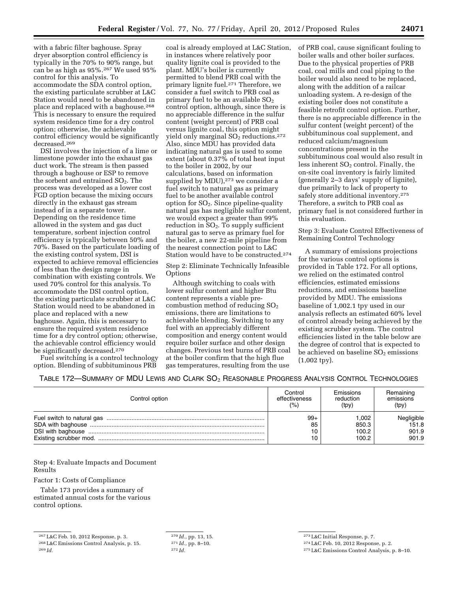with a fabric filter baghouse. Spray dryer absorption control efficiency is typically in the 70% to 90% range, but can be as high as 95%.267 We used 95% control for this analysis. To accommodate the SDA control option, the existing particulate scrubber at L&C Station would need to be abandoned in place and replaced with a baghouse.268 This is necessary to ensure the required system residence time for a dry control option; otherwise, the achievable control efficiency would be significantly decreased.269

DSI involves the injection of a lime or limestone powder into the exhaust gas duct work. The stream is then passed through a baghouse or ESP to remove the sorbent and entrained  $SO<sub>2</sub>$ . The process was developed as a lower cost FGD option because the mixing occurs directly in the exhaust gas stream instead of in a separate tower. Depending on the residence time allowed in the system and gas duct temperature, sorbent injection control efficiency is typically between 50% and 70%. Based on the particulate loading of the existing control system, DSI is expected to achieve removal efficiencies of less than the design range in combination with existing controls. We used 70% control for this analysis. To accommodate the DSI control option, the existing particulate scrubber at L&C Station would need to be abandoned in place and replaced with a new baghouse. Again, this is necessary to ensure the required system residence time for a dry control option; otherwise, the achievable control efficiency would be significantly decreased.270

Fuel switching is a control technology option. Blending of subbituminous PRB

coal is already employed at L&C Station, in instances where relatively poor quality lignite coal is provided to the plant. MDU's boiler is currently permitted to blend PRB coal with the primary lignite fuel.271 Therefore, we consider a fuel switch to PRB coal as primary fuel to be an available  $SO_2$ control option, although, since there is no appreciable difference in the sulfur content (weight percent) of PRB coal versus lignite coal, this option might yield only marginal SO<sub>2</sub> reductions.<sup>272</sup> Also, since MDU has provided data indicating natural gas is used to some extent (about 0.37% of total heat input to the boiler in 2002, by our calculations, based on information supplied by MDU),<sup>273</sup> we consider a fuel switch to natural gas as primary fuel to be another available control option for  $SO_2$ . Since pipeline-quality natural gas has negligible sulfur content, we would expect a greater than 99% reduction in  $SO<sub>2</sub>$ . To supply sufficient natural gas to serve as primary fuel for the boiler, a new 22-mile pipeline from the nearest connection point to L&C Station would have to be constructed.274

Step 2: Eliminate Technically Infeasible Options

Although switching to coals with lower sulfur content and higher Btu content represents a viable precombustion method of reducing  $SO<sub>2</sub>$ emissions, there are limitations to achievable blending. Switching to any fuel with an appreciably different composition and energy content would require boiler surface and other design changes. Previous test burns of PRB coal at the boiler confirm that the high flue gas temperatures, resulting from the use

of PRB coal, cause significant fouling to boiler walls and other boiler surfaces. Due to the physical properties of PRB coal, coal mills and coal piping to the boiler would also need to be replaced, along with the addition of a railcar unloading system. A re-design of the existing boiler does not constitute a feasible retrofit control option. Further, there is no appreciable difference in the sulfur content (weight percent) of the subbituminous coal supplement, and reduced calcium/magnesium concentrations present in the subbituminous coal would also result in less inherent SO<sub>2</sub> control. Finally, the on-site coal inventory is fairly limited (generally 2–3 days' supply of lignite), due primarily to lack of property to safely store additional inventory.<sup>275</sup> Therefore, a switch to PRB coal as primary fuel is not considered further in this evaluation.

Step 3: Evaluate Control Effectiveness of Remaining Control Technology

A summary of emissions projections for the various control options is provided in Table 172. For all options, we relied on the estimated control efficiencies, estimated emissions reductions, and emissions baseline provided by MDU. The emissions baseline of 1,002.1 tpy used in our analysis reflects an estimated 60% level of control already being achieved by the existing scrubber system. The control efficiencies listed in the table below are the degree of control that is expected to be achieved on baseline  $SO<sub>2</sub>$  emissions (1,002 tpy).

| TABLE 172-SUMMARY OF MDU LEWIS AND CLARK SO <sub>2</sub> REASONABLE PROGRESS ANALYSIS CONTROL TECHNOLOGIES |  |  |  |
|------------------------------------------------------------------------------------------------------------|--|--|--|
|------------------------------------------------------------------------------------------------------------|--|--|--|

| Control option | Control       | Emissions | Remaining  |
|----------------|---------------|-----------|------------|
|                | effectiveness | reduction | emissions  |
|                | (%)           | (tpy)     | (tpy)      |
|                | $99+$         | 1.002     | Negligible |
|                | 85            | 850.3     | 151.8      |
|                | 10            | 100.2     | 901.9      |
|                | 10            | 100.2     | 901.9      |

Step 4: Evaluate Impacts and Document Results

Factor 1: Costs of Compliance

Table 173 provides a summary of estimated annual costs for the various control options.

270 *Id.,* pp. 13, 15. 271 *Id.,* pp. 8–10. 272 *Id.* 

273L&C Initial Response, p. 7.

274L&C Feb. 10, 2012 Response, p. 2.

275L&C Emissions Control Analysis, p. 8–10.

<sup>267</sup>L&C Feb. 10, 2012 Response, p. 3.

<sup>268</sup>L&C Emissions Control Analysis, p. 15. 269 *Id.*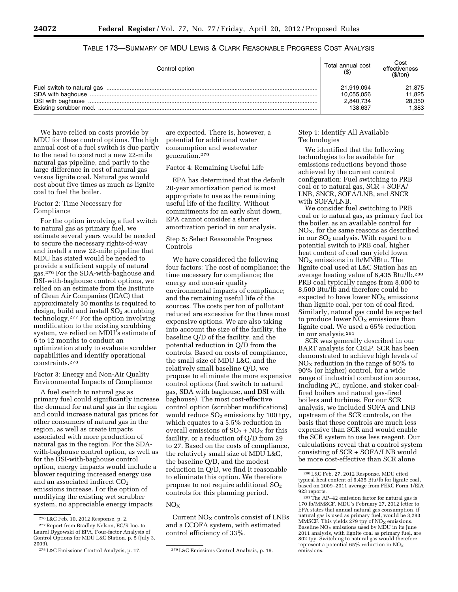| Control option | Total annual cost | Cost<br>effectiveness<br>(\$/ton) |
|----------------|-------------------|-----------------------------------|
|                | 21,919,094        | 21,875                            |
|                | 10,055,056        | 11,825                            |
|                | 2,840,734         | 28,350                            |
|                | 138.637           | 1.383                             |

TABLE 173—SUMMARY OF MDU LEWIS & CLARK REASONABLE PROGRESS COST ANALYSIS

We have relied on costs provide by MDU for these control options. The high annual cost of a fuel switch is due partly to the need to construct a new 22-mile natural gas pipeline, and partly to the large difference in cost of natural gas versus lignite coal. Natural gas would cost about five times as much as lignite coal to fuel the boiler.

## Factor 2: Time Necessary for Compliance

For the option involving a fuel switch to natural gas as primary fuel, we estimate several years would be needed to secure the necessary rights-of-way and install a new 22-mile pipeline that MDU has stated would be needed to provide a sufficient supply of natural gas.276 For the SDA-with-baghouse and DSI-with-baghouse control options, we relied on an estimate from the Institute of Clean Air Companies (ICAC) that approximately 30 months is required to design, build and install  $SO<sub>2</sub>$  scrubbing technology.277 For the option involving modification to the existing scrubbing system, we relied on MDU's estimate of 6 to 12 months to conduct an optimization study to evaluate scrubber capabilities and identify operational constraints.278

#### Factor 3: Energy and Non-Air Quality Environmental Impacts of Compliance

A fuel switch to natural gas as primary fuel could significantly increase the demand for natural gas in the region and could increase natural gas prices for other consumers of natural gas in the region, as well as create impacts associated with more production of natural gas in the region. For the SDAwith-baghouse control option, as well as for the DSI-with-baghouse control option, energy impacts would include a blower requiring increased energy use and an associated indirect CO<sub>2</sub> emissions increase. For the option of modifying the existing wet scrubber system, no appreciable energy impacts

are expected. There is, however, a potential for additional water consumption and wastewater generation.279

Factor 4: Remaining Useful Life

EPA has determined that the default 20-year amortization period is most appropriate to use as the remaining useful life of the facility. Without commitments for an early shut down, EPA cannot consider a shorter amortization period in our analysis.

## Step 5: Select Reasonable Progress Controls

We have considered the following four factors: The cost of compliance; the time necessary for compliance; the energy and non-air quality environmental impacts of compliance; and the remaining useful life of the sources. The costs per ton of pollutant reduced are excessive for the three most expensive options. We are also taking into account the size of the facility, the baseline Q/D of the facility, and the potential reduction in Q/D from the controls. Based on costs of compliance, the small size of MDU L&C, and the relatively small baseline Q/D, we propose to eliminate the more expensive control options (fuel switch to natural gas, SDA with baghouse, and DSI with baghouse). The most cost-effective control option (scrubber modifications) would reduce SO<sub>2</sub> emissions by 100 tpy, which equates to a 5.5% reduction in overall emissions of  $SO_2 + NO_X$  for this facility, or a reduction of Q/D from 29 to 27. Based on the costs of compliance, the relatively small size of MDU L&C, the baseline Q/D, and the modest reduction in Q/D, we find it reasonable to eliminate this option. We therefore propose to not require additional  $SO<sub>2</sub>$ controls for this planning period.

## $NO<sub>x</sub>$

Current  $\rm{NO_{X}}$  controls consist of LNBs and a CCOFA system, with estimated control efficiency of 33%.

## Step 1: Identify All Available Technologies

We identified that the following technologies to be available for emissions reductions beyond those achieved by the current control configuration: Fuel switching to PRB coal or to natural gas, SCR + SOFA/ LNB, SNCR, SOFA/LNB, and SNCR with SOFA/LNB.

We consider fuel switching to PRB coal or to natural gas, as primary fuel for the boiler, as an available control for NOX, for the same reasons as described in our  $SO<sub>2</sub>$  analysis. With regard to a potential switch to PRB coal, higher heat content of coal can yield lower  $NO<sub>x</sub>$  emissions in lb/MMBtu. The lignite coal used at L&C Station has an average heating value of 6,435 Btu/lb.280 PRB coal typically ranges from 8,000 to 8,500 Btu/lb and therefore could be expected to have lower  $NO<sub>x</sub>$  emissions than lignite coal, per ton of coal fired. Similarly, natural gas could be expected to produce lower  $NO<sub>X</sub>$  emissions than lignite coal. We used a 65% reduction in our analysis.281

SCR was generally described in our BART analysis for CELP. SCR has been demonstrated to achieve high levels of  $NO<sub>x</sub>$  reduction in the range of 80% to 90% (or higher) control, for a wide range of industrial combustion sources, including PC, cyclone, and stoker coalfired boilers and natural gas-fired boilers and turbines. For our SCR analysis, we included SOFA and LNB upstream of the SCR controls, on the basis that these controls are much less expensive than SCR and would enable the SCR system to use less reagent. Our calculations reveal that a control system consisting of SCR + SOFA/LNB would be more cost-effective than SCR alone

<sup>276</sup>L&C Feb. 10, 2012 Response, p. 2.

<sup>277</sup>Report from Bradley Nelson, EC/R Inc. to Laurel Dygowski of EPA, Four-factor Analysis of Control Options for MDU L&C Station, p. 5 (July 3, 2009).

<sup>278</sup>L&C Emissions Control Analysis, p. 17. 279L&C Emissions Control Analysis, p. 16.

<sup>280</sup>L&C Feb. 27, 2012 Response. MDU cited typical heat content of 6,435 Btu/lb for lignite coal, based on 2009–2011 average from FERC Form 1/EIA

 ${}^{281}\mathrm{The}$  AP–42 emission factor for natural gas is 170 lb/MMSCF. MDU's February 27, 2012 letter to EPA states that annual natural gas consumption, if natural gas is used as primary fuel, would be 3,283<br>MMSCF. This yields 279 tpy of NO<sub>x</sub> emissions. Baseline  $NO<sub>x</sub>$  emissions used by MDU in its June 2011 analysis, with lignite coal as primary fuel, are 802 tpy. Switching to natural gas would therefore represent a potential 65% reduction in  $NO<sub>x</sub>$ emissions.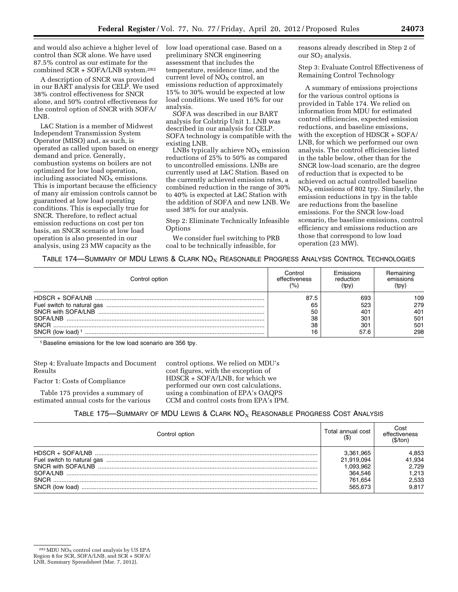and would also achieve a higher level of control than SCR alone. We have used 87.5% control as our estimate for the combined SCR + SOFA/LNB system.282

A description of SNCR was provided in our BART analysis for CELP. We used 38% control effectiveness for SNCR alone, and 50% control effectiveness for the control option of SNCR with SOFA/ LNB.

L&C Station is a member of Midwest Independent Transmission System Operator (MISO) and, as such, is operated as called upon based on energy demand and price. Generally, combustion systems on boilers are not optimized for low load operation, including associated  $NO<sub>x</sub>$  emissions. This is important because the efficiency of many air emission controls cannot be guaranteed at low load operating conditions. This is especially true for SNCR. Therefore, to reflect actual emission reductions on cost per ton basis, an SNCR scenario at low load operation is also presented in our analysis, using 23 MW capacity as the

low load operational case. Based on a preliminary SNCR engineering assessment that includes the temperature, residence time, and the current level of  $\mathrm{NO}_\mathrm{X}$  control, an emissions reduction of approximately 15% to 30% would be expected at low load conditions. We used 16% for our analysis.

SOFA was described in our BART analysis for Colstrip Unit 1. LNB was described in our analysis for CELP. SOFA technology is compatible with the existing LNB.

 $LNBs$  typically achieve  $NO<sub>X</sub>$  emission reductions of 25% to 50% as compared to uncontrolled emissions. LNBs are currently used at L&C Station. Based on the currently achieved emission rates, a combined reduction in the range of 30% to 40% is expected at L&C Station with the addition of SOFA and new LNB. We used 38% for our analysis.

Step 2: Eliminate Technically Infeasible **Options** 

We consider fuel switching to PRB coal to be technically infeasible, for

reasons already described in Step 2 of our  $SO<sub>2</sub>$  analysis.

Step 3: Evaluate Control Effectiveness of Remaining Control Technology

A summary of emissions projections for the various control options is provided in Table 174. We relied on information from MDU for estimated control efficiencies, expected emission reductions, and baseline emissions, with the exception of HDSCR + SOFA/ LNB, for which we performed our own analysis. The control efficiencies listed in the table below, other than for the SNCR low-load scenario, are the degree of reduction that is expected to be achieved on actual controlled baseline NOX emissions of 802 tpy. Similarly, the emission reductions in tpy in the table are reductions from the baseline emissions. For the SNCR low-load scenario, the baseline emissions, control efficiency and emissions reduction are those that correspond to low load operation (23 MW).

## TABLE 174—SUMMARY OF MDU LEWIS & CLARK  $NO<sub>X</sub>$  REASONABLE PROGRESS ANALYSIS CONTROL TECHNOLOGIES

| Control option  | Control<br>effectiveness<br>(% | Emissions<br>reduction<br>(tpy) | emissions<br>(tpy) |
|-----------------|--------------------------------|---------------------------------|--------------------|
|                 | 87.5                           | 69.                             | 109                |
|                 | 65                             | 523                             | 279                |
|                 | 50                             | 40 <sup>1</sup>                 | 401                |
| SOFA/LNB        | 38                             | 301                             | 501                |
| SNCR            | 38                             | 301                             | 501                |
| SNCR (low load) | 16                             | 57.6                            | 298                |

1Baseline emissions for the low load scenario are 356 tpy.

Step 4: Evaluate Impacts and Document Results Factor 1: Costs of Compliance

Table 175 provides a summary of estimated annual costs for the various control options. We relied on MDU's cost figures, with the exception of HDSCR + SOFA/LNB, for which we performed our own cost calculations, using a combination of EPA's OAQPS CCM and control costs from EPA's IPM.

# TABLE 175—SUMMARY OF MDU LEWIS & CLARK  $NO<sub>X</sub>$  Reasonable Progress Cost Analysis

| Control option                                                                           | Total annual cost<br>$($ \$)                                         | Cost<br>effectiveness                               |
|------------------------------------------------------------------------------------------|----------------------------------------------------------------------|-----------------------------------------------------|
| Fuel switch to natural gas<br>SNCR with SOFA/I NB<br>SOFA/LNB<br>SNCR<br>SNCR (low load) | 3.361,965<br>21.919.094<br>.093.962<br>364.546<br>761.654<br>565.673 | 4.853<br>41,934<br>2.729<br>1.213<br>2.533<br>9.817 |

 $282$  MDU NO<sub>X</sub> control cost analysis by US EPA Region 8 for SCR, SOFA/LNB, and SCR + SOFA/

LNB, Summary Spreadsheet (Mar. 7, 2012).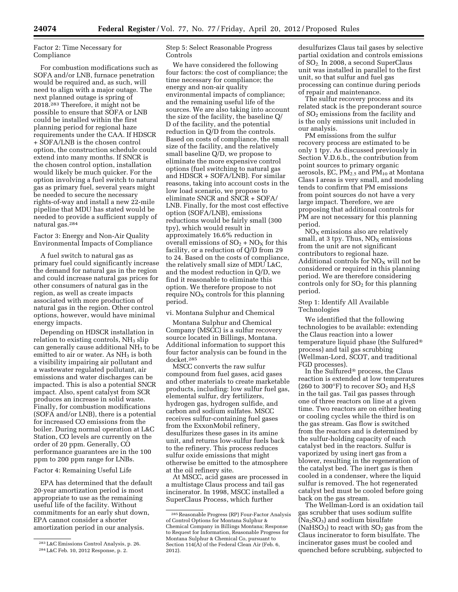## Factor 2: Time Necessary for Compliance

For combustion modifications such as SOFA and/or LNB, furnace penetration would be required and, as such, will need to align with a major outage. The next planned outage is spring of 2018.283 Therefore, it might not be possible to ensure that SOFA or LNB could be installed within the first planning period for regional haze requirements under the CAA. If HDSCR + SOFA/LNB is the chosen control option, the construction schedule could extend into many months. If SNCR is the chosen control option, installation would likely be much quicker. For the option involving a fuel switch to natural gas as primary fuel, several years might be needed to secure the necessary rights-of-way and install a new 22-mile pipeline that MDU has stated would be needed to provide a sufficient supply of natural gas.284

Factor 3: Energy and Non-Air Quality Environmental Impacts of Compliance

A fuel switch to natural gas as primary fuel could significantly increase the demand for natural gas in the region and could increase natural gas prices for other consumers of natural gas in the region, as well as create impacts associated with more production of natural gas in the region. Other control options, however, would have minimal energy impacts.

Depending on HDSCR installation in relation to existing controls,  $NH<sub>3</sub>$  slip can generally cause additional  $NH<sub>3</sub>$  to be emitted to air or water. As  $NH<sub>3</sub>$  is both a visibility impairing air pollutant and a wastewater regulated pollutant, air emissions and water discharges can be impacted. This is also a potential SNCR impact. Also, spent catalyst from SCR produces an increase in solid waste. Finally, for combustion modifications (SOFA and/or LNB), there is a potential for increased CO emissions from the boiler. During normal operation at L&C Station, CO levels are currently on the order of 20 ppm. Generally, CO performance guarantees are in the 100 ppm to 200 ppm range for LNBs.

#### Factor 4: Remaining Useful Life

EPA has determined that the default 20-year amortization period is most appropriate to use as the remaining useful life of the facility. Without commitments for an early shut down, EPA cannot consider a shorter amortization period in our analysis.

Step 5: Select Reasonable Progress Controls

We have considered the following four factors: the cost of compliance; the time necessary for compliance; the energy and non-air quality environmental impacts of compliance; and the remaining useful life of the sources. We are also taking into account the size of the facility, the baseline Q/ D of the facility, and the potential reduction in Q/D from the controls. Based on costs of compliance, the small size of the facility, and the relatively small baseline Q/D, we propose to eliminate the more expensive control options (fuel switching to natural gas and HDSCR + SOFA/LNB). For similar reasons, taking into account costs in the low load scenario, we propose to eliminate SNCR and SNCR + SOFA/ LNB. Finally, for the most cost effective option (SOFA/LNB), emissions reductions would be fairly small (300 tpy), which would result in approximately 16.6% reduction in overall emissions of  $SO_2 + NO_X$  for this facility, or a reduction of Q/D from 29 to 24. Based on the costs of compliance, the relatively small size of MDU L&C, and the modest reduction in Q/D, we find it reasonable to eliminate this option. We therefore propose to not require  $NO<sub>X</sub>$  controls for this planning period.

vi. Montana Sulphur and Chemical

Montana Sulphur and Chemical Company (MSCC) is a sulfur recovery source located in Billings, Montana. Additional information to support this four factor analysis can be found in the docket.285

MSCC converts the raw sulfur compound from fuel gases, acid gases and other materials to create marketable products, including: low sulfur fuel gas, elemental sulfur, dry fertilizers, hydrogen gas, hydrogen sulfide, and carbon and sodium sulfates. MSCC receives sulfur-containing fuel gases from the ExxonMobil refinery, desulfurizes these gases in its amine unit, and returns low-sulfur fuels back to the refinery. This process reduces sulfur oxide emissions that might otherwise be emitted to the atmosphere at the oil refinery site.

At MSCC, acid gases are processed in a multistage Claus process and tail gas incinerator. In 1998, MSCC installed a SuperClaus Process, which further

desulfurizes Claus tail gases by selective partial oxidation and controls emissions of SO2. In 2008, a second SuperClaus unit was installed in parallel to the first unit, so that sulfur and fuel gas processing can continue during periods of repair and maintenance.

The sulfur recovery process and its related stack is the preponderant source of SO2 emissions from the facility and is the only emissions unit included in our analysis.

PM emissions from the sulfur recovery process are estimated to be only 1 tpy. As discussed previously in Section V.D.6.b., the contribution from point sources to primary organic aerosols, EC,  $PM_{2.5}$  and  $PM_{10}$  at Montana Class I areas is very small, and modeling tends to confirm that PM emissions from point sources do not have a very large impact. Therefore, we are proposing that additional controls for PM are not necessary for this planning period.

 $NO<sub>X</sub>$  emissions also are relatively small, at 3 tpy. Thus,  $NO<sub>x</sub>$  emissions from the unit are not significant contributors to regional haze. Additional controls for  $NO<sub>X</sub>$  will not be considered or required in this planning period. We are therefore considering controls only for  $SO<sub>2</sub>$  for this planning period.

## Step 1: Identify All Available Technologies

We identified that the following technologies to be available: extending the Claus reaction into a lower temperature liquid phase (the Sulfured® process) and tail gas scrubbing (Wellman-Lord, SCOT, and traditional FGD processes).

In the Sulfured® process, the Claus reaction is extended at low temperatures (260 to 300°F) to recover  $SO_2$  and  $H_2S$ in the tail gas. Tail gas passes through one of three reactors on line at a given time. Two reactors are on either heating or cooling cycles while the third is on the gas stream. Gas flow is switched from the reactors and is determined by the sulfur-holding capacity of each catalyst bed in the reactors. Sulfur is vaporized by using inert gas from a blower, resulting in the regeneration of the catalyst bed. The inert gas is then cooled in a condenser, where the liquid sulfur is removed. The hot regenerated catalyst bed must be cooled before going back on the gas stream.

The Wellman-Lord is an oxidation tail gas scrubber that uses sodium sulfite  $(Na<sub>2</sub>SO<sub>3</sub>)$  and sodium bisulfate (NaHSO<sub>3</sub>) to react with  $SO<sub>2</sub>$  gas from the Claus incinerator to form bisulfate. The incinerator gases must be cooled and quenched before scrubbing, subjected to

<sup>283</sup>L&C Emissions Control Analysis, p. 26. 284L&C Feb. 10, 2012 Response, p. 2.

<sup>285</sup>Reasonable Progress (RP) Four-Factor Analysis of Control Options for Montana Sulphur & Chemical Company in Billings Montana; Response to Request for Information, Reasonable Progress for Montana Sulphur & Chemical Co, pursuant to Section  $114(A)$  of the Federal Clean Air (Feb. 6, 2012).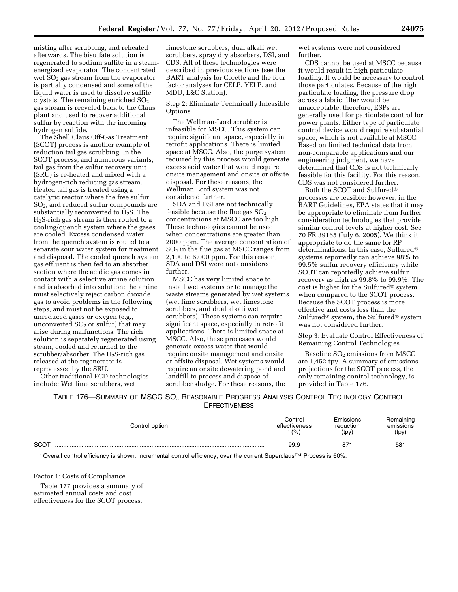misting after scrubbing, and reheated afterwards. The bisulfate solution is regenerated to sodium sulfite in a steamenergized evaporator. The concentrated wet  $SO<sub>2</sub>$  gas stream from the evaporator is partially condensed and some of the liquid water is used to dissolve sulfite crystals. The remaining enriched  $SO<sub>2</sub>$ gas stream is recycled back to the Claus plant and used to recover additional sulfur by reaction with the incoming hydrogen sulfide.

The Shell Claus Off-Gas Treatment (SCOT) process is another example of reduction tail gas scrubbing. In the SCOT process, and numerous variants, tail gas from the sulfur recovery unit (SRU) is re-heated and mixed with a hydrogen-rich reducing gas stream. Heated tail gas is treated using a catalytic reactor where the free sulfur, SO2, and reduced sulfur compounds are substantially reconverted to  $H_2S$ . The H2S-rich gas stream is then routed to a cooling/quench system where the gases are cooled. Excess condensed water from the quench system is routed to a separate sour water system for treatment and disposal. The cooled quench system gas effluent is then fed to an absorber section where the acidic gas comes in contact with a selective amine solution and is absorbed into solution; the amine must selectively reject carbon dioxide gas to avoid problems in the following steps, and must not be exposed to unreduced gases or oxygen (e.g., unconverted  $SO<sub>2</sub>$  or sulfur) that may arise during malfunctions. The rich solution is separately regenerated using steam, cooled and returned to the scrubber/absorber. The  $H_2S$ -rich gas released at the regenerator is reprocessed by the SRU.

Other traditional FGD technologies include: Wet lime scrubbers, wet

limestone scrubbers, dual alkali wet scrubbers, spray dry absorbers, DSI, and CDS. All of these technologies were described in previous sections (see the BART analysis for Corette and the four factor analyses for CELP, YELP, and MDU, L&C Station).

Step 2: Eliminate Technically Infeasible **Options** 

The Wellman-Lord scrubber is infeasible for MSCC. This system can require significant space, especially in retrofit applications. There is limited space at MSCC. Also, the purge system required by this process would generate excess acid water that would require onsite management and onsite or offsite disposal. For these reasons, the Wellman Lord system was not considered further.

SDA and DSI are not technically feasible because the flue gas  $SO<sub>2</sub>$ concentrations at MSCC are too high. These technologies cannot be used when concentrations are greater than 2000 ppm. The average concentration of  $SO<sub>2</sub>$  in the flue gas at MSCC ranges from 2,100 to 6,000 ppm. For this reason, SDA and DSI were not considered further.

MSCC has very limited space to install wet systems or to manage the waste streams generated by wet systems (wet lime scrubbers, wet limestone scrubbers, and dual alkali wet scrubbers). These systems can require significant space, especially in retrofit applications. There is limited space at MSCC. Also, these processes would generate excess water that would require onsite management and onsite or offsite disposal. Wet systems would require an onsite dewatering pond and landfill to process and dispose of scrubber sludge. For these reasons, the

wet systems were not considered further.

CDS cannot be used at MSCC because it would result in high particulate loading. It would be necessary to control those particulates. Because of the high particulate loading, the pressure drop across a fabric filter would be unacceptable; therefore, ESPs are generally used for particulate control for power plants. Either type of particulate control device would require substantial space, which is not available at MSCC. Based on limited technical data from non-comparable applications and our engineering judgment, we have determined that CDS is not technically feasible for this facility. For this reason, CDS was not considered further.

Both the SCOT and Sulfured® processes are feasible; however, in the BART Guidelines, EPA states that it may be appropriate to eliminate from further consideration technologies that provide similar control levels at higher cost. See 70 FR 39165 (July 6, 2005). We think it appropriate to do the same for RP determinations. In this case, Sulfured® systems reportedly can achieve 98% to 99.5% sulfur recovery efficiency while SCOT can reportedly achieve sulfur recovery as high as 99.8% to 99.9%. The cost is higher for the Sulfured® system when compared to the SCOT process. Because the SCOT process is more effective and costs less than the Sulfured® system, the Sulfured® system was not considered further.

Step 3: Evaluate Control Effectiveness of Remaining Control Technologies

Baseline SO<sub>2</sub> emissions from MSCC are 1,452 tpy. A summary of emissions projections for the SCOT process, the only remaining control technology, is provided in Table 176.

TABLE 176—SUMMARY OF MSCC SO2 REASONABLE PROGRESS ANALYSIS CONTROL TECHNOLOGY CONTROL **EFFECTIVENESS** 

| Control option | Control       | Emissions | Remaining |
|----------------|---------------|-----------|-----------|
|                | effectiveness | reduction | emissions |
|                | (% )          | (tpy)     | (tpy)     |
| <b>SCOT</b>    | 99.9          | 871       | 581       |

<sup>1</sup> Overall control efficiency is shown. Incremental control efficiency, over the current Superclaus™ Process is 60%.

Factor 1: Costs of Compliance

Table 177 provides a summary of estimated annual costs and cost effectiveness for the SCOT process.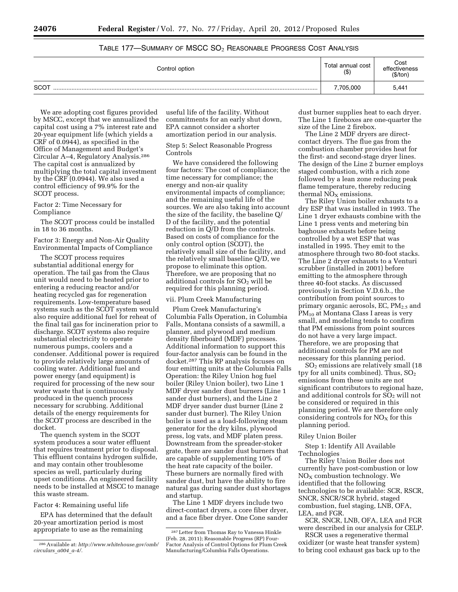| Control option | Total annual cost<br>(3) | Cost<br>effectiveness<br>(\$/ton) |
|----------------|--------------------------|-----------------------------------|
| SCOT           | 7,705,000                | 5,441                             |

# TABLE 177—SUMMARY OF MSCC  $SO_2$  Reasonable Progress Cost Analysis

We are adopting cost figures provided by MSCC, except that we annualized the capital cost using a 7% interest rate and 20-year equipment life (which yields a CRF of 0.0944), as specified in the Office of Management and Budget's Circular A–4, Regulatory Analysis.286 The capital cost is annualized by multiplying the total capital investment by the CRF (0.0944). We also used a control efficiency of 99.9% for the SCOT process.

## Factor 2: Time Necessary for Compliance

The SCOT process could be installed in 18 to 36 months.

Factor 3: Energy and Non-Air Quality Environmental Impacts of Compliance

The SCOT process requires substantial additional energy for operation. The tail gas from the Claus unit would need to be heated prior to entering a reducing reactor and/or heating recycled gas for regeneration requirements. Low-temperature based systems such as the SCOT system would also require additional fuel for reheat of the final tail gas for incineration prior to discharge. SCOT systems also require substantial electricity to operate numerous pumps, coolers and a condenser. Additional power is required to provide relatively large amounts of cooling water. Additional fuel and power energy (and equipment) is required for processing of the new sour water waste that is continuously produced in the quench process necessary for scrubbing. Additional details of the energy requirements for the SCOT process are described in the docket.

The quench system in the SCOT system produces a sour water effluent that requires treatment prior to disposal. This effluent contains hydrogen sulfide, and may contain other troublesome species as well, particularly during upset conditions. An engineered facility needs to be installed at MSCC to manage this waste stream.

Factor 4: Remaining useful life

EPA has determined that the default 20-year amortization period is most appropriate to use as the remaining

useful life of the facility. Without commitments for an early shut down, EPA cannot consider a shorter amortization period in our analysis.

Step 5: Select Reasonable Progress Controls

We have considered the following four factors: The cost of compliance; the time necessary for compliance; the energy and non-air quality environmental impacts of compliance; and the remaining useful life of the sources. We are also taking into account the size of the facility, the baseline Q/ D of the facility, and the potential reduction in Q/D from the controls. Based on costs of compliance for the only control option (SCOT), the relatively small size of the facility, and the relatively small baseline Q/D, we propose to eliminate this option. Therefore, we are proposing that no additional controls for  $SO<sub>2</sub>$  will be required for this planning period.

#### vii. Plum Creek Manufacturing

Plum Creek Manufacturing's Columbia Falls Operation, in Columbia Falls, Montana consists of a sawmill, a planner, and plywood and medium density fiberboard (MDF) processes. Additional information to support this four-factor analysis can be found in the docket.287 This RP analysis focuses on four emitting units at the Columbia Falls Operation: the Riley Union hog fuel boiler (Riley Union boiler), two Line 1 MDF dryer sander dust burners (Line 1 sander dust burners), and the Line 2 MDF dryer sander dust burner (Line 2 sander dust burner). The Riley Union boiler is used as a load-following steam generator for the dry kilns, plywood press, log vats, and MDF platen press. Downstream from the spreader-stoker grate, there are sander dust burners that are capable of supplementing 10% of the heat rate capacity of the boiler. These burners are normally fired with sander dust, but have the ability to fire natural gas during sander dust shortages and startup.

The Line 1 MDF dryers include two direct-contact dryers, a core fiber dryer, and a face fiber dryer. One Cone sander dust burner supplies heat to each dryer. The Line 1 fireboxes are one-quarter the size of the Line 2 firebox.

The Line 2 MDF dryers are directcontact dryers. The flue gas from the combustion chamber provides heat for the first- and second-stage dryer lines. The design of the Line 2 burner employs staged combustion, with a rich zone followed by a lean zone reducing peak flame temperature, thereby reducing thermal  $NO<sub>x</sub>$  emissions.

The Riley Union boiler exhausts to a dry ESP that was installed in 1993. The Line 1 dryer exhausts combine with the Line 1 press vents and metering bin baghouse exhausts before being controlled by a wet ESP that was installed in 1995. They emit to the atmosphere through two 80-foot stacks. The Line 2 dryer exhausts to a Venturi scrubber (installed in 2001) before emitting to the atmosphere through three 40-foot stacks. As discussed previously in Section V.D.6.b., the contribution from point sources to primary organic aerosols, EC,  $PM_{2.5}$  and PM<sub>10</sub> at Montana Class I areas is very small, and modeling tends to confirm that PM emissions from point sources do not have a very large impact. Therefore, we are proposing that additional controls for PM are not necessary for this planning period.

SO2 emissions are relatively small (18 tpy for all units combined). Thus,  $SO<sub>2</sub>$ emissions from these units are not significant contributors to regional haze, and additional controls for SO<sub>2</sub> will not be considered or required in this planning period. We are therefore only considering controls for  $NO<sub>x</sub>$  for this planning period.

#### Riley Union Boiler

Step 1: Identify All Available Technologies

The Riley Union Boiler does not currently have post-combustion or low  $NO<sub>X</sub>$  combustion technology. We identified that the following technologies to be available: SCR, RSCR, SNCR, SNCR/SCR hybrid, staged combustion, fuel staging, LNB, OFA, LEA, and FGR.

SCR, SNCR, LNB, OFA, LEA and FGR were described in our analysis for CELP.

RSCR uses a regenerative thermal oxidizer (or waste heat transfer system) to bring cool exhaust gas back up to the

<sup>286</sup>Available at: *[http://www.whitehouse.gov/omb/](http://www.whitehouse.gov/omb/circulars_a004_a-4/) [circulars](http://www.whitehouse.gov/omb/circulars_a004_a-4/)*\_*a004*\_*a-4/.* 

<sup>287</sup>Letter from Thomas Ray to Vanessa Hinkle (Feb. 28, 2011); Reasonable Progress (RP) Four-Factor Analysis of Control Options for Plum Creek Manufacturing/Columbia Falls Operations.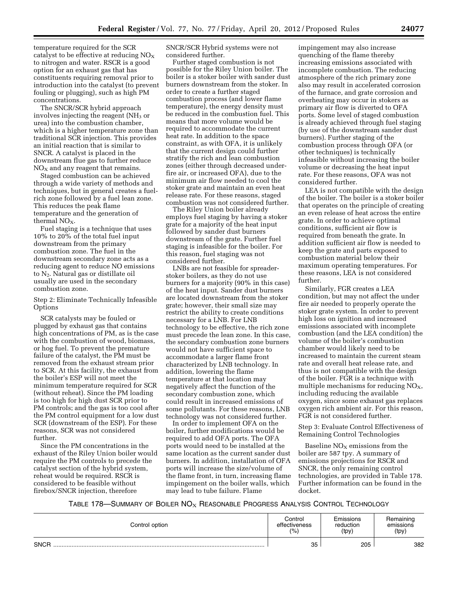temperature required for the SCR catalyst to be effective at reducing  $NO<sub>X</sub>$ to nitrogen and water. RSCR is a good option for an exhaust gas that has constituents requiring removal prior to introduction into the catalyst (to prevent fouling or plugging), such as high PM concentrations.

The SNCR/SCR hybrid approach involves injecting the reagent  $(NH<sub>3</sub>$  or urea) into the combustion chamber, which is a higher temperature zone than traditional SCR injection. This provides an initial reaction that is similar to SNCR. A catalyst is placed in the downstream flue gas to further reduce  $NO<sub>x</sub>$  and any reagent that remains.

Staged combustion can be achieved through a wide variety of methods and techniques, but in general creates a fuelrich zone followed by a fuel lean zone. This reduces the peak flame temperature and the generation of thermal  $NO<sub>x</sub>$ .

Fuel staging is a technique that uses 10% to 20% of the total fuel input downstream from the primary combustion zone. The fuel in the downstream secondary zone acts as a reducing agent to reduce NO emissions to N2. Natural gas or distillate oil usually are used in the secondary combustion zone.

Step 2: Eliminate Technically Infeasible **Options** 

SCR catalysts may be fouled or plugged by exhaust gas that contains high concentrations of PM, as is the case with the combustion of wood, biomass, or hog fuel. To prevent the premature failure of the catalyst, the PM must be removed from the exhaust stream prior to SCR. At this facility, the exhaust from the boiler's ESP will not meet the minimum temperature required for SCR (without reheat). Since the PM loading is too high for high dust SCR prior to PM controls; and the gas is too cool after the PM control equipment for a low dust SCR (downstream of the ESP). For these reasons, SCR was not considered further.

Since the PM concentrations in the exhaust of the Riley Union boiler would require the PM controls to precede the catalyst section of the hybrid system, reheat would be required. RSCR is considered to be feasible without firebox/SNCR injection, therefore

SNCR/SCR Hybrid systems were not considered further.

Further staged combustion is not possible for the Riley Union boiler. The boiler is a stoker boiler with sander dust burners downstream from the stoker. In order to create a further staged combustion process (and lower flame temperature), the energy density must be reduced in the combustion fuel. This means that more volume would be required to accommodate the current heat rate. In addition to the space constraint, as with OFA, it is unlikely that the current design could further stratify the rich and lean combustion zones (either through decreased underfire air, or increased OFA), due to the minimum air flow needed to cool the stoker grate and maintain an even heat release rate. For these reasons, staged combustion was not considered further.

The Riley Union boiler already employs fuel staging by having a stoker grate for a majority of the heat input followed by sander dust burners downstream of the grate. Further fuel staging is infeasible for the boiler. For this reason, fuel staging was not considered further.

LNBs are not feasible for spreaderstoker boilers, as they do not use burners for a majority (90% in this case) of the heat input. Sander dust burners are located downstream from the stoker grate; however, their small size may restrict the ability to create conditions necessary for a LNB. For LNB technology to be effective, the rich zone must precede the lean zone. In this case, the secondary combustion zone burners would not have sufficient space to accommodate a larger flame front characterized by LNB technology. In addition, lowering the flame temperature at that location may negatively affect the function of the secondary combustion zone, which could result in increased emissions of some pollutants. For these reasons, LNB technology was not considered further.

In order to implement OFA on the boiler, further modifications would be required to add OFA ports. The OFA ports would need to be installed at the same location as the current sander dust burners. In addition, installation of OFA ports will increase the size/volume of the flame front, in turn, increasing flame impingement on the boiler walls, which may lead to tube failure. Flame

impingement may also increase quenching of the flame thereby increasing emissions associated with incomplete combustion. The reducing atmosphere of the rich primary zone also may result in accelerated corrosion of the furnace, and grate corrosion and overheating may occur in stokers as primary air flow is diverted to OFA ports. Some level of staged combustion is already achieved through fuel staging (by use of the downstream sander dust burners). Further staging of the combustion process through OFA (or other techniques) is technically infeasible without increasing the boiler volume or decreasing the heat input rate. For these reasons, OFA was not considered further.

LEA is not compatible with the design of the boiler. The boiler is a stoker boiler that operates on the principle of creating an even release of heat across the entire grate. In order to achieve optimal conditions, sufficient air flow is required from beneath the grate. In addition sufficient air flow is needed to keep the grate and parts exposed to combustion material below their maximum operating temperatures. For these reasons, LEA is not considered further.

Similarly, FGR creates a LEA condition, but may not affect the under fire air needed to properly operate the stoker grate system. In order to prevent high loss on ignition and increased emissions associated with incomplete combustion (and the LEA condition) the volume of the boiler's combustion chamber would likely need to be increased to maintain the current steam rate and overall heat release rate, and thus is not compatible with the design of the boiler. FGR is a technique with multiple mechanisms for reducing  $NO<sub>X</sub>$ , including reducing the available oxygen, since some exhaust gas replaces oxygen rich ambient air. For this reason, FGR is not considered further.

Step 3: Evaluate Control Effectiveness of Remaining Control Technologies

Baseline  $NO<sub>X</sub>$  emissions from the boiler are 587 tpy. A summary of emissions projections for RSCR and SNCR, the only remaining control technologies, are provided in Table 178. Further information can be found in the docket.

TABLE 178—SUMMARY OF BOILER  $NO<sub>X</sub>$  REASONABLE PROGRESS ANALYSIS CONTROL TECHNOLOGY

| Control option | Control       | Emissions | Remaining |
|----------------|---------------|-----------|-----------|
|                | effectiveness | reduction | emissions |
|                | (%            | (tpy)     | (tpy)     |
| <b>SNCR</b>    | 35            | 205       | 382       |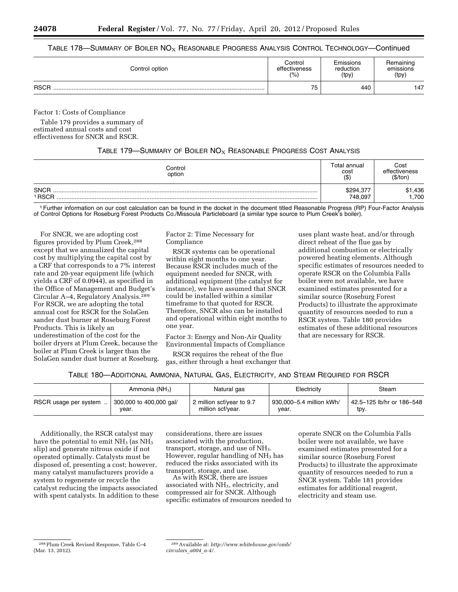## TABLE 178—SUMMARY OF BOILER  $N\overline{O_X}$  Reasonable Progress Analysis Control Technology—Continued

| Control option | Control       | Emissions | Remaining |
|----------------|---------------|-----------|-----------|
|                | effectiveness | reduction | emissions |
|                | (%)           | (tpy)     | (tpy)     |
| <b>RSCR</b>    | 75            | 440       | 147       |

Factor 1: Costs of Compliance

Table 179 provides a summary of estimated annual costs and cost effectiveness for SNCR and RSCR.

## TABLE 179—SUMMARY OF BOILER  $\mathsf{NO}_\mathrm{X}$  Reasonable Progress Cost Analysis

| Control<br>option     | Total annual<br>cost<br>( \$ ) | Cost<br>effectiveness<br>(\$/ton` |
|-----------------------|--------------------------------|-----------------------------------|
| <b>SNCR</b><br>' RSCR | \$294,377<br>748.097           | ,436<br>\$1<br>.700               |

1Further information on our cost calculation can be found in the docket in the document titled Reasonable Progress (RP) Four-Factor Analysis of Control Options for Roseburg Forest Products Co./Missoula Particleboard (a similar type source to Plum Creek's boiler).

For SNCR, we are adopting cost figures provided by Plum Creek,288 except that we annualized the capital cost by multiplying the capital cost by a CRF that corresponds to a 7% interest rate and 20-year equipment life (which yields a CRF of 0.0944), as specified in the Office of Management and Budget's Circular A–4, Regulatory Analysis.289 For RSCR, we are adopting the total annual cost for RSCR for the SolaGen sander dust burner at Roseburg Forest Products. This is likely an underestimation of the cost for the boiler dryers at Plum Creek, because the boiler at Plum Creek is larger than the SolaGen sander dust burner at Roseburg. Factor 2: Time Necessary for Compliance

RSCR systems can be operational within eight months to one year. Because RSCR includes much of the equipment needed for SNCR, with additional equipment (the catalyst for instance), we have assumed that SNCR could be installed within a similar timeframe to that quoted for RSCR. Therefore, SNCR also can be installed and operational within eight months to one year.

Factor 3: Energy and Non-Air Quality Environmental Impacts of Compliance

RSCR requires the reheat of the flue gas, either through a heat exchanger that

uses plant waste heat, and/or through direct reheat of the flue gas by additional combustion or electrically powered heating elements. Although specific estimates of resources needed to operate RSCR on the Columbia Falls boiler were not available, we have examined estimates presented for a similar source (Roseburg Forest Products) to illustrate the approximate quantity of resources needed to run a RSCR system. Table 180 provides estimates of these additional resources that are necessary for RSCR.

# TABLE 180—ADDITIONAL AMMONIA, NATURAL GAS, ELECTRICITY, AND STEAM REQUIRED FOR RSCR

|                       | Ammonia $(NH_3)$        | Natural gas               | Electricity              | Steam                     |
|-----------------------|-------------------------|---------------------------|--------------------------|---------------------------|
| RSCR usage per system | 300,000 to 400,000 gal/ | 2 million scf/year to 9.7 | 930.000-5.4 million kWh/ | 42.5-125 lb/hr or 186-548 |
|                       | year.                   | million scf/year.         | year.                    | tpy.                      |

Additionally, the RSCR catalyst may have the potential to emit  $NH<sub>3</sub>$  (as  $NH<sub>3</sub>$ ) slip) and generate nitrous oxide if not operated optimally. Catalysts must be disposed of, presenting a cost; however, many catalyst manufacturers provide a system to regenerate or recycle the catalyst reducing the impacts associated with spent catalysts. In addition to these

considerations, there are issues associated with the production, transport, storage, and use of NH<sub>3</sub>. However, regular handling of  $NH<sub>3</sub>$  has reduced the risks associated with its transport, storage, and use.

As with RSCR, there are issues associated with NH<sub>3</sub>, electricity, and compressed air for SNCR. Although specific estimates of resources needed to

operate SNCR on the Columbia Falls boiler were not available, we have examined estimates presented for a similar source (Roseburg Forest Products) to illustrate the approximate quantity of resources needed to run a SNCR system. Table 181 provides estimates for additional reagent, electricity and steam use.

<sup>288</sup>Plum Creek Revised Response, Table C–4 (Mar. 13, 2012).

<sup>289</sup>Available at: *[http://www.whitehouse.gov/omb/](http://www.whitehouse.gov/omb/circulars_a004_a-4/) [circulars](http://www.whitehouse.gov/omb/circulars_a004_a-4/)*\_*a004*\_*a-4/.*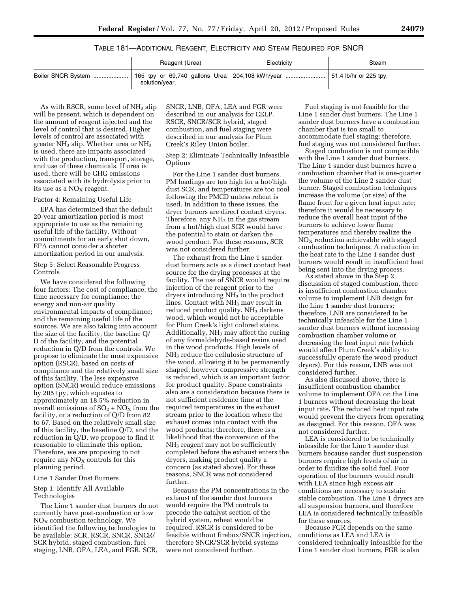# TABLE 181—ADDITIONAL REAGENT, ELECTRICITY AND STEAM REQUIRED FOR SNCR

| Reagent (Urea) | Electricity | Steam |
|----------------|-------------|-------|
| solution/year. |             |       |

As with RSCR, some level of  $NH<sub>3</sub>$  slip will be present, which is dependent on the amount of reagent injected and the level of control that is desired. Higher levels of control are associated with greater NH3 slip. Whether urea or NH3 is used, there are impacts associated with the production, transport, storage, and use of these chemicals. If urea is used, there will be GHG emissions associated with its hydrolysis prior to its use as a  $NO<sub>x</sub>$  reagent.

#### Factor 4: Remaining Useful Life

EPA has determined that the default 20-year amortization period is most appropriate to use as the remaining useful life of the facility. Without commitments for an early shut down, EPA cannot consider a shorter amortization period in our analysis.

Step 5: Select Reasonable Progress Controls

We have considered the following four factors: The cost of compliance; the time necessary for compliance; the energy and non-air quality environmental impacts of compliance; and the remaining useful life of the sources. We are also taking into account the size of the facility, the baseline Q/ D of the facility, and the potential reduction in Q/D from the controls. We propose to eliminate the most expensive option (RSCR), based on costs of compliance and the relatively small size of this facility. The less expensive option (SNCR) would reduce emissions by 205 tpy, which equates to approximately an 18.5% reduction in overall emissions of  $SO_2 + NO_X$  from the facility, or a reduction of Q/D from 82 to 67. Based on the relatively small size of this facility, the baseline Q/D, and the reduction in Q/D, we propose to find it reasonable to eliminate this option. Therefore, we are proposing to not require any  $NO<sub>X</sub>$  controls for this planning period.

#### Line 1 Sander Dust Burners

## Step 1: Identify All Available Technologies

The Line 1 sander dust burners do not currently have post-combustion or low  $NO<sub>X</sub>$  combustion technology. We identified the following technologies to be available: SCR, RSCR, SNCR, SNCR/ SCR hybrid, staged combustion, fuel staging, LNB, OFA, LEA, and FGR. SCR,

SNCR, LNB, OFA, LEA and FGR were described in our analysis for CELP. RSCR, SNCR/SCR hybrid, staged combustion, and fuel staging were described in our analysis for Plum Creek's Riley Union boiler.

Step 2: Eliminate Technically Infeasible Options

For the Line 1 sander dust burners, PM loadings are too high for a hot/high dust SCR, and temperatures are too cool following the PMCD unless reheat is used. In addition to these issues, the dryer burners are direct contact dryers. Therefore, any  $NH<sub>3</sub>$  in the gas stream from a hot/high dust SCR would have the potential to stain or darken the wood product. For these reasons, SCR was not considered further.

The exhaust from the Line 1 sander dust burners acts as a direct contact heat source for the drying processes at the facility. The use of SNCR would require injection of the reagent prior to the dryers introducing  $NH<sub>3</sub>$  to the product lines. Contact with NH<sub>3</sub> may result in reduced product quality. NH<sub>3</sub> darkens wood, which would not be acceptable for Plum Creek's light colored stains. Additionally,  $NH<sub>3</sub>$  may affect the curing of any formaldehyde-based resins used in the wood products. High levels of NH3 reduce the cellulosic structure of the wood, allowing it to be permanently shaped; however compressive strength is reduced, which is an important factor for product quality. Space constraints also are a consideration because there is not sufficient residence time at the required temperatures in the exhaust stream prior to the location where the exhaust comes into contact with the wood products; therefore, there is a likelihood that the conversion of the NH3 reagent may not be sufficiently completed before the exhaust enters the dryers, making product quality a concern (as stated above). For these reasons, SNCR was not considered further.

Because the PM concentrations in the exhaust of the sander dust burners would require the PM controls to precede the catalyst section of the hybrid system, reheat would be required. RSCR is considered to be feasible without firebox/SNCR injection, therefore SNCR/SCR hybrid systems were not considered further.

Fuel staging is not feasible for the Line 1 sander dust burners. The Line 1 sander dust burners have a combustion chamber that is too small to accommodate fuel staging; therefore, fuel staging was not considered further.

Staged combustion is not compatible with the Line 1 sander dust burners. The Line 1 sander dust burners have a combustion chamber that is one-quarter the volume of the Line 2 sander dust burner. Staged combustion techniques increase the volume (or size) of the flame front for a given heat input rate; therefore it would be necessary to reduce the overall heat input of the burners to achieve lower flame temperatures and thereby realize the  $NO<sub>x</sub>$  reduction achievable with staged combustion techniques. A reduction in the heat rate to the Line 1 sander dust burners would result in insufficient heat being sent into the drying process.

As stated above in the Step 2 discussion of staged combustion, there is insufficient combustion chamber volume to implement LNB design for the Line 1 sander dust burners; therefore, LNB are considered to be technically infeasible for the Line 1 sander dust burners without increasing combustion chamber volume or decreasing the heat input rate (which would affect Plum Creek's ability to successfully operate the wood product dryers). For this reason, LNB was not considered further.

As also discussed above, there is insufficient combustion chamber volume to implement OFA on the Line 1 burners without decreasing the heat input rate. The reduced heat input rate would prevent the dryers from operating as designed. For this reason, OFA was not considered further.

LEA is considered to be technically infeasible for the Line 1 sander dust burners because sander dust suspension burners require high levels of air in order to fluidize the solid fuel. Poor operation of the burners would result with LEA since high excess air conditions are necessary to sustain stable combustion. The Line 1 dryers are all suspension burners, and therefore LEA is considered technically infeasible for these sources.

Because FGR depends on the same conditions as LEA and LEA is considered technically infeasible for the Line 1 sander dust burners, FGR is also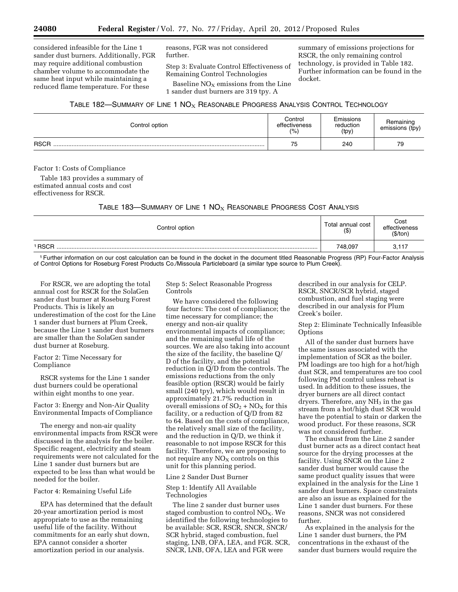considered infeasible for the Line 1 sander dust burners. Additionally, FGR may require additional combustion chamber volume to accommodate the same heat input while maintaining a reduced flame temperature. For these

reasons, FGR was not considered further.

Step 3: Evaluate Control Effectiveness of Remaining Control Technologies

Baseline  $NO<sub>X</sub>$  emissions from the Line 1 sander dust burners are 319 tpy. A

summary of emissions projections for RSCR, the only remaining control technology, is provided in Table 182. Further information can be found in the docket.

| TABLE 182—SUMMARY OF LINE 1 $\mathsf{NO}_{\mathsf{X}}$ REASONABLE PROGRESS ANALYSIS CONTROL TECHNOLOGY |  |
|--------------------------------------------------------------------------------------------------------|--|
|--------------------------------------------------------------------------------------------------------|--|

| Control option | Control<br>effectiveness<br>(% ) | Emissions<br>reduction<br>(tpy) | Remaining<br>emissions (tpy) |
|----------------|----------------------------------|---------------------------------|------------------------------|
| <b>RSCR</b>    | 75                               | 240                             | 79                           |

Factor 1: Costs of Compliance

Table 183 provides a summary of estimated annual costs and cost effectiveness for RSCR.

TABLE 183—SUMMARY OF LINE 1  $NO<sub>X</sub>$  REASONABLE PROGRESS COST ANALYSIS

| Control option |         | Cost<br>effectiveness<br>(\$/ton) |
|----------------|---------|-----------------------------------|
| ' RSCR         | 748,097 | 3,117                             |

1Further information on our cost calculation can be found in the docket in the document titled Reasonable Progress (RP) Four-Factor Analysis of Control Options for Roseburg Forest Products Co./Missoula Particleboard (a similar type source to Plum Creek).

For RSCR, we are adopting the total annual cost for RSCR for the SolaGen sander dust burner at Roseburg Forest Products. This is likely an underestimation of the cost for the Line 1 sander dust burners at Plum Creek, because the Line 1 sander dust burners are smaller than the SolaGen sander dust burner at Roseburg.

Factor 2: Time Necessary for Compliance

RSCR systems for the Line 1 sander dust burners could be operational within eight months to one year.

Factor 3: Energy and Non-Air Quality Environmental Impacts of Compliance

The energy and non-air quality environmental impacts from RSCR were discussed in the analysis for the boiler. Specific reagent, electricity and steam requirements were not calculated for the Line 1 sander dust burners but are expected to be less than what would be needed for the boiler.

Factor 4: Remaining Useful Life

EPA has determined that the default 20-year amortization period is most appropriate to use as the remaining useful life of the facility. Without commitments for an early shut down, EPA cannot consider a shorter amortization period in our analysis.

Step 5: Select Reasonable Progress Controls

We have considered the following four factors: The cost of compliance; the time necessary for compliance; the energy and non-air quality environmental impacts of compliance; and the remaining useful life of the sources. We are also taking into account the size of the facility, the baseline Q/ D of the facility, and the potential reduction in Q/D from the controls. The emissions reductions from the only feasible option (RSCR) would be fairly small (240 tpy), which would result in approximately 21.7% reduction in overall emissions of  $SO_2 + NO_X$  for this facility, or a reduction of Q/D from 82 to 64. Based on the costs of compliance, the relatively small size of the facility, and the reduction in Q/D, we think it reasonable to not impose RSCR for this facility. Therefore, we are proposing to not require any  $NO<sub>x</sub>$  controls on this unit for this planning period.

Line 2 Sander Dust Burner

## Step 1: Identify All Available Technologies

The line 2 sander dust burner uses staged combustion to control  $NO<sub>X</sub>$ . We identified the following technologies to be available: SCR, RSCR, SNCR, SNCR/ SCR hybrid, staged combustion, fuel staging, LNB, OFA, LEA, and FGR. SCR, SNCR, LNB, OFA, LEA and FGR were

described in our analysis for CELP. RSCR, SNCR/SCR hybrid, staged combustion, and fuel staging were described in our analysis for Plum Creek's boiler.

Step 2: Eliminate Technically Infeasible **Options** 

All of the sander dust burners have the same issues associated with the implementation of SCR as the boiler. PM loadings are too high for a hot/high dust SCR, and temperatures are too cool following PM control unless reheat is used. In addition to these issues, the dryer burners are all direct contact dryers. Therefore, any NH<sub>3</sub> in the gas stream from a hot/high dust SCR would have the potential to stain or darken the wood product. For these reasons, SCR was not considered further.

The exhaust from the Line 2 sander dust burner acts as a direct contact heat source for the drying processes at the facility. Using SNCR on the Line 2 sander dust burner would cause the same product quality issues that were explained in the analysis for the Line 1 sander dust burners. Space constraints are also an issue as explained for the Line 1 sander dust burners. For these reasons, SNCR was not considered further.

As explained in the analysis for the Line 1 sander dust burners, the PM concentrations in the exhaust of the sander dust burners would require the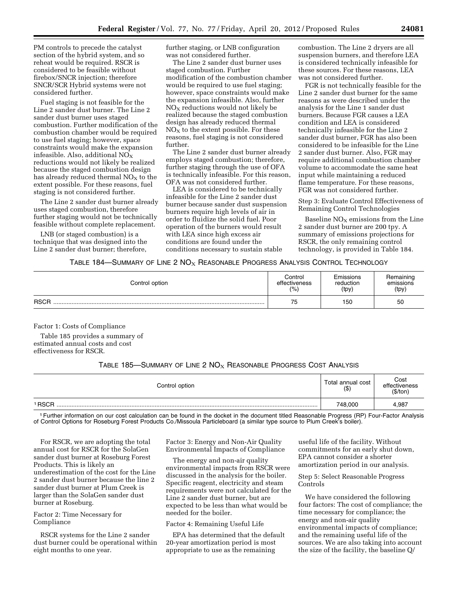PM controls to precede the catalyst section of the hybrid system, and so reheat would be required. RSCR is considered to be feasible without firebox/SNCR injection; therefore SNCR/SCR Hybrid systems were not considered further.

Fuel staging is not feasible for the Line 2 sander dust burner. The Line 2 sander dust burner uses staged combustion. Further modification of the combustion chamber would be required to use fuel staging; however, space constraints would make the expansion infeasible. Also, additional  $NO<sub>X</sub>$ reductions would not likely be realized because the staged combustion design has already reduced thermal  $NO<sub>x</sub>$  to the extent possible. For these reasons, fuel staging is not considered further.

The Line 2 sander dust burner already uses staged combustion, therefore further staging would not be technically feasible without complete replacement.

LNB (or staged combustion) is a technique that was designed into the Line 2 sander dust burner; therefore,

further staging, or LNB configuration was not considered further.

The Line 2 sander dust burner uses staged combustion. Further modification of the combustion chamber would be required to use fuel staging; however, space constraints would make the expansion infeasible. Also, further  $NO<sub>X</sub>$  reductions would not likely be realized because the staged combustion design has already reduced thermal  $NO<sub>X</sub>$  to the extent possible. For these reasons, fuel staging is not considered further.

The Line 2 sander dust burner already employs staged combustion; therefore, further staging through the use of OFA is technically infeasible. For this reason, OFA was not considered further.

LEA is considered to be technically infeasible for the Line 2 sander dust burner because sander dust suspension burners require high levels of air in order to fluidize the solid fuel. Poor operation of the burners would result with LEA since high excess air conditions are found under the conditions necessary to sustain stable

combustion. The Line 2 dryers are all suspension burners, and therefore LEA is considered technically infeasible for these sources. For these reasons, LEA was not considered further.

FGR is not technically feasible for the Line 2 sander dust burner for the same reasons as were described under the analysis for the Line 1 sander dust burners. Because FGR causes a LEA condition and LEA is considered technically infeasible for the Line 2 sander dust burner, FGR has also been considered to be infeasible for the Line 2 sander dust burner. Also, FGR may require additional combustion chamber volume to accommodate the same heat input while maintaining a reduced flame temperature. For these reasons, FGR was not considered further.

Step 3: Evaluate Control Effectiveness of Remaining Control Technologies

Baseline  $NO<sub>x</sub>$  emissions from the Line 2 sander dust burner are 200 tpy. A summary of emissions projections for RSCR, the only remaining control technology, is provided in Table 184.

## TABLE 184—SUMMARY OF LINE 2 NO<sub>X</sub> REASONABLE PROGRESS ANALYSIS CONTROL TECHNOLOGY

| Control option | Control       | Emissions | Remaining |
|----------------|---------------|-----------|-----------|
|                | effectiveness | reduction | emissions |
|                | $(\% )$       | (tpy)     | (tpy)     |
| <b>RSCR</b>    | 75            | 150       | 50        |

Factor 1: Costs of Compliance

Table 185 provides a summary of estimated annual costs and cost effectiveness for RSCR.

# TABLE 185—SUMMARY OF LINE 2  $NO<sub>X</sub>$  Reasonable Progress Cost Analysis

| Control option | Total annual cost<br>$($ \$) | Cost<br>effectiveness<br>(\$/ton) |
|----------------|------------------------------|-----------------------------------|
| <b>RSCR</b>    | 748,000                      | 4,987                             |

1Further information on our cost calculation can be found in the docket in the document titled Reasonable Progress (RP) Four-Factor Analysis of Control Options for Roseburg Forest Products Co./Missoula Particleboard (a similar type source to Plum Creek's boiler).

For RSCR, we are adopting the total annual cost for RSCR for the SolaGen sander dust burner at Roseburg Forest Products. This is likely an underestimation of the cost for the Line 2 sander dust burner because the line 2 sander dust burner at Plum Creek is larger than the SolaGen sander dust burner at Roseburg.

Factor 2: Time Necessary for Compliance

RSCR systems for the Line 2 sander dust burner could be operational within eight months to one year.

Factor 3: Energy and Non-Air Quality Environmental Impacts of Compliance

The energy and non-air quality environmental impacts from RSCR were discussed in the analysis for the boiler. Specific reagent, electricity and steam requirements were not calculated for the Line 2 sander dust burner, but are expected to be less than what would be needed for the boiler.

#### Factor 4: Remaining Useful Life

EPA has determined that the default 20-year amortization period is most appropriate to use as the remaining

useful life of the facility. Without commitments for an early shut down, EPA cannot consider a shorter amortization period in our analysis.

Step 5: Select Reasonable Progress Controls

We have considered the following four factors: The cost of compliance; the time necessary for compliance; the energy and non-air quality environmental impacts of compliance; and the remaining useful life of the sources. We are also taking into account the size of the facility, the baseline Q/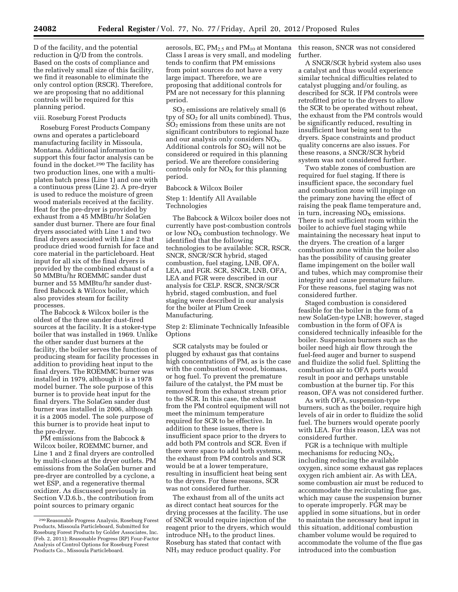D of the facility, and the potential reduction in Q/D from the controls. Based on the costs of compliance and the relatively small size of this facility, we find it reasonable to eliminate the only control option (RSCR). Therefore, we are proposing that no additional controls will be required for this planning period.

#### viii. Roseburg Forest Products

Roseburg Forest Products Company owns and operates a particleboard manufacturing facility in Missoula, Montana. Additional information to support this four factor analysis can be found in the docket.290 The facility has two production lines, one with a multiplaten batch press (Line 1) and one with a continuous press (Line 2). A pre-dryer is used to reduce the moisture of green wood materials received at the facility. Heat for the pre-dryer is provided by exhaust from a 45 MMBtu/hr SolaGen sander dust burner. There are four final dryers associated with Line 1 and two final dryers associated with Line 2 that produce dried wood furnish for face and core material in the particleboard. Heat input for all six of the final dryers is provided by the combined exhaust of a 50 MMBtu/hr ROEMMC sander dust burner and 55 MMBtu/hr sander dustfired Babcock & Wilcox boiler, which also provides steam for facility processes.

The Babcock & Wilcox boiler is the oldest of the three sander dust-fired sources at the facility. It is a stoker-type boiler that was installed in 1969. Unlike the other sander dust burners at the facility, the boiler serves the function of producing steam for facility processes in addition to providing heat input to the final dryers. The ROEMMC burner was installed in 1979, although it is a 1978 model burner. The sole purpose of this burner is to provide heat input for the final dryers. The SolaGen sander dust burner was installed in 2006, although it is a 2005 model. The sole purpose of this burner is to provide heat input to the pre-dryer.

PM emissions from the Babcock & Wilcox boiler, ROEMMC burner, and Line 1 and 2 final dryers are controlled by multi-clones at the dryer outlets. PM emissions from the SolaGen burner and pre-dryer are controlled by a cyclone, a wet ESP, and a regenerative thermal oxidizer. As discussed previously in Section V.D.6.b., the contribution from point sources to primary organic

aerosols, EC, PM $_{2.5}$  and PM $_{10}$  at Montana  $\;$  this reason, SNCR was not considered Class I areas is very small, and modeling tends to confirm that PM emissions from point sources do not have a very large impact. Therefore, we are proposing that additional controls for PM are not necessary for this planning period.

SO2 emissions are relatively small (6 tpy of  $SO<sub>2</sub>$  for all units combined). Thus, SO2 emissions from these units are not significant contributors to regional haze and our analysis only considers  $NO<sub>X</sub>$ . Additional controls for  $SO<sub>2</sub>$  will not be considered or required in this planning period. We are therefore considering controls only for  $NO<sub>x</sub>$  for this planning period.

#### Babcock & Wilcox Boiler

## Step 1: Identify All Available Technologies

The Babcock & Wilcox boiler does not currently have post-combustion controls or low  $NO<sub>X</sub>$  combustion technology. We identified that the following technologies to be available: SCR, RSCR, SNCR, SNCR/SCR hybrid, staged combustion, fuel staging, LNB, OFA, LEA, and FGR. SCR, SNCR, LNB, OFA, LEA and FGR were described in our analysis for CELP. RSCR, SNCR/SCR hybrid, staged combustion, and fuel staging were described in our analysis for the boiler at Plum Creek Manufacturing.

Step 2: Eliminate Technically Infeasible **Options** 

SCR catalysts may be fouled or plugged by exhaust gas that contains high concentrations of PM, as is the case with the combustion of wood, biomass, or hog fuel. To prevent the premature failure of the catalyst, the PM must be removed from the exhaust stream prior to the SCR. In this case, the exhaust from the PM control equipment will not meet the minimum temperature required for SCR to be effective. In addition to these issues, there is insufficient space prior to the dryers to add both PM controls and SCR. Even if there were space to add both systems, the exhaust from PM controls and SCR would be at a lower temperature, resulting in insufficient heat being sent to the dryers. For these reasons, SCR was not considered further.

The exhaust from all of the units act as direct contact heat sources for the drying processes at the facility. The use of SNCR would require injection of the reagent prior to the dryers, which would introduce  $NH<sub>3</sub>$  to the product lines. Roseburg has stated that contact with NH3 may reduce product quality. For

further.

A SNCR/SCR hybrid system also uses a catalyst and thus would experience similar technical difficulties related to catalyst plugging and/or fouling, as described for SCR. If PM controls were retrofitted prior to the dryers to allow the SCR to be operated without reheat, the exhaust from the PM controls would be significantly reduced, resulting in insufficient heat being sent to the dryers. Space constraints and product quality concerns are also issues. For these reasons, a SNCR/SCR hybrid system was not considered further.

Two stable zones of combustion are required for fuel staging. If there is insufficient space, the secondary fuel and combustion zone will impinge on the primary zone having the effect of raising the peak flame temperature and, in turn, increasing  $NO<sub>x</sub>$  emissions. There is not sufficient room within the boiler to achieve fuel staging while maintaining the necessary heat input to the dryers. The creation of a larger combustion zone within the boiler also has the possibility of causing greater flame impingement on the boiler wall and tubes, which may compromise their integrity and cause premature failure. For these reasons, fuel staging was not considered further.

Staged combustion is considered feasible for the boiler in the form of a new SolaGen-type LNB; however, staged combustion in the form of OFA is considered technically infeasible for the boiler. Suspension burners such as the boiler need high air flow through the fuel-feed auger and burner to suspend and fluidize the solid fuel. Splitting the combustion air to OFA ports would result in poor and perhaps unstable combustion at the burner tip. For this reason, OFA was not considered further.

As with OFA, suspension-type burners, such as the boiler, require high levels of air in order to fluidize the solid fuel. The burners would operate poorly with LEA. For this reason, LEA was not considered further.

FGR is a technique with multiple mechanisms for reducing  $NO<sub>X</sub>$ , including reducing the available oxygen, since some exhaust gas replaces oxygen rich ambient air. As with LEA, some combustion air must be reduced to accommodate the recirculating flue gas, which may cause the suspension burner to operate improperly. FGR may be applied in some situations, but in order to maintain the necessary heat input in this situation, additional combustion chamber volume would be required to accommodate the volume of the flue gas introduced into the combustion

<sup>290</sup>Reasonable Progress Analysis, Roseburg Forest Products, Missoula Particleboard, Submitted for Roseburg Forest Products by Golder Associates, Inc. (Feb. 2, 2011); Reasonable Progress (RP) Four-Factor Analysis of Control Options for Roseburg Forest Products Co., Missoula Particleboard.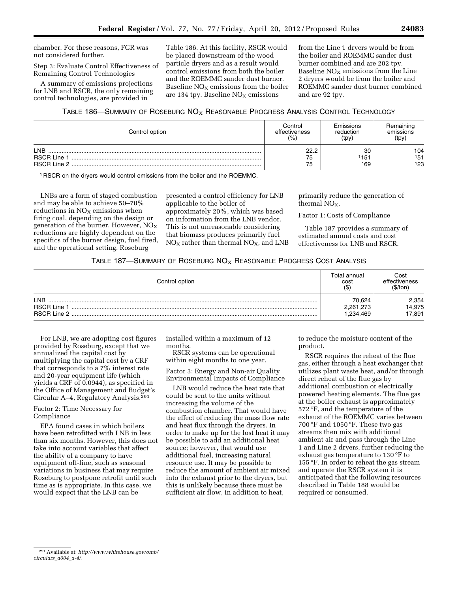chamber. For these reasons, FGR was not considered further.

Step 3: Evaluate Control Effectiveness of Remaining Control Technologies

A summary of emissions projections for LNB and RSCR, the only remaining control technologies, are provided in

Table 186. At this facility, RSCR would be placed downstream of the wood particle dryers and as a result would control emissions from both the boiler and the ROEMMC sander dust burner. Baseline  $NO<sub>X</sub>$  emissions from the boiler are 134 tpy. Baseline  $NO<sub>x</sub>$  emissions

from the Line 1 dryers would be from the boiler and ROEMMC sander dust burner combined and are 202 tpy. Baseline  $NO<sub>x</sub>$  emissions from the Line 2 dryers would be from the boiler and ROEMMC sander dust burner combined and are 92 tpy.

TABLE 186—SUMMARY OF ROSEBURG  $NO<sub>X</sub>$  REASONABLE PROGRESS ANALYSIS CONTROL TECHNOLOGY

| Control option     | Control<br>effectiveness<br>(% | Emissions<br>reduction<br>(tpy) | Remaining<br>emissions<br>(tpy) |
|--------------------|--------------------------------|---------------------------------|---------------------------------|
| <b>LNB</b>         | י ממ                           | 30                              | 104                             |
| <b>RSCR Line 1</b> | 75                             | '151                            | 151                             |
|                    | 75                             | 169                             | 123                             |

1 RSCR on the dryers would control emissions from the boiler and the ROEMMC.

LNBs are a form of staged combustion and may be able to achieve 50–70% reductions in  $NO<sub>x</sub>$  emissions when firing coal, depending on the design or generation of the burner. However,  $NO<sub>x</sub>$ reductions are highly dependent on the specifics of the burner design, fuel fired, and the operational setting. Roseburg

presented a control efficiency for LNB applicable to the boiler of approximately 20%, which was based on information from the LNB vendor. This is not unreasonable considering that biomass produces primarily fuel  $NO<sub>X</sub>$  rather than thermal  $NO<sub>X</sub>$ , and LNB

primarily reduce the generation of thermal  $NO<sub>x</sub>$ .

Factor 1: Costs of Compliance

Table 187 provides a summary of estimated annual costs and cost effectiveness for LNB and RSCR.

# TABLE 187—SUMMARY OF ROSEBURG  $NO<sub>X</sub>$  Reasonable Progress Cost Analysis

| Control option                                       | Total annual<br>cost<br>$($ \$)  | Cost<br>effectiveness<br>(\$/ton |
|------------------------------------------------------|----------------------------------|----------------------------------|
| <b>LNB</b><br><b>RSCR Line</b><br><b>RSCR Line 2</b> | 70.624<br>2,261,273<br>1,234,469 | 2,354<br>14,975<br>17,891        |

For LNB, we are adopting cost figures provided by Roseburg, except that we annualized the capital cost by multiplying the capital cost by a CRF that corresponds to a 7% interest rate and 20-year equipment life (which yields a CRF of 0.0944), as specified in the Office of Management and Budget's Circular A–4, Regulatory Analysis.291

## Factor 2: Time Necessary for Compliance

EPA found cases in which boilers have been retrofitted with LNB in less than six months. However, this does not take into account variables that affect the ability of a company to have equipment off-line, such as seasonal variations in business that may require Roseburg to postpone retrofit until such time as is appropriate. In this case, we would expect that the LNB can be

installed within a maximum of 12 months.

RSCR systems can be operational within eight months to one year.

Factor 3: Energy and Non-air Quality Environmental Impacts of Compliance

LNB would reduce the heat rate that could be sent to the units without increasing the volume of the combustion chamber. That would have the effect of reducing the mass flow rate and heat flux through the dryers. In order to make up for the lost heat it may be possible to add an additional heat source; however, that would use additional fuel, increasing natural resource use. It may be possible to reduce the amount of ambient air mixed into the exhaust prior to the dryers, but this is unlikely because there must be sufficient air flow, in addition to heat,

to reduce the moisture content of the product.

RSCR requires the reheat of the flue gas, either through a heat exchanger that utilizes plant waste heat, and/or through direct reheat of the flue gas by additional combustion or electrically powered heating elements. The flue gas at the boiler exhaust is approximately 572 °F, and the temperature of the exhaust of the ROEMMC varies between 700 °F and 1050 °F. These two gas streams then mix with additional ambient air and pass through the Line 1 and Line 2 dryers, further reducing the exhaust gas temperature to 130 °F to 155 °F. In order to reheat the gas stream and operate the RSCR system it is anticipated that the following resources described in Table 188 would be required or consumed.

<sup>291</sup>Available at: *[http://www.whitehouse.gov/omb/](http://www.whitehouse.gov/omb/circulars_a004_a-4/) [circulars](http://www.whitehouse.gov/omb/circulars_a004_a-4/)*\_*a004*\_*a-4/.*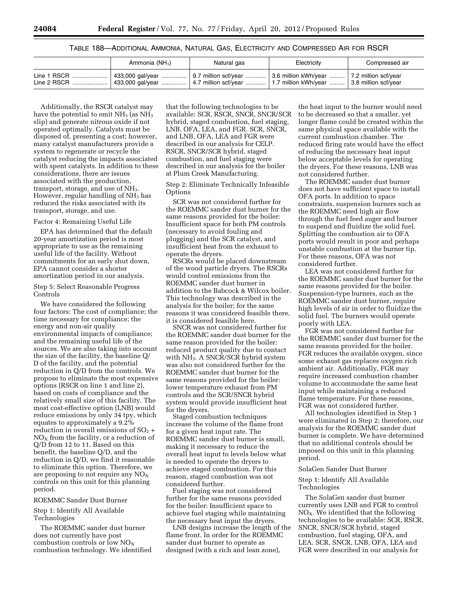## TABLE 188—ADDITIONAL AMMONIA, NATURAL GAS, ELECTRICITY AND COMPRESSED AIR FOR RSCR

| Ammonia (NH <sub>3</sub> )                                                                                                                                                                                       | Natural gas | Electricity | Compressed air |
|------------------------------------------------------------------------------------------------------------------------------------------------------------------------------------------------------------------|-------------|-------------|----------------|
| Line 1 RSCR  433,000 gal/year    9.7 million scf/year    3.6 million kWh/year    7.2 million scf/year<br>Line 2 RSCR    433,000 gal/year    4.7 million scf/year    1.7 million kWh/year    3.8 million scf/year |             |             |                |

Additionally, the RSCR catalyst may have the potential to emit  $NH<sub>3</sub>$  (as  $NH<sub>3</sub>$ ) slip) and generate nitrous oxide if not operated optimally. Catalysts must be disposed of, presenting a cost; however, many catalyst manufacturers provide a system to regenerate or recycle the catalyst reducing the impacts associated with spent catalysts. In addition to these considerations, there are issues associated with the production, transport, storage, and use of NH<sub>3</sub>. However, regular handling of NH3 has reduced the risks associated with its transport, storage, and use.

#### Factor 4: Remaining Useful Life

EPA has determined that the default 20-year amortization period is most appropriate to use as the remaining useful life of the facility. Without commitments for an early shut down, EPA cannot consider a shorter amortization period in our analysis.

Step 5: Select Reasonable Progress Controls

We have considered the following four factors: The cost of compliance; the time necessary for compliance; the energy and non-air quality environmental impacts of compliance; and the remaining useful life of the sources. We are also taking into account the size of the facility, the baseline Q/ D of the facility, and the potential reduction in Q/D from the controls. We propose to eliminate the most expensive options (RSCR on line 1 and line 2), based on costs of compliance and the relatively small size of this facility. The most cost-effective option (LNB) would reduce emissions by only 34 tpy, which equates to approximately a 9.2% reduction in overall emissions of  $SO<sub>2</sub>$  +  $NO<sub>X</sub>$  from the facility, or a reduction of Q/D from 12 to 11. Based on this benefit, the baseline Q/D, and the reduction in Q/D, we find it reasonable to eliminate this option. Therefore, we are proposing to not require any  $NO<sub>X</sub>$ controls on this unit for this planning period.

## ROEMMC Sander Dust Burner

Step 1: Identify All Available Technologies

The ROEMMC sander dust burner does not currently have post combustion controls or low  $NO<sub>x</sub>$ combustion technology. We identified

that the following technologies to be available: SCR, RSCR, SNCR, SNCR/SCR hybrid, staged combustion, fuel staging, LNB, OFA, LEA, and FGR. SCR, SNCR, and LNB, OFA, LEA and FGR were described in our analysis for CELP. RSCR, SNCR/SCR hybrid, staged combustion, and fuel staging were described in our analysis for the boiler at Plum Creek Manufacturing.

Step 2: Eliminate Technically Infeasible **Options** 

SCR was not considered further for the ROEMMC sander dust burner for the same reasons provided for the boiler: Insufficient space for both PM controls (necessary to avoid fouling and plugging) and the SCR catalyst, and insufficient heat from the exhaust to operate the dryers.

RSCRs would be placed downstream of the wood particle dryers. The RSCRs would control emissions from the ROEMMC sander dust burner in addition to the Babcock & Wilcox boiler. This technology was described in the analysis for the boiler; for the same reasons it was considered feasible there, it is considered feasible here.

SNCR was not considered further for the ROEMMC sander dust burner for the same reason provided for the boiler: reduced product quality due to contact with NH<sub>3</sub>. A SNCR/SCR hybrid system was also not considered further for the ROEMMC sander dust burner for the same reasons provided for the boiler: lower temperature exhaust from PM controls and the SCR/SNCR hybrid system would provide insufficient heat for the dryers.

Staged combustion techniques increase the volume of the flame front for a given heat input rate. The ROEMMC sander dust burner is small, making it necessary to reduce the overall heat input to levels below what is needed to operate the dryers to achieve staged combustion. For this reason, staged combustion was not considered further.

Fuel staging was not considered further for the same reasons provided for the boiler: Insufficient space to achieve fuel staging while maintaining the necessary heat input the dryers.

LNB designs increase the length of the flame front. In order for the ROEMMC sander dust burner to operate as designed (with a rich and lean zone),

the heat input to the burner would need to be decreased so that a smaller, yet longer flame could be created within the same physical space available with the current combustion chamber. The reduced firing rate would have the effect of reducing the necessary heat input below acceptable levels for operating the dryers. For these reasons, LNB was not considered further.

The ROEMMC sander dust burner does not have sufficient space to install OFA ports. In addition to space constraints, suspension burners such as the ROEMMC need high air flow through the fuel feed auger and burner to suspend and fluidize the solid fuel. Splitting the combustion air to OFA ports would result in poor and perhaps unstable combustion at the burner tip. For these reasons, OFA was not considered further.

LEA was not considered further for the ROEMMC sander dust burner for the same reasons provided for the boiler. Suspension-type burners, such as the ROEMMC sander dust burner, require high levels of air in order to fluidize the solid fuel. The burners would operate poorly with LEA.

FGR was not considered further for the ROEMMC sander dust burner for the same reasons provided for the boiler. FGR reduces the available oxygen, since some exhaust gas replaces oxygen rich ambient air. Additionally, FGR may require increased combustion chamber volume to accommodate the same heat input while maintaining a reduced flame temperature. For these reasons, FGR was not considered further.

All technologies identified in Step 1 were eliminated in Step 2; therefore, our analysis for the ROEMMC sander dust burner is complete. We have determined that no additional controls should be imposed on this unit in this planning period.

#### SolaGen Sander Dust Burner

Step 1: Identify All Available Technologies

The SolaGen sander dust burner currently uses LNB and FGR to control  $NO<sub>X</sub>$ . We identified that the following technologies to be available: SCR, RSCR, SNCR, SNCR/SCR hybrid, staged combustion, fuel staging, OFA, and LEA. SCR, SNCR, LNB, OFA, LEA and FGR were described in our analysis for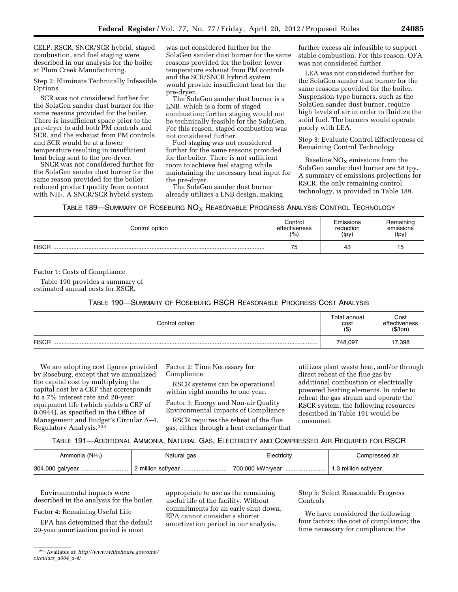CELP. RSCR, SNCR/SCR hybrid, staged combustion, and fuel staging were described in our analysis for the boiler at Plum Creek Manufacturing.

Step 2: Eliminate Technically Infeasible **Options** 

SCR was not considered further for the SolaGen sander dust burner for the same reasons provided for the boiler. There is insufficient space prior to the pre-dryer to add both PM controls and SCR, and the exhaust from PM controls and SCR would be at a lower temperature resulting in insufficient heat being sent to the pre-dryer.

SNCR was not considered further for the SolaGen sander dust burner for the same reason provided for the boiler: reduced product quality from contact with NH3. A SNCR/SCR hybrid system

was not considered further for the SolaGen sander dust burner for the same reasons provided for the boiler: lower temperature exhaust from PM controls and the SCR/SNCR hybrid system would provide insufficient heat for the pre-dryer.

The SolaGen sander dust burner is a LNB, which is a form of staged combustion; further staging would not be technically feasible for the SolaGen. For this reason, staged combustion was not considered further.

Fuel staging was not considered further for the same reasons provided for the boiler. There is not sufficient room to achieve fuel staging while maintaining the necessary heat input for the pre-dryer.

The SolaGen sander dust burner already utilizes a LNB design, making

further excess air infeasible to support stable combustion. For this reason, OFA was not considered further.

LEA was not considered further for the SolaGen sander dust burner for the same reasons provided for the boiler. Suspension-type burners, such as the SolaGen sander dust burner, require high levels of air in order to fluidize the solid fuel. The burners would operate poorly with LEA.

Step 3: Evaluate Control Effectiveness of Remaining Control Technology

Baseline  $NO<sub>X</sub>$  emissions from the SolaGen sander dust burner are 58 tpy. A summary of emissions projections for RSCR, the only remaining control technology, is provided in Table 189.

TABLE 189—SUMMARY OF ROSEBURG  $\mathsf{NO}_{\mathsf{X}}$  Reasonable Progress Analysis Control Technology

| Control option | Control       | Emissions | Remaining |
|----------------|---------------|-----------|-----------|
|                | effectiveness | reduction | emissions |
|                | (%)           | (tpy)     | (tpy)     |
| <b>RSCR</b>    | 75            | 43        | 15        |

Factor 1: Costs of Compliance

Table 190 provides a summary of estimated annual costs for RSCR.

## TABLE 190—SUMMARY OF ROSEBURG RSCR REASONABLE PROGRESS COST ANALYSIS

| Control option |         | Cost<br>effectiveness<br>(\$/ton) |
|----------------|---------|-----------------------------------|
| <b>RSCR</b>    | 748,097 | 17,398                            |

We are adopting cost figures provided by Roseburg, except that we annualized the capital cost by multiplying the capital cost by a CRF that corresponds to a 7% interest rate and 20-year equipment life (which yields a CRF of 0.0944), as specified in the Office of Management and Budget's Circular A–4, Regulatory Analysis.292

Factor 2: Time Necessary for Compliance

RSCR systems can be operational within eight months to one year.

Factor 3: Energy and Non-air Quality Environmental Impacts of Compliance

RSCR requires the reheat of the flue gas, either through a heat exchanger that

utilizes plant waste heat, and/or through direct reheat of the flue gas by additional combustion or electrically powered heating elements. In order to reheat the gas stream and operate the RSCR system, the following resources described in Table 191 would be consumed.

TABLE 191—ADDITIONAL AMMONIA, NATURAL GAS, ELECTRICITY AND COMPRESSED AIR REQUIRED FOR RSCR

| Ammonia $(NH_3)$ | Natural gas        | Electricitv      | Compressed air       |
|------------------|--------------------|------------------|----------------------|
| 304,000 gal/year | 2 million scf/vear | 700,000 kWh/vear | 1.3 million scf/year |

Environmental impacts were described in the analysis for the boiler.

Factor 4: Remaining Useful Life

EPA has determined that the default 20-year amortization period is most

292Available at: *[http://www.whitehouse.gov/omb/](http://www.whitehouse.gov/omb/circulars_a004_a-4/) [circulars](http://www.whitehouse.gov/omb/circulars_a004_a-4/)*\_*a004*\_*a-4/.* 

appropriate to use as the remaining useful life of the facility. Without commitments for an early shut down, EPA cannot consider a shorter amortization period in our analysis.

Step 5: Select Reasonable Progress Controls

We have considered the following four factors: the cost of compliance; the time necessary for compliance; the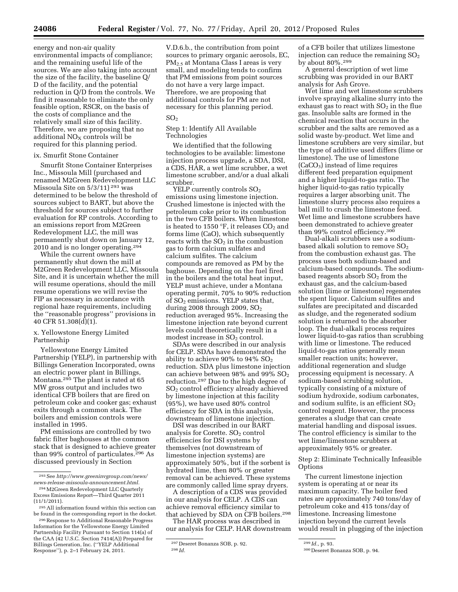energy and non-air quality environmental impacts of compliance; and the remaining useful life of the sources. We are also taking into account the size of the facility, the baseline Q/ D of the facility, and the potential reduction in Q/D from the controls. We find it reasonable to eliminate the only feasible option, RSCR, on the basis of the costs of compliance and the relatively small size of this facility. Therefore, we are proposing that no additional  $NO<sub>X</sub>$  controls will be required for this planning period.

## ix. Smurfit Stone Container

Smurfit Stone Container Enterprises Inc., Missoula Mill (purchased and renamed M2Green Redevelopment LLC Missoula Site on 5/3/11) 293 was determined to be below the threshold of sources subject to BART, but above the threshold for sources subject to further evaluation for RP controls. According to an emissions report from M2Green Redevelopment LLC, the mill was permanently shut down on January 12, 2010 and is no longer operating.294

While the current owners have permanently shut down the mill at M2Green Redevelopment LLC, Missoula Site, and it is uncertain whether the mill will resume operations, should the mill resume operations we will revise the FIP as necessary in accordance with regional haze requirements, including the ''reasonable progress'' provisions in 40 CFR 51.308(d)(1).

## x. Yellowstone Energy Limited Partnership

Yellowstone Energy Limited Partnership (YELP), in partnership with Billings Generation Incorporated, owns an electric power plant in Billings, Montana.295 The plant is rated at 65 MW gross output and includes two identical CFB boilers that are fired on petroleum coke and cooker gas; exhaust exits through a common stack. The boilers and emission controls were installed in 1995.

PM emissions are controlled by two fabric filter baghouses at the common stack that is designed to achieve greater than 99% control of particulates.296 As discussed previously in Section

V.D.6.b., the contribution from point sources to primary organic aerosols, EC, PM2.5 at Montana Class I areas is very small, and modeling tends to confirm that PM emissions from point sources do not have a very large impact. Therefore, we are proposing that additional controls for PM are not necessary for this planning period.

## $SO<sub>2</sub>$

## Step 1: Identify All Available Technologies

We identified that the following technologies to be available: limestone injection process upgrade, a SDA, DSI, a CDS, HAR, a wet lime scrubber, a wet limestone scrubber, and/or a dual alkali scrubber.

YELP currently controls  $SO<sub>2</sub>$ emissions using limestone injection. Crushed limestone is injected with the petroleum coke prior to its combustion in the two CFB boilers. When limestone is heated to 1550  $\mathrm{^{\circ}F}$ , it releases CO<sub>2</sub> and forms lime (CaO), which subsequently reacts with the  $SO<sub>2</sub>$  in the combustion gas to form calcium sulfates and calcium sulfites. The calcium compounds are removed as PM by the baghouse. Depending on the fuel fired in the boilers and the total heat input, YELP must achieve, under a Montana operating permit, 70% to 90% reduction of SO2 emissions. YELP states that, during 2008 through 2009,  $SO<sub>2</sub>$ reduction averaged 95%. Increasing the limestone injection rate beyond current levels could theoretically result in a modest increase in  $SO<sub>2</sub>$  control.

SDAs were described in our analysis for CELP. SDAs have demonstrated the ability to achieve  $90\%$  to  $94\%$  SO<sub>2</sub> reduction. SDA plus limestone injection can achieve between 98% and 99% SO<sub>2</sub> reduction.297 Due to the high degree of SO2 control efficiency already achieved by limestone injection at this facility (95%), we have used 80% control efficiency for SDA in this analysis, downstream of limestone injection.

DSI was described in our BART analysis for Corette.  $SO<sub>2</sub>$  control efficiencies for DSI systems by themselves (not downstream of limestone injection systems) are approximately 50%, but if the sorbent is hydrated lime, then 80% or greater removal can be achieved. These systems are commonly called lime spray dryers.

A description of a CDS was provided in our analysis for CELP. A CDS can achieve removal efficiency similar to that achieved by SDA on CFB boilers.298

The HAR process was described in our analysis for CELP. HAR downstream

of a CFB boiler that utilizes limestone injection can reduce the remaining  $SO<sub>2</sub>$ by about 80%.299

A general description of wet lime scrubbing was provided in our BART analysis for Ash Grove.

Wet lime and wet limestone scrubbers involve spraying alkaline slurry into the exhaust gas to react with  $SO<sub>2</sub>$  in the flue gas. Insoluble salts are formed in the chemical reaction that occurs in the scrubber and the salts are removed as a solid waste by-product. Wet lime and limestone scrubbers are very similar, but the type of additive used differs (lime or limestone). The use of limestone (CaCO<sub>3</sub>) instead of lime requires different feed preparation equipment and a higher liquid-to-gas ratio. The higher liquid-to-gas ratio typically requires a larger absorbing unit. The limestone slurry process also requires a ball mill to crush the limestone feed. Wet lime and limestone scrubbers have been demonstrated to achieve greater than 99% control efficiency.300

Dual-alkali scrubbers use a sodiumbased alkali solution to remove SO<sub>2</sub> from the combustion exhaust gas. The process uses both sodium-based and calcium-based compounds. The sodiumbased reagents absorb  $SO<sub>2</sub>$  from the exhaust gas, and the calcium-based solution (lime or limestone) regenerates the spent liquor. Calcium sulfites and sulfates are precipitated and discarded as sludge, and the regenerated sodium solution is returned to the absorber loop. The dual-alkali process requires lower liquid-to-gas ratios than scrubbing with lime or limestone. The reduced liquid-to-gas ratios generally mean smaller reaction units; however, additional regeneration and sludge processing equipment is necessary. A sodium-based scrubbing solution, typically consisting of a mixture of sodium hydroxide, sodium carbonates, and sodium sulfite, is an efficient  $SO<sub>2</sub>$ control reagent. However, the process generates a sludge that can create material handling and disposal issues. The control efficiency is similar to the wet lime/limestone scrubbers at approximately 95% or greater.

Step 2: Eliminate Technically Infeasible **Options** 

The current limestone injection system is operating at or near its maximum capacity. The boiler feed rates are approximately 740 tons/day of petroleum coke and 415 tons/day of limestone. Increasing limestone injection beyond the current levels would result in plugging of the injection

<sup>293</sup>See *[http://www.greeninvgroup.com/news/](http://www.greeninvgroup.com/news/news-release-missoula-announcement.html) [news-release-missoula-announcement.html.](http://www.greeninvgroup.com/news/news-release-missoula-announcement.html)* 

<sup>294</sup>M2Green Redevelopment LLC Quarterly Excess Emissions Report—Third Quarter 2011 (11/1/2011).

<sup>295</sup>All information found within this section can be found in the corresponding report in the docket.

<sup>296</sup>Response to Additional Reasonable Progress Information for the Yellowstone Energy Limited Partnership Facility Pursuant to Section 114(a) of the CAA (42 U.S.C. Section 7414(A)) Prepared for Billings Generation, Inc. (''YELP Additional Response''), p. 2–1 February 24, 2011.

<sup>297</sup> Deseret Bonanza SOB, p. 92. 298 *Id.* 

<sup>299</sup> *Id.,* p. 93.

<sup>300</sup> Deseret Bonanza SOB, p. 94.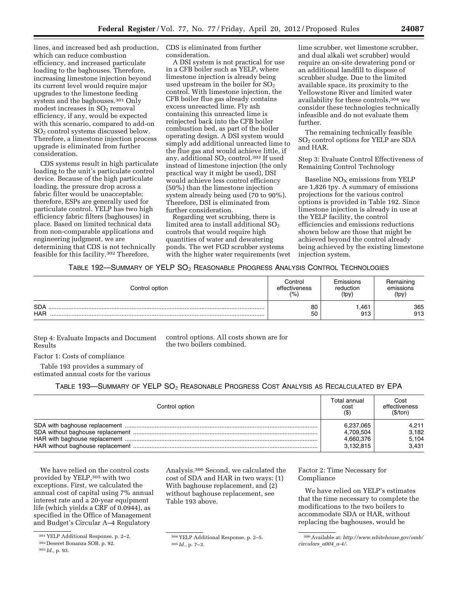lines, and increased bed ash production, which can reduce combustion efficiency, and increased particulate loading to the baghouses. Therefore, increasing limestone injection beyond its current level would require major upgrades to the limestone feeding system and the baghouses.301 Only modest increases in  $SO<sub>2</sub>$  removal efficiency, if any, would be expected with this scenario, compared to add-on SO2 control systems discussed below. Therefore, a limestone injection process upgrade is eliminated from further consideration.

CDS systems result in high particulate loading to the unit's particulate control device. Because of the high particulate loading, the pressure drop across a fabric filter would be unacceptable; therefore, ESPs are generally used for particulate control. YELP has two high efficiency fabric filters (baghouses) in place. Based on limited technical data from non-comparable applications and engineering judgment, we are determining that CDS is not technically feasible for this facility.302 Therefore,

CDS is eliminated from further consideration.

A DSI system is not practical for use in a CFB boiler such as YELP, where limestone injection is already being used upstream in the boiler for  $SO<sub>2</sub>$ control. With limestone injection, the CFB boiler flue gas already contains excess unreacted lime. Fly ash containing this unreacted lime is reinjected back into the CFB boiler combustion bed, as part of the boiler operating design. A DSI system would simply add additional unreacted lime to the flue gas and would achieve little, if any, additional  $SO<sub>2</sub>$  control.<sup>303</sup> If used instead of limestone injection (the only practical way it might be used), DSI would achieve less control efficiency (50%) than the limestone injection system already being used (70 to 90%). Therefore, DSI is eliminated from further consideration.

Regarding wet scrubbing, there is limited area to install additional  $SO<sub>2</sub>$ controls that would require high quantities of water and dewatering ponds. The wet FGD scrubber systems with the higher water requirements (wet

lime scrubber, wet limestone scrubber, and dual alkali wet scrubber) would require an on-site dewatering pond or an additional landfill to dispose of scrubber sludge. Due to the limited available space, its proximity to the Yellowstone River and limited water availability for these controls,304 we consider these technologies technically infeasible and do not evaluate them further.

The remaining technically feasible SO2 control options for YELP are SDA and HAR.

Step 3: Evaluate Control Effectiveness of Remaining Control Technology

Baseline  $NO<sub>x</sub>$  emissions from YELP are 1,826 tpy. A summary of emissions projections for the various control options is provided in Table 192. Since limestone injection is already in use at the YELP facility, the control efficiencies and emissions reductions shown below are those that might be achieved beyond the control already being achieved by the existing limestone injection system.

# TABLE 192—SUMMARY OF YELP  $SO_2$  Reasonable Progress Analysis Control Technologies

| Control option           | Control       | Emissions   | Remaining  |
|--------------------------|---------------|-------------|------------|
|                          | effectiveness | reduction   | emissions  |
|                          | (% )          | (tpy)       | (tpy)      |
| <b>SDA</b><br><b>HAR</b> | 80<br>50      | 461.<br>913 | 365<br>913 |

Step 4: Evaluate Impacts and Document Results

control options. All costs shown are for the two boilers combined.

Factor 1: Costs of compliance

Table 193 provides a summary of estimated annual costs for the various

TABLE 193-SUMMARY OF YELP SO<sub>2</sub> REASONABLE PROGRESS COST ANALYSIS AS RECALCULATED BY EPA

| Control option | Total annual<br>cost<br>$($ \$) | Cost<br>effectiveness<br>(S/ton) |
|----------------|---------------------------------|----------------------------------|
|                | 6,237,065                       | 4.211                            |
|                | 4,709,504                       | 3,182                            |
|                | 4,660,376                       | 5,104                            |
|                | 3,132,815                       | 3.431                            |

We have relied on the control costs provided by YELP,305 with two exceptions. First, we calculated the annual cost of capital using 7% annual interest rate and a 20-year equipment life (which yields a CRF of 0.0944), as specified in the Office of Management and Budget's Circular A–4 Regulatory

Analysis.306 Second, we calculated the cost of SDA and HAR in two ways: (1) With baghouse replacement, and (2) without baghouse replacement, see Table 193 above.

Factor 2: Time Necessary for Compliance

We have relied on YELP's estimates that the time necessary to complete the modifications to the two boilers to accommodate SDA or HAR, without replacing the baghouses, would be

<sup>301</sup> YELP Additional Response, p. 2–2.

<sup>302</sup> Deseret Bonanza SOB, p. 92.

<sup>303</sup> *Id.,* p. 93.

<sup>304</sup> YELP Additional Response, p. 2–5. 305 *Id.,* p. 7–3.

<sup>306</sup>Available at: *[http://www.whitehouse.gov/omb/](http://www.whitehouse.gov/omb/circulars_a004_a-4/) [circulars](http://www.whitehouse.gov/omb/circulars_a004_a-4/)*\_*a004*\_*a-4/.*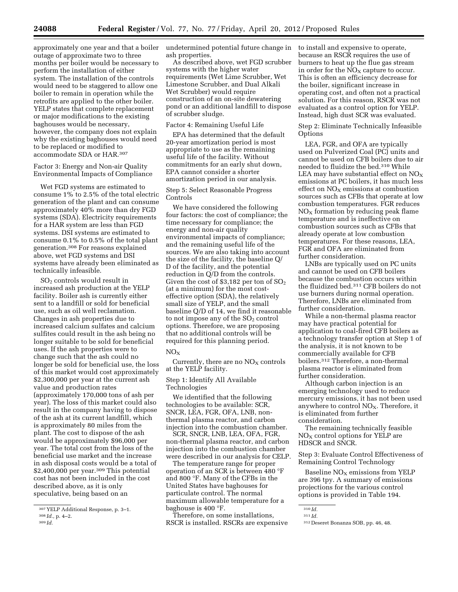approximately one year and that a boiler outage of approximate two to three months per boiler would be necessary to perform the installation of either system. The installation of the controls would need to be staggered to allow one boiler to remain in operation while the retrofits are applied to the other boiler. YELP states that complete replacement or major modifications to the existing baghouses would be necessary, however, the company does not explain why the existing baghouses would need to be replaced or modified to accommodate SDA or HAR.307

Factor 3: Energy and Non-air Quality Environmental Impacts of Compliance

Wet FGD systems are estimated to consume 1% to 2.5% of the total electric generation of the plant and can consume approximately 40% more than dry FGD systems (SDA). Electricity requirements for a HAR system are less than FGD systems. DSI systems are estimated to consume 0.1% to 0.5% of the total plant generation.308 For reasons explained above, wet FGD systems and DSI systems have already been eliminated as technically infeasible.

SO2 controls would result in increased ash production at the YELP facility. Boiler ash is currently either sent to a landfill or sold for beneficial use, such as oil well reclamation. Changes in ash properties due to increased calcium sulfates and calcium sulfites could result in the ash being no longer suitable to be sold for beneficial uses. If the ash properties were to change such that the ash could no longer be sold for beneficial use, the loss of this market would cost approximately \$2,300,000 per year at the current ash value and production rates (approximately 170,000 tons of ash per year). The loss of this market could also result in the company having to dispose of the ash at its current landfill, which is approximately 80 miles from the plant. The cost to dispose of the ash would be approximately \$96,000 per year. The total cost from the loss of the beneficial use market and the increase in ash disposal costs would be a total of \$2,400,000 per year.309 This potential cost has not been included in the cost described above, as it is only speculative, being based on an

undetermined potential future change in ash properties.

As described above, wet FGD scrubber systems with the higher water requirements (Wet Lime Scrubber, Wet Limestone Scrubber, and Dual Alkali Wet Scrubber) would require construction of an on-site dewatering pond or an additional landfill to dispose of scrubber sludge.

#### Factor 4: Remaining Useful Life

EPA has determined that the default 20-year amortization period is most appropriate to use as the remaining useful life of the facility. Without commitments for an early shut down, EPA cannot consider a shorter amortization period in our analysis.

Step 5: Select Reasonable Progress Controls

We have considered the following four factors: the cost of compliance; the time necessary for compliance; the energy and non-air quality environmental impacts of compliance; and the remaining useful life of the sources. We are also taking into account the size of the facility, the baseline Q/ D of the facility, and the potential reduction in Q/D from the controls. Given the cost of \$3,182 per ton of  $SO<sub>2</sub>$ (at a minimum) for the most costeffective option (SDA), the relatively small size of YELP, and the small baseline Q/D of 14, we find it reasonable to not impose any of the  $SO<sub>2</sub>$  control options. Therefore, we are proposing that no additional controls will be required for this planning period.

#### $NO<sub>x</sub>$

Currently, there are no  $NO<sub>X</sub>$  controls at the YELP facility.

Step 1: Identify All Available Technologies

We identified that the following technologies to be available: SCR, SNCR, LEA, FGR, OFA, LNB, nonthermal plasma reactor, and carbon injection into the combustion chamber.

SCR, SNCR, LNB, LEA, OFA, FGR, non-thermal plasma reactor, and carbon injection into the combustion chamber were described in our analysis for CELP.

The temperature range for proper operation of an SCR is between 480 °F and 800 °F. Many of the CFBs in the United States have baghouses for particulate control. The normal maximum allowable temperature for a baghouse is 400 °F.

Therefore, on some installations, RSCR is installed. RSCRs are expensive to install and expensive to operate, because an RSCR requires the use of burners to heat up the flue gas stream in order for the  $NO<sub>x</sub>$  capture to occur. This is often an efficiency decrease for the boiler, significant increase in operating cost, and often not a practical solution. For this reason, RSCR was not evaluated as a control option for YELP. Instead, high dust SCR was evaluated.

Step 2: Eliminate Technically Infeasible **Options** 

LEA, FGR, and OFA are typically used on Pulverized Coal (PC) units and cannot be used on CFB boilers due to air needed to fluidize the bed.310 While LEA may have substantial effect on  $NO_X$ emissions at PC boilers, it has much less effect on  $NO<sub>x</sub>$  emissions at combustion sources such as CFBs that operate at low combustion temperatures. FGR reduces  $NO<sub>x</sub>$  formation by reducing peak flame temperature and is ineffective on combustion sources such as CFBs that already operate at low combustion temperatures. For these reasons, LEA, FGR and OFA are eliminated from further consideration.

LNBs are typically used on PC units and cannot be used on CFB boilers because the combustion occurs within the fluidized bed.311 CFB boilers do not use burners during normal operation. Therefore, LNBs are eliminated from further consideration.

While a non-thermal plasma reactor may have practical potential for application to coal-fired CFB boilers as a technology transfer option at Step 1 of the analysis, it is not known to be commercially available for CFB boilers.312 Therefore, a non-thermal plasma reactor is eliminated from further consideration.

Although carbon injection is an emerging technology used to reduce mercury emissions, it has not been used anywhere to control  $NO<sub>x</sub>$ . Therefore, it is eliminated from further consideration.

The remaining technically feasible  $NO<sub>X</sub>$  control options for YELP are HDSCR and SNCR.

Step 3: Evaluate Control Effectiveness of Remaining Control Technology

Baseline  $NO<sub>X</sub>$  emissions from YELP are 396 tpy. A summary of emissions projections for the various control options is provided in Table 194.

<sup>307</sup> YELP Additional Response, p. 3–1.

<sup>308</sup> *Id.,* p. 4–2.

<sup>309</sup> *Id.* 

<sup>310</sup> *Id.* 

<sup>311</sup> *Id.* 

<sup>312</sup> Deseret Bonanza SOB, pp. 46, 48.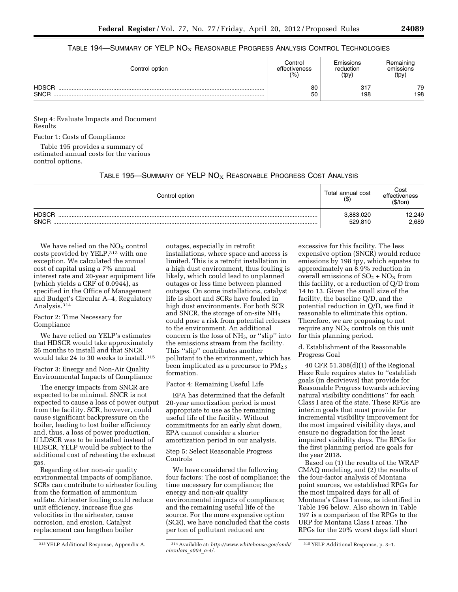## TABLE 194—SUMMARY OF YELP  $NO<sub>X</sub>$  REASONABLE PROGRESS ANALYSIS CONTROL TECHNOLOGIES

| Control option              | Control       | Emissions  | Remaining |
|-----------------------------|---------------|------------|-----------|
|                             | effectiveness | reduction  | emissions |
|                             | (%            | (tpy)      | (tpy)     |
| <b>HDSCR</b><br><b>SNCR</b> | 80<br>50      | 317<br>198 | 79<br>198 |

Step 4: Evaluate Impacts and Document Results

Factor 1: Costs of Compliance

Table 195 provides a summary of estimated annual costs for the various control options.

# TABLE 195-SUMMARY OF YELP  $NO<sub>X</sub>$  Reasonable Progress Cost Analysis

| Control option              | Total annual cost<br>/ ሱ<br>$(\Phi)$ | Cost<br>effectiveness<br>'\$/ton |
|-----------------------------|--------------------------------------|----------------------------------|
| <b>HDSCR</b><br><b>SNCR</b> | 1.883.020<br>529.810                 | 12,249<br>2,689                  |

We have relied on the  $NO<sub>X</sub>$  control costs provided by YELP,313 with one exception. We calculated the annual cost of capital using a 7% annual interest rate and 20-year equipment life (which yields a CRF of 0.0944), as specified in the Office of Management and Budget's Circular A–4, Regulatory Analysis.314

## Factor 2: Time Necessary for Compliance

We have relied on YELP's estimates that HDSCR would take approximately 26 months to install and that SNCR would take 24 to 30 weeks to install.315

Factor 3: Energy and Non-Air Quality Environmental Impacts of Compliance

The energy impacts from SNCR are expected to be minimal. SNCR is not expected to cause a loss of power output from the facility. SCR, however, could cause significant backpressure on the boiler, leading to lost boiler efficiency and, thus, a loss of power production. If LDSCR was to be installed instead of HDSCR, YELP would be subject to the additional cost of reheating the exhaust gas.

Regarding other non-air quality environmental impacts of compliance, SCRs can contribute to airheater fouling from the formation of ammonium sulfate. Airheater fouling could reduce unit efficiency, increase flue gas velocities in the airheater, cause corrosion, and erosion. Catalyst replacement can lengthen boiler

outages, especially in retrofit installations, where space and access is limited. This is a retrofit installation in a high dust environment, thus fouling is likely, which could lead to unplanned outages or less time between planned outages. On some installations, catalyst life is short and SCRs have fouled in high dust environments. For both SCR and SNCR, the storage of on-site NH3 could pose a risk from potential releases to the environment. An additional concern is the loss of  $NH<sub>3</sub>$ , or "slip" into the emissions stream from the facility. This ''slip'' contributes another pollutant to the environment, which has been implicated as a precursor to  $PM_{2.5}$ formation.

#### Factor 4: Remaining Useful Life

EPA has determined that the default 20-year amortization period is most appropriate to use as the remaining useful life of the facility. Without commitments for an early shut down, EPA cannot consider a shorter amortization period in our analysis.

Step 5: Select Reasonable Progress Controls

We have considered the following four factors: The cost of compliance; the time necessary for compliance; the energy and non-air quality environmental impacts of compliance; and the remaining useful life of the source. For the more expensive option (SCR), we have concluded that the costs per ton of pollutant reduced are

excessive for this facility. The less expensive option (SNCR) would reduce emissions by 198 tpy, which equates to approximately an 8.9% reduction in overall emissions of  $SO_2 + NO_X$  from this facility, or a reduction of Q/D from 14 to 13. Given the small size of the facility, the baseline Q/D, and the potential reduction in Q/D, we find it reasonable to eliminate this option. Therefore, we are proposing to not require any  $NO<sub>X</sub>$  controls on this unit for this planning period.

d. Establishment of the Reasonable Progress Goal

40 CFR 51.308(d)(1) of the Regional Haze Rule requires states to ''establish goals (in deciviews) that provide for Reasonable Progress towards achieving natural visibility conditions'' for each Class I area of the state. These RPGs are interim goals that must provide for incremental visibility improvement for the most impaired visibility days, and ensure no degradation for the least impaired visibility days. The RPGs for the first planning period are goals for the year 2018.

Based on (1) the results of the WRAP CMAQ modeling, and (2) the results of the four-factor analysis of Montana point sources, we established RPGs for the most impaired days for all of Montana's Class I areas, as identified in Table 196 below. Also shown in Table 197 is a comparison of the RPGs to the URP for Montana Class I areas. The RPGs for the 20% worst days fall short

<sup>313</sup> YELP Additional Response, Appendix A. 314Available at: *[http://www.whitehouse.gov/omb/](http://www.whitehouse.gov/omb/circulars_a004_a-4/) [circulars](http://www.whitehouse.gov/omb/circulars_a004_a-4/)*\_*a004*\_*a-4/.* 

<sup>315</sup> YELP Additional Response, p. 3–1.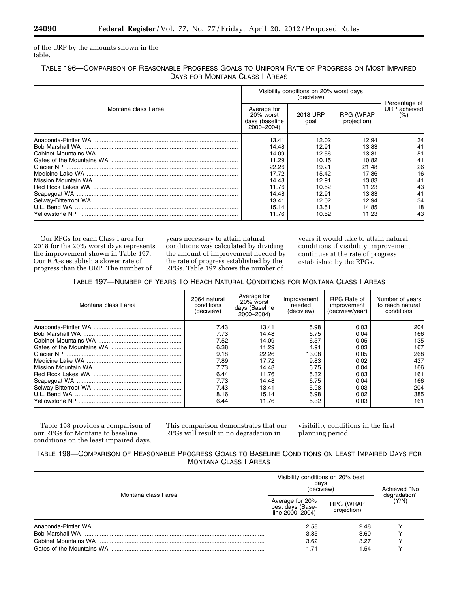of the URP by the amounts shown in the table.

# TABLE 196—COMPARISON OF REASONABLE PROGRESS GOALS TO UNIFORM RATE OF PROGRESS ON MOST IMPAIRED DAYS FOR MONTANA CLASS I AREAS

|                      | Visibility conditions on 20% worst days                  | Percentage of    |                                 |                     |
|----------------------|----------------------------------------------------------|------------------|---------------------------------|---------------------|
| Montana class I area | Average for<br>20% worst<br>days (baseline<br>2000-2004) | 2018 URP<br>qoal | <b>RPG (WRAP</b><br>projection) | URP achieved<br>(%) |
|                      | 13.41                                                    | 12.02            | 12.94                           | 34                  |
|                      | 14.48                                                    | 12.91            | 13.83                           | 41                  |
|                      | 14.09                                                    | 12.56            | 13.31                           | 51                  |
|                      | 11.29                                                    | 10.15            | 10.82                           | 41                  |
|                      | 22.26                                                    | 19.21            | 21.48                           | 26                  |
|                      | 17.72                                                    | 15.42            | 17.36                           | 16                  |
|                      | 14.48                                                    | 12.91            | 13.83                           | 41                  |
|                      | 11.76                                                    | 10.52            | 11.23                           | 43                  |
|                      | 14.48                                                    | 12.91            | 13.83                           | 41                  |
|                      | 13.41                                                    | 12.02            | 12.94                           | 34                  |
|                      | 15.14                                                    | 13.51            | 14.85                           | 18                  |
| Yellowstone NP       | 11.76                                                    | 10.52            | 11.23                           | 43                  |

Our RPGs for each Class I area for 2018 for the 20% worst days represents the improvement shown in Table 197. Our RPGs establish a slower rate of progress than the URP. The number of

years necessary to attain natural conditions was calculated by dividing the amount of improvement needed by the rate of progress established by the RPGs. Table 197 shows the number of

years it would take to attain natural conditions if visibility improvement continues at the rate of progress established by the RPGs.

TABLE 197—NUMBER OF YEARS TO REACH NATURAL CONDITIONS FOR MONTANA CLASS I AREAS

| Montana class I area | 2064 natural<br>conditions<br>(deciview) | Average for<br>20% worst<br>days (Baseline<br>$2000 - 2004$ | Improvement<br>needed<br>(deciview) | RPG Rate of<br>improvement<br>(deciview/year) | Number of years<br>to reach natural<br>conditions |
|----------------------|------------------------------------------|-------------------------------------------------------------|-------------------------------------|-----------------------------------------------|---------------------------------------------------|
|                      | 7.43                                     | 13.41                                                       | 5.98                                | 0.03                                          | 204                                               |
|                      | 7.73                                     | 14.48                                                       | 6.75                                | 0.04                                          | 166                                               |
|                      | 7.52                                     | 14.09                                                       | 6.57                                | 0.05                                          | 135                                               |
|                      | 6.38                                     | 11.29                                                       | 4.91                                | 0.03                                          | 167                                               |
|                      | 9.18                                     | 22.26                                                       | 13.08                               | 0.05                                          | 268                                               |
|                      | 7.89                                     | 17.72                                                       | 9.83                                | 0.02                                          | 437                                               |
|                      | 7.73                                     | 14.48                                                       | 6.75                                | 0.04                                          | 166                                               |
|                      | 6.44                                     | 11.76                                                       | 5.32                                | 0.03                                          | 161                                               |
|                      | 7.73                                     | 14.48                                                       | 6.75                                | 0.04                                          | 166                                               |
|                      | 7.43                                     | 13.41                                                       | 5.98                                | 0.03                                          | 204                                               |
|                      | 8.16                                     | 15.14                                                       | 6.98                                | 0.02                                          | 385                                               |
|                      | 6.44                                     | 11.76                                                       | 5.32                                | 0.03                                          | 161                                               |

Table 198 provides a comparison of our RPGs for Montana to baseline conditions on the least impaired days.

This comparison demonstrates that our RPGs will result in no degradation in

visibility conditions in the first planning period.

# TABLE 198—COMPARISON OF REASONABLE PROGRESS GOALS TO BASELINE CONDITIONS ON LEAST IMPAIRED DAYS FOR MONTANA CLASS I AREAS

| Montana class I area | Visibility conditions on 20% best<br>days<br>(deciview) | Achieved "No<br>degradation" |       |
|----------------------|---------------------------------------------------------|------------------------------|-------|
|                      | Average for 20%<br>best days (Base-<br>line 2000-2004)  | RPG (WRAP<br>projection)     | (Y/N) |
|                      | 2.58                                                    | 2.48                         |       |
|                      | 3.85                                                    | 3.60                         |       |
|                      | 3.62                                                    | 3.27                         |       |
|                      | - 71                                                    | 1.54                         |       |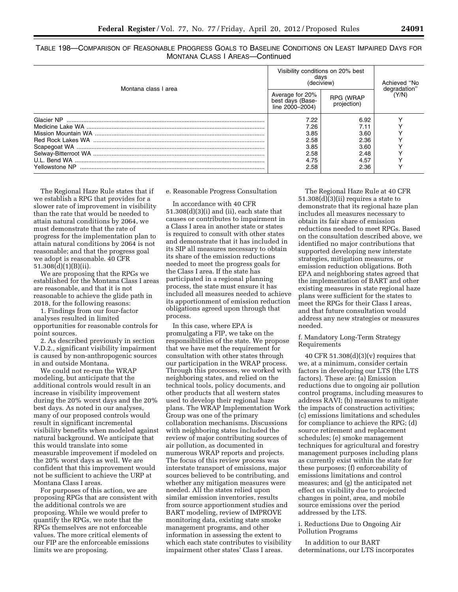| Montana class I area | Visibility conditions on 20% best<br>days<br>(deciview) | Achieved "No             |                       |
|----------------------|---------------------------------------------------------|--------------------------|-----------------------|
|                      | Average for 20%<br>best days (Base-<br>line 2000-2004)  | RPG (WRAP<br>projection) | degradation"<br>(Y/N) |
|                      | 7.22                                                    | 6.92                     |                       |
|                      | 7.26                                                    | 7.11                     |                       |
|                      | 3.85                                                    | 3.60                     |                       |
|                      | 2.58                                                    | 2.36                     |                       |
|                      | 3.85                                                    | 3.60                     |                       |
|                      | 2.58                                                    | 2.48                     |                       |
|                      | 4.75                                                    | 4.57                     |                       |
| Yellowstone NP       | 2.58                                                    | 2.36                     |                       |

TABLE 198—COMPARISON OF REASONABLE PROGRESS GOALS TO BASELINE CONDITIONS ON LEAST IMPAIRED DAYS FOR MONTANA CLASS I AREAS—Continued

The Regional Haze Rule states that if we establish a RPG that provides for a slower rate of improvement in visibility than the rate that would be needed to attain natural conditions by 2064, we must demonstrate that the rate of progress for the implementation plan to attain natural conditions by 2064 is not reasonable; and that the progress goal we adopt is reasonable. 40 CFR 51.308(d)(1)(B)(ii).

We are proposing that the RPGs we established for the Montana Class I areas are reasonable, and that it is not reasonable to achieve the glide path in 2018, for the following reasons:

1. Findings from our four-factor analyses resulted in limited opportunities for reasonable controls for point sources.

2. As described previously in section V.D.2., significant visibility impairment is caused by non-anthropogenic sources in and outside Montana.

We could not re-run the WRAP modeling, but anticipate that the additional controls would result in an increase in visibility improvement during the 20% worst days and the 20% best days. As noted in our analyses, many of our proposed controls would result in significant incremental visibility benefits when modeled against natural background. We anticipate that this would translate into some measurable improvement if modeled on the 20% worst days as well. We are confident that this improvement would not be sufficient to achieve the URP at Montana Class I areas.

For purposes of this action, we are proposing RPGs that are consistent with the additional controls we are proposing. While we would prefer to quantify the RPGs, we note that the RPGs themselves are not enforceable values. The more critical elements of our FIP are the enforceable emissions limits we are proposing.

e. Reasonable Progress Consultation

In accordance with 40 CFR 51.308(d)(3)(i) and (ii), each state that causes or contributes to impairment in a Class I area in another state or states is required to consult with other states and demonstrate that it has included in its SIP all measures necessary to obtain its share of the emission reductions needed to meet the progress goals for the Class I area. If the state has participated in a regional planning process, the state must ensure it has included all measures needed to achieve its apportionment of emission reduction obligations agreed upon through that process.

In this case, where EPA is promulgating a FIP, we take on the responsibilities of the state. We propose that we have met the requirement for consultation with other states through our participation in the WRAP process. Through this processes, we worked with neighboring states, and relied on the technical tools, policy documents, and other products that all western states used to develop their regional haze plans. The WRAP Implementation Work Group was one of the primary collaboration mechanisms. Discussions with neighboring states included the review of major contributing sources of air pollution, as documented in numerous WRAP reports and projects. The focus of this review process was interstate transport of emissions, major sources believed to be contributing, and whether any mitigation measures were needed. All the states relied upon similar emission inventories, results from source apportionment studies and BART modeling, review of IMPROVE monitoring data, existing state smoke management programs, and other information in assessing the extent to which each state contributes to visibility impairment other states' Class I areas.

The Regional Haze Rule at 40 CFR 51.308(d)(3)(ii) requires a state to demonstrate that its regional haze plan includes all measures necessary to obtain its fair share of emission reductions needed to meet RPGs. Based on the consultation described above, we identified no major contributions that supported developing new interstate strategies, mitigation measures, or emission reduction obligations. Both EPA and neighboring states agreed that the implementation of BART and other existing measures in state regional haze plans were sufficient for the states to meet the RPGs for their Class I areas, and that future consultation would address any new strategies or measures needed.

## f. Mandatory Long-Term Strategy Requirements

40 CFR 51.308(d)(3)(v) requires that we, at a minimum, consider certain factors in developing our LTS (the LTS factors). These are: (a) Emission reductions due to ongoing air pollution control programs, including measures to address RAVI; (b) measures to mitigate the impacts of construction activities; (c) emissions limitations and schedules for compliance to achieve the RPG; (d) source retirement and replacement schedules; (e) smoke management techniques for agricultural and forestry management purposes including plans as currently exist within the state for these purposes; (f) enforceability of emissions limitations and control measures; and (g) the anticipated net effect on visibility due to projected changes in point, area, and mobile source emissions over the period addressed by the LTS.

i. Reductions Due to Ongoing Air Pollution Programs

In addition to our BART determinations, our LTS incorporates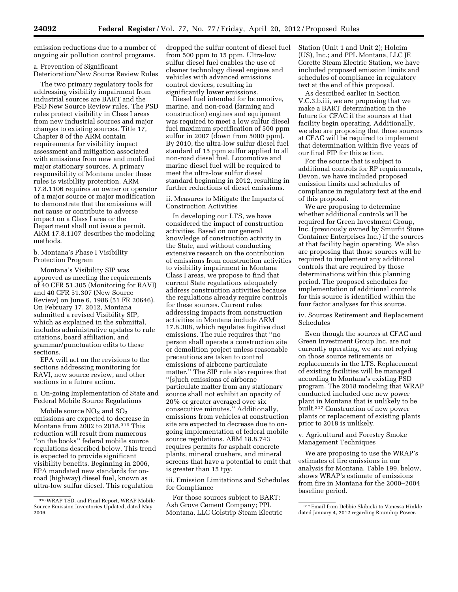emission reductions due to a number of ongoing air pollution control programs.

a. Prevention of Significant Deterioration/New Source Review Rules

The two primary regulatory tools for addressing visibility impairment from industrial sources are BART and the PSD New Source Review rules. The PSD rules protect visibility in Class I areas from new industrial sources and major changes to existing sources. Title 17, Chapter 8 of the ARM contain requirements for visibility impact assessment and mitigation associated with emissions from new and modified major stationary sources. A primary responsibility of Montana under these rules is visibility protection. ARM 17.8.1106 requires an owner or operator of a major source or major modification to demonstrate that the emissions will not cause or contribute to adverse impact on a Class I area or the Department shall not issue a permit. ARM 17.8.1107 describes the modeling methods.

b. Montana's Phase I Visibility Protection Program

Montana's Visibility SIP was approved as meeting the requirements of 40 CFR 51.305 (Monitoring for RAVI) and 40 CFR 51.307 (New Source Review) on June 6, 1986 (51 FR 20646). On February 17, 2012, Montana submitted a revised Visibility SIP, which as explained in the submittal, includes administrative updates to rule citations, board affiliation, and grammar/punctuation edits to these sections.

EPA will act on the revisions to the sections addressing monitoring for RAVI, new source review, and other sections in a future action.

c. On-going Implementation of State and Federal Mobile Source Regulations

Mobile source  $NO<sub>x</sub>$  and  $SO<sub>2</sub>$ emissions are expected to decrease in Montana from 2002 to 2018.316 This reduction will result from numerous ''on the books'' federal mobile source regulations described below. This trend is expected to provide significant visibility benefits. Beginning in 2006, EPA mandated new standards for onroad (highway) diesel fuel, known as ultra-low sulfur diesel. This regulation

dropped the sulfur content of diesel fuel from 500 ppm to 15 ppm. Ultra-low sulfur diesel fuel enables the use of cleaner technology diesel engines and vehicles with advanced emissions control devices, resulting in significantly lower emissions.

Diesel fuel intended for locomotive, marine, and non-road (farming and construction) engines and equipment was required to meet a low sulfur diesel fuel maximum specification of 500 ppm sulfur in 2007 (down from 5000 ppm). By 2010, the ultra-low sulfur diesel fuel standard of 15 ppm sulfur applied to all non-road diesel fuel. Locomotive and marine diesel fuel will be required to meet the ultra-low sulfur diesel standard beginning in 2012, resulting in further reductions of diesel emissions.

ii. Measures to Mitigate the Impacts of Construction Activities

In developing our LTS, we have considered the impact of construction activities. Based on our general knowledge of construction activity in the State, and without conducting extensive research on the contribution of emissions from construction activities to visibility impairment in Montana Class I areas, we propose to find that current State regulations adequately address construction activities because the regulations already require controls for these sources. Current rules addressing impacts from construction activities in Montana include ARM 17.8.308, which regulates fugitive dust emissions. The rule requires that ''no person shall operate a construction site or demolition project unless reasonable precautions are taken to control emissions of airborne particulate matter.'' The SIP rule also requires that ''[s]uch emissions of airborne particulate matter from any stationary source shall not exhibit an opacity of 20% or greater averaged over six consecutive minutes.'' Additionally, emissions from vehicles at construction site are expected to decrease due to ongoing implementation of federal mobile source regulations. ARM 18.8.743 requires permits for asphalt concrete plants, mineral crushers, and mineral screens that have a potential to emit that is greater than 15 tpy.

iii. Emission Limitations and Schedules for Compliance

For those sources subject to BART: Ash Grove Cement Company; PPL Montana, LLC Colstrip Steam Electric Station (Unit 1 and Unit 2); Holcim (US), Inc.; and PPL Montana, LLC JE Corette Steam Electric Station, we have included proposed emission limits and schedules of compliance in regulatory text at the end of this proposal.

As described earlier in Section V.C.3.b.iii, we are proposing that we make a BART determination in the future for CFAC if the sources at that facility begin operating. Additionally, we also are proposing that those sources at CFAC will be required to implement that determination within five years of our final FIP for this action.

For the source that is subject to additional controls for RP requirements, Devon, we have included proposed emission limits and schedules of compliance in regulatory text at the end of this proposal.

We are proposing to determine whether additional controls will be required for Green Investment Group, Inc. (previously owned by Smurfit Stone Container Enterprises Inc.) if the sources at that facility begin operating. We also are proposing that those sources will be required to implement any additional controls that are required by those determinations within this planning period. The proposed schedules for implementation of additional controls for this source is identified within the four factor analyses for this source.

iv. Sources Retirement and Replacement Schedules

Even though the sources at CFAC and Green Investment Group Inc. are not currently operating, we are not relying on those source retirements or replacements in the LTS. Replacement of existing facilities will be managed according to Montana's existing PSD program. The 2018 modeling that WRAP conducted included one new power plant in Montana that is unlikely to be built.317 Construction of new power plants or replacement of existing plants prior to 2018 is unlikely.

v. Agricultural and Forestry Smoke Management Techniques

We are proposing to use the WRAP's estimates of fire emissions in our analysis for Montana. Table 199, below, shows WRAP's estimate of emissions from fire in Montana for the 2000–2004 baseline period.

<sup>316</sup>WRAP TSD. and Final Report, WRAP Mobile Source Emission Inventories Updated, dated May 2006.

<sup>317</sup>Email from Debbie Skibicki to Vanessa Hinkle dated January 4, 2012 regarding Roundup Power.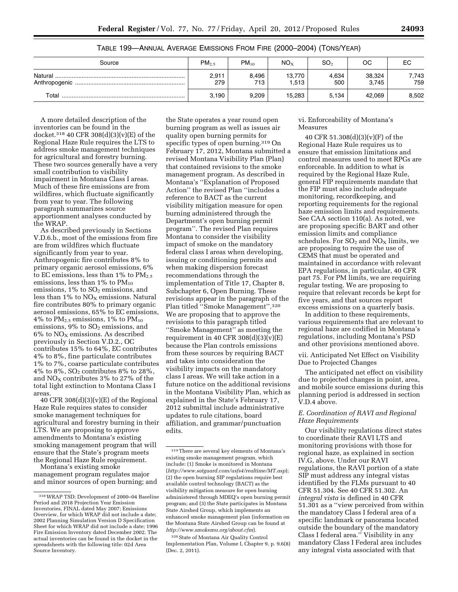| Source      | PM <sub>2.5</sub> | $PM_{10}$    | NO <sub>x</sub> | SO <sub>2</sub> | OС              | ЕC           |
|-------------|-------------------|--------------|-----------------|-----------------|-----------------|--------------|
|             | 2,911<br>279      | 8,496<br>713 | 13,770<br>1,513 | 4,634<br>500    | 38,324<br>3.745 | 7,743<br>759 |
| $\tau$ otal | 3,190             | 9,209        | 15,283          | 5.134           | 42.069          | 8,502        |

## TABLE 199—ANNUAL AVERAGE EMISSIONS FROM FIRE (2000–2004) (TONS/YEAR)

A more detailed description of the inventories can be found in the docket.318 40 CFR 308(d)(3)(v)(E) of the Regional Haze Rule requires the LTS to address smoke management techniques for agricultural and forestry burning. These two sources generally have a very small contribution to visibility impairment in Montana Class I areas. Much of these fire emissions are from wildfires, which fluctuate significantly from year to year. The following paragraph summarizes source apportionment analyses conducted by the WRAP.

As described previously in Sections V.D.6.b., most of the emissions from fire are from wildfires which fluctuate significantly from year to year. Anthropogenic fire contributes 8% to primary organic aerosol emissions, 6% to EC emissions, less than  $1\%$  to  $PM_{2.5}$ emissions, less than  $1\%$  to  $PM_{10}$ emissions,  $1\%$  to  $SO<sub>2</sub>$  emissions, and less than  $1\%$  to  $NO<sub>x</sub>$  emissions. Natural fire contributes 80% to primary organic aerosol emissions, 65% to EC emissions, 4% to  $PM_{2.5}$  emissions, 1% to  $PM_{10}$ emissions,  $9\%$  to  $SO<sub>2</sub>$  emissions, and  $6\%$  to NO<sub>x</sub> emissions. As described previously in Section V.D.2., OC contributes 15% to 64%, EC contributes 4% to 8%, fine particulate contributes 1% to 7%, coarse particulate contributes 4% to 8%,  $SO<sub>2</sub>$  contributes 8% to 28%, and  $NO<sub>X</sub>$  contributes 3% to 27% of the total light extinction to Montana Class I areas

40 CFR  $308(d)(3)(v)(E)$  of the Regional Haze Rule requires states to consider smoke management techniques for agricultural and forestry burning in their LTS. We are proposing to approve amendments to Montana's existing smoking management program that will ensure that the State's program meets the Regional Haze Rule requirement.

Montana's existing smoke management program regulates major and minor sources of open burning; and

the State operates a year round open burning program as well as issues air quality open burning permits for specific types of open burning.319 On February 17, 2012, Montana submitted a revised Montana Visibility Plan (Plan) that contained revisions to the smoke management program. As described in Montana's ''Explanation of Proposed Action'' the revised Plan ''includes a reference to BACT as the current visibility mitigation measure for open burning administered through the Department's open burning permit program''. The revised Plan requires Montana to consider the visibility impact of smoke on the mandatory federal class I areas when developing, issuing or conditioning permits and when making dispersion forecast recommendations through the implementation of Title 17, Chapter 8, Subchapter 6, Open Burning. These revisions appear in the paragraph of the Plan titled ''Smoke Management''.320 We are proposing that to approve the revisions to this paragraph titled ''Smoke Management'' as meeting the requirement in 40 CFR  $308(d)(3)(v)(E)$ because the Plan controls emissions from these sources by requiring BACT and takes into consideration the visibility impacts on the mandatory class I areas. We will take action in a future notice on the additional revisions in the Montana Visibility Plan, which as explained in the State's February 17, 2012 submittal include administrative updates to rule citations, board affiliation, and grammar/punctuation edits.

320State of Montana Air Quality Control Implementation Plan, Volume I, Chapter 9, p. 9.6(8) (Dec. 2, 2011).

## vi. Enforceability of Montana's Measures

40 CFR 51.308(d)(3)(v)(F) of the Regional Haze Rule requires us to ensure that emission limitations and control measures used to meet RPGs are enforceable. In addition to what is required by the Regional Haze Rule, general FIP requirements mandate that the FIP must also include adequate monitoring, recordkeeping, and reporting requirements for the regional haze emission limits and requirements. See CAA section 110(a). As noted, we are proposing specific BART and other emission limits and compliance schedules. For  $SO<sub>2</sub>$  and  $NO<sub>X</sub>$  limits, we are proposing to require the use of CEMS that must be operated and maintained in accordance with relevant EPA regulations, in particular, 40 CFR part 75. For PM limits, we are requiring regular testing. We are proposing to require that relevant records be kept for five years, and that sources report excess emissions on a quarterly basis.

In addition to these requirements, various requirements that are relevant to regional haze are codified in Montana's regulations, including Montana's PSD and other provisions mentioned above.

vii. Anticipated Net Effect on Visibility Due to Projected Changes

The anticipated net effect on visibility due to projected changes in point, area, and mobile source emissions during this planning period is addressed in section V.D.4 above.

# *E. Coordination of RAVI and Regional Haze Requirements*

Our visibility regulations direct states to coordinate their RAVI LTS and monitoring provisions with those for regional haze, as explained in section IV.G, above. Under our RAVI regulations, the RAVI portion of a state SIP must address any integral vistas identified by the FLMs pursuant to 40 CFR 51.304. See 40 CFR 51.302. An *integral vista* is defined in 40 CFR 51.301 as a ''view perceived from within the mandatory Class I federal area of a specific landmark or panorama located outside the boundary of the mandatory Class I federal area.'' Visibility in any mandatory Class I Federal area includes any integral vista associated with that

<sup>318</sup>WRAP TSD; Development of 2000–04 Baseline Period and 2018 Projection Year Emission Inventories, FINAL dated May 2007; Emissions Overview, for which WRAP did not include a date; 2002 Planning Simulation Version D Specification Sheet for which WRAP did not include a date; 1996 Fire Emission Inventory dated December 2002. The actual inventories can be found in the docket in the spreadsheets with the following title: 02d Area Source Inventory.

<sup>319</sup>There are several key elements of Montana's existing smoke management program, which include: (1) Smoke is monitored in Montana (*<http://www.satguard.com/usfs4/realtime/MT.asp>*); (2) the open burning SIP regulations require best available control technology (BACT) as the visibility mitigation measure for open burning administered through MDEQ's open burning permit program; and (3) the State participates in Montana State Airshed Group, which implements an enhanced smoke management plan (information on the Montana State Airshed Group can be found at *<http://www.smokemu.org/about.cfm>*).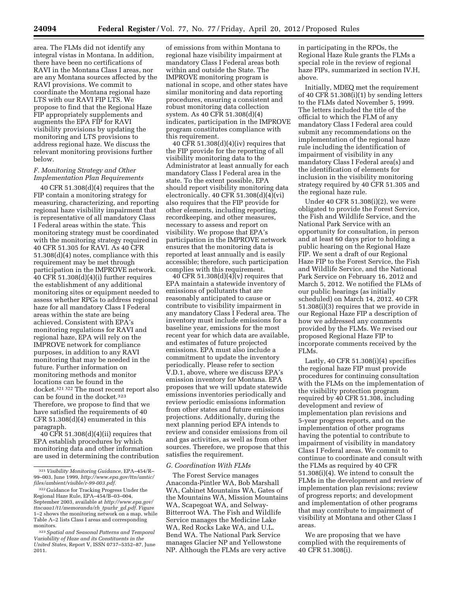area. The FLMs did not identify any integral vistas in Montana. In addition, there have been no certifications of RAVI in the Montana Class I areas, nor are any Montana sources affected by the RAVI provisions. We commit to coordinate the Montana regional haze LTS with our RAVI FIP LTS. We propose to find that the Regional Haze FIP appropriately supplements and augments the EPA FIP for RAVI visibility provisions by updating the monitoring and LTS provisions to address regional haze. We discuss the relevant monitoring provisions further below.

## *F. Monitoring Strategy and Other Implementation Plan Requirements*

40 CFR 51.308(d)(4) requires that the FIP contain a monitoring strategy for measuring, characterizing, and reporting regional haze visibility impairment that is representative of all mandatory Class I Federal areas within the state. This monitoring strategy must be coordinated with the monitoring strategy required in 40 CFR 51.305 for RAVI. As 40 CFR 51.308(d)(4) notes, compliance with this requirement may be met through participation in the IMPROVE network. 40 CFR 51.308(d)(4)(i) further requires the establishment of any additional monitoring sites or equipment needed to assess whether RPGs to address regional haze for all mandatory Class I Federal areas within the state are being achieved. Consistent with EPA's monitoring regulations for RAVI and regional haze, EPA will rely on the IMPROVE network for compliance purposes, in addition to any RAVI monitoring that may be needed in the future. Further information on monitoring methods and monitor locations can be found in the docket.321 322 The most recent report also can be found in the docket.323 Therefore, we propose to find that we have satisfied the requirements of 40 CFR 51.308(d)(4) enumerated in this paragraph.

40 CFR 51.308(d)(4)(ii) requires that EPA establish procedures by which monitoring data and other information are used in determining the contribution

of emissions from within Montana to regional haze visibility impairment at mandatory Class I Federal areas both within and outside the State. The IMPROVE monitoring program is national in scope, and other states have similar monitoring and data reporting procedures, ensuring a consistent and robust monitoring data collection system. As 40 CFR 51.308(d)(4) indicates, participation in the IMPROVE program constitutes compliance with this requirement.

40 CFR 51.308(d)(4)(iv) requires that the FIP provide for the reporting of all visibility monitoring data to the Administrator at least annually for each mandatory Class I Federal area in the state. To the extent possible, EPA should report visibility monitoring data electronically. 40 CFR 51.308(d)(4)(vi) also requires that the FIP provide for other elements, including reporting, recordkeeping, and other measures, necessary to assess and report on visibility. We propose that EPA's participation in the IMPROVE network ensures that the monitoring data is reported at least annually and is easily accessible; therefore, such participation complies with this requirement.

40 CFR 51.308 $(d)(4)(v)$  requires that EPA maintain a statewide inventory of emissions of pollutants that are reasonably anticipated to cause or contribute to visibility impairment in any mandatory Class I Federal area. The inventory must include emissions for a baseline year, emissions for the most recent year for which data are available, and estimates of future projected emissions. EPA must also include a commitment to update the inventory periodically. Please refer to section V.D.1, above, where we discuss EPA's emission inventory for Montana. EPA proposes that we will update statewide emissions inventories periodically and review periodic emissions information from other states and future emissions projections. Additionally, during the next planning period EPA intends to review and consider emissions from oil and gas activities, as well as from other sources. Therefore, we propose that this satisfies the requirement.

#### *G. Coordination With FLMs*

The Forest Service manages Anaconda-Pintler WA, Bob Marshall WA, Cabinet Mountains WA, Gates of the Mountains WA, Mission Mountains WA, Scapegoat WA, and Selway-Bitterroot WA. The Fish and Wildlife Service manages the Medicine Lake WA, Red Rocks Lake WA, and U.L. Bend WA. The National Park Service manages Glacier NP and Yellowstone NP. Although the FLMs are very active

in participating in the RPOs, the Regional Haze Rule grants the FLMs a special role in the review of regional haze FIPs, summarized in section IV.H, above.

Initially, MDEQ met the requirement of 40 CFR 51.308(i)(1) by sending letters to the FLMs dated November 5, 1999. The letters included the title of the official to which the FLM of any mandatory Class I Federal area could submit any recommendations on the implementation of the regional haze rule including the identification of impairment of visibility in any mandatory Class I Federal area(s) and the identification of elements for inclusion in the visibility monitoring strategy required by 40 CFR 51.305 and the regional haze rule.

Under 40 CFR 51.308(i)(2), we were obligated to provide the Forest Service, the Fish and Wildlife Service, and the National Park Service with an opportunity for consultation, in person and at least 60 days prior to holding a public hearing on the Regional Haze FIP. We sent a draft of our Regional Haze FIP to the Forest Service, the Fish and Wildlife Service, and the National Park Service on February 16, 2012 and March 5, 2012. We notified the FLMs of our public hearings (as initially scheduled) on March 14, 2012. 40 CFR 51.308(i)(3) requires that we provide in our Regional Haze FIP a description of how we addressed any comments provided by the FLMs. We revised our proposed Regional Haze FIP to incorporate comments received by the FLMs.

Lastly,  $40$  CFR  $51.308(i)(4)$  specifies the regional haze FIP must provide procedures for continuing consultation with the FLMs on the implementation of the visibility protection program required by 40 CFR 51.308, including development and review of implementation plan revisions and 5-year progress reports, and on the implementation of other programs having the potential to contribute to impairment of visibility in mandatory Class I Federal areas. We commit to continue to coordinate and consult with the FLMs as required by 40 CFR 51.308(i)(4). We intend to consult the FLMs in the development and review of implementation plan revisions; review of progress reports; and development and implementation of other programs that may contribute to impairment of visibility at Montana and other Class I areas.

We are proposing that we have complied with the requirements of 40 CFR 51.308(i).

<sup>321</sup> *Visibility Monitoring Guidance,* EPA–454/R– 99–003, June 1999, *[http://www.epa.gov/ttn/amtic/](http://www.epa.gov/ttn/amtic/files/ambient/visible/r-99-003.pdf) [files/ambient/visible/r-99-003.pdf.](http://www.epa.gov/ttn/amtic/files/ambient/visible/r-99-003.pdf)* 

<sup>322</sup> Guidance for Tracking Progress Under the Regional Haze Rule, EPA–454/B–03–004, September 2003, available at *[http://www.epa.gov/](http://www.epa.gov/ttncaaa1/t1/memoranda/rh_tpurhr_gd.pdf)  [ttncaaa1/t1/memoranda/rh](http://www.epa.gov/ttncaaa1/t1/memoranda/rh_tpurhr_gd.pdf)*\_*tpurhr*\_*gd.pdf.* Figure 1–2 shows the monitoring network on a map, while Table A–2 lists Class I areas and corresponding monitors.

<sup>323</sup>*Spatial and Seasonal Patterns and Temporal Variability of Haze and its Constituents in the United States,* Report V, ISSN 0737–5352–87, June 2011.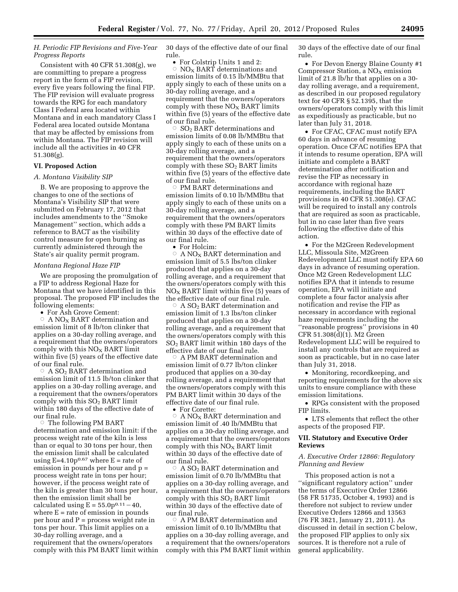# *H. Periodic FIP Revisions and Five-Year Progress Reports*

Consistent with 40 CFR 51.308(g), we are committing to prepare a progress report in the form of a FIP revision, every five years following the final FIP. The FIP revision will evaluate progress towards the RPG for each mandatory Class I Federal area located within Montana and in each mandatory Class I Federal area located outside Montana that may be affected by emissions from within Montana. The FIP revision will include all the activities in 40 CFR 51.308(g).

## **VI. Proposed Action**

#### *A. Montana Visibility SIP*

B. We are proposing to approve the changes to one of the sections of Montana's Visibility SIP that were submitted on February 17, 2012 that includes amendments to the ''Smoke Management'' section, which adds a reference to BACT as the visibility control measure for open burning as currently administered through the State's air quality permit program.

#### *Montana Regional Haze FIP*

We are proposing the promulgation of a FIP to address Regional Haze for Montana that we have identified in this proposal. The proposed FIP includes the following elements:

• For Ash Grove Cement:

 $\circ\;$  A NO<sub>X</sub> BART determination and emission limit of 8 lb/ton clinker that applies on a 30-day rolling average, and a requirement that the owners/operators comply with this  $NO<sub>x</sub>$  BART limit within five (5) years of the effective date of our final rule.

 $\circ\;$  A SO<sub>2</sub> BART determination and emission limit of 11.5 lb/ton clinker that applies on a 30-day rolling average, and a requirement that the owners/operators comply with this  $SO<sub>2</sub>$  BART limit within 180 days of the effective date of our final rule.

 $\circ$  The following PM BART determination and emission limit: if the process weight rate of the kiln is less than or equal to 30 tons per hour, then the emission limit shall be calculated using  $E=4.10p^{0.67}$  where  $E =$  rate of emission in pounds per hour and p = process weight rate in tons per hour; however, if the process weight rate of the kiln is greater than 30 tons per hour, then the emission limit shall be calculated using  $E = 55.0p^{0.11} - 40$ where  $E =$  rate of emission in pounds per hour and  $P =$  process weight rate in tons per hour. This limit applies on a 30-day rolling average, and a requirement that the owners/operators comply with this PM BART limit within 30 days of the effective date of our final rule.

• For Colstrip Units 1 and 2:  $\circ$  NO<sub>X</sub> BART determinations and emission limits of 0.15 lb/MMBtu that apply singly to each of these units on a 30-day rolling average, and a requirement that the owners/operators comply with these  $NO<sub>x</sub>$  BART limits within five (5) years of the effective date of our final rule.

 $\circ$  SO<sub>2</sub> BART determinations and emission limits of 0.08 lb/MMBtu that apply singly to each of these units on a 30-day rolling average, and a requirement that the owners/operators comply with these  $SO<sub>2</sub>$  BART limits within five (5) years of the effective date of our final rule.

 $\circ$  PM BART determinations and emission limits of 0.10 lb/MMBtu that apply singly to each of these units on a 30-day rolling average, and a requirement that the owners/operators comply with these PM BART limits within 30 days of the effective date of our final rule.

• For Holcim:

 $\circ\;$  A NO<sub>X</sub> BART determination and emission limit of 5.5 lbs/ton clinker produced that applies on a 30-day rolling average, and a requirement that the owners/operators comply with this  $NO<sub>x</sub>$  BART limit within five (5) years of the effective date of our final rule.

 $\rm \dot{\circ}$ A SO<sub>2</sub> BART determination and emission limit of 1.3 lbs/ton clinker produced that applies on a 30-day rolling average, and a requirement that the owners/operators comply with this  $SO<sub>2</sub>$  BART limit within 180 days of the effective date of our final rule.

 $\circ$  A PM BART determination and emission limit of 0.77 lb/ton clinker produced that applies on a 30-day rolling average, and a requirement that the owners/operators comply with this PM BART limit within 30 days of the effective date of our final rule.

• For Corette:

 $\circ~$  A NO<sub>X</sub> BART determination and emission limit of .40 lb/MMBtu that applies on a 30-day rolling average, and a requirement that the owners/operators comply with this  $NO<sub>x</sub>$  BART limit within 30 days of the effective date of our final rule.

 $\circ$  A SO<sub>2</sub> BART determination and emission limit of 0.70 lb/MMBtu that applies on a 30-day rolling average, and a requirement that the owners/operators comply with this  $SO<sub>2</sub>$  BART limit within 30 days of the effective date of our final rule.

 $\circ~$  A PM BART determination and emission limit of 0.10 lb/MMBtu that applies on a 30-day rolling average, and a requirement that the owners/operators comply with this PM BART limit within 30 days of the effective date of our final rule.

• For Devon Energy Blaine County #1 Compressor Station, a  $NO<sub>x</sub>$  emission limit of 21.8 lb/hr that applies on a 30 day rolling average, and a requirement, as described in our proposed regulatory text for 40 CFR § 52.1395, that the owners/operators comply with this limit as expeditiously as practicable, but no later than July 31, 2018.

• For CFAC, CFAC must notify EPA 60 days in advance of resuming operation. Once CFAC notifies EPA that it intends to resume operation, EPA will initiate and complete a BART determination after notification and revise the FIP as necessary in accordance with regional haze requirements, including the BART provisions in 40 CFR 51.308(e). CFAC will be required to install any controls that are required as soon as practicable, but in no case later than five years following the effective date of this action.

• For the M2Green Redevelopment LLC, Missoula Site, M2Green Redevelopment LLC must notify EPA 60 days in advance of resuming operation. Once M2 Green Redevelopment LLC notifies EPA that it intends to resume operation, EPA will initiate and complete a four factor analysis after notification and revise the FIP as necessary in accordance with regional haze requirements including the ''reasonable progress'' provisions in 40 CFR 51.308(d)(1). M2 Green Redevelopment LLC will be required to install any controls that are required as soon as practicable, but in no case later than July 31, 2018.

• Monitoring, recordkeeping, and reporting requirements for the above six units to ensure compliance with these emission limitations.

• RPGs consistent with the proposed FIP limits.

• LTS elements that reflect the other aspects of the proposed FIP.

# **VII. Statutory and Executive Order Reviews**

# *A. Executive Order 12866: Regulatory Planning and Review*

This proposed action is not a ''significant regulatory action'' under the terms of Executive Order 12866 (58 FR 51735, October 4, 1993) and is therefore not subject to review under Executive Orders 12866 and 13563 (76 FR 3821, January 21, 2011). As discussed in detail in section C below, the proposed FIP applies to only six sources. It is therefore not a rule of general applicability.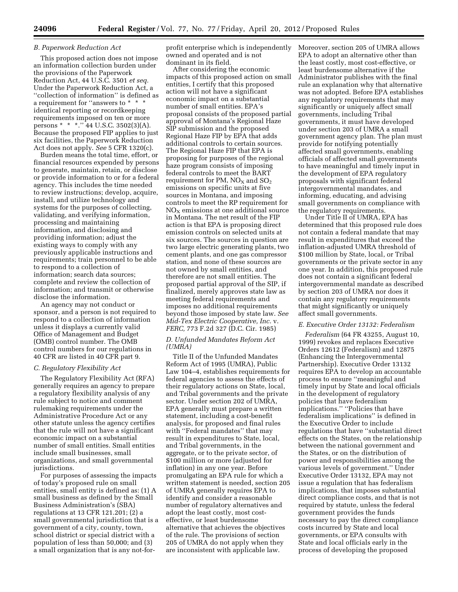### *B. Paperwork Reduction Act*

This proposed action does not impose an information collection burden under the provisions of the Paperwork Reduction Act, 44 U.S.C. 3501 *et seq.*  Under the Paperwork Reduction Act, a ''collection of information'' is defined as a requirement for "answers to \* \* \* identical reporting or recordkeeping requirements imposed on ten or more persons \* \* \*.'' 44 U.S.C. 3502(3)(A). Because the proposed FIP applies to just six facilities, the Paperwork Reduction Act does not apply. *See* 5 CFR 1320(c).

Burden means the total time, effort, or financial resources expended by persons to generate, maintain, retain, or disclose or provide information to or for a federal agency. This includes the time needed to review instructions; develop, acquire, install, and utilize technology and systems for the purposes of collecting, validating, and verifying information, processing and maintaining information, and disclosing and providing information; adjust the existing ways to comply with any previously applicable instructions and requirements; train personnel to be able to respond to a collection of information; search data sources; complete and review the collection of information; and transmit or otherwise disclose the information.

An agency may not conduct or sponsor, and a person is not required to respond to a collection of information unless it displays a currently valid Office of Management and Budget (OMB) control number. The OMB control numbers for our regulations in 40 CFR are listed in 40 CFR part 9.

#### *C. Regulatory Flexibility Act*

The Regulatory Flexibility Act (RFA) generally requires an agency to prepare a regulatory flexibility analysis of any rule subject to notice and comment rulemaking requirements under the Administrative Procedure Act or any other statute unless the agency certifies that the rule will not have a significant economic impact on a substantial number of small entities. Small entities include small businesses, small organizations, and small governmental jurisdictions.

For purposes of assessing the impacts of today's proposed rule on small entities, small entity is defined as: (1) A small business as defined by the Small Business Administration's (SBA) regulations at 13 CFR 121.201; (2) a small governmental jurisdiction that is a government of a city, county, town, school district or special district with a population of less than 50,000; and (3) a small organization that is any not-forprofit enterprise which is independently owned and operated and is not dominant in its field.

After considering the economic impacts of this proposed action on small entities, I certify that this proposed action will not have a significant economic impact on a substantial number of small entities. EPA's proposal consists of the proposed partial approval of Montana's Regional Haze SIP submission and the proposed Regional Haze FIP by EPA that adds additional controls to certain sources. The Regional Haze FIP that EPA is proposing for purposes of the regional haze program consists of imposing federal controls to meet the BART requirement for PM,  $NO<sub>X</sub>$  and  $SO<sub>2</sub>$ emissions on specific units at five sources in Montana, and imposing controls to meet the RP requirement for  $NO<sub>X</sub>$  emissions at one additional source in Montana. The net result of the FIP action is that EPA is proposing direct emission controls on selected units at six sources. The sources in question are two large electric generating plants, two cement plants, and one gas compressor station, and none of these sources are not owned by small entities, and therefore are not small entities. The proposed partial approval of the SIP, if finalized, merely approves state law as meeting federal requirements and imposes no additional requirements beyond those imposed by state law. *See Mid-Tex Electric Cooperative, Inc.* v. *FERC,* 773 F.2d 327 (D.C. Cir. 1985)

### *D. Unfunded Mandates Reform Act (UMRA)*

Title II of the Unfunded Mandates Reform Act of 1995 (UMRA), Public Law 104–4, establishes requirements for federal agencies to assess the effects of their regulatory actions on State, local, and Tribal governments and the private sector. Under section 202 of UMRA, EPA generally must prepare a written statement, including a cost-benefit analysis, for proposed and final rules with ''Federal mandates'' that may result in expenditures to State, local, and Tribal governments, in the aggregate, or to the private sector, of \$100 million or more (adjusted for inflation) in any one year. Before promulgating an EPA rule for which a written statement is needed, section 205 of UMRA generally requires EPA to identify and consider a reasonable number of regulatory alternatives and adopt the least costly, most costeffective, or least burdensome alternative that achieves the objectives of the rule. The provisions of section 205 of UMRA do not apply when they are inconsistent with applicable law.

Moreover, section 205 of UMRA allows EPA to adopt an alternative other than the least costly, most cost-effective, or least burdensome alternative if the Administrator publishes with the final rule an explanation why that alternative was not adopted. Before EPA establishes any regulatory requirements that may significantly or uniquely affect small governments, including Tribal governments, it must have developed under section 203 of UMRA a small government agency plan. The plan must provide for notifying potentially affected small governments, enabling officials of affected small governments to have meaningful and timely input in the development of EPA regulatory proposals with significant federal intergovernmental mandates, and informing, educating, and advising small governments on compliance with the regulatory requirements.

Under Title II of UMRA, EPA has determined that this proposed rule does not contain a federal mandate that may result in expenditures that exceed the inflation-adjusted UMRA threshold of \$100 million by State, local, or Tribal governments or the private sector in any one year. In addition, this proposed rule does not contain a significant federal intergovernmental mandate as described by section 203 of UMRA nor does it contain any regulatory requirements that might significantly or uniquely affect small governments.

#### *E. Executive Order 13132: Federalism*

*Federalism* (64 FR 43255, August 10, 1999) revokes and replaces Executive Orders 12612 (Federalism) and 12875 (Enhancing the Intergovernmental Partnership). Executive Order 13132 requires EPA to develop an accountable process to ensure ''meaningful and timely input by State and local officials in the development of regulatory policies that have federalism implications.'' ''Policies that have federalism implications'' is defined in the Executive Order to include regulations that have ''substantial direct effects on the States, on the relationship between the national government and the States, or on the distribution of power and responsibilities among the various levels of government.'' Under Executive Order 13132, EPA may not issue a regulation that has federalism implications, that imposes substantial direct compliance costs, and that is not required by statute, unless the federal government provides the funds necessary to pay the direct compliance costs incurred by State and local governments, or EPA consults with State and local officials early in the process of developing the proposed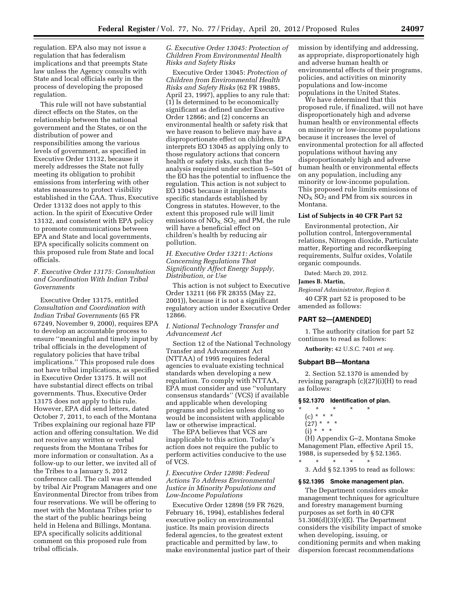regulation. EPA also may not issue a regulation that has federalism implications and that preempts State law unless the Agency consults with State and local officials early in the process of developing the proposed regulation.

This rule will not have substantial direct effects on the States, on the relationship between the national government and the States, or on the distribution of power and responsibilities among the various levels of government, as specified in Executive Order 13132, because it merely addresses the State not fully meeting its obligation to prohibit emissions from interfering with other states measures to protect visibility established in the CAA. Thus, Executive Order 13132 does not apply to this action. In the spirit of Executive Order 13132, and consistent with EPA policy to promote communications between EPA and State and local governments, EPA specifically solicits comment on this proposed rule from State and local officials.

# *F. Executive Order 13175: Consultation and Coordination With Indian Tribal Governments*

Executive Order 13175, entitled *Consultation and Coordination with Indian Tribal Governments* (65 FR 67249, November 9, 2000), requires EPA to develop an accountable process to ensure ''meaningful and timely input by tribal officials in the development of regulatory policies that have tribal implications.'' This proposed rule does not have tribal implications, as specified in Executive Order 13175. It will not have substantial direct effects on tribal governments. Thus, Executive Order 13175 does not apply to this rule. However, EPA did send letters, dated October 7, 2011, to each of the Montana Tribes explaining our regional haze FIP action and offering consultation. We did not receive any written or verbal requests from the Montana Tribes for more information or consultation. As a follow-up to our letter, we invited all of the Tribes to a January 5, 2012 conference call. The call was attended by tribal Air Program Managers and one Environmental Director from tribes from four reservations. We will be offering to meet with the Montana Tribes prior to the start of the public hearings being held in Helena and Billings, Montana. EPA specifically solicits additional comment on this proposed rule from tribal officials.

*G. Executive Order 13045: Protection of Children From Environmental Health Risks and Safety Risks* 

Executive Order 13045: *Protection of Children from Environmental Health Risks and Safety Risks* (62 FR 19885, April 23, 1997), applies to any rule that: (1) Is determined to be economically significant as defined under Executive Order 12866; and (2) concerns an environmental health or safety risk that we have reason to believe may have a disproportionate effect on children. EPA interprets EO 13045 as applying only to those regulatory actions that concern health or safety risks, such that the analysis required under section 5–501 of the EO has the potential to influence the regulation. This action is not subject to EO 13045 because it implements specific standards established by Congress in statutes. However, to the extent this proposed rule will limit emissions of  $\overline{NO}_{X}$ ,  $SO_{2}$ , and PM, the rule will have a beneficial effect on children's health by reducing air pollution.

*H. Executive Order 13211: Actions Concerning Regulations That Significantly Affect Energy Supply, Distribution, or Use* 

This action is not subject to Executive Order 13211 (66 FR 28355 (May 22, 2001)), because it is not a significant regulatory action under Executive Order 12866.

*I. National Technology Transfer and Advancement Act* 

Section 12 of the National Technology Transfer and Advancement Act (NTTAA) of 1995 requires federal agencies to evaluate existing technical standards when developing a new regulation. To comply with NTTAA, EPA must consider and use ''voluntary consensus standards'' (VCS) if available and applicable when developing programs and policies unless doing so would be inconsistent with applicable law or otherwise impractical.

The EPA believes that VCS are inapplicable to this action. Today's action does not require the public to perform activities conducive to the use of VCS.

# *J. Executive Order 12898: Federal Actions To Address Environmental Justice in Minority Populations and Low-Income Populations*

Executive Order 12898 (59 FR 7629, February 16, 1994), establishes federal executive policy on environmental justice. Its main provision directs federal agencies, to the greatest extent practicable and permitted by law, to make environmental justice part of their mission by identifying and addressing, as appropriate, disproportionately high and adverse human health or environmental effects of their programs, policies, and activities on minority populations and low-income populations in the United States.

We have determined that this proposed rule, if finalized, will not have disproportionately high and adverse human health or environmental effects on minority or low-income populations because it increases the level of environmental protection for all affected populations without having any disproportionately high and adverse human health or environmental effects on any population, including any minority or low-income population. This proposed rule limits emissions of  $NO<sub>X</sub> SO<sub>2</sub>$  and PM from six sources in Montana.

# **List of Subjects in 40 CFR Part 52**

Environmental protection, Air pollution control, Intergovernmental relations, Nitrogen dioxide, Particulate matter, Reporting and recordkeeping requirements, Sulfur oxides, Volatile organic compounds.

Dated: March 20, 2012.

#### **James B. Martin,**

*Regional Administrator, Region 8.* 

40 CFR part 52 is proposed to be amended as follows:

# **PART 52—[AMENDED]**

1. The authority citation for part 52 continues to read as follows:

**Authority:** 42 U.S.C. 7401 *et seq.* 

### **Subpart BB—Montana**

\* \* \* \* \*

2. Section 52.1370 is amended by revising paragraph (c)(27)(i)(H) to read as follows:

### **§ 52.1370 Identification of plan.**

- \* \* \* \* \*
- (c) \* \* \*
- $(27)$  \* \* \*  $(i) * * * *$

(H) Appendix G–2, Montana Smoke Management Plan, effective April 15, 1988, is superseded by § 52.1365.

3. Add § 52.1395 to read as follows:

## **§ 52.1395 Smoke management plan.**

The Department considers smoke management techniques for agriculture and forestry management burning purposes as set forth in 40 CFR  $51.308(d)(3)(v)(E)$ . The Department considers the visibility impact of smoke when developing, issuing, or conditioning permits and when making dispersion forecast recommendations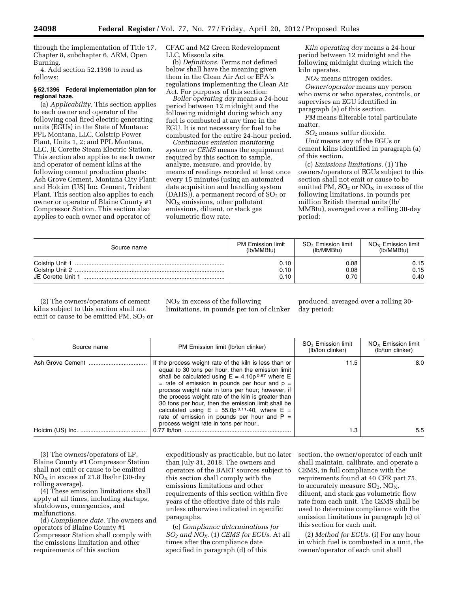through the implementation of Title 17, Chapter 8, subchapter 6, ARM, Open Burning.

4. Add section 52.1396 to read as follows:

## **§ 52.1396 Federal implementation plan for regional haze.**

(a) *Applicability.* This section applies to each owner and operator of the following coal fired electric generating units (EGUs) in the State of Montana: PPL Montana, LLC, Colstrip Power Plant, Units 1, 2; and PPL Montana, LLC, JE Corette Steam Electric Station. This section also applies to each owner and operator of cement kilns at the following cement production plants: Ash Grove Cement, Montana City Plant; and Holcim (US) Inc. Cement, Trident Plant. This section also applies to each owner or operator of Blaine County #1 Compressor Station. This section also applies to each owner and operator of

CFAC and M2 Green Redevelopment LLC, Missoula site.

(b) *Definitions.* Terms not defined below shall have the meaning given them in the Clean Air Act or EPA's regulations implementing the Clean Air Act. For purposes of this section:

*Boiler operating day* means a 24-hour period between 12 midnight and the following midnight during which any fuel is combusted at any time in the EGU. It is not necessary for fuel to be combusted for the entire 24-hour period.

*Continuous emission monitoring system or CEMS* means the equipment required by this section to sample, analyze, measure, and provide, by means of readings recorded at least once every 15 minutes (using an automated data acquisition and handling system  $(DAHS)$ , a permanent record of  $SO<sub>2</sub>$  or  $NO<sub>x</sub>$  emissions, other pollutant emissions, diluent, or stack gas volumetric flow rate.

*Kiln operating day* means a 24-hour period between 12 midnight and the following midnight during which the kiln operates.

*NO*X means nitrogen oxides. *Owner/operator* means any person who owns or who operates, controls, or supervises an EGU identified in paragraph (a) of this section.

*PM* means filterable total particulate matter.

*SO*2 means sulfur dioxide.

*Unit* means any of the EGUs or cement kilns identified in paragraph (a) of this section.

(c) *Emissions limitations.* (1) The owners/operators of EGUs subject to this section shall not emit or cause to be emitted PM,  $SO<sub>2</sub>$  or  $NO<sub>X</sub>$  in excess of the following limitations, in pounds per million British thermal units (lb/ MMBtu), averaged over a rolling 30-day period:

| Source name                                             | <b>PM Emission limit</b> | $SO2$ Emission limit | $NO_{\rm x}$ Emission limit |
|---------------------------------------------------------|--------------------------|----------------------|-----------------------------|
|                                                         | (lb/MMBtu)               | (lb/MMBtu)           | (lb/MMBtu)                  |
| Colstrip Unit 1<br>Colstrip Unit 2<br>JE Corette Unit 1 | 0.10<br>0.10<br>0.10     | 0.08<br>0.08<br>0.70 | 0.15<br>0.15<br>0.40        |

(2) The owners/operators of cement kilns subject to this section shall not emit or cause to be emitted PM, SO<sub>2</sub> or  $NO<sub>x</sub>$  in excess of the following limitations, in pounds per ton of clinker

produced, averaged over a rolling 30 day period:

| Source name | PM Emission limit (lb/ton clinker)                                                                                                                                                                                                                                                                                                                                                                                                                                                                                                           | $SO2$ Emission limit<br>(lb/ton clinker) | $NO_x$ Emission limit<br>(lb/ton clinker) |
|-------------|----------------------------------------------------------------------------------------------------------------------------------------------------------------------------------------------------------------------------------------------------------------------------------------------------------------------------------------------------------------------------------------------------------------------------------------------------------------------------------------------------------------------------------------------|------------------------------------------|-------------------------------------------|
|             | If the process weight rate of the kiln is less than or<br>equal to 30 tons per hour, then the emission limit<br>shall be calculated using $E = 4.10p^{0.67}$ where E<br>= rate of emission in pounds per hour and $p =$<br>process weight rate in tons per hour; however, if<br>the process weight rate of the kiln is greater than<br>30 tons per hour, then the emission limit shall be<br>calculated using $E = 55.0p^{0.11} - 40$ , where $E =$<br>rate of emission in pounds per hour and $P =$<br>process weight rate in tons per hour | 11.5                                     | 8.0                                       |
|             | $0.77$ lb/ton                                                                                                                                                                                                                                                                                                                                                                                                                                                                                                                                | 1.3                                      | $5.5^{\circ}$                             |

(3) The owners/operators of LP, Blaine County #1 Compressor Station shall not emit or cause to be emitted  $NO<sub>X</sub>$  in excess of 21.8 lbs/hr (30-day rolling average).

(4) These emission limitations shall apply at all times, including startups, shutdowns, emergencies, and malfunctions.

(d) *Compliance date.* The owners and operators of Blaine County #1 Compressor Station shall comply with the emissions limitation and other requirements of this section

expeditiously as practicable, but no later than July 31, 2018. The owners and operators of the BART sources subject to this section shall comply with the emissions limitations and other requirements of this section within five years of the effective date of this rule unless otherwise indicated in specific paragraphs.

(e) *Compliance determinations for SO2 and NOX*. (1) *CEMS for EGUs.* At all times after the compliance date specified in paragraph (d) of this

section, the owner/operator of each unit shall maintain, calibrate, and operate a CEMS, in full compliance with the requirements found at 40 CFR part 75, to accurately measure  $SO_2$ ,  $NO_X$ , diluent, and stack gas volumetric flow rate from each unit. The CEMS shall be used to determine compliance with the emission limitations in paragraph (c) of this section for each unit.

(2) *Method for EGUs.* (i) For any hour in which fuel is combusted in a unit, the owner/operator of each unit shall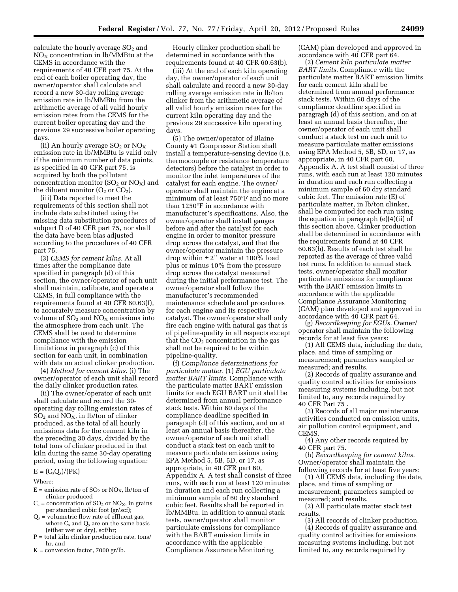calculate the hourly average  $SO<sub>2</sub>$  and  $NO<sub>x</sub>$  concentration in lb/MMBtu at the CEMS in accordance with the requirements of 40 CFR part 75. At the end of each boiler operating day, the owner/operator shall calculate and record a new 30-day rolling average emission rate in lb/MMBtu from the arithmetic average of all valid hourly emission rates from the CEMS for the current boiler operating day and the previous 29 successive boiler operating days.

(ii) An hourly average  $SO_2$  or  $NO_X$ emission rate in lb/MMBtu is valid only if the minimum number of data points, as specified in 40 CFR part 75, is acquired by both the pollutant concentration monitor  $(SO_2 \text{ or } NO_X)$  and the diluent monitor  $(O_2 \text{ or } CO_2)$ .

(iii) Data reported to meet the requirements of this section shall not include data substituted using the missing data substitution procedures of subpart D of 40 CFR part 75, nor shall the data have been bias adjusted according to the procedures of 40 CFR part 75.

(3) *CEMS for cement kilns.* At all times after the compliance date specified in paragraph (d) of this section, the owner/operator of each unit shall maintain, calibrate, and operate a CEMS, in full compliance with the requirements found at 40 CFR 60.63(f), to accurately measure concentration by volume of  $SO<sub>2</sub>$  and  $NO<sub>X</sub>$  emissions into the atmosphere from each unit. The CEMS shall be used to determine compliance with the emission limitations in paragraph (c) of this section for each unit, in combination with data on actual clinker production.

(4) *Method for cement kilns.* (i) The owner/operator of each unit shall record the daily clinker production rates.

(ii) The owner/operator of each unit shall calculate and record the 30 operating day rolling emission rates of  $SO_2$  and  $NO_X$ , in lb/ton of clinker produced, as the total of all hourly emissions data for the cement kiln in the preceding 30 days, divided by the total tons of clinker produced in that kiln during the same 30-day operating period, using the following equation:

# $E = (C_s Q_s)/(PK)$

Where:

- $E =$  emission rate of  $SO_2$  or  $NO_X$ , lb/ton of clinker produced
- $C_s$  = concentration of  $SO_2$  or  $NO_x$ , in grains per standard cubic foot (gr/scf);
- $Q_s$  = volumetric flow rate of effluent gas, where  $C_s$  and  $Q_s$  are on the same basis (either wet or dry), scf/hr;
- P = total kiln clinker production rate, tons/ hr, and
- $K =$  conversion factor, 7000 gr/lb.

Hourly clinker production shall be determined in accordance with the requirements found at 40 CFR 60.63(b).

(iii) At the end of each kiln operating day, the owner/operator of each unit shall calculate and record a new 30-day rolling average emission rate in lb/ton clinker from the arithmetic average of all valid hourly emission rates for the current kiln operating day and the previous 29 successive kiln operating days.

(5) The owner/operator of Blaine County #1 Compressor Station shall install a temperature-sensing device (i.e. thermocouple or resistance temperature detectors) before the catalyst in order to monitor the inlet temperatures of the catalyst for each engine. The owner/ operator shall maintain the engine at a minimum of at least 750°F and no more than 1250°F in accordance with manufacturer's specifications. Also, the owner/operator shall install gauges before and after the catalyst for each engine in order to monitor pressure drop across the catalyst, and that the owner/operator maintain the pressure drop within  $\pm 2$ " water at 100% load plus or minus 10% from the pressure drop across the catalyst measured during the initial performance test. The owner/operator shall follow the manufacturer's recommended maintenance schedule and procedures for each engine and its respective catalyst. The owner/operator shall only fire each engine with natural gas that is of pipeline-quality in all respects except that the  $CO<sub>2</sub>$  concentration in the gas shall not be required to be within pipeline-quality.

(f) *Compliance determinations for particulate matter.* (1) *EGU particulate matter BART limits.* Compliance with the particulate matter BART emission limits for each EGU BART unit shall be determined from annual performance stack tests. Within 60 days of the compliance deadline specified in paragraph (d) of this section, and on at least an annual basis thereafter, the owner/operator of each unit shall conduct a stack test on each unit to measure particulate emissions using EPA Method 5, 5B, 5D, or 17, as appropriate, in 40 CFR part 60, Appendix A. A test shall consist of three runs, with each run at least 120 minutes in duration and each run collecting a minimum sample of 60 dry standard cubic feet. Results shall be reported in lb/MMBtu. In addition to annual stack tests, owner/operator shall monitor particulate emissions for compliance with the BART emission limits in accordance with the applicable Compliance Assurance Monitoring

(CAM) plan developed and approved in accordance with 40 CFR part 64.

(2) *Cement kiln particulate matter BART limits.* Compliance with the particulate matter BART emission limits for each cement kiln shall be determined from annual performance stack tests. Within 60 days of the compliance deadline specified in paragragh (d) of this section, and on at least an annual basis thereafter, the owner/operator of each unit shall conduct a stack test on each unit to measure particulate matter emissions using EPA Method 5, 5B, 5D, or 17, as appropriate, in 40 CFR part 60, Appendix A. A test shall consist of three runs, with each run at least 120 minutes in duration and each run collecting a minimum sample of 60 dry standard cubic feet. The emission rate (E) of particulate matter, in lb/ton clinker, shall be computed for each run using the equation in paragraph (e)(4)(ii) of this section above. Clinker production shall be determined in accordance with the requirements found at 40 CFR 60.63(b). Results of each test shall be reported as the average of three valid test runs. In addition to annual stack tests, owner/operator shall monitor particulate emissions for compliance with the BART emission limits in accordance with the applicable Compliance Assurance Monitoring (CAM) plan developed and approved in accordance with 40 CFR part 64.

(g) *Recordkeeping for EGUs.* Owner/ operator shall maintain the following records for at least five years:

(1) All CEMS data, including the date, place, and time of sampling or measurement; parameters sampled or measured; and results.

(2) Records of quality assurance and quality control activities for emissions measuring systems including, but not limited to, any records required by 40 CFR Part 75 .

(3) Records of all major maintenance activities conducted on emission units, air pollution control equipment, and CEMS.

(4) Any other records required by 40 CFR part 75.

(h) *Recordkeeping for cement kilns.*  Owner/operator shall maintain the following records for at least five years:

(1) All CEMS data, including the date, place, and time of sampling or measurement; parameters sampled or measured; and results.

(2) All particulate matter stack test results.

(3) All records of clinker production. (4) Records of quality assurance and quality control activities for emissions measuring systems including, but not limited to, any records required by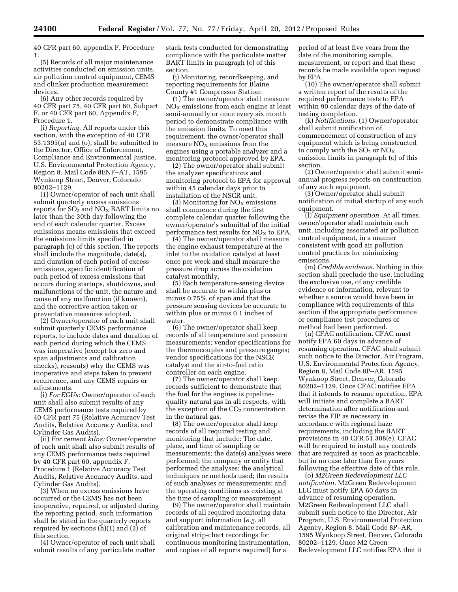40 CFR part 60, appendix F, Procedure 1.

(5) Records of all major maintenance activities conducted on emission units, air pollution control equipment, CEMS and clinker production measurement devices.

(6) Any other records required by 40 CFR part 75, 40 CFR part 60, Subpart F, or 40 CFR part 60, Appendix F, Procedure 1.

(i) *Reporting.* All reports under this section, with the exception of 40 CFR 53.1395(n) and (o), shall be submitted to the Director, Office of Enforcement, Compliance and Environmental Justice, U.S. Environmental Protection Agency, Region 8, Mail Code 8ENF–AT, 1595 Wynkoop Street, Denver, Colorado 80202–1129.

(1) Owner/operator of each unit shall submit quarterly excess emissions reports for  $SO<sub>2</sub>$  and  $NO<sub>X</sub>$  BART limits no later than the 30th day following the end of each calendar quarter. Excess emissions means emissions that exceed the emissions limits specified in paragraph (c) of this section. The reports shall include the magnitude, date(s), and duration of each period of excess emissions, specific identification of each period of excess emissions that occurs during startups, shutdowns, and malfunctions of the unit, the nature and cause of any malfunction (if known), and the corrective action taken or preventative measures adopted.

(2) Owner/operator of each unit shall submit quarterly CEMS performance reports, to include dates and duration of each period during which the CEMS was inoperative (except for zero and span adjustments and calibration checks), reason(s) why the CEMS was inoperative and steps taken to prevent recurrence, and any CEMS repairs or adjustments.

(i) *For EGUs:* Owner/operator of each unit shall also submit results of any CEMS performance tests required by 40 CFR part 75 (Relative Accuracy Test Audits, Relative Accuracy Audits, and Cylinder Gas Audits).

(ii) *For cement kilns:* Owner/operator of each unit shall also submit results of any CEMS performance tests required by 40 CFR part 60, appendix F, Procedure 1 (Relative Accuracy Test Audits, Relative Accuracy Audits, and Cylinder Gas Audits).

(3) When no excess emissions have occurred or the CEMS has not been inoperative, repaired, or adjusted during the reporting period, such information shall be stated in the quarterly reports required by sections (h)(1) and (2) of this section.

(4) Owner/operator of each unit shall submit results of any particulate matter stack tests conducted for demonstrating compliance with the particulate matter BART limits in paragragh (c) of this section.

(j) Monitoring, recordkeeping, and reporting requirements for Blaine County #1 Compressor Station:

(1) The owner/operator shall measure  $NO<sub>x</sub>$  emissions from each engine at least semi-annually or once every six month period to demonstrate compliance with the emission limits. To meet this requirement, the owner/operator shall measure  $NO<sub>X</sub>$  emissions from the engines using a portable analyzer and a monitoring protocol approved by EPA.

(2) The owner/operator shall submit the analyzer specifications and monitoring protocol to EPA for approval within 45 calendar days prior to installation of the NSCR unit.

(3) Monitoring for  $NO<sub>x</sub>$  emissions shall commence during the first complete calendar quarter following the owner/operator's submittal of the initial performance test results for  $NO<sub>x</sub>$  to EPA.

(4) The owner/operator shall measure the engine exhaust temperature at the inlet to the oxidation catalyst at least once per week and shall measure the pressure drop across the oxidation catalyst monthly.

(5) Each temperature-sensing device shall be accurate to within plus or minus 0.75% of span and that the pressure sensing devices be accurate to within plus or minus 0.1 inches of water.

(6) The owner/operator shall keep records of all temperature and pressure measurements; vendor specifications for the thermocouples and pressure gauges; vendor specifications for the NSCR catalyst and the air-to-fuel ratio controller on each engine.

(7) The owner/operator shall keep records sufficient to demonstrate that the fuel for the engines is pipelinequality natural gas in all respects, with the exception of the  $CO<sub>2</sub>$  concentration in the natural gas.

(8) The owner/operator shall keep records of all required testing and monitoring that include: The date, place, and time of sampling or measurements; the date(s) analyses were performed; the company or entity that performed the analyses; the analytical techniques or methods used; the results of such analyses or measurements; and the operating conditions as existing at the time of sampling or measurement.

(9) The owner/operator shall maintain records of all required monitoring data and support information (*e.g.* all calibration and maintenance records, all original strip-chart recordings for continuous monitoring instrumentation, and copies of all reports required) for a

period of at least five years from the date of the monitoring sample, measurement, or report and that these records be made available upon request by EPA.

(10) The owner/operator shall submit a written report of the results of the required performance tests to EPA within 90 calendar days of the date of testing completion.

(k) *Notifications.* (1) Owner/operator shall submit notification of commencement of construction of any equipment which is being constructed to comply with the  $SO_2$  or  $NO_X$ emission limits in paragraph (c) of this section.

(2) Owner/operator shall submit semiannual progress reports on construction of any such equipment.

(3) Owner/operator shall submit notification of initial startup of any such equipment.

(l) *Equipment operation.* At all times, owner/operator shall maintain each unit, including associated air pollution control equipment, in a manner consistent with good air pollution control practices for minimizing emissions.

(m) *Credible evidence.* Nothing in this section shall preclude the use, including the exclusive use, of any credible evidence or information, relevant to whether a source would have been in compliance with requirements of this section if the appropriate performance or compliance test procedures or method had been performed.

(n) CFAC notification. CFAC must notify EPA 60 days in advance of resuming operation. CFAC shall submit such notice to the Director, Air Program, U.S. Environmental Protection Agency, Region 8, Mail Code 8P–AR, 1595 Wynkoop Street, Denver, Colorado 80202–1129. Once CFAC notifies EPA that it intends to resume operation, EPA will initiate and complete a BART determination after notification and revise the FIP as necessary in accordance with regional haze requirements, including the BART provisions in 40 CFR 51.308(e). CFAC will be required to install any controls that are required as soon as practicable, but in no case later than five years following the effective date of this rule.

(o) *M2Green Redevelopment LLC notification.* M2Green Redevelopment LLC must notify EPA 60 days in advance of resuming operation. M2Green Redevelopment LLC shall submit such notice to the Director, Air Program, U.S. Environmental Protection Agency, Region 8, Mail Code 8P–AR, 1595 Wynkoop Street, Denver, Colorado 80202–1129. Once M2 Green Redevelopment LLC notifies EPA that it